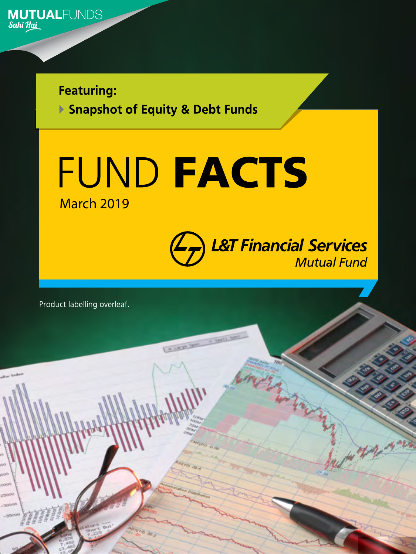

**Featuring:** 

▶ Snapshot of Equity & Debt Funds



**EXERCISE CALLS** 



1

Product labelling overleaf.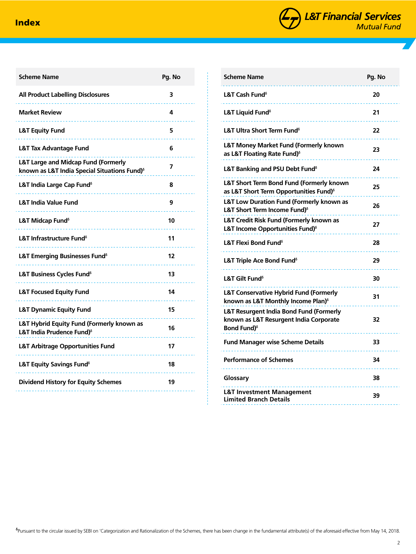

| <b>Scheme Name</b>                                                                              | Pg. No |
|-------------------------------------------------------------------------------------------------|--------|
| <b>All Product Labelling Disclosures</b>                                                        | 3      |
| <b>Market Review</b>                                                                            | 4      |
| <b>L&amp;T Equity Fund</b>                                                                      | 5      |
| <b>L&amp;T Tax Advantage Fund</b>                                                               | 6      |
| L&T Large and Midcap Fund (Formerly<br>known as L&T India Special Situations Fund) <sup>6</sup> | 7      |
| L&T India Large Cap Fund <sup>6</sup>                                                           | 8      |
| <b>L&amp;T India Value Fund</b>                                                                 | 9      |
| L&T Midcap Fund <sup>8</sup>                                                                    | 10     |
| L&T Infrastructure Fund <sup>8</sup>                                                            | 11     |
| L&T Emerging Businesses Fund <sup>6</sup>                                                       | 12     |
| L&T Business Cycles Fund <sup>®</sup>                                                           | 13     |
| <b>L&amp;T Focused Equity Fund</b>                                                              | 14     |
| <b>L&amp;T Dynamic Equity Fund</b>                                                              | 15     |
| L&T Hybrid Equity Fund (Formerly known as<br>L&T India Prudence Fund) <sup>8</sup>              | 16     |
| <b>L&amp;T Arbitrage Opportunities Fund</b>                                                     | 17     |
| <b>L&amp;T Equity Savings Fund</b> <sup>6</sup>                                                 | 18     |
| <b>Dividend History for Equity Schemes</b>                                                      | 19     |
|                                                                                                 |        |

| <b>Scheme Name</b>                                                                                                  | Pg. No |
|---------------------------------------------------------------------------------------------------------------------|--------|
| L&T Cash Fund <sup>8</sup>                                                                                          | 20     |
| L&T Liquid Fund $\delta$                                                                                            | 21     |
| L&T Ultra Short Term Fund <sup>6</sup>                                                                              | 22     |
| <b>L&amp;T Money Market Fund (Formerly known</b><br>as L&T Floating Rate Fund) <sup>6</sup>                         | 23     |
| L&T Banking and PSU Debt Fund <sup>6</sup>                                                                          | 24     |
| L&T Short Term Bond Fund (Formerly known<br>as L&T Short Term Opportunities Fund) <sup>6</sup>                      | 25     |
| <b>L&amp;T Low Duration Fund (Formerly known as</b><br>L&T Short Term Income Fund) <sup>6</sup>                     | 26     |
| L&T Credit Risk Fund (Formerly known as<br>L&T Income Opportunities Fund) <sup>6</sup>                              | 27     |
| L&T Flexi Bond Fund <sup>®</sup>                                                                                    | 28     |
| L&T Triple Ace Bond Fund <sup>8</sup>                                                                               | 29     |
| L&T Gilt Fund <sup>8</sup>                                                                                          | 30     |
| <b>L&amp;T Conservative Hybrid Fund (Formerly</b><br>known as L&T Monthly Income Plan) <sup>6</sup>                 | 31     |
| L&T Resurgent India Bond Fund (Formerly<br>known as L&T Resurgent India Corporate<br><b>Bond Fund)</b> <sup>6</sup> | 32     |
| <b>Fund Manager wise Scheme Details</b>                                                                             | 33     |
| <b>Performance of Schemes</b>                                                                                       | 34     |
| Glossary                                                                                                            | 38     |
| <b>L&amp;T Investment Management</b><br><b>Limited Branch Details</b>                                               | 39     |

ᵟPursuant to the circular issued by SEBI on 'Categorization and Rationalization of the Schemes, there has been change in the fundamental attribute(s) of the aforesaid effective from May 14, 2018.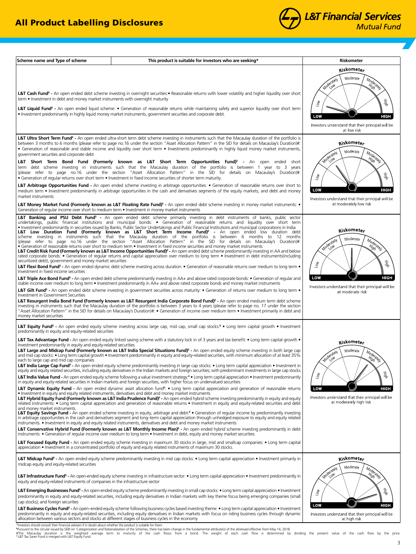



3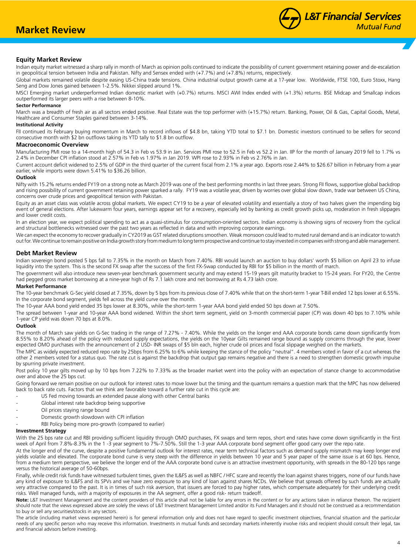## **Equity Market Review**

Indian equity market witnessed a sharp rally in month of March as opinion polls continued to indicate the possibility of current government retaining power and de-escalation in geopolitical tension between India and Pakistan. Nifty and Sensex ended with (+7.7%) and (+7.8%) returns, respectively.

Global markets remained volatile despite easing US-China trade tensions. China industrial output growth came at a 17-year low. Worldwide, FTSE 100, Euro Stoxx, Hang Seng and Dow Jones gained between 1-2.5%. Nikkei slipped around 1%.

MSCI Emerging market underperformed Indian domestic market with (+0.7%) returns. MSCI AWI Index ended with (+1.3%) returns. BSE Midcap and Smallcap indices outperformed its larger peers with a rise between 8-10%.

## **Sector Performance**

March was a breadth of fresh air as all sectors ended positive. Real Estate was the top performer with (+15.7%) return. Banking, Power, Oil & Gas, Capital Goods, Metal, Healthcare and Consumer Staples gained between 3-14%.

## **Institutional Activity**

FII continued its February buying momentum in March to record inflows of \$4.8 bn, taking YTD total to \$7.1 bn. Domestic investors continued to be sellers for second consecutive month with \$2 bn outflows taking its YTD tally to \$1.8 bn outflow.

## **Macroeconomic Overview**

Manufacturing PMI rose to a 14-month high of 54.3 in Feb vs 53.9 in Jan. Services PMI rose to 52.5 in Feb vs 52.2 in Jan. IIP for the month of January 2019 fell to 1.7% vs 2.4% in December CPI inflation stood at 2.57% in Feb vs 1.97% in Jan 2019. WPI rose to 2.93% in Feb vs 2.76% in Jan.

Current account deficit widened to 2.5% of GDP in the third quarter of the current fiscal from 2.1% a year ago. Exports rose 2.44% to \$26.67 billion in February from a year earlier, while imports were down 5.41% to \$36.26 billion.

## **Outlook**

Nifty with 15.2% returns ended FY19 on a strong note as March 2019 was one of the best performing months in last three years. Strong FII flows, supportive global backdrop and rising possibility of current government retaining power sparked a rally. FY19 was a volatile year, driven by worries over global slow down, trade war between US China, concerns over crude prices and geopolitical tension with Pakistan.

Equity as an asset class was volatile across global markets. We expect CY19 to be a year of elevated volatility and essentially a story of two halves given the impending big event of general elections. After lukewarm four years, earnings appear set for a recovery, especially led by banking as credit growth picks up, moderation in fresh slippages and lower credit costs.

In an election year, we expect political spending to act as a quasi-stimulus for consumption-oriented sectors. Indian economy is showing signs of recovery from the cyclical and structural bottlenecks witnessed over the past two years as reflected in data and with improving corporate earnings.

We can expect the economy to recover gradually in CY2019 as GST related disruptions smoothen. Weak monsoon could lead to muted rural demand and is an indicator to watch out for. We continue to remain positive on India growth story from medium to long term prospective and continue to stay invested in companies with strong and able management.

## **Debt Market Review**

Indian sovereign bond posted 5 bps fall to 7.35% in the month on March from 7.40%. RBI would launch an auction to buy dollars' worth \$5 billion on April 23 to infuse liquidity into the system. This is the second FX swap after the success of the first FX-Swap conducted by RBI for \$5 billion in the month of march.

The government will also introduce new seven-year benchmark government security and may extend 15-19 years gilt maturity bracket to 15-24 years. For FY20, the Centre had pegged gross market borrowing at a nine-year high of Rs 7.1 lakh crore and net borrowing at Rs 4.73 lakh crore.

## **Market Performance**

The 10-year benchmark G-Sec yield closed at 7.35%, down by 5 bps from its previous close of 7.40% while that on the short-term 1-year T-Bill ended 12 bps lower at 6.55%. In the corporate bond segment, yields fell across the yield curve over the month.

The 10-year AAA bond yield ended 35 bps lower at 8.30%, while the short-term 1-year AAA bond yield ended 50 bps down at 7.50%.

The spread between 1-year and 10-year AAA bond widened. Within the short term segment, yield on 3-month commercial paper (CP) was down 40 bps to 7.10% while 1-year CP yield was down 70 bps at 8.0%.

## **Outlook**

The month of March saw yields on G-Sec trading in the range of 7.27% - 7.40%. While the yields on the longer end AAA corporate bonds came down significantly from 8.55% to 8.20% ahead of the policy with reduced supply expectations, the yields on the 10year Gilts remained range bound as supply concerns through the year, lower expected OMO purchases with the announcement of 2 USD- INR swaps of \$5 bln each, higher crude oil prices and fiscal slippage weighed on the markets.

The MPC as widely expected reduced repo rate by 25bps from 6.25% to 6% while keeping the stance of the policy "neutral". 4 members voted in favor of a cut whereas the other 2 members voted for a status quo. The rate cut is against the backdrop that output gap remains negative and there is a need to strengthen domestic growth impulse by spurring private investment.

Post policy 10 year gilts moved up by 10 bps from 7.22% to 7.33% as the broader market went into the policy with an expectation of stance change to accommodative over and above the 25 bps cut.

Going forward we remain positive on our outlook for interest rates to move lower but the timing and the quantum remains a question mark that the MPC has now delivered back to back rate cuts. Factors that we think are favorable toward a further rate cut in this cycle are:

- US Fed moving towards an extended pause along with other Central banks
- Global interest rate backdrop being supportive
- Oil prices staying range bound
- Domestic growth slowdown with CPI inflation
- RBI Policy being more pro-growth (compared to earlier)

## **Investment Strategy**

With the 25 bps rate cut and RBI providing sufficient liquidity through OMO purchases, FX swaps and term repos, short end rates have come down significantly in the first week of April from 7.8%-8.3% in the 1 -3 year segment to 7%-7.50%. Still the 1-3 year AAA corporate bond segment offer good carry over the repo rate.

At the longer end of the curve, despite a positive fundamental outlook for interest rates, near term technical factors such as demand supply mismatch may keep longer end yields volatile and elevated. The corporate bond curve is very steep with the difference in yields between 10 year and 5 year paper of the same issue is at 60 bps. Hence, from a medium term perspective, we believe the longer end of the AAA corporate bond curve is an attractive investment opportunity, with spreads in the 80-120 bps range versus the historical average of 50-60bps.

Finally, while credit risk funds have witnessed turbulent times, given the IL&FS as well as NBFC / HFC scare and recently the loan against shares triggers, none of our funds have any kind of exposure to IL&FS and its SPVs and we have zero exposure to any kind of loan against shares NCDs. We believe that spreads offered by such funds are actually very attractive compared to the past. It is in times of such risk aversion, that issuers are forced to pay higher rates, which compensate adequately for their underlying credit risks. Well managed funds, with a majority of exposures in the AA segment, offer a good risk- return tradeoff.

**Note:** L&T Investment Management and the content providers of this article shall not be liable for any errors in the content or for any actions taken in reliance thereon. The recipient should note that the views expressed above are solely the views of L&T Investment Management Limited and/or its Fund Managers and it should not be construed as a recommendation to buy or sell any securities/stocks in any sectors.

The article (including market views expressed herein) is for general information only and does not have regard to specific investment objectives, financial situation and the particular needs of any specific person who may receive this information. Investments in mutual funds and secondary markets inherently involve risks and recipient should consult their legal, tax and financial advisors before investing.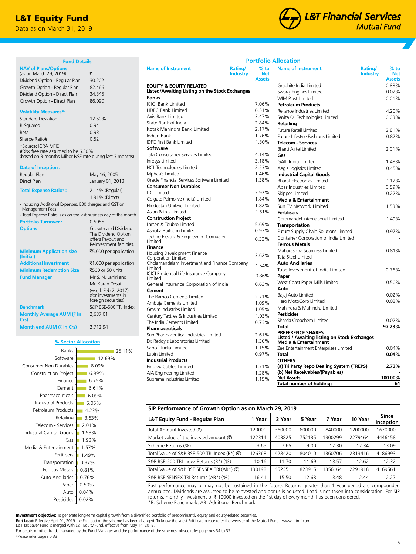## L&T Equity Fund

Data as on March 31, 2019

(as on March 29, 2019)  $\bar{\tau}$ Dividend Option - Regular Plan 30.202 Growth Option - Regular Plan 82.466 Dividend Option - Direct Plan 34.345 Growth Option - Direct Plan 86.090

Standard Deviation 12.50% R-Squared 0.94 Beta 0.93 Sharpe Ratio# 0.52

#Risk free rate assumed to be 6.30%

**NAV of Plans/Options** 

**Volatility Measures\*:**

\*Source: ICRA MFIE

**Date of Inception :**

Management Fees

**(Initial)**

**Crs)**

**Minimum Application size** 

**Monthly Average AUM (₹ In** 

Construction Project Consumer Non Durables

**Month end AUM (₹ In Crs)** 2,712.94

Software Banks

**Fund Details**

(based on 3-months Mibor NSE rate during last 3 months)

1.31% (Direct)

The Dividend Option offers Payout and Reinvestment facilities.

₹5,000 per application

25.11%

Mr. Karan Desai (w.e.f. Feb 2, 2017) (for investments in foreign securities)

2,637.01

Regular Plan May 16, 2005 Direct Plan January 01, 2013 **Total Expense Ratio+ :** 2.14% (Regular)

- Including Additional Expenses, B30 charges and GST on

Portfolio Turnover : 0.5056

- Total Expense Ratio is as on the last business day of the month

**Options** Growth and Dividend.

**Additional Investment** ₹1,000 per application **Minimum Redemption Size** ₹500 or 50 units **Fund Manager** Mr S. N. Lahiri and

**Benchmark** S&P BSE-500 TRI Index

**% Sector Allocation**



## **Portfolio Allocation**

| <b>Name of Instrument</b>                                | $%$ to<br>Rating/<br><b>Industry</b><br><b>Net</b><br><b>Assets</b> | <b>Name of Instrument</b><br>Rating/<br><b>Industry</b>    | $%$ to<br><b>Net</b><br><b>Assets</b> |
|----------------------------------------------------------|---------------------------------------------------------------------|------------------------------------------------------------|---------------------------------------|
| <b>EQUITY &amp; EQUITY RELATED</b>                       |                                                                     | Graphite India Limited                                     | 0.88%                                 |
| Listed/Awaiting Listing on the Stock Exchanges           |                                                                     | Swaraj Engines Limited                                     | 0.02%                                 |
| <b>Banks</b>                                             |                                                                     | <b>WIM Plast Limited</b>                                   | 0.01%                                 |
| <b>ICICI Bank Limited</b>                                | 7.06%                                                               | <b>Petroleum Products</b>                                  |                                       |
| <b>HDFC Bank Limited</b>                                 | 6.51%                                                               | Reliance Industries Limited                                | 4.20%                                 |
| Axis Bank Limited                                        | 3.47%                                                               | Savita Oil Technologies Limited                            | 0.03%                                 |
| State Bank of India                                      | 2.84%                                                               | <b>Retailing</b>                                           |                                       |
| Kotak Mahindra Bank Limited                              | 2.17%                                                               | <b>Future Retail Limited</b>                               | 2.81%                                 |
| Indian Bank                                              | 1.76%                                                               | Future Lifestyle Fashions Limited                          | 0.82%                                 |
| <b>IDFC First Bank Limited</b>                           | 1.30%                                                               | <b>Telecom - Services</b>                                  |                                       |
| <b>Software</b>                                          |                                                                     | <b>Bharti Airtel Limited</b>                               | 2.01%                                 |
| Tata Consultancy Services Limited                        | 4.14%                                                               | Gas                                                        |                                       |
| Infosys Limited                                          | 3.18%                                                               | <b>GAIL India Limited</b>                                  | 1.48%                                 |
| <b>HCL Technologies Limited</b>                          | 2.53%                                                               | Aegis Logistics Limited                                    | 0.45%                                 |
| MphasiS Limited                                          | 1.46%                                                               | <b>Industrial Capital Goods</b>                            |                                       |
| Oracle Financial Services Software Limited               | 1.38%                                                               | <b>Bharat Electronics Limited</b>                          | 1.12%                                 |
| <b>Consumer Non Durables</b>                             |                                                                     | Apar Industries Limited                                    | 0.59%                                 |
| <b>ITC</b> Limited                                       | 2.92%                                                               | Skipper Limited                                            | 0.22%                                 |
| Colgate Palmolive (India) Limited                        | 1.84%                                                               | <b>Media &amp; Entertainment</b>                           |                                       |
| Hindustan Unilever Limited                               | 1.82%                                                               | Sun TV Network Limited                                     | 1.53%                                 |
| Asian Paints Limited                                     | 1.51%                                                               | <b>Fertilisers</b>                                         |                                       |
| <b>Construction Project</b>                              |                                                                     | Coromandel International Limited                           | 1.49%                                 |
| Larsen & Toubro Limited                                  | 5.69%                                                               | <b>Transportation</b>                                      |                                       |
| Ashoka Buildcon Limited                                  | 0.97%                                                               | Future Supply Chain Solutions Limited                      | 0.97%                                 |
| Techno Electric & Engineering Company                    | 0.33%                                                               | Container Corporation of India Limited                     |                                       |
| Limited                                                  |                                                                     | <b>Ferrous Metals</b>                                      |                                       |
| <b>Finance</b>                                           |                                                                     | Maharashtra Seamless Limited                               | 0.81%                                 |
| Housing Development Finance<br>Corporation Limited       | 3.62%                                                               | Tata Steel Limited                                         |                                       |
| Cholamandalam Investment and Finance Company             |                                                                     | <b>Auto Ancillaries</b>                                    |                                       |
| Limited                                                  | 1.64%                                                               | Tube Investment of India Limited                           | 0.76%                                 |
| ICICI Prudential Life Insurance Company                  | 0.86%                                                               | Paper                                                      |                                       |
| Limited                                                  |                                                                     | West Coast Paper Mills Limited                             | 0.50%                                 |
| General Insurance Corporation of India<br>Cement         | 0.63%                                                               | Auto                                                       |                                       |
| The Ramco Cements Limited                                | 2.71%                                                               | Bajaj Auto Limited                                         | 0.02%                                 |
|                                                          | 1.09%                                                               | Hero MotoCorp Limited                                      | 0.02%                                 |
| Ambuja Cements Limited<br>Grasim Industries Limited      | 1.05%                                                               | Mahindra & Mahindra Limited                                |                                       |
| Century Textiles & Industries Limited                    | 1.03%                                                               | <b>Pesticides</b>                                          |                                       |
| The India Cements Limited                                | 0.73%                                                               | Sharda Cropchem Limited                                    | 0.02%                                 |
| <b>Pharmaceuticals</b>                                   |                                                                     | Total                                                      | 97.23%                                |
|                                                          |                                                                     | <b>PREFERENCE SHARES</b>                                   |                                       |
| Sun Pharmaceutical Industries Limited                    | 2.61%<br>1.36%                                                      | <b>Listed / Awaiting listing on Stock Exchanges</b>        |                                       |
| Dr. Reddy's Laboratories Limited<br>Sanofi India Limited |                                                                     | Media & Entertainment                                      |                                       |
|                                                          | 1.15%                                                               | Zee Entertainment Enterprises Limited                      | 0.04%                                 |
| Lupin Limited                                            | 0.97%                                                               | Total                                                      | 0.04%                                 |
| <b>Industrial Products</b>                               |                                                                     | <b>OTHERS</b><br>(a) Tri Party Repo Dealing System (TREPS) | 2.73%                                 |
| Finolex Cables Limited                                   | 1.71%                                                               | (b) Net Receivables/(Payables)                             |                                       |
| AIA Engineering Limited                                  | 1.28%                                                               | <b>Net Assets</b>                                          | 100.00%                               |
| Supreme Industries Limited                               | 1.15%                                                               | <b>Total number of holdings</b>                            | 61                                    |

| SIP Performance of Growth Option as on March 29, 2019          |        |        |        |         |         |                           |
|----------------------------------------------------------------|--------|--------|--------|---------|---------|---------------------------|
| L&T Equity Fund - Regular Plan                                 | 1 Year | 3 Year | 5 Year | 7 Year  | 10 Year | <b>Since</b><br>Inception |
| Total Amount Invested (そ)                                      | 120000 | 360000 | 600000 | 840000  | 1200000 | 1670000                   |
| Market value of the invested amount $(\bar{\tau})$             | 122314 | 403825 | 752135 | 1300299 | 2279164 | 4446158                   |
| Scheme Returns (%)                                             | 3.65   | 7.65   | 9.00   | 12.30   | 12.34   | 13.09                     |
| Total Value of S&P BSE-500 TRI Index (B*) ( $\overline{\xi}$ ) | 126368 | 428420 | 804010 | 360706  | 2313416 | 4186993                   |
| S&P BSE-500 TRI Index Returns (B*) (%)                         | 10.16  | 11.70  | 11.69  | 13.57   | 12.62   | 12.32                     |
| Total Value of S&P BSE SENSEX TRI (AB*) (₹)                    | 130198 | 452351 | 823915 | 1356164 | 2291918 | 4169561                   |
| S&P BSE SENSEX TRI Returns (AB*) (%)                           | 16.41  | 15.50  | 12.68  | 13.48   | 12.44   | 12.27                     |

Past performance may or may not be sustained in the future. Returns greater than 1 year period are compounded annualized. Dividends are assumed to be reinvested and bonus is adjusted. Load is not taken into consideration. For SIP returns, monthly investment of  $\bar{\tau}$  10000 invested on the 1st day of every month has been considered. \*B: Scheme Benchmark, AB: Additional Benchmark

**Investment objective:** To generate long-term capital growth from a diversified portfolio of predominantly equity and equity-related securities.

**Exit Load:** Effective April 01, 2019 the Exit load of the scheme has been changed. To know the latest Exit Load please refer the website of the Mutual Fund - www.lntmf.com.

L&T Tax Saver Fund is merged with L&T Equity Fund. effective from May 14, 2018.

0.02% 0.04% 0.50% 0.76% 0.81% 0.97% 1.49% 1.57% 1.93% 1.93% 2.01% 3.63% 4.23% 5.05% 6.09% 6.61% 6.75% 6.99% 8.09% 12.69%

Pesticides<sup>1</sup> **Auto** Paper Auto Ancillaries Ferrous Metals **Transportation** Fertilisers

Gas

Media & Entertainment

Industrial Capital Goods Telecom - Services Retailing Petroleum Products Industrial Products Pharmaceuticals Cement Finance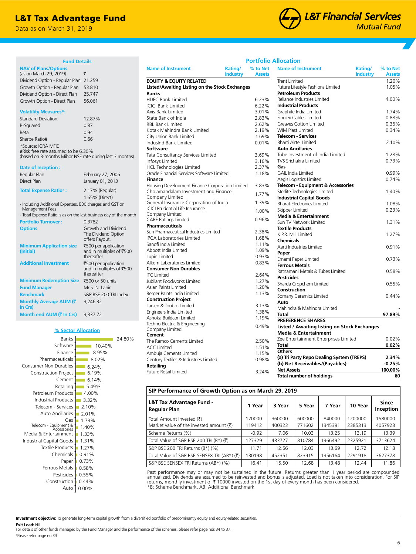## L&T Tax Advantage Fund

Data as on March 31, 2019



**% to Net Assets**

**Name of Instrument Rating/** 

## **Portfolio Allocation**

**% to Net Assets**

| <b>Fund Details</b>                                                                                                     |                                                                |
|-------------------------------------------------------------------------------------------------------------------------|----------------------------------------------------------------|
| <b>NAV of Plans/Options</b><br>(as on March 29, 2019)<br>Dividend Option - Regular Plan<br>Growth Option - Regular Plan | ₹<br>21.259<br>53.810                                          |
| Dividend Option - Direct Plan<br>Growth Option - Direct Plan                                                            | 25.747<br>56.061                                               |
| <b>Volatility Measures*:</b><br><b>Standard Deviation</b>                                                               | 12.87%                                                         |
| R-Squared                                                                                                               | 0.87                                                           |
| <b>Beta</b>                                                                                                             | 0.94                                                           |
| Sharpe Ratio#                                                                                                           | 0.66                                                           |
| *Source: ICRA MFIE<br>#Risk free rate assumed to be 6.30%<br>(based on 3-months Mibor NSE rate during last 3 months)    |                                                                |
| Date of Inception:                                                                                                      |                                                                |
| Regular Plan                                                                                                            | February 27, 2006                                              |
| Direct Plan                                                                                                             | January 01, 2013                                               |
| <b>Total Expense Ratio<sup>+</sup>:</b>                                                                                 | 2.17% (Regular)<br>1.65% (Direct)                              |
| - Including Additional Expenses, B30 charges and GST on<br>Management Fees                                              |                                                                |
| - Total Expense Ratio is as on the last business day of the month                                                       |                                                                |
| <b>Portfolio Turnover:</b>                                                                                              | 0.3782                                                         |
| <b>Options</b>                                                                                                          | Growth and Dividend.<br>The Dividend Option<br>offers Payout.  |
| <b>Minimum Application size</b><br>(Initial)                                                                            | ₹500 per application<br>and in multiples of ₹500<br>thereafter |
| <b>Additional Investment</b>                                                                                            | ₹500 per application<br>and in multiples of ₹500<br>thereafter |
| <b>Minimum Redemption Size</b>                                                                                          | ₹500 or 50 units                                               |
| <b>Fund Manager</b>                                                                                                     | Mr S. N. Lahiri                                                |
| <b>Benchmark</b>                                                                                                        | S&P BSE 200 TRI Index                                          |
| Monthly Average AUM (₹<br>In Crs)                                                                                       | 3,246.32                                                       |
| Month end AUM (₹ In Crs)                                                                                                | 3,337.72                                                       |
|                                                                                                                         |                                                                |

#### **% Sector Allocation** Accessories | 1.40% 0.00% Auto Construction | 0.44% Pesticides | 0.55% Ferrous Metals | 0.58% Paper **1** 0.73% 0.91% Chemicals Textile Products 1.27% Industrial Capital Goods 1 1.31% Media & Entertainment | 1.33% Gas 1.73% 2.01% Telecom - Services 2.10%  $-3.32%$  $-4.00%$ 5.49% 6.14% 6.19% 6.24% 8.95% 10.40% 24.80% Auto Ancillaries Industrial Products Petroleum Products Retailing Cement Construction Project Consumer Non Durables Pharmaceuticals Finance Software Banks 8.02%

| Listed/Awaiting Listing on the Stock Exchanges  |       | Future Lifestyle Fashions Limited            | 1.05%    |
|-------------------------------------------------|-------|----------------------------------------------|----------|
| <b>Banks</b>                                    |       | <b>Petroleum Products</b>                    |          |
| <b>HDFC Bank Limited</b>                        | 6.23% | Reliance Industries Limited                  | 4.00%    |
| <b>ICICI Bank Limited</b>                       | 6.22% | <b>Industrial Products</b>                   |          |
| Axis Bank Limited                               | 3.01% | Graphite India Limited                       | 1.74%    |
| State Bank of India                             | 2.83% | Finolex Cables Limited                       | 0.88%    |
| <b>RBL Bank Limited</b>                         | 2.62% | Greaves Cotton Limited                       | 0.36%    |
| Kotak Mahindra Bank Limited                     | 2.19% | <b>WIM Plast Limited</b>                     | 0.34%    |
| City Union Bank Limited                         | 1.69% | <b>Telecom - Services</b>                    |          |
| IndusInd Bank Limited                           | 0.01% | <b>Bharti Airtel Limited</b>                 | 2.10%    |
| Software                                        |       | <b>Auto Ancillaries</b>                      |          |
| Tata Consultancy Services Limited               | 3.69% | Tube Investment of India Limited             | 1.28%    |
| Infosys Limited                                 | 3.16% | <b>TVS Srichakra Limited</b>                 | 0.73%    |
| <b>HCL Technologies Limited</b>                 | 2.37% | Gas                                          |          |
| Oracle Financial Services Software Limited      | 1.18% | <b>GAIL India Limited</b>                    | 0.99%    |
| Finance                                         |       | Aegis Logistics Limited                      | 0.74%    |
| Housing Development Finance Corporation Limited | 3.83% | Telecom - Equipment & Accessories            |          |
| Cholamandalam Investment and Finance            |       | Sterlite Technologies Limited                | 1.40%    |
| Company Limited                                 | 1.77% | <b>Industrial Capital Goods</b>              |          |
| General Insurance Corporation of India          | 1.39% | <b>Bharat Electronics Limited</b>            | 1.08%    |
| <b>ICICI Prudential Life Insurance</b>          | 1.00% | Skipper Limited                              | 0.23%    |
| Company Limited                                 |       | <b>Media &amp; Entertainment</b>             |          |
| <b>CARE Ratings Limited</b>                     | 0.96% | Sun TV Network Limited                       | 1.31%    |
| <b>Pharmaceuticals</b>                          |       | <b>Textile Products</b>                      |          |
| Sun Pharmaceutical Industries Limited           | 2.38% | K.P.R. Mill Limited                          | 1.27%    |
| <b>IPCA Laboratories Limited</b>                | 1.68% | <b>Chemicals</b>                             |          |
| Sanofi India Limited                            | 1.11% | Aarti Industries Limited                     | 0.91%    |
| Abbott India Limited                            | 1.09% | Paper                                        |          |
| Lupin Limited                                   | 0.93% | Emami Paper Limited                          | 0.73%    |
| Alkem Laboratories Limited                      | 0.83% | <b>Ferrous Metals</b>                        |          |
| <b>Consumer Non Durables</b>                    |       | Ratnamani Metals & Tubes Limited             | 0.58%    |
| <b>ITC Limited</b>                              | 2.64% | <b>Pesticides</b>                            |          |
| Jubilant Foodworks Limited                      | 1.27% | Sharda Cropchem Limited                      | 0.55%    |
| Asian Paints Limited                            | 1.20% | Construction                                 |          |
| Berger Paints India Limited                     | 1.13% | Somany Ceramics Limited                      | 0.44%    |
| <b>Construction Project</b>                     |       | Auto                                         |          |
| Larsen & Toubro Limited                         | 3.13% | Mahindra & Mahindra Limited                  |          |
| Engineers India Limited                         | 1.38% | Total                                        | 97.89%   |
| Ashoka Buildcon Limited                         | 1.19% | <b>PREFERENCE SHARES</b>                     |          |
| Techno Electric & Engineering                   | 0.49% | Listed / Awaiting listing on Stock Exchanges |          |
| Company Limited                                 |       | <b>Media &amp; Entertainment</b>             |          |
| Cement                                          |       | Zee Entertainment Enterprises Limited        | 0.02%    |
| The Ramco Cements Limited                       | 2.50% | Total                                        | 0.02%    |
| <b>ACC Limited</b>                              | 1.51% | <b>Others</b>                                |          |
| Ambuja Cements Limited                          | 1.15% | (a) Tri Party Repo Dealing System (TREPS)    | 2.34%    |
| Century Textiles & Industries Limited           | 0.98% | (b) Net Receivables/(Payables)               | $-0.25%$ |
| Retailing                                       |       | <b>Net Assets</b>                            | 100.00%  |
| Future Retail Limited                           | 3.24% | <b>Total number of holdings</b>              | 60       |
|                                                 |       |                                              |          |

**Name of Instrument Rating/** 

**EQUITY & EQUITY RELATED**

**Industry**

| <b>Assets</b>  | <b>Industry</b>                                     | <b>Assets</b> |
|----------------|-----------------------------------------------------|---------------|
|                | <b>Trent Limited</b>                                | 1.20%         |
|                | Future Lifestyle Fashions Limited                   | 1.05%         |
|                | <b>Petroleum Products</b>                           |               |
| 6.23%          | Reliance Industries Limited                         | 4.00%         |
| 6.22%          | <b>Industrial Products</b>                          |               |
| 3.01%          | Graphite India Limited                              | 1.74%         |
| 2.83%          | <b>Finolex Cables Limited</b>                       | 0.88%         |
| 2.62%          | <b>Greaves Cotton Limited</b>                       | 0.36%         |
| 2.19%          | <b>WIM Plast Limited</b>                            | 0.34%         |
| 1.69%          | <b>Telecom - Services</b>                           |               |
| 0.01%          | <b>Bharti Airtel Limited</b>                        | 2.10%         |
|                | <b>Auto Ancillaries</b>                             |               |
| 3.69%          | Tube Investment of India Limited                    | 1.28%         |
| 3.16%          | <b>TVS Srichakra Limited</b>                        | 0.73%         |
| 2.37%          | Gas                                                 |               |
| 1.18%          | <b>GAIL India Limited</b>                           | 0.99%         |
|                | Aegis Logistics Limited                             | 0.74%         |
| 3.83%          | Telecom - Equipment & Accessories                   |               |
| 1.77%          | Sterlite Technologies Limited                       | 1.40%         |
|                | <b>Industrial Capital Goods</b>                     |               |
| 1.39%          | <b>Bharat Electronics Limited</b>                   | 1.08%         |
| 1.00%          | Skipper Limited                                     | 0.23%         |
|                | <b>Media &amp; Entertainment</b>                    |               |
| 0.96%          | Sun TV Network Limited                              | 1.31%         |
|                | <b>Textile Products</b>                             |               |
| 2.38%          | K.P.R. Mill Limited                                 | 1.27%         |
| 1.68%          | <b>Chemicals</b>                                    |               |
| 1.11%          | Aarti Industries Limited                            | 0.91%         |
| 1.09%          | Paper                                               |               |
| 0.93%          | Emami Paper Limited                                 | 0.73%         |
| 0.83%          | <b>Ferrous Metals</b>                               |               |
|                | Ratnamani Metals & Tubes Limited                    | 0.58%         |
| 2.64%          | <b>Pesticides</b>                                   |               |
| 1.27%          | Sharda Cropchem Limited                             | 0.55%         |
| 1.20%<br>1.13% | Construction                                        |               |
|                | Somany Ceramics Limited                             | 0.44%         |
| 3.13%          | Auto                                                |               |
| 1.38%          | Mahindra & Mahindra Limited                         |               |
| 1.19%          | <b>Total</b>                                        | 97.89%        |
|                | <b>PREFERENCE SHARES</b>                            |               |
| 0.49%          | <b>Listed / Awaiting listing on Stock Exchanges</b> |               |
|                | <b>Media &amp; Entertainment</b>                    |               |
| 2.50%          | Zee Entertainment Enterprises Limited               | 0.02%         |
| 1.51%          | Total                                               | 0.02%         |
| 1.15%          | <b>Others</b>                                       |               |
| 0.98%          | (a) Tri Party Repo Dealing System (TREPS)           | 2.34%         |
|                | (b) Net Receivables/(Payables)                      | $-0.25%$      |
| 2710L          | <b>Net Assets</b>                                   | 100.00%       |

## **SIP Performance of Growth Option as on March 29, 2019**

| L&T Tax Advantage Fund -<br><b>Regular Plan</b>               | 1 Year  | 3 Year | 5 Year | 7 Year  | 10 Year | Since<br>Inception |
|---------------------------------------------------------------|---------|--------|--------|---------|---------|--------------------|
| Total Amount Invested (そ)                                     | 120000  | 360000 | 600000 | 840000  | 1200000 | 1580000            |
| Market value of the invested amount $(\bar{\tau})$            | 119412  | 400323 | 771602 | 1345391 | 2385313 | 4057923            |
| Scheme Returns (%)                                            | $-0.92$ | 7.06   | 10.03  | 13.25   | 13.19   | 13.39              |
| Total Value of S&P BSE 200 TRI (B*) $(\overline{\mathbf{z}})$ | 127329  | 433727 | 810784 | 1366492 | 2325921 | 3713624            |
| S&P BSE 200 TRI Returns (B*) (%)                              | 11.71   | 12.56  | 12.03  | 13.69   | 12.72   | 12.18              |
| Total Value of S&P BSE SENSEX TRI (AB*) (₹)                   | 130198  | 452351 | 823915 | 1356164 | 2291918 | 3627378            |
| S&P BSE SENSEX TRI Returns (AB*) (%)                          | 16.41   | 15.50  | 12.68  | 13.48   | 12.44   | 11.86              |

Past performance may or may not be sustained in the future. Returns greater than 1 year period are compounded annualized. Dividends are assumed to be reinvested and bonus is adjusted. Load is not taken into consideration. For SIP<br>returns, monthly investment of ₹ 10000 invested on the 1st day of every month has been considered. \*B: Scheme Benchmark, AB: Additional Benchmark

**Investment objective:** To generate long-term capital growth from a diversified portfolio of predominantly equity and equity-related securities.

**Exit Load:** Nil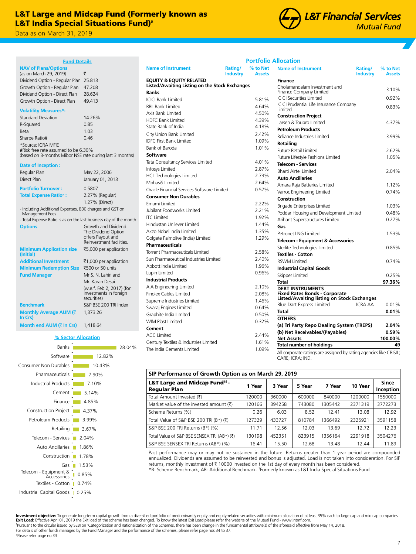## L&T Large and Midcap Fund (Formerly known as L&T India Special Situations Fund)<sup>®</sup>

Data as on March 31, 2019 Data as on March 31, 2019

| <b>Fund Details</b>                                                                                                                                                                                                     |                                                                                              |
|-------------------------------------------------------------------------------------------------------------------------------------------------------------------------------------------------------------------------|----------------------------------------------------------------------------------------------|
| <b>NAV of Plans/Options</b><br>(as on March 29, 2019)<br>Dividend Option - Regular Plan<br>Growth Option - Regular Plan<br>Dividend Option - Direct Plan<br>Growth Option - Direct Plan                                 | ₹<br>25.813<br>47.208<br>28.624<br>49.413                                                    |
| <b>Volatility Measures*:</b><br><b>Standard Deviation</b><br>R-Squared<br>Beta<br>Sharpe Ratio#<br>*Source: ICRA MFIE<br>#Risk free rate assumed to be 6.30%<br>(based on 3-months Mibor NSE rate during last 3 months) | 14.26%<br>0.85<br>1.03<br>0.46                                                               |
| Date of Inception:<br>Regular Plan<br>Direct Plan                                                                                                                                                                       | May 22, 2006<br>January 01, 2013                                                             |
| <b>Portfolio Turnover:</b><br><b>Total Expense Ratio*:</b>                                                                                                                                                              | 0.5807<br>2.27% (Regular)<br>1.27% (Direct)                                                  |
| - Including Additional Expenses, B30 charges and GST on<br>Management Fees<br>- Total Expense Ratio is as on the last business day of the month                                                                         |                                                                                              |
| <b>Options</b>                                                                                                                                                                                                          | Growth and Dividend.<br>The Dividend Option<br>offers Payout and<br>Reinvestment facilities. |
| <b>Minimum Application size</b><br>(Initial)                                                                                                                                                                            | ₹5,000 per application                                                                       |
| <b>Additional Investment</b>                                                                                                                                                                                            | ₹1,000 per application                                                                       |
| <b>Minimum Redemption Size</b>                                                                                                                                                                                          | ₹500 or 50 units                                                                             |
| <b>Fund Manager</b>                                                                                                                                                                                                     | Mr S. N. Lahiri and                                                                          |
|                                                                                                                                                                                                                         | Mr. Karan Desai<br>(w.e.f. Feb 2, 2017) (for<br>investments in foreign<br>securities)        |
| <b>Benchmark</b>                                                                                                                                                                                                        | S&P BSE 200 TRI Index                                                                        |
| Monthly Average AUM (₹<br>In Crs)                                                                                                                                                                                       | 1,373.26                                                                                     |
| Month end AUM (₹ In Crs)                                                                                                                                                                                                | 1,418.64                                                                                     |



|             | <b>RBL Bank Limited</b>           | 4.64% |
|-------------|-----------------------------------|-------|
|             | Axis Bank Limited                 | 4.50% |
|             | <b>HDFC Bank Limited</b>          | 4.39% |
|             | State Bank of India               | 4.18% |
|             | City Union Bank Limited           | 2.42% |
|             | <b>IDFC First Bank Limited</b>    | 1.09% |
|             | Bank of Baroda                    | 1.01% |
| t 3 months) | Software                          |       |
|             | Tata Consultancy Services Limited | 4.01% |
|             | Infosys Limited                   | 2.87% |
|             | <b>HCL Technologies Limited</b>   | 2.73% |
| 13          | MphasiS Limited                   | 2.64% |

**Name of Instrument Rating/** 

| וסנס כטוואנונסווכץ אפו אוכפא בוודוונפט     | 4.VI/0 |
|--------------------------------------------|--------|
| Infosys Limited                            | 2.87%  |
| <b>HCL Technologies Limited</b>            | 2.73%  |
| MphasiS Limited                            | 2.64%  |
| Oracle Financial Services Software Limited | 0.57%  |
| <b>Consumer Non Durables</b>               |        |
| Emami Limited                              | 2.22%  |
| Jubilant Foodworks Limited                 | 2.21%  |
| <b>ITC</b> Limited                         | 1.92%  |
| Hindustan Unilever Limited                 | 1.44%  |
| Akzo Nobel India Limited                   | 1.35%  |
| Colgate Palmolive (India) Limited          | 1.29%  |
| <b>Pharmaceuticals</b>                     |        |
| Torrent Pharmaceuticals Limited            | 2.58%  |
| Sun Pharmaceutical Industries Limited      | 2.40%  |
| Abbott India Limited                       | 1.96%  |
| Lupin Limited                              | 0.96%  |
| <b>Industrial Products</b>                 |        |
| AIA Engineering Limited                    | 2.10%  |
| <b>Finolex Cables Limited</b>              | 2.08%  |
| Supreme Industries Limited                 | 1.46%  |
| Swaraj Engines Limited                     | 0.64%  |
| Graphite India Limited                     | 0.50%  |
| <b>WIM Plast Limited</b>                   | 0.32%  |
| Cement                                     |        |
| <b>ACC Limited</b>                         | 2.44%  |
| Century Textiles & Industries Limited      | 1.61%  |
| The India Cements Limited                  | 1.09%  |

**L&T Financial Services Mutual Fund** 

## **Portfolio Allocation**

| <b>Name of Instrument</b>                      | Rating/<br><b>Industry</b> | % to Net<br><b>Assets</b> | <b>Name of Instrument</b><br>Rating/<br><b>Industry</b>            | % to Net<br><b>Assets</b> |
|------------------------------------------------|----------------------------|---------------------------|--------------------------------------------------------------------|---------------------------|
| <b>EQUITY &amp; EQUITY RELATED</b>             |                            |                           | Finance                                                            |                           |
| Listed/Awaiting Listing on the Stock Exchanges |                            |                           | Cholamandalam Investment and                                       | 3.10%                     |
| <b>Banks</b>                                   |                            |                           | <b>Finance Company Limited</b>                                     |                           |
| <b>ICICI Bank Limited</b>                      |                            | 5.81%                     | <b>ICICI Securities Limited</b>                                    | 0.92%                     |
| <b>RBL Bank Limited</b>                        |                            | 4.64%                     | <b>ICICI Prudential Life Insurance Company</b><br>Limited          | 0.83%                     |
| Axis Bank Limited                              |                            | 4.50%                     | <b>Construction Project</b>                                        |                           |
| <b>HDFC Bank Limited</b>                       |                            | 4.39%                     | Larsen & Toubro Limited                                            | 4.37%                     |
| State Bank of India                            |                            | 4.18%                     | <b>Petroleum Products</b>                                          |                           |
| City Union Bank Limited                        |                            | 2.42%                     | Reliance Industries Limited                                        | 3.99%                     |
| <b>IDFC First Bank Limited</b>                 |                            | 1.09%                     | Retailing                                                          |                           |
| Bank of Baroda                                 |                            | 1.01%                     | <b>Future Retail Limited</b>                                       | 2.62%                     |
| Software                                       |                            |                           | Future Lifestyle Fashions Limited                                  | 1.05%                     |
| Tata Consultancy Services Limited              |                            | 4.01%                     | <b>Telecom - Services</b>                                          |                           |
| Infosys Limited                                |                            | 2.87%                     | <b>Bharti Airtel Limited</b>                                       | 2.04%                     |
| <b>HCL Technologies Limited</b>                |                            | 2.73%                     | <b>Auto Ancillaries</b>                                            |                           |
| MphasiS Limited                                |                            | 2.64%                     | Amara Raja Batteries Limited                                       | 1.12%                     |
| Oracle Financial Services Software Limited     |                            | 0.57%                     | Varroc Engineering Limited                                         | 0.74%                     |
| <b>Consumer Non Durables</b>                   |                            |                           | Construction                                                       |                           |
| Emami Limited                                  |                            | 2.22%                     | <b>Brigade Enterprises Limited</b>                                 | 1.03%                     |
| Jubilant Foodworks Limited                     |                            | 2.21%                     | Poddar Housing and Development Limited                             | 0.48%                     |
| <b>ITC</b> Limited                             |                            | 1.92%                     | Arihant Superstructures Limited                                    | 0.27%                     |
| Hindustan Unilever Limited                     |                            | 1.44%                     | Gas                                                                |                           |
| Akzo Nobel India Limited                       |                            | 1.35%                     | Petronet LNG Limited                                               | 1.53%                     |
| Colgate Palmolive (India) Limited              |                            | 1.29%                     | Telecom - Equipment & Accessories                                  |                           |
| <b>Pharmaceuticals</b>                         |                            |                           | Sterlite Technologies Limited                                      | 0.85%                     |
| Torrent Pharmaceuticals Limited                |                            | 2.58%                     | <b>Textiles - Cotton</b>                                           |                           |
| Sun Pharmaceutical Industries Limited          |                            | 2.40%                     | <b>RSWM Limited</b>                                                | 0.74%                     |
| Abbott India Limited                           |                            | 1.96%                     | <b>Industrial Capital Goods</b>                                    |                           |
| Lupin Limited                                  |                            | 0.96%                     | Skipper Limited                                                    | 0.25%                     |
| <b>Industrial Products</b>                     |                            |                           | Total                                                              | 97.36%                    |
| AIA Engineering Limited                        |                            | 2.10%                     | <b>DEBT INSTRUMENTS</b>                                            |                           |
| <b>Finolex Cables Limited</b>                  |                            | 2.08%                     | <b>Fixed Rates Bonds - Corporate</b>                               |                           |
| Supreme Industries Limited                     |                            | 1.46%                     | <b>Listed/Awaiting listing on Stock Exchanges</b>                  |                           |
| Swaraj Engines Limited                         |                            | 0.64%                     | <b>Blue Dart Express Limited</b><br><b>ICRA AA</b>                 | 0.01%                     |
| Graphite India Limited                         |                            | 0.50%                     | Total                                                              | 0.01%                     |
| <b>WIM Plast Limited</b>                       |                            | 0.32%                     | <b>OTHERS</b>                                                      |                           |
| Cement                                         |                            |                           | (a) Tri Party Repo Dealing System (TREPS)                          | 2.04%                     |
| <b>ACC Limited</b>                             |                            | 2.44%                     | (b) Net Receivables/(Payables)                                     | 0.59%                     |
| Century Textiles & Industries Limited          |                            | 1.61%                     | <b>Net Assets</b><br><b>Total number of holdings</b>               | 100.00%<br>49             |
| The India Cements Limited                      |                            | 1.09%                     | All corporate ratings are assigned by rating agencies like CRISIL. |                           |

agned by rating age CARE; ICRA; IND.

| SIP Performance of Growth Option as on March 29, 2019          |        |        |        |         |         |                           |  |  |  |
|----------------------------------------------------------------|--------|--------|--------|---------|---------|---------------------------|--|--|--|
| L&T Large and Midcap Fund <sup>*8</sup><br><b>Regular Plan</b> | 1 Year | 3 Year | 5 Year | 7 Year  | 10 Year | <b>Since</b><br>Inception |  |  |  |
| Total Amount Invested (₹)                                      | 120000 | 360000 | 600000 | 840000  | 1200000 | 1550000                   |  |  |  |
| Market value of the invested amount $(\overline{\tau})$        | 120166 | 394258 | 743080 | 1305442 | 2371319 | 3772273                   |  |  |  |
| Scheme Returns (%)                                             | 0.26   | 6.03   | 8.52   | 12.41   | 13.08   | 12.92                     |  |  |  |
| Total Value of S&P BSE 200 TRI (B*) $(\overline{\xi})$         | 127329 | 433727 | 810784 | 1366492 | 2325921 | 3591158                   |  |  |  |
| S&P BSE 200 TRI Returns (B*) (%)                               | 11.71  | 12.56  | 12.03  | 13.69   | 12.72   | 12.23                     |  |  |  |
| Total Value of S&P BSE SENSEX TRI (AB*) (₹)                    | 130198 | 452351 | 823915 | 1356164 | 2291918 | 3504276                   |  |  |  |
| S&P BSE SENSEX TRI Returns (AB*) (%)                           | 16.41  | 15.50  | 12.68  | 13.48   | 12.44   | 11.89                     |  |  |  |

Past performance may or may not be sustained in the future. Returns greater than 1 year period are compounded annualized. Dividends are assumed to be reinvested and bonus is adjusted. Load is not taken into consideration. For SIP returns, monthly investment of ₹ 10000 invested on the 1st day of every month has been considered. \*B: Scheme Benchmark, AB: Additional Benchmark. **‡** Formerly known as L&T India Special Situations Fund

**Investment objective:** To generate long-term capital growth from a diversified portfolio of predominantly equity and equity-related securities with minimum allocation of at least 35% each to large cap and mid cap companie ᵟPursuant to the circular issued by SEBI on 'Categorization and Rationalization of the Schemes, there has been change in the fundamental attribute(s) of the aforesaid effective from May 14, 2018.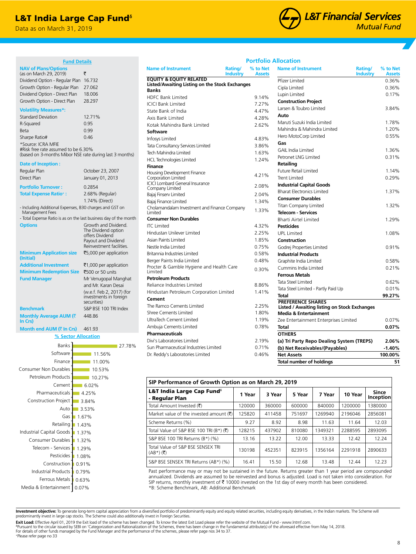## L&T India Large Cap Fund<sup>®</sup>

**Fund Details**

(based on 3-months Mibor NSE rate during last 3 months)

1.74% (Direct)

The Dividend option offers Dividend Payout and Dividend Reinvestment facilities.

`5,000 per application ₹1,000 per application

and Mr. Karan Desai (w.e.f. Feb 2, 2017) (for investments in foreign securities)

27.78%

Regular Plan **October 23, 2007** Direct Plan January 01, 2013 **Portfolio Turnover :** 0.2854 **Total Expense Ratio+ :** 2.68% (Regular)

- Including Additional Expenses, B30 charges and GST on

**Minimum Redemption Size ₹500 or 50 units Fund Manager** Mr Venugopal Manghat

**Benchmark** S&P BSE 100 TRI Index

**% Sector Allocation**

0.07% 0.63% 0.79%

1.37% 1.43% 1.67% 3.53% 3.84%  $-4.25%$ 6.02% 10.27% 10.53% 11.00% 11.56%

Construction | 0.91% Pesticides 1.08% Telecom - Services 1.29% Consumer Durables 1.32%

Retailing Gas Auto

Media & Entertainment Ferrous Metals Industrial Products

Industrial Capital Goods

Construction Project Pharmaceuticals Cement Petroleum Products Consumer Non Durables

448.86

- Total Expense Ratio is as on the last business day of the month **Options** Growth and Dividend.

Data as on March 31, 2019

(as on March 29, 2019)  $\frac{}{\sqrt[3]{2}}$ Dividend Option - Regular Plan 16.732 Growth Option - Regular Plan 27.062 Dividend Option - Direct Plan 18.006 Growth Option - Direct Plan 28.297

Standard Deviation 12.71% R-Squared 0.95 Beta 0.99 Sharpe Ratio# 0.46

#Risk free rate assumed to be 6.30%

**NAV of Plans/Options** 

**Volatility Measures\*:**

\*Source: ICRA MFIE

**Date of Inception :**

Management Fees

**Minimum Application size (Initial)**

**Monthly Average AUM (₹** 

**Month end AUM (₹ In Crs)** 461.93

Finance Software Banks

**In Crs)**



|  | <b>Portfolio Allocation</b> |
|--|-----------------------------|
|  |                             |

| <b>Name of Instrument</b><br>Rating/<br><b>Industry</b>               | % to Net<br><b>Assets</b> | <b>Name of Instrument</b><br>Rating/<br>Industry    | % to Net<br><b>Assets</b> |
|-----------------------------------------------------------------------|---------------------------|-----------------------------------------------------|---------------------------|
| <b>EQUITY &amp; EQUITY RELATED</b>                                    |                           | Pfizer Limited                                      | 0.36%                     |
| Listed/Awaiting Listing on the Stock Exchanges<br><b>Banks</b>        |                           | Cipla Limited                                       | 0.36%                     |
| <b>HDFC Bank Limited</b>                                              | 9.14%                     | Lupin Limited                                       | 0.17%                     |
| <b>ICICI Bank Limited</b>                                             | 7.27%                     | <b>Construction Project</b>                         |                           |
| State Bank of India                                                   | 4.47%                     | Larsen & Toubro Limited                             | 3.84%                     |
| Axis Bank Limited                                                     | 4.28%                     | Auto                                                |                           |
| Kotak Mahindra Bank Limited                                           | 2.62%                     | Maruti Suzuki India Limited                         | 1.78%                     |
| <b>Software</b>                                                       |                           | Mahindra & Mahindra Limited                         | 1.20%                     |
| Infosys Limited                                                       | 4.83%                     | Hero MotoCorp Limited                               | 0.55%                     |
| Tata Consultancy Services Limited                                     | 3.86%                     | Gas                                                 |                           |
| Tech Mahindra Limited                                                 | 1.63%                     | <b>GAIL India Limited</b>                           | 1.36%                     |
| <b>HCL Technologies Limited</b>                                       | 1.24%                     | Petronet LNG Limited                                | 0.31%                     |
| <b>Finance</b>                                                        |                           | <b>Retailing</b>                                    |                           |
| Housing Development Finance                                           |                           | Future Retail Limited                               | 1.14%                     |
| Corporation Limited                                                   | 4.21%                     | <b>Trent Limited</b>                                | 0.29%                     |
| <b>ICICI Lombard General Insurance</b>                                | 2.08%                     | <b>Industrial Capital Goods</b>                     |                           |
| Company Limited                                                       |                           | <b>Bharat Electronics Limited</b>                   | 1.37%                     |
| Bajaj Finserv Limited                                                 | 2.04%<br>1.34%            | <b>Consumer Durables</b>                            |                           |
| Bajaj Finance Limited<br>Cholamandalam Investment and Finance Company |                           | <b>Titan Company Limited</b>                        | 1.32%                     |
| Limited                                                               | 1.33%                     | <b>Telecom - Services</b>                           |                           |
| <b>Consumer Non Durables</b>                                          |                           | <b>Bharti Airtel Limited</b>                        | 1.29%                     |
| <b>ITC Limited</b>                                                    | 4.32%                     | <b>Pesticides</b>                                   |                           |
| Hindustan Unilever Limited                                            | 2.25%                     | <b>UPL Limited</b>                                  | 1.08%                     |
| Asian Paints Limited                                                  | 1.85%                     | Construction                                        |                           |
| Nestle India Limited                                                  | 0.75%                     | Godrej Properties Limited                           | 0.91%                     |
| Britannia Industries Limited                                          | 0.58%                     | <b>Industrial Products</b>                          |                           |
| Berger Paints India Limited                                           | 0.48%                     | Graphite India Limited                              | 0.58%                     |
| Procter & Gamble Hygiene and Health Care                              | 0.30%                     | Cummins India Limited                               | 0.21%                     |
| Limited                                                               |                           | <b>Ferrous Metals</b>                               |                           |
| <b>Petroleum Products</b>                                             |                           | Tata Steel Limited                                  | 0.62%                     |
| Reliance Industries Limited                                           | 8.86%                     | Tata Steel Limited - Partly Paid Up                 | 0.01%                     |
| Hindustan Petroleum Corporation Limited                               | 1.41%                     | Total                                               | 99.27%                    |
| Cement                                                                |                           | <b>PREFERENCE SHARES</b>                            |                           |
| The Ramco Cements Limited                                             | 2.25%                     | <b>Listed / Awaiting listing on Stock Exchanges</b> |                           |
| Shree Cements Limited                                                 | 1.80%                     | Media & Entertainment                               |                           |
| UltraTech Cement Limited                                              | 1.19%                     | Zee Entertainment Enterprises Limited               | 0.07%                     |
| Ambuja Cements Limited                                                | 0.78%                     | Total                                               | 0.07%                     |
| <b>Pharmaceuticals</b>                                                |                           | <b>OTHERS</b>                                       |                           |
| Divi's Laboratories Limited                                           | 2.19%                     | (a) Tri Party Repo Dealing System (TREPS)           | 2.06%                     |
| Sun Pharmaceutical Industries Limited                                 | 0.71%                     | (b) Net Receivables/(Payables)                      | $-1.40%$                  |
| Dr. Reddy's Laboratories Limited                                      | 0.46%                     | <b>Net Assets</b>                                   | 100.00%                   |
|                                                                       |                           | <b>Total number of holdings</b>                     | 51                        |

| SIP Performance of Growth Option as on March 29, 2019    |        |        |        |         |         |                    |  |  |  |
|----------------------------------------------------------|--------|--------|--------|---------|---------|--------------------|--|--|--|
| L&T India Large Cap Fund <sup>®</sup><br>- Regular Plan  | 1 Year | 3 Year | 5 Year | 7 Year  | 10 Year | Since<br>Inception |  |  |  |
| Total Amount Invested (そ)                                | 120000 | 360000 | 600000 | 840000  | 1200000 | 1380000            |  |  |  |
| Market value of the invested amount $(\bar{\mathbf{x}})$ | 125820 | 411458 | 751697 | 1269940 | 2196046 | 2856081            |  |  |  |
| Scheme Returns (%)                                       | 9.27   | 8.92   | 8.98   | 11.63   | 11.64   | 12.03              |  |  |  |
| Total Value of S&P BSE 100 TRI (B*) (₹)                  | 128215 | 437902 | 810080 | 1349321 | 2288595 | 2893095            |  |  |  |
| S&P BSE 100 TRI Returns (B*) (%)                         | 13.16  | 13.22  | 12.00  | 13.33   | 12.42   | 12.24              |  |  |  |
| Total Value of S&P BSE SENSEX TRI<br>$(AB^*)$ (そ)        | 130198 | 452351 | 823915 | 1356164 | 2291918 | 2890633            |  |  |  |
| S&P BSE SENSEX TRI Returns (AB*) (%)                     | 16.41  | 15.50  | 12.68  | 13.48   | 12.44   | 12.23              |  |  |  |

Past performance may or may not be sustained in the future. Returns greater than 1 year period are compounded annualized. Dividends are assumed to be reinvested and bonus is adjusted. Load is not taken into consideration. For SIP returns, monthly investment of  $\bar{\tau}$  10000 invested on the 1st day of every month has been considered. \*B: Scheme Benchmark, AB: Additional Benchmark

**Investment objective:** To generate long-term capital appreciation from a diversified portfolio of predominantly equity and equity related securities, including equity derivatives, in the Indian markets. The Scheme will<br>pr

**Exit Load:** Effective April 01, 2019 the Exit load of the scheme has been changed. To know the latest Exit Load please refer the website of the Mutual Fund - www.Intmf.com.<br><sup>s</sup>Pursuant to the circular issued by SEBI on 'C For details of other funds managed by the Fund Manager and the performance of the schemes, please refer page nos 34 to 37. +Please refer page no 33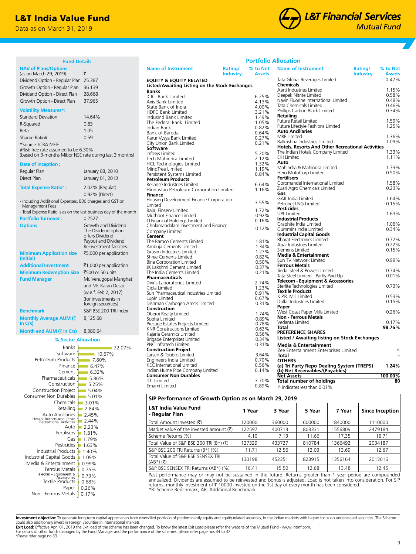## L&T India Value Fund

Data as on March 31, 2019



| <b>Fund Details</b>                                               |                                            |                                                          |                            | <b>Portfolio Allocation</b> |                                                                     |                            |                           |
|-------------------------------------------------------------------|--------------------------------------------|----------------------------------------------------------|----------------------------|-----------------------------|---------------------------------------------------------------------|----------------------------|---------------------------|
| <b>NAV of Plans/Options</b><br>(as on March 29, 2019)             | ₹                                          | <b>Name of Instrument</b>                                | Rating/<br><b>Industry</b> | % to Net<br><b>Assets</b>   | <b>Name of Instrument</b>                                           | Rating/<br><b>Industry</b> | % to Net<br><b>Assets</b> |
| Dividend Option - Regular Plan 25.387                             |                                            | <b>EQUITY &amp; EQUITY RELATED</b>                       |                            |                             | Tata Global Beverages Limited                                       |                            | 0.42%                     |
| Growth Option - Regular Plan 36.139                               |                                            | Listed/Awaiting Listing on the Stock Exchanges           |                            |                             | <b>Chemicals</b>                                                    |                            |                           |
|                                                                   |                                            | <b>Banks</b>                                             |                            |                             | Aarti Industries Limited                                            |                            | 1.15%                     |
| Dividend Option - Direct Plan                                     | 28.668                                     | <b>ICICI Bank Limited</b>                                |                            | 6.25%                       | Deepak Nitrite Limited                                              |                            | 0.58%                     |
| Growth Option - Direct Plan                                       | 37.965                                     | Axis Bank Limited                                        |                            | 4.13%                       | Navin Fluorine International Limited                                |                            | 0.48%                     |
| <b>Volatility Measures*:</b>                                      |                                            | State Bank of India                                      |                            | 4.00%                       | Tata Chemicals Limited<br>Phillips Carbon Black Limited             |                            | 0.46%<br>0.34%            |
|                                                                   |                                            | <b>HDFC Bank Limited</b>                                 |                            | 3.21%                       | Retailing                                                           |                            |                           |
| <b>Standard Deviation</b>                                         | 14.64%                                     | IndusInd Bank Limited                                    |                            | 1.49%<br>1.05%              | Future Retail Limited                                               |                            | 1.59%                     |
| R-Squared                                                         | 0.83                                       | The Federal Bank Limited<br>Indian Bank                  |                            | 0.82%                       | Future Lifestyle Fashions Limited                                   |                            | 1.25%                     |
| Beta                                                              | 1.05                                       | Bank of Baroda                                           |                            | 0.64%                       | <b>Auto Ancillaries</b>                                             |                            |                           |
| Sharpe Ratio#                                                     | 0.59                                       | Karur Vysya Bank Limited                                 |                            | 0.27%                       | <b>MRF</b> Limited                                                  |                            | 1.36%                     |
| *Source: ICRA MFIE                                                |                                            | City Union Bank Limited                                  |                            | 0.21%                       | Balkrishna Industries Limited                                       |                            | 1.09%                     |
| #Risk free rate assumed to be 6.30%                               |                                            | Software                                                 |                            |                             | <b>Hotels, Resorts And Other Recreational Activities</b>            |                            |                           |
| (based on 3-months Mibor NSE rate during last 3 months)           |                                            | Infosys Limited                                          |                            | 5.20%                       | The Indian Hotels Company Limited                                   |                            | 1.33%                     |
|                                                                   |                                            | Tech Mahindra Limited                                    |                            | 2.12%                       | <b>EIH Limited</b>                                                  |                            | 1.11%                     |
| Date of Inception:                                                |                                            | <b>HCL Technologies Limited</b>                          |                            | 1.32%                       | Auto<br>Mahindra & Mahindra Limited                                 |                            | 1.73%                     |
| Regular Plan                                                      | January 08, 2010                           | MindTree Limited                                         |                            | 1.19%                       | Hero MotoCorp Limited                                               |                            | 0.50%                     |
| Direct Plan                                                       | January 01, 2013                           | Persistent Systems Limited                               |                            | 0.84%                       | <b>Fertilisers</b>                                                  |                            |                           |
|                                                                   |                                            | <b>Petroleum Products</b><br>Reliance Industries Limited |                            | 6.64%                       | Coromandel International Limited                                    |                            | 1.58%                     |
| <b>Total Expense Ratio<sup>+</sup>:</b>                           | 2.02% (Regular)                            | Hindustan Petroleum Corporation Limited                  |                            | 1.16%                       | Zuari Agro Chemicals Limited                                        |                            | 0.23%                     |
|                                                                   | 0.92% (Direct)                             | <b>Finance</b>                                           |                            |                             | Gas                                                                 |                            |                           |
| - Including Additional Expenses, B30 charges and GST on           |                                            | Housing Development Finance Corporation                  |                            |                             | <b>GAIL India Limited</b>                                           |                            | 1.64%                     |
| Management Fees                                                   |                                            | Limited                                                  |                            | 3.55%                       | Petronet LNG Limited                                                |                            | 0.15%                     |
| - Total Expense Ratio is as on the last business day of the month |                                            | Bajaj Finserv Limited                                    |                            | 1.72%                       | <b>Pesticides</b>                                                   |                            |                           |
| <b>Portfolio Turnover:</b>                                        | 0.2527                                     | Muthoot Finance Limited                                  |                            | 0.92%                       | <b>UPL Limited</b><br><b>Industrial Products</b>                    |                            | 1.63%                     |
|                                                                   |                                            | TI Financial Holdings Limited                            |                            | 0.16%                       | Graphite India Limited                                              |                            | 1.06%                     |
| <b>Options</b>                                                    | Growth and Dividend.                       | Cholamandalam Investment and Finance                     |                            | 0.12%                       | Cummins India Limited                                               |                            | 0.34%                     |
|                                                                   | The Dividend option<br>offers Dividend     | Company Limited                                          |                            |                             | <b>Industrial Capital Goods</b>                                     |                            |                           |
|                                                                   | Payout and Dividend                        | Cement<br>The Ramco Cements Limited                      |                            | 1.81%                       | <b>Bharat Electronics Limited</b>                                   |                            | 0.72%                     |
|                                                                   | Reinvestment facilities.                   | Ambuja Cements Limited                                   |                            | 1.34%                       | Apar Industries Limited                                             |                            | 0.22%                     |
|                                                                   |                                            | Grasim Industries Limited                                |                            | 1.27%                       | Siemens Limited                                                     |                            | 0.15%                     |
| <b>Minimum Application size</b><br>(Initial)                      | ₹5,000 per application                     | Shree Cements Limited                                    |                            | 0.82%                       | <b>Media &amp; Entertainment</b>                                    |                            |                           |
|                                                                   |                                            | <b>Birla Corporation Limited</b>                         |                            | 0.50%                       | Sun TV Network Limited                                              |                            | 0.99%                     |
| <b>Additional Investment</b>                                      | ₹1,000 per application                     | JK Lakshmi Cement Limited                                |                            | 0.37%                       | <b>Ferrous Metals</b>                                               |                            | 0.74%                     |
| Minimum Redemption Size ₹500 or 50 units                          |                                            | The India Cements Limited                                |                            | 0.21%                       | Jindal Steel & Power Limited<br>Tata Steel Limited - Partly Paid Up |                            | 0.01%                     |
| <b>Fund Manager</b>                                               | Mr. Venugopal Manghat                      | <b>Pharmaceuticals</b>                                   |                            |                             | <b>Telecom - Equipment &amp; Accessories</b>                        |                            |                           |
|                                                                   | and Mr. Karan Desai                        | Divi's Laboratories Limited                              |                            | 2.74%                       | Sterlite Technologies Limited                                       |                            | 0.73%                     |
|                                                                   | (w.e.f. Feb 2, 2017)                       | Cipla Limited<br>Sun Pharmaceutical Industries Limited   |                            | 1.23%<br>0.91%              | <b>Textile Products</b>                                             |                            |                           |
|                                                                   |                                            | Lupin Limited                                            |                            | 0.67%                       | K.P.R. Mill Limited                                                 |                            | 0.53%                     |
|                                                                   | (for investments in<br>foreign securities) | Dishman Carbogen Amcis Limited                           |                            | 0.31%                       | Dollar Industries Limited                                           |                            | 0.15%                     |
|                                                                   |                                            | Construction                                             |                            |                             | Paper                                                               |                            |                           |
| <b>Benchmark</b>                                                  | S&P BSE 200 TRI Index                      | Oberoi Realty Limited                                    |                            | 1.74%                       | West Coast Paper Mills Limited                                      |                            | 0.26%                     |
| Monthly Average AUM (₹                                            | 8,125.68                                   | Sobha Limited                                            |                            | 0.89%                       | <b>Non - Ferrous Metals</b>                                         |                            |                           |
| In Crs)                                                           |                                            | Prestige Estates Projects Limited                        |                            | 0.78%                       | Vedanta Limited<br>Total                                            |                            | 0.17%                     |
| Month end AUM (₹ In Crs) 8,380.64                                 |                                            | <b>KNR Constructions Limited</b>                         |                            | 0.63%                       | <b>PREFERENCE SHARES</b>                                            |                            | 98.76%                    |
|                                                                   |                                            | Kajaria Ceramics Limited                                 |                            | 0.56%                       | <b>Listed / Awaiting listing on Stock Exchanges</b>                 |                            |                           |
| % Sector Allocation                                               |                                            | Brigade Enterprises Limited<br>PNC Infratech Limited     |                            | 0.34%                       |                                                                     |                            |                           |
| Banks                                                             | 22.07%                                     | <b>Construction Project</b>                              |                            | 0.31%                       | <b>Media &amp; Entertainment</b>                                    |                            | Λ                         |
| Software                                                          | 10.67%                                     | Larsen & Toubro Limited                                  |                            | 3.64%                       | Zee Entertainment Enterprises Limited<br><b>Total</b>               |                            |                           |
| Petroleum Products                                                | $-7.80%$                                   | Engineers India Limited                                  |                            | 0.70%                       | <b>OTHERS</b>                                                       |                            |                           |
| Finance                                                           | $-6.47%$                                   | <b>KEC</b> International Limited                         |                            | 0.56%                       | (a) Tri Party Repo Dealing System (TREPS)                           |                            | 1.24%                     |
| Cement                                                            | $-6.32%$                                   | Indian Hume Pipe Company Limited                         |                            | 0.14%                       | (b) Net Receivables/(Payables)                                      |                            |                           |
| Pharmaceuticals                                                   | $-5.86%$                                   | <b>Consumer Non Durables</b>                             |                            |                             | <b>Net Assets</b>                                                   |                            | 100.00%                   |
| Construction                                                      | $-5.25%$                                   | <b>ITC</b> Limited                                       |                            | 3.70%                       | <b>Total number of holdings</b>                                     |                            | 80                        |
| <b>Construction Project</b>                                       | $-5.04%$                                   | Emami Limited                                            |                            | 0.89%                       | ^ indicates less than 0.01%                                         |                            |                           |
| Consumer Non Durables                                             | $-5.01%$                                   |                                                          |                            |                             |                                                                     |                            |                           |
|                                                                   |                                            | SID Performance of Growth Option as on March 29, 2019    |                            |                             |                                                                     |                            |                           |

## **SIP Performance of Growth Option as on March 29, 2019**

| <b>L&amp;T India Value Fund</b><br>- Regular Plan             | 1 Year | 3 Year | 5 Year | 7 Year  | Since Inception |
|---------------------------------------------------------------|--------|--------|--------|---------|-----------------|
| Total Amount Invested (₹)                                     | 120000 | 360000 | 600000 | 840000  | 1110000         |
| Market value of the invested amount $(\vec{\tau})$            | 122597 | 400713 | 803331 | 1556809 | 2479184         |
| Scheme Returns (%)                                            | 4.10   | 7.13   | 11.66  | 17.35   | 16.71           |
| Total Value of S&P BSE 200 TRI (B*) $(\overline{\mathbf{z}})$ | 127329 | 433727 | 810784 | 1366492 | 2034187         |
| S&P BSE 200 TRI Returns (B*) (%)                              | 11.71  | 12.56  | 12.03  | 13.69   | 12.67           |
| Total Value of S&P BSE SENSEX TRI<br>$(AB^*)$ (そ)             | 130198 | 452351 | 823915 | 1356164 | 2013016         |
| S&P BSE SENSEX TRI Returns (AB*) (%)                          | 16.41  | 15.50  | 12.68  | 13.48   | 12.45           |

Past performance may or may not be sustained in the future. Returns greater than 1 year period are compounded<br>annualized. Dividends are assumed to be reinvested and bonus is adjusted. Load is not taken into consideration.

Non - Ferrous Metals | 0.17% 0.26% Paper Textile Products<sup>1</sup>

Ferrous Metals | 0.75% Media & Entertainment **1** 0.99% Industrial Capital Goods 1.09% Industrial Products 1.40% Pesticides 1.63%  $1.79%$ Fertilisers 1.81% Auto **2.23%**  $2.44%$  $2.45%$ 2.84% 3.01%

Gas

0.68% 0.73%

Hotels, Resorts And Other Recreational Activities

Auto Ancillaries Retailing Chemicals

**Investment objective:** To generate long-term capital appreciation from diversified portfolio of predominantly equity and equity related securities, in the Indian markets with higher focus on undervalued securities. The Sc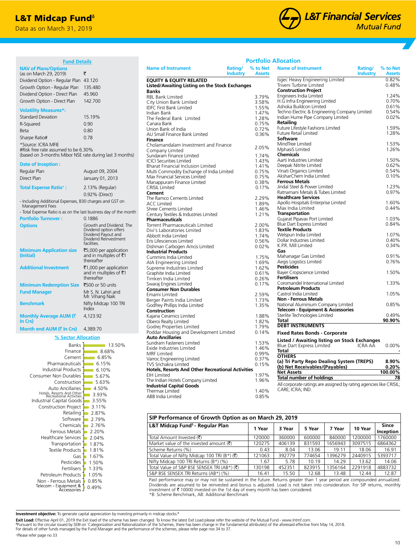## **L&T Midcap Fund**<sup>6</sup>

Data as on March 31, 2019



| <b>Fund Details</b>                                                        |                                                    |                                                                             |                            |                           | <b>Portfolio Allocation</b>                                        |                           |
|----------------------------------------------------------------------------|----------------------------------------------------|-----------------------------------------------------------------------------|----------------------------|---------------------------|--------------------------------------------------------------------|---------------------------|
| <b>NAV of Plans/Options</b><br>(as on March 29, 2019)                      | ₹                                                  | <b>Name of Instrument</b>                                                   | Rating/<br><b>Industry</b> | % to Net<br><b>Assets</b> | <b>Name of Instrument</b><br>Rating/<br><b>Industry</b>            | % to Net<br><b>Assets</b> |
| Dividend Option - Regular Plan 43.120                                      |                                                    | <b>EQUITY &amp; EQUITY RELATED</b>                                          |                            |                           | Isgec Heavy Engineering Limited                                    | 0.82%                     |
| Growth Option - Regular Plan 135.480                                       |                                                    | Listed/Awaiting Listing on the Stock Exchanges                              |                            |                           | Triveni Turbine Limited                                            | 0.48%                     |
| Dividend Option - Direct Plan                                              | 45.960                                             | <b>Banks</b>                                                                |                            |                           | <b>Construction Project</b>                                        |                           |
|                                                                            |                                                    | <b>RBL Bank Limited</b>                                                     |                            | 3.79%                     | Engineers India Limited                                            | 1.24%                     |
| Growth Option - Direct Plan                                                | 142.700                                            | City Union Bank Limited                                                     |                            | 3.58%                     | H.G Infra Engineering Limited<br>Ashoka Buildcon Limited           | 0.70%<br>0.61%            |
| <b>Volatility Measures*:</b>                                               |                                                    | <b>IDFC First Bank Limited</b>                                              |                            | 1.55%                     | Techno Electric & Engineering Company Limited                      | 0.54%                     |
| <b>Standard Deviation</b>                                                  | 15.19%                                             | Indian Bank<br>The Federal Bank Limited                                     |                            | 1.47%<br>1.28%            | Indian Hume Pipe Company Limited                                   | 0.02%                     |
| R-Squared                                                                  | 0.90                                               | Canara Bank                                                                 |                            | 0.75%                     | Retailing                                                          |                           |
|                                                                            | 0.80                                               | Union Bank of India                                                         |                            | 0.72%                     | Future Lifestyle Fashions Limited                                  | 1.59%                     |
| Beta                                                                       |                                                    | AU Small Finance Bank Limited                                               |                            | 0.36%                     | <b>Future Retail Limited</b>                                       | 1.28%                     |
| Sharpe Ratio#                                                              | 0.78                                               | <b>Finance</b>                                                              |                            |                           | <b>Software</b>                                                    |                           |
| *Source: ICRA MFIE                                                         |                                                    | Cholamandalam Investment and Finance                                        |                            | 2.05%                     | MindTree Limited                                                   | 1.53%                     |
| #Risk free rate assumed to be 6.30%                                        |                                                    | Company Limited                                                             |                            |                           | MphasiS Limited                                                    | 1.26%                     |
| (based on 3-months Mibor NSE rate during last 3 months)                    |                                                    | Sundaram Finance Limited                                                    |                            | 1.74%                     | <b>Chemicals</b><br>Aarti Industries Limited                       | 1.50%                     |
| Date of Inception:                                                         |                                                    | <b>ICICI Securities Limited</b>                                             |                            | 1.43%                     | Deepak Nitrite Limited                                             | 0.62%                     |
| Regular Plan                                                               | August 09, 2004                                    | Bharat Financial Inclusion Limited                                          |                            | 1.41%<br>0.75%            | Vinati Organics Limited                                            | 0.54%                     |
|                                                                            |                                                    | Multi Commodity Exchange of India Limited<br>Max Financial Services Limited |                            | 0.75%                     | AksharChem India Limited                                           | 0.10%                     |
| Direct Plan                                                                | January 01, 2013                                   | Manappuram Finance Limited                                                  |                            | 0.38%                     | <b>Ferrous Metals</b>                                              |                           |
| <b>Total Expense Ratio+:</b>                                               | 2.13% (Regular)                                    | <b>CRISIL</b> Limited                                                       |                            | 0.17%                     | Jindal Steel & Power Limited                                       | 1.23%                     |
|                                                                            | 0.92% (Direct)                                     | Cement                                                                      |                            |                           | Ratnamani Metals & Tubes Limited                                   | 0.97%                     |
|                                                                            |                                                    | The Ramco Cements Limited                                                   |                            | 2.29%                     | <b>Healthcare Services</b>                                         |                           |
| - Including Additional Expenses, B30 charges and GST on<br>Management Fees |                                                    | <b>ACC Limited</b>                                                          |                            | 1.89%                     | Apollo Hospitals Enterprise Limited                                | 1.60%                     |
| - Total Expense Ratio is as on the last business day of the month          |                                                    | <b>Shree Cements Limited</b>                                                |                            | 1.46%                     | Max India Limited                                                  | 0.44%                     |
|                                                                            |                                                    | Century Textiles & Industries Limited                                       |                            | 1.21%                     | <b>Transportation</b>                                              |                           |
| <b>Portfolio Turnover:</b>                                                 | 0.1886                                             | <b>Pharmaceuticals</b>                                                      |                            |                           | Gujarat Pipavav Port Limited                                       | 1.03%                     |
| <b>Options</b>                                                             | Growth and Dividend. The<br>Dividend option offers | Torrent Pharmaceuticals Limited                                             |                            | 2.00%                     | <b>Blue Dart Express Limited</b><br><b>Textile Products</b>        | 0.84%                     |
|                                                                            | Dividend Payout and                                | Divi's Laboratories Limited<br>Abbott India Limited                         |                            | 1.83%<br>1.74%            | Welspun India Limited                                              | 1.07%                     |
|                                                                            | Dividend Reinvestment                              | Eris Lifesciences Limited                                                   |                            | 0.56%                     | Dollar Industries Limited                                          | 0.40%                     |
|                                                                            | facilities.                                        | Dishman Carbogen Amcis Limited                                              |                            | 0.02%                     | K.P.R. Mill Limited                                                | 0.34%                     |
| <b>Minimum Application size</b>                                            | ₹5,000 per application                             | <b>Industrial Products</b>                                                  |                            |                           | Gas                                                                |                           |
| (Initial)                                                                  | and in multiples of ₹1                             | Cummins India Limited                                                       |                            | 1.75%                     | Mahanagar Gas Limited                                              | 0.91%                     |
|                                                                            | thereafter                                         | AIA Engineering Limited                                                     |                            | 1.69%                     | Aegis Logistics Limited                                            | 0.76%                     |
| <b>Additional Investment</b>                                               | ₹1,000 per application                             | Supreme Industries Limited                                                  |                            | 1.62%                     | <b>Pesticides</b>                                                  |                           |
|                                                                            | and in multiples of ₹1                             | Graphite India Limited                                                      |                            | 0.61%                     | <b>Bayer Cropscience Limited</b>                                   | 1.50%                     |
|                                                                            | thereafter                                         | Timken India Limited                                                        |                            | 0.26%                     | <b>Fertilisers</b><br>Coromandel International Limited             | 1.33%                     |
| <b>Minimum Redemption Size</b>                                             | ₹500 or 50 units                                   | Swaraj Engines Limited<br><b>Consumer Non Durables</b>                      |                            | 0.17%                     | <b>Petroleum Products</b>                                          |                           |
| <b>Fund Manager</b>                                                        | Mr S. N. Lahiri and                                | Emami Limited                                                               |                            | 2.59%                     | Castrol India Limited                                              | 1.05%                     |
|                                                                            | Mr. Vihang Naik                                    | Berger Paints India Limited                                                 |                            | 1.73%                     | <b>Non - Ferrous Metals</b>                                        |                           |
| <b>Benchmark</b>                                                           | Nifty Midcap 100 TRI                               | Godfrey Phillips India Limited                                              |                            | 1.35%                     | National Aluminium Company Limited                                 | 0.85%                     |
|                                                                            | Index                                              | Construction                                                                |                            |                           | Telecom - Equipment & Accessories                                  |                           |
| Monthly Average AUM (₹                                                     | 4.123.92                                           | Kajaria Ceramics Limited                                                    |                            | 1.88%                     | Sterlite Technologies Limited                                      | 0.49%                     |
| In Crs)                                                                    |                                                    | Oberoi Realty Limited                                                       |                            | 1.82%                     | <b>Total</b>                                                       | 90.90%                    |
| Month end AUM (₹ In Crs)                                                   | 4,389.70                                           | Godrei Properties Limited                                                   |                            | 1.79%                     | <b>DEBT INSTRUMENTS</b>                                            |                           |
|                                                                            |                                                    | Poddar Housing and Development Limited                                      |                            | 0.14%                     | <b>Fixed Rates Bonds - Corporate</b>                               |                           |
| % Sector Allocation                                                        |                                                    | <b>Auto Ancillaries</b><br>Sundram Fasteners Limited                        |                            | 1.53%                     | <b>Listed / Awaiting listing on Stock Exchanges</b>                |                           |
| Banks                                                                      | $13.50\%$                                          | Exide Industries Limited                                                    |                            | 1.46%                     | Blue Dart Express Limited<br><b>ICRA AA</b>                        | 0.00%                     |
| Finance                                                                    | 8.68%                                              | <b>MRF</b> Limited                                                          |                            | 0.99%                     | Total                                                              |                           |
| Cement                                                                     | 6.85%                                              | Varroc Engineering Limited                                                  |                            | 0.37%                     | <b>OTHERS</b>                                                      |                           |
| Pharmaceuticals                                                            | $-6.15%$                                           | TVS Srichakra Limited                                                       |                            | 0.15%                     | (a) Tri Party Repo Dealing System (TREPS)                          | 8.90%                     |
| Industrial Products                                                        | $-6.10%$                                           | <b>Hotels, Resorts And Other Recreational Activities</b>                    |                            |                           | (b) Net Receivables/(Payables)<br><b>Net Assets</b>                | 0.20%<br>100.00%          |
| Consumer Non Durables                                                      | $-5.67%$                                           | <b>EIH Limited</b>                                                          |                            | 1.97%                     | <b>Total number of holdings</b>                                    | 78                        |
| Construction                                                               | $-5.63%$                                           | The Indian Hotels Company Limited                                           |                            | 1.96%                     | All corporate ratings are assigned by rating agencies like CRISIL; |                           |
| Auto Ancillaries                                                           | $-4.50%$                                           | <b>Industrial Capital Goods</b>                                             |                            |                           | CARE; ICRA; IND.                                                   |                           |
| Hotels, Resorts And Other<br>Recreational Activities                       | $-3.93%$                                           | Thermax Limited<br>ABB India Limited                                        |                            | 1.40%<br>0.85%            |                                                                    |                           |
| Industrial Capital Goods 3.55%                                             |                                                    |                                                                             |                            |                           |                                                                    |                           |

| SIP Performance of Growth Option as on March 29, 2019      |        |        |        |         |         |                    |  |  |
|------------------------------------------------------------|--------|--------|--------|---------|---------|--------------------|--|--|
| L&T Midcap Fund <sup>6</sup> - Regular Plan                | 1 Year | 3 Year | 5 Year | 7 Year  | 10 Year | Since<br>Inception |  |  |
| Total Amount Invested (そ)                                  | 120000 | 360000 | 600000 | 840000  | 1200000 | 1760000            |  |  |
| Market value of the invested amount $(\bar{\zeta})$        | 120275 | 406139 | 831593 | 1656943 | 3097515 | 6864362            |  |  |
| Scheme Returns (%)                                         | 0.43   | 8.04   | 13.06  | 19.11   | 18.06   | 16.91              |  |  |
| Total Value of Nifty Midcap 100 TRI (B*) ( $\bar{\zeta}$ ) | 121063 | 392779 | 774654 | 1396279 | 2440915 | 5393717            |  |  |
| Nifty Midcap 100 TRI Returns (B*) (%)                      | 1.67   | 5.78   | 10.19  | 14.29   | 13.62   | 14.06              |  |  |
| Total Value of S&P BSE SENSEX TRI (AB*) (₹)                | 130198 | 452351 | 823915 | 1356164 | 2291918 | 4883732            |  |  |
| S&P BSE SENSEX TRI Returns (AB*) (%)                       | 16.41  | 15.50  | 12.68  | 13.48   | 12.44   | 12.87              |  |  |

Past performance may or may not be sustained in the future. Returns greater than 1 year period are compounded annualized. Dividends are assumed to be reinvested and bonus is adjusted. Load is not taken into consideration. For SIP returns, monthly<br>investment of₹10000 invested on the 1st day of every month has been considered. \*B: Scheme Benchmark, AB: Additional Benchmark

**Investment objective:** To generate capital appreciation by investing primarily in midcap stocks.<sup>6</sup>

0.49% 0.85%

1.33% Pesticides 1.50% Gas 1.67% 1.81% 1.87%

 $2.20%$  $2.76%$ 2.79% Software 2.87%  $3.11%$ 

Petroleum Products | 1.05%

**Fertilisers** 

Non - Ferrous Metals<br>Telecom - Equipment &<br>- Accessories

Healthcare Services 2.04%

Textile Products Transportation Ferrous Metals Chemicals<sup>-</sup> Retailing

Construction Project

**Exit Load:** Effective April 01, 2019 the Exit load of the scheme has been changed. To know the latest Exit Load please refer the website of the Mutual Fund - www.Intmf.com.<br><sup>\$</sup>Pursuant to the circular issued by SEBI on 'C

For details of other funds managed by the Fund Manager and the performance of the schemes, please refer page nos 34 to 37.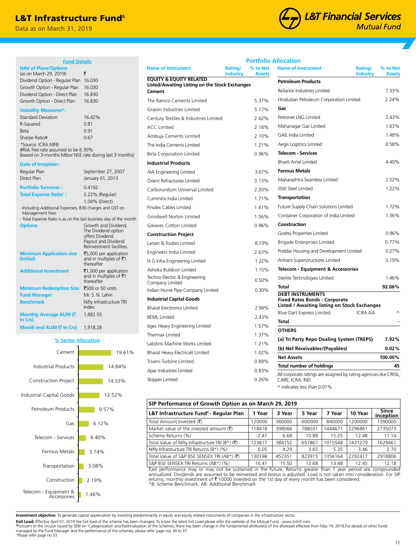## L&T Infrastructure Fund<sup>®</sup>

**Fund Details**

(based on 3-months Mibor NSE rate during last 3 months)

January 01, 2013

1.04% (Direct)

The Dividend option offers Dividend Payout and Dividend Reinvestment facilities.

`5,000 per application and in multiples of  $\bar{z}$ 1 thereafter

and in multiples of  $\bar{z}$ 1 thereafter

Regular Plan September 27, 2007<br>Direct Plan September 27, 2007

- Including Additional Expenses, B30 charges and GST on

**Additional Investment** ₹1,000 per application

**% Sector Allocation**

Index

1,882.55

1.46%

2.19%

3.08% 3.74%

4.40%

6.12%

9.57%

12.52%

14.53%

14.84%

19.61%

**Minimum Redemption Size ₹500 or 50 units Fund Manager** Mr. S. N. Lahiri **Benchmark** Nifty Infrastructure TRI

- Total Expense Ratio is as on the last business day of the month **Options** Growth and Dividend.

Data as on March 31, 2019

(as on March 29, 2019)  $\bar{\tau}$ Dividend Option - Regular Plan 16.030 Growth Option - Regular Plan 16.030 Dividend Option - Direct Plan 16.830 Growth Option - Direct Plan 16.830

Standard Deviation 16.42% R-Squared 0.81 Beta 0.91 Sharpe Ratio# 0.67

#Risk free rate assumed to be 6.30%

**Portfolio Turnover :** 0.4192 **Total Expense Ratio+ :** 2.22% (Regular)

**NAV of Plans/Options** 

**Volatility Measures\*:**

\*Source: ICRA MFIE

**Date of Inception :**

Management Fees

**(Initial)**

**In Crs)**

**Minimum Application size** 

**Monthly Average AUM (**`

**Month end AUM (₹ In Crs)** 1,918.28

Cement



|  | <b>Portfolio Allocation</b> |
|--|-----------------------------|
|  |                             |

| <b>Name of Instrument</b>                                                            | Rating/<br><b>Industry</b> | % to Net<br><b>Assets</b> | <b>Name of Instrument</b>                                                              | Rating/<br><b>Industry</b> | % to Net<br><b>Assets</b> |
|--------------------------------------------------------------------------------------|----------------------------|---------------------------|----------------------------------------------------------------------------------------|----------------------------|---------------------------|
| <b>EQUITY &amp; EQUITY RELATED</b><br>Listed/Awaiting Listing on the Stock Exchanges |                            |                           | <b>Petroleum Products</b>                                                              |                            |                           |
| Cement                                                                               |                            |                           | Reliance Industries Limited                                                            |                            | 7.33%                     |
| The Ramco Cements Limited                                                            |                            | 5.37%                     | Hindustan Petroleum Corporation Limited                                                |                            | 2.24%                     |
| Grasim Industries Limited                                                            |                            | 5.17%                     | Gas                                                                                    |                            |                           |
| Century Textiles & Industries Limited                                                |                            | 2.62%                     | Petronet LNG Limited                                                                   |                            | 2.43%                     |
| <b>ACC Limited</b>                                                                   |                            | 2.18%                     | Mahanagar Gas Limited                                                                  |                            | 1.63%                     |
| Ambuja Cements Limited                                                               |                            | 2.10%                     | <b>GAIL India Limited</b>                                                              |                            | 1.48%                     |
| The India Cements Limited                                                            |                            | 1.21%                     | Aegis Logistics Limited                                                                |                            | 0.58%                     |
| <b>Birla Corporation Limited</b>                                                     |                            | 0.96%                     | <b>Telecom - Services</b>                                                              |                            |                           |
| <b>Industrial Products</b>                                                           |                            |                           | <b>Bharti Airtel Limited</b>                                                           |                            | 4.40%                     |
| AIA Engineering Limited                                                              |                            | 3.67%                     | <b>Ferrous Metals</b>                                                                  |                            |                           |
| Orient Refractories Limited                                                          |                            | 3.13%                     | Maharashtra Seamless Limited                                                           |                            | 2.52%                     |
| Carborundum Universal Limited                                                        |                            | 2.20%                     | <b>JSW Steel Limited</b>                                                               |                            | 1.22%                     |
| Cummins India Limited                                                                |                            | 1.71%                     | <b>Transportation</b>                                                                  |                            |                           |
| Finolex Cables Limited                                                               |                            | 1.61%                     | Future Supply Chain Solutions Limited                                                  |                            | 1.72%                     |
| Grindwell Norton Limited                                                             |                            | 1.56%                     | Container Corporation of India Limited                                                 |                            | 1.36%                     |
| <b>Greaves Cotton Limited</b>                                                        |                            | 0.96%                     | Construction                                                                           |                            |                           |
| <b>Construction Project</b>                                                          |                            |                           | Godrej Properties Limited                                                              |                            | 0.96%                     |
| Larsen & Toubro Limited                                                              |                            | 8.73%                     | Brigade Enterprises Limited                                                            |                            | 0.77%                     |
| Engineers India Limited                                                              |                            | 2.63%                     | Poddar Housing and Development Limited                                                 |                            | 0.27%                     |
| H.G Infra Engineering Limited                                                        |                            | 1.22%                     | Arihant Superstructures Limited                                                        |                            | 0.19%                     |
| Ashoka Buildcon Limited                                                              |                            | 1.15%                     | <b>Telecom - Equipment &amp; Accessories</b>                                           |                            |                           |
| Techno Electric & Engineering<br>Company Limited                                     |                            | 0.50%                     | Sterlite Technologies Limited                                                          |                            | 1.46%                     |
| Indian Hume Pipe Company Limited                                                     |                            | 0.30%                     | <b>Total</b>                                                                           |                            | 92.06%                    |
| <b>Industrial Capital Goods</b>                                                      |                            |                           | <b>DEBT INSTRUMENTS</b><br><b>Fixed Rates Bonds - Corporate</b>                        |                            |                           |
| <b>Bharat Electronics Limited</b>                                                    |                            | 2.94%                     | <b>Listed / Awaiting listing on Stock Exchanges</b>                                    |                            |                           |
| <b>BEML Limited</b>                                                                  |                            | 2.43%                     | Blue Dart Express Limited                                                              | <b>ICRA AA</b>             | $\wedge$                  |
| Isgec Heavy Engineering Limited                                                      |                            | 1.57%                     | Total                                                                                  |                            |                           |
| Thermax Limited                                                                      |                            | 1.37%                     | <b>OTHERS</b>                                                                          |                            |                           |
| Lakshmi Machine Works Limited                                                        |                            | 1.21%                     | (a) Tri Party Repo Dealing System (TREPS)                                              |                            | 7.92%                     |
| Bharat Heavy Electricals Limited                                                     |                            | 1.02%                     | (b) Net Receivables/(Payables)                                                         |                            | 0.02%                     |
| Triveni Turbine Limited                                                              |                            | 0.89%                     | <b>Net Assets</b>                                                                      |                            | 100.00%                   |
| Apar Industries Limited                                                              |                            | 0.83%                     | <b>Total number of holdings</b>                                                        |                            | 45                        |
| Skipper Limited                                                                      |                            | 0.26%                     | All corporate ratings are assigned by rating agencies like CRISIL;<br>CARE: ICRA: IND. |                            |                           |

^ indicates less than 0.01%

## **SIP Performance of Growth Option as on March 29, 2019**

| 311 1 CHOMMANC OF GIOWER OPENING ON MARCH 29, 2019                     |         |        |        |         |         |                           |  |  |  |
|------------------------------------------------------------------------|---------|--------|--------|---------|---------|---------------------------|--|--|--|
| L&T Infrastructure Fund <sup>6</sup> - Regular Plan                    | 1 Year  | 3 Year | 5 Year | 7 Year  | 10 Year | <b>Since</b><br>Inception |  |  |  |
| Total Amount Invested (そ)                                              | 120000  | 360000 | 600000 | 840000  | 1200000 | 1390000                   |  |  |  |
| Market value of the invested amount $(\bar{\tau})$                     | 118418  | 398066 | 788031 | 1444671 | 2296861 | 2735073                   |  |  |  |
| Scheme Returns (%)                                                     | $-2.47$ | 6.68   | 10.88  | 15.25   | 12.48   | 11.14                     |  |  |  |
| Total Value of Nifty Infrastructure TRI (B*) $(\overline{\mathbf{z}})$ | 123817  | 384152 | 657867 | 1015548 | 1431279 | 1629461                   |  |  |  |
| Nifty Infrastructure TRI Returns (B*) (%)                              | 6.05    | 4.29   | 3.65   | 5.35    | 3.46    | 2.70                      |  |  |  |
| Total Value of S&P BSE SENSEX TRI (AB*) (₹)                            | 130198  | 452351 | 823915 | 1356164 | 2292417 | 2918806                   |  |  |  |
| S&P BSE SENSEX TRI Returns (AB*) (%)                                   | 16.41   | 15.50  | 12.68  | 13.48   | 12.45   | 12.18                     |  |  |  |

Past performance may or may not be sustained in the future. Returns greater than 1 year period are compounded annualized. Dividends are assumed to be reinvested and bonus is adjusted. Load is not taken into consideration. For SIP returns, monthly investment of ₹ 10000 invested on the 1st day of every month has been considered.<br>\*B: Scheme Benchmark, AB: Additional Benchmark

**Investment objective:** To generate capital appreciation by investing predominantly in equity and equity related instruments of companies in the infrastructure sector.

**Exit Load:** Effective April 01, 2019 the Exit load of the scheme has been changed. To know the latest Exit Load please refer the website of the Mutual Fund - www.lntmf.com.

ᵟPursuant to the circular issued by SEBI on 'Categorization and Rationalization of the Schemes, there has been change in the fundamental attribute(s) of the aforesaid effective from May 14, 2018.For details of other funds managed by the Fund Manager and the performance of the schemes, please refer page nos 34 to 37. +Please refer page no 33

Telecom - Equipment & Accessories

Construction

Transportation

Ferrous Metals

Gas

Telecom - Services

Petroleum Products

Construction Project

Industrial Products

Industrial Capital Goods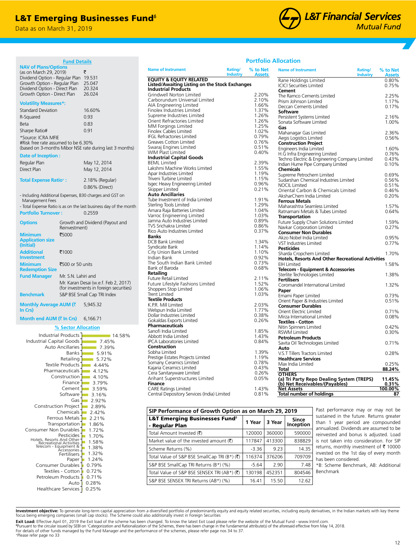## **L&T Emerging Businesses Fund**<sup>®</sup>

**Fund Details**

Data as on March 31, 2019

Pesticides<br>Hotels, Resorts And Other<br>Recreational Activities<br>Telecom - Equipment &<br>Accessories

Consumer Non Durables Transportation Ferrous Metals Chemicals Construction Project

> Petroleum Products Textiles - Cotton Consumer Durables

Healthcare Services | 0.25%

Auto

Paper Fertilisers

0.28% 0.71% 0.72% 0.79%  $1.24%$ 1.32% 1.38% 1.58% 1.70%  $1.72%$ 1.86%  $2.21\%$ 2.42% 2.89%



| <b>Portfolio Allocation</b> |  |  |  |  |
|-----------------------------|--|--|--|--|
|-----------------------------|--|--|--|--|

|                                                                              | <u>Fund Details</u>         |                                                                   |                                                    |                                                  | <u>FUI LIUIIU AIIULALIUII</u>                            |                            |                           |
|------------------------------------------------------------------------------|-----------------------------|-------------------------------------------------------------------|----------------------------------------------------|--------------------------------------------------|----------------------------------------------------------|----------------------------|---------------------------|
| <b>NAV of Plans/Options</b><br>(as on March 29, 2019)                        | ₹                           |                                                                   | <b>Name of Instrument</b>                          | Rating/<br>% to Net<br>Industry<br><b>Assets</b> | <b>Name of Instrument</b>                                | Rating/<br><b>Industry</b> | % to Net<br><b>Assets</b> |
| Dividend Option - Regular Plan 19.531<br>Growth Option - Regular Plan 25.047 |                             |                                                                   | <b>EQUITY &amp; EQUITY RELATED</b>                 |                                                  | Rane Holdings Limited                                    |                            | 0.80%                     |
|                                                                              |                             |                                                                   | Listed/Awaiting Listing on the Stock Exchanges     |                                                  | <b>ICICI Securities Limited</b>                          |                            | 0.75%                     |
| Dividend Option - Direct Plan                                                |                             | 20.324<br>26.024                                                  | <b>Industrial Products</b>                         |                                                  | Cement                                                   |                            |                           |
| Growth Option - Direct Plan                                                  |                             |                                                                   | Grindwell Norton Limited                           | 2.20%                                            | The Ramco Cements Limited                                |                            | 2.25%                     |
| <b>Volatility Measures*:</b>                                                 |                             |                                                                   | Carborundum Universal Limited                      | 2.10%                                            | Prism Johnson Limited                                    |                            | 1.17%                     |
|                                                                              |                             | 16.60%                                                            | AIA Engineering Limited                            | 1.66%                                            | Deccan Cements Limited                                   |                            | 0.17%                     |
| <b>Standard Deviation</b>                                                    |                             |                                                                   | Finolex Industries Limited                         | 1.37%                                            | Software                                                 |                            |                           |
| R-Squared                                                                    | 0.93                        |                                                                   | Supreme Industries Limited                         | 1.26%<br>1.26%                                   | Persistent Systems Limited                               |                            | 2.16%                     |
| Beta                                                                         | 0.83                        |                                                                   | Orient Refractories Limited<br>MM Forgings Limited | 1.25%                                            | Sonata Software Limited                                  |                            | 1.00%                     |
| Sharpe Ratio#                                                                | 0.91                        |                                                                   | Finolex Cables Limited                             | 1.02%                                            | Gas                                                      |                            |                           |
|                                                                              |                             |                                                                   | <b>IFGL Refractories Limited</b>                   | 0.79%                                            | Mahanagar Gas Limited                                    |                            | 2.36%                     |
| *Source: ICRA MFIE                                                           |                             |                                                                   | Greaves Cotton Limited                             | 0.76%                                            | Aegis Logistics Limited                                  |                            | 0.56%                     |
| #Risk free rate assumed to be 6.30%                                          |                             |                                                                   | Swaraj Engines Limited                             | 0.51%                                            | <b>Construction Project</b>                              |                            |                           |
|                                                                              |                             | (based on 3-months Mibor NSE rate during last 3 months)           | WIM Plast Limited                                  | 0.40%                                            | Engineers India Limited                                  |                            | 1.60%                     |
| Date of Inception:                                                           |                             |                                                                   | <b>Industrial Capital Goods</b>                    |                                                  | H.G Infra Engineering Limited                            |                            | 0.76%                     |
| Regular Plan                                                                 |                             | May 12, 2014                                                      | <b>BEML</b> Limited                                | 2.39%                                            | Techno Electric & Engineering Company Limited            |                            | 0.43%                     |
|                                                                              |                             |                                                                   | Lakshmi Machine Works Limited                      | 1.55%                                            | Indian Hume Pipe Company Limited                         |                            | 0.10%                     |
| Direct Plan                                                                  |                             | May 12, 2014                                                      | Apar Industries Limited                            | 1.19%                                            | <b>Chemicals</b><br>Supreme Petrochem Limited            |                            | 0.69%                     |
|                                                                              |                             |                                                                   | Triveni Turbine Limited                            | 1.15%                                            | Sudarshan Chemical Industries Limited                    |                            | 0.56%                     |
| <b>Total Expense Ratio*:</b>                                                 |                             | 2.18% (Regular)                                                   | Isgec Heavy Engineering Limited                    | 0.96%                                            | <b>NOCIL Limited</b>                                     |                            | 0.51%                     |
|                                                                              |                             | 0.86% (Direct)                                                    | Skipper Limited                                    | 0.21%                                            | Oriental Carbon & Chemicals Limited                      |                            | 0.46%                     |
|                                                                              |                             | - Including Additional Expenses, B30 charges and GST on           | <b>Auto Ancillaries</b>                            |                                                  | AksharChem India Limited                                 |                            | 0.20%                     |
| Management Fees                                                              |                             |                                                                   | Tube Investment of India Limited                   | 1.91%                                            | <b>Ferrous Metals</b>                                    |                            |                           |
|                                                                              |                             | - Total Expense Ratio is as on the last business day of the month | Sterling Tools Limited                             | 1.29%                                            | Maharashtra Seamless Limited                             |                            | 1.57%                     |
|                                                                              |                             |                                                                   | Amara Raja Batteries Limited                       | 1.04%                                            | Ratnamani Metals & Tubes Limited                         |                            | 0.64%                     |
| <b>Portfolio Turnover:</b>                                                   |                             | 0.2559                                                            | Varroc Engineering Limited                         | 1.03%                                            | <b>Transportation</b>                                    |                            |                           |
|                                                                              |                             |                                                                   | Jamna Auto Industries Limited                      | 0.89%                                            | Future Supply Chain Solutions Limited                    |                            | 1.59%                     |
| <b>Options</b>                                                               |                             | Growth and Dividend (Payout and                                   | TVS Srichakra Limited                              | 0.86%                                            | Navkar Corporation Limited                               |                            | 0.27%                     |
|                                                                              | Reinvestment)               |                                                                   | Rico Auto Industries Limited                       | 0.37%                                            | <b>Consumer Non Durables</b>                             |                            |                           |
| <b>Minimum</b>                                                               | ₹5000                       |                                                                   | <b>Banks</b>                                       |                                                  | Akzo Nobel India Limited                                 |                            | 0.95%                     |
| <b>Application size</b>                                                      |                             |                                                                   | <b>DCB Bank Limited</b>                            | 1.34%                                            | VST Industries Limited                                   |                            | 0.77%                     |
| (Initial)                                                                    |                             |                                                                   | Syndicate Bank                                     | 1.14%                                            | <b>Pesticides</b>                                        |                            |                           |
| <b>Additional</b>                                                            | ₹1000                       |                                                                   | City Union Bank Limited                            | 1.10%                                            | Sharda Cropchem Limited                                  |                            | 1.70%                     |
| <b>Investment</b>                                                            |                             |                                                                   | Indian Bank                                        | 0.92%                                            | <b>Hotels, Resorts And Other Recreational Activities</b> |                            |                           |
| <b>Minimum</b>                                                               | ₹500 or 50 units            |                                                                   | The South Indian Bank Limited                      | 0.73%                                            | <b>EIH Limited</b>                                       |                            | 1.58%                     |
| <b>Redemption Size</b>                                                       |                             |                                                                   | Bank of Baroda                                     | 0.68%                                            | <b>Telecom - Equipment &amp; Accessories</b>             |                            |                           |
|                                                                              |                             |                                                                   | Retailing                                          |                                                  | Sterlite Technologies Limited                            |                            | 1.38%                     |
| <b>Fund Manager</b>                                                          | Mr. S.N. Lahiri and         |                                                                   | Future Retail Limited                              | 2.11%                                            | <b>Fertilisers</b>                                       |                            |                           |
|                                                                              |                             | Mr. Karan Desai (w.e.f. Feb 2, 2017)                              | Future Lifestyle Fashions Limited                  | 1.52%                                            | Coromandel International Limited                         |                            | 1.32%                     |
|                                                                              |                             | (for investments in foreign securities)                           | Shoppers Stop Limited                              | 1.06%                                            | Paper                                                    |                            |                           |
| <b>Benchmark</b>                                                             | S&P BSE Small Cap TRI Index |                                                                   | <b>Trent Limited</b>                               | 1.03%                                            | Emami Paper Limited                                      |                            | 0.73%                     |
|                                                                              |                             |                                                                   | <b>Textile Products</b>                            |                                                  | Orient Paper & Industries Limited                        |                            | 0.51%                     |
| Monthly Average AUM (₹                                                       |                             | 5,945.32                                                          | K.P.R. Mill Limited                                | 2.03%                                            | <b>Consumer Durables</b>                                 |                            |                           |
| In Crs)                                                                      |                             |                                                                   | Welspun India Limited                              | 1.77%                                            | Orient Electric Limited                                  |                            | 0.71%                     |
| Month end AUM (₹ In Crs) 6,166.71                                            |                             |                                                                   | Dollar Industries Limited                          | 0.38%                                            | Mirza International Limited                              |                            | 0.08%                     |
|                                                                              |                             |                                                                   | Gokaldas Exports Limited                           | 0.26%                                            | <b>Textiles - Cotton</b>                                 |                            |                           |
|                                                                              | % Sector Allocation         |                                                                   | <b>Pharmaceuticals</b>                             |                                                  | Nitin Spinners Limited                                   |                            | 0.42%                     |
|                                                                              |                             |                                                                   | Sanofi India Limited                               | 1.85%                                            | <b>RSWM Limited</b>                                      |                            | 0.30%                     |
|                                                                              | Industrial Products         | 14.58%                                                            | Abbott India Limited                               | 1.43%                                            | <b>Petroleum Products</b>                                |                            |                           |
| Industrial Capital Goods                                                     |                             | $-7.45%$                                                          | IPCA Laboratories Limited                          | 0.84%                                            | Savita Oil Technologies Limited                          |                            | 0.71%                     |
|                                                                              | Auto Ancillaries            | $-7.39%$                                                          | Construction                                       |                                                  | Auto                                                     |                            |                           |
|                                                                              | <b>Banks</b>                | $-5.91%$                                                          | Sobha Limited                                      | 1.39%                                            | V.S.T Tillers Tractors Limited                           |                            | 0.28%                     |
|                                                                              | Retailing                   | $-5.72%$                                                          | Prestige Estates Projects Limited                  | 1.19%                                            | <b>Healthcare Services</b>                               |                            |                           |
|                                                                              | Textile Products            | $-4.44%$                                                          | Somany Ceramics Limited                            | 0.78%                                            | Max India Limited                                        |                            | 0.25%                     |
|                                                                              | Pharmaceuticals             | $-4.12%$                                                          | Kajaria Ceramics Limited                           | 0.43%                                            | Total                                                    |                            | 88.24%                    |
|                                                                              | Construction                | $-4.10%$                                                          | Cera Sanitaryware Limited                          | 0.26%                                            | <b>OTHERS</b>                                            |                            |                           |
|                                                                              |                             |                                                                   | Arihant Superstructures Limited                    | 0.05%                                            | (a) Tri Party Repo Dealing System (TREPS)                |                            | 11.45%                    |
|                                                                              | Finance                     | $-3.79%$                                                          | Finance                                            |                                                  | (b) Net Receivables/(Payables)                           |                            | 0.31%                     |
|                                                                              | Cement                      | 3.59%                                                             | <b>CARE Ratings Limited</b>                        | 1.43%                                            | <b>Net Assets</b>                                        |                            | 100.00%                   |
|                                                                              | Software                    | $-3.16%$                                                          | Central Depository Services (India) Limited        | 0.81%                                            | <b>Total number of holdings</b>                          |                            |                           |
|                                                                              | Gas                         | $-2.92%$                                                          |                                                    |                                                  |                                                          |                            |                           |

| SIP Performance of Growth Option as on March 29, 2019                 |         |        |                    |  |
|-----------------------------------------------------------------------|---------|--------|--------------------|--|
| <b>L&amp;T Emerging Businesses Fund<sup>6</sup></b><br>- Regular Plan | 1 Year  | 3 Year | Since<br>Inception |  |
| Total Amount Invested (₹)                                             | 120000  | 360000 | 590000             |  |
| Market value of the invested amount $(\bar{\tau})$                    | 117847  | 413300 | 838829             |  |
| Scheme Returns (%)                                                    | $-3.36$ | 9.23   | 14.35              |  |
| Total Value of S&P BSE SmallCap TRI (B*) (₹)                          | 116374  | 376206 | 709709             |  |
| S&P BSE SmallCap TRI Returns (B*) (%)                                 | $-5.64$ | 2.90   | 7.48               |  |
| Total Value of S&P BSE SENSEX TRI (AB*) (₹)                           | 130198  | 452351 | 804546             |  |
| S&P BSE SENSEX TRI Returns (AB*) (%)                                  | 16.41   | 15.50  | 12.62              |  |

Past performance may or may not be sustained in the future. Returns greater than 1 year period are compounded annualized. Dividends are assumed to be reinvested and bonus is adjusted. Load is not taken into consideration. For SIP returns, monthly investment of  $\bar{\tau}$  10000 invested on the 1st day of every month has been considered.

\*B: Scheme Benchmark, AB: Additional Benchmark

**Investment objective:** To generate long-term capital appreciation from a diversified portfolio of predominantly equity and equity related securities, including equity derivatives, in the Indian markets with key theme<br>focu

**Exit Load:** Effective April 01, 2019 the Exit load of the scheme has been changed. To know the latest Exit Load please refer the website of the Mutual Fund - www.lntmf.com.

ᵟPursuant to the circular issued by SEBI on 'Categorization and Rationalization of the Schemes, there has been change in the fundamental attribute(s) of the aforesaid effective from May 14, 2018.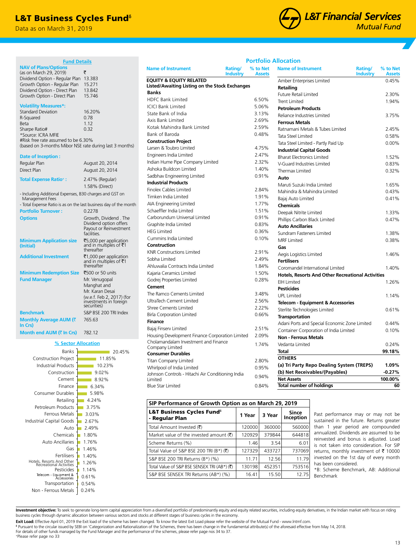## **L&T Business Cycles Fund**<sup>®</sup>

**Fund Details**

Data as on March 31, 2019



Amber Enterprises Limited 0.45%

Future Retail Limited 2.30% Trent Limited 1.94%

Reliance Industries Limited 3.75%

Ratnamani Metals & Tubes Limited 2.45% Tata Steel Limited 0.58% Tata Steel Limited - Partly Paid Up 0.00%

Bharat Electronics Limited 1.52% V-Guard Industries Limited 0.83% Thermax Limited 0.32%

Maruti Suzuki India Limited 1.65% Mahindra & Mahindra Limited 0.43% Bajaj Auto Limited 0.41%

Deepak Nitrite Limited 1.33% Phillips Carbon Black Limited 0.47%

Sundram Fasteners Limited 1.38% MRF Limited 0.38%

Aegis Logistics Limited 1.46%

Coromandel International Limited 1.40% **Hotels, Resorts And Other Recreational Activities** EIH Limited 1.26%

UPL Limited 1.14%

Sterlite Technologies Limited 0.61%

Adani Ports and Special Economic Zone Limited 0.44% Container Corporation of India Limited 0.10%

Vedanta Limited 0.24% **Total 99.18%**

**(a) Tri Party Repo Dealing System (TREPS) 1.09% (b) Net Receivables/(Payables) -0.27% Net Assets 100.00% Total number of holdings 60**

**Telecom - Equipment & Accessories**

**Industry**

**% to Net Assets**

**Name of Instrument Rating/** 

## **Portfolio Allocation**

**Retailing**

**Petroleum Products**

**Industrial Capital Goods**

**Ferrous Metals**

**Auto**

**Chemicals**

**Gas**

**Fertilisers**

**Pesticides**

**Transportation**

**OTHERS**

**Non - Ferrous Metals**

**Auto Ancillaries**

**% to Net**

| <b>NAV of Plans/Options</b><br>(as on March 29, 2019)<br>Dividend Option - Regular Plan<br>Growth Option - Regular Plan<br>Dividend Option - Direct Plan<br>Growth Option - Direct Plan                                 | ₹<br>13.383<br>15.271<br>13.842<br>15.746                                                 |
|-------------------------------------------------------------------------------------------------------------------------------------------------------------------------------------------------------------------------|-------------------------------------------------------------------------------------------|
| <b>Volatility Measures*:</b><br><b>Standard Deviation</b><br>R-Squared<br>Beta<br>Sharpe Ratio#<br>*Source: ICRA MFIE<br>#Risk free rate assumed to be 6.30%<br>(based on 3-months Mibor NSE rate during last 3 months) | 16.20%<br>0.78<br>1.12<br>0.32                                                            |
| Date of Inception:                                                                                                                                                                                                      |                                                                                           |
| Regular Plan                                                                                                                                                                                                            | August 20, 2014                                                                           |
| Direct Plan                                                                                                                                                                                                             | August 20, 2014                                                                           |
| <b>Total Expense Ratio*:</b>                                                                                                                                                                                            | 2.47% (Regular)<br>1.58% (Direct)                                                         |
| - Including Additional Expenses, B30 charges and GST on<br>Management Fees<br>- Total Expense Ratio is as on the last business day of the month                                                                         |                                                                                           |
| <b>Portfolio Turnover:</b>                                                                                                                                                                                              | 0.2278                                                                                    |
|                                                                                                                                                                                                                         |                                                                                           |
| <b>Options</b>                                                                                                                                                                                                          | Growth, Dividend . The<br>Dividend option offers<br>Payout or Reinvestment<br>facilities. |
| <b>Minimum Application size</b><br>(Initial)                                                                                                                                                                            | ₹5,000 per application<br>and in multiples of $\bar{z}$ 1<br>thereafter                   |
| <b>Additional Investment</b>                                                                                                                                                                                            | ₹1,000 per application<br>and in multiples of ₹1<br>thereafter                            |
| <b>Minimum Redemption Size</b>                                                                                                                                                                                          | ₹500 or 50 units                                                                          |
| <b>Fund Manager</b>                                                                                                                                                                                                     | Mr. Venugopal                                                                             |
|                                                                                                                                                                                                                         | Manghat and                                                                               |
|                                                                                                                                                                                                                         | Mr. Karan Desai                                                                           |
|                                                                                                                                                                                                                         | (w.e.f. Feb 2, 2017) (for<br>investments in foreign<br>securities)                        |
| <b>Benchmark</b>                                                                                                                                                                                                        | S&P BSE 200 TRI Index                                                                     |
| Monthly Average AUM (₹<br>In Crs)                                                                                                                                                                                       | 765.63                                                                                    |

#### **% Sector Allocation** Hotels, Resorts And Other Recreational Activities Pesticides 0.24% Non - Ferrous Metals 0.54% 0.61% 1.14%  $1.26%$  $1.40%$ 1.46% 1.76% 1.80% 2.49% 2.67% 3.03% 3.75%  $4.24%$ 5.98% 6.34% 8.92% 9.02% 10.23% 11.85% 20.45% Transportation Fertilisers Gas Auto Ancillaries Chemicals Auto Industrial Capital Goods Ferrous Metals Petroleum Products Retailing Consumer Durables Finance Cement Construction Industrial Products Construction Project Banks

|                                                                                      | Industry | <b>Assets</b> |
|--------------------------------------------------------------------------------------|----------|---------------|
| <b>EQUITY &amp; EQUITY RELATED</b><br>Listed/Awaiting Listing on the Stock Exchanges |          |               |
| <b>Banks</b>                                                                         |          |               |
| <b>HDFC Bank Limited</b>                                                             |          | 6.50%         |
| <b>ICICI Bank Limited</b>                                                            |          | 5.06%         |
| State Bank of India                                                                  |          | 3.13%         |
| Axis Bank Limited                                                                    |          | 2.69%         |
| Kotak Mahindra Bank Limited                                                          |          | 2.59%         |
| Bank of Baroda                                                                       |          | 0.48%         |
| <b>Construction Project</b>                                                          |          |               |
| Larsen & Toubro Limited                                                              |          | 4.75%         |
| Engineers India Limited                                                              |          | 2.47%         |
| Indian Hume Pipe Company Limited                                                     |          | 2.32%         |
| Ashoka Buildcon Limited                                                              |          | 1.40%         |
| Sadbhav Engineering Limited                                                          |          | 0.91%         |
| <b>Industrial Products</b>                                                           |          |               |
| <b>Finolex Cables Limited</b>                                                        |          | 2.84%         |
| Timken India Limited                                                                 |          | 1.91%         |
| AIA Engineering Limited                                                              |          | 1.77%         |
| Schaeffler India Limited                                                             |          | 1.51%         |
| Carborundum Universal Limited                                                        |          | 0.91%         |
| Graphite India Limited                                                               |          | 0.83%         |
| <b>HEG Limited</b>                                                                   |          | 0.36%         |
| Cummins India Limited                                                                |          | 0.10%         |
| Construction                                                                         |          |               |
| <b>KNR Constructions Limited</b>                                                     |          | 2.91%         |
| Sobha Limited                                                                        |          | 2.49%         |
| Ahluwalia Contracts India Limited                                                    |          | 1.84%         |
| Kajaria Ceramics Limited                                                             |          | 1.50%         |
| Godrej Properties Limited                                                            |          | 0.28%         |
| Cement                                                                               |          |               |
| The Ramco Cements Limited                                                            |          | 3.48%         |
| UltraTech Cement Limited                                                             |          | 2.56%         |
| <b>Shree Cements Limited</b>                                                         |          | 2.22%         |
| <b>Birla Corporation Limited</b>                                                     |          | 0.66%         |
| <b>Finance</b>                                                                       |          |               |
| Bajaj Finserv Limited                                                                |          | 2.51%         |
| Housing Development Finance Corporation Limited                                      |          | 2.09%         |
| Cholamandalam Investment and Finance                                                 |          | 1.74%         |
| Company Limited<br><b>Consumer Durables</b>                                          |          |               |
| <b>Titan Company Limited</b>                                                         |          | 2.80%         |
| Whirlpool of India Limited                                                           |          | 0.95%         |
| Johnson Controls - Hitachi Air Conditioning India                                    |          |               |
| Limited                                                                              |          | 0.94%         |
| <b>Blue Star Limited</b>                                                             |          | 0.84%         |

**Name of Instrument Rating/** 

| SIP Performance of Growth Option as on March 29, 2019    |        |        |                           |  |  |
|----------------------------------------------------------|--------|--------|---------------------------|--|--|
| L&T Business Cycles Fund $^{\delta}$<br>- Regular Plan   | 1 Year | 3 Year | <b>Since</b><br>Inception |  |  |
| Total Amount Invested (そ)                                | 120000 | 360000 | 560000                    |  |  |
| Market value of the invested amount $(\bar{\mathbf{z}})$ | 120929 | 379844 | 644818                    |  |  |
| Scheme Returns (%)                                       | 1.46   | 3.54   | 6.01                      |  |  |
| Total Value of S&P BSE 200 TRI (B*) (₹)                  | 127329 | 433727 | 737069                    |  |  |
| S&P BSE 200 TRI Returns (B*) (%)                         | 11.71  | 12.56  | 11.79                     |  |  |
| Total Value of S&P BSE SENSEX TRI (AB*) (₹)              | 130198 | 452351 | 753516                    |  |  |
| S&P BSE SENSEX TRI Returns (AB*) (%)                     | 16.41  | 15.50  | 12.75                     |  |  |

Past performance may or may not be sustained in the future. Returns greater than 1 year period are compounded annualized. Dividends are assumed to be reinvested and bonus is adjusted. Load is not taken into consideration. For SIP returns, monthly investment of  $\bar{\tau}$  10000 invested on the 1st day of every month has been considered.

\*B: Scheme Benchmark, AB: Additional Benchmark

**Investment objective:** To seek to generate long-term capital appreciation from a diversified portfolio of predominantly equity and equity related securities, including equity derivatives, in the Indian market with focus o

**Exit Load:** Effective April 01, 2019 the Exit load of the scheme has been changed. To know the latest Exit Load please refer the website of the Mutual Fund - www.Intmf.com.<br><sup>8</sup> Pursuant to the circular issued by SEBI on ' For details of other funds managed by the Fund Manager and the performance of the schemes, please refer page nos 34 to 37. +Please refer page no 33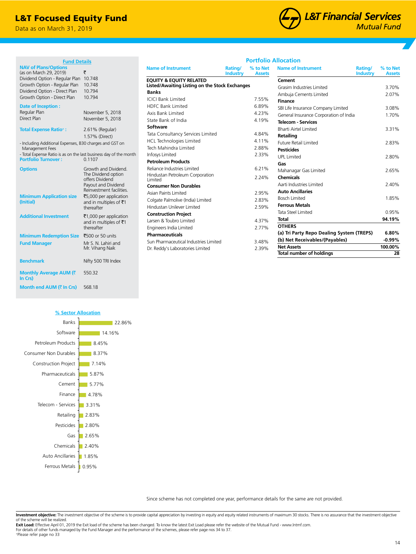## L&T Focused Equity Fund

Data as on March 31, 2019



| <b>Fund Details</b>                                               |                                                 |                                                |                            |                           | <b>Portfolio Allocation</b>                             |                           |
|-------------------------------------------------------------------|-------------------------------------------------|------------------------------------------------|----------------------------|---------------------------|---------------------------------------------------------|---------------------------|
| <b>NAV of Plans/Options</b><br>(as on March 29, 2019)             | ₹                                               | <b>Name of Instrument</b>                      | Rating/<br><b>Industry</b> | % to Net<br><b>Assets</b> | <b>Name of Instrument</b><br>Rating/<br><b>Industry</b> | % to Net<br><b>Assets</b> |
| Dividend Option - Regular Plan 10.748                             |                                                 | <b>EQUITY &amp; EQUITY RELATED</b>             |                            |                           | Cement                                                  |                           |
| Growth Option - Regular Plan                                      | 10.748                                          | Listed/Awaiting Listing on the Stock Exchanges |                            |                           | Grasim Industries Limited                               | 3.70%                     |
| Dividend Option - Direct Plan                                     | 10.794                                          | <b>Banks</b>                                   |                            |                           | Ambuja Cements Limited                                  | 2.07%                     |
| Growth Option - Direct Plan                                       | 10.794                                          | <b>ICICI Bank Limited</b>                      |                            | 7.55%                     | <b>Finance</b>                                          |                           |
| <b>Date of Inception:</b>                                         |                                                 | <b>HDFC Bank Limited</b>                       |                            | 6.89%                     | SBI Life Insurance Company Limited                      | 3.08%                     |
| Regular Plan                                                      | November 5, 2018                                | Axis Bank Limited                              |                            | 4.23%                     | General Insurance Corporation of India                  | 1.70%                     |
| Direct Plan                                                       | November 5, 2018                                | State Bank of India                            |                            | 4.19%                     | <b>Telecom - Services</b>                               |                           |
| <b>Total Expense Ratio<sup>+</sup>:</b>                           | 2.61% (Regular)                                 | Software                                       |                            |                           | <b>Bharti Airtel Limited</b>                            | 3.31%                     |
|                                                                   | 1.57% (Direct)                                  | Tata Consultancy Services Limited              |                            | 4.84%                     | <b>Retailing</b>                                        |                           |
| - Including Additional Expenses, B30 charges and GST on           |                                                 | HCL Technologies Limited                       |                            | 4.11%                     | <b>Future Retail Limited</b>                            | 2.83%                     |
| Management Fees                                                   |                                                 | Tech Mahindra Limited                          |                            | 2.88%                     | <b>Pesticides</b>                                       |                           |
| - Total Expense Ratio is as on the last business day of the month |                                                 | <b>Infosys Limited</b>                         |                            | 2.33%                     | <b>UPL Limited</b>                                      | 2.80%                     |
| <b>Portfolio Turnover:</b>                                        | 0.1107                                          | <b>Petroleum Products</b>                      |                            |                           | Gas                                                     |                           |
| <b>Options</b>                                                    | Growth and Dividend.                            | Reliance Industries Limited                    |                            | 6.21%                     | Mahanagar Gas Limited                                   | 2.65%                     |
|                                                                   | The Dividend option                             | Hindustan Petroleum Corporation                |                            | 2.24%                     | <b>Chemicals</b>                                        |                           |
|                                                                   | offers Dividend                                 | Limited                                        |                            |                           | Aarti Industries Limited                                | 2.40%                     |
|                                                                   | Payout and Dividend<br>Reinvestment facilities. | <b>Consumer Non Durables</b>                   |                            |                           |                                                         |                           |
| <b>Minimum Application size</b>                                   | ₹5,000 per application                          | Asian Paints Limited                           |                            | 2.95%                     | <b>Auto Ancillaries</b>                                 |                           |
| (Initial)                                                         | and in multiples of ₹1                          | Colgate Palmolive (India) Limited              |                            | 2.83%                     | <b>Bosch Limited</b>                                    | 1.85%                     |
|                                                                   | thereafter                                      | Hindustan Unilever Limited                     |                            | 2.59%                     | <b>Ferrous Metals</b>                                   |                           |
| <b>Additional Investment</b>                                      | ₹1,000 per application                          | <b>Construction Project</b>                    |                            |                           | Tata Steel Limited                                      | 0.95%                     |
|                                                                   | and in multiples of ₹1                          | Larsen & Toubro Limited                        |                            | 4.37%                     | <b>Total</b>                                            | 94.19%                    |
|                                                                   | thereafter                                      | Engineers India Limited                        |                            | 2.77%                     | <b>OTHERS</b>                                           |                           |
| <b>Minimum Redemption Size</b>                                    | ₹500 or 50 units                                | <b>Pharmaceuticals</b>                         |                            |                           | (a) Tri Party Repo Dealing System (TREPS)               | 6.80%                     |
| <b>Fund Manager</b>                                               | Mr S. N. Lahiri and                             | Sun Pharmaceutical Industries Limited          |                            | 3.48%                     | (b) Net Receivables/(Payables)                          | $-0.99%$                  |
|                                                                   | Mr. Vihang Naik                                 | Dr. Reddy's Laboratories Limited               |                            | 2.39%                     | <b>Net Assets</b>                                       | 100.00%                   |
|                                                                   |                                                 |                                                |                            |                           | <b>Total number of holdings</b>                         | 28                        |
| <b>Benchmark</b>                                                  | Nifty 500 TRI Index                             |                                                |                            |                           |                                                         |                           |
| Monthly Average AUM (₹<br>In Crs)                                 | 550.32                                          |                                                |                            |                           |                                                         |                           |
| Month end AUM (₹ In Crs)                                          | 568.18                                          |                                                |                            |                           |                                                         |                           |



Since scheme has not completed one year, performance details for the same are not provided.

Investment objective: The investment objective of the scheme is to provide capital appreciation by investing in equity and equity related instruments of maximum 30 stocks. There is no assurance that the investment objectiv of the scheme will be realized.

**Exit Load:** Effective April 01, 2019 the Exit load of the scheme has been changed. To know the latest Exit Load please refer the website of the Mutual Fund - www.lntmf.com. For details of other funds managed by the Fund Manager and the performance of the schemes, please refer page nos 34 to 37.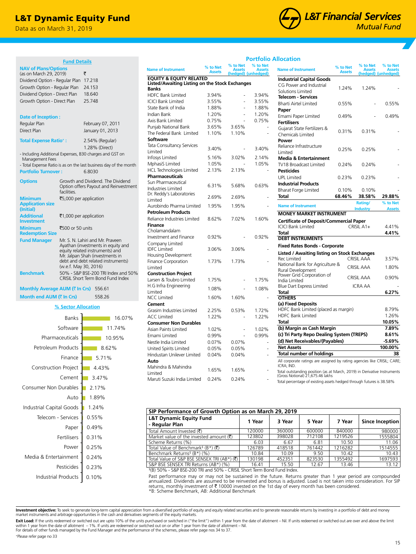## L&T Dynamic Equity Fund

**Fund Details**

Regular Plan February 07, 2011 Direct Plan January 01, 2013 **Total Expense Ratio+ :** 2.54% (Regular)

- Including Additional Expenses, B30 charges and GST on

**Portfolio Turnover :** 6.8030

- Total Expense Ratio is as on the last business day of the month

**Options** Growth and Dividend. The Dividend

₹5,000 per application

₹1,000 per application

₹500 or 50 units **Fund Manager** Mr. S. N. Lahiri and Mr. Praveen

facilities.

**Monthly Average AUM (₹ In Crs)** 556.61 **Month end AUM (₹ In Crs)** 558.26

**% Sector Allocation**

1.28% (Direct)

Option offers Payout and Reinvestment

Ayathan (investments in equity and equity related instruments) and Mr. Jalpan Shah (investments in debt and debt related instruments) (w.e.f. May 30, 2016) **Benchmark** 50% - S&P BSE-200 TRI Index and 50%

CRISIL Short Term Bond Fund Index

0.10% 0.23% 0.24% 0.25% 0.31% 0.49% 0.55% 1.24% 1.89% 2.17% 3.47% 4.43% 5.71% 8.62% 10.95% 11.74% 16.07%

Data as on March 31, 2019

(as on March 29, 2019) ` Dividend Option - Regular Plan 17.218 Growth Option - Regular Plan 24.153 Dividend Option - Direct Plan 18.640 Growth Option - Direct Plan 25.748

**NAV of Plans/Options** 

**Date of Inception :**

Management Fees

**Minimum Application size (Initial)**

**Additional Investment**

**Minimum Redemption Size**



## **Portfolio Allocation**

Maruti Suzuki India Limited 0.24% 0.24%

**Banks**

Limited

**Auto**

| Name of Instrument                                      | % to Net<br><b>Assets</b> | % to Net<br><b>Assets</b> | % to Net<br><b>Assets</b><br>(hedged) (unhedged) | <b>Name of Instrument</b>                                                              | % to Net<br><b>Assets</b> | % to Net<br><b>Assets</b> | % to Net<br><b>Assets</b><br>(hedged) (unhedged) |
|---------------------------------------------------------|---------------------------|---------------------------|--------------------------------------------------|----------------------------------------------------------------------------------------|---------------------------|---------------------------|--------------------------------------------------|
| <b>EQUITY &amp; EQUITY RELATED</b>                      |                           |                           |                                                  | <b>Industrial Capital Goods</b>                                                        |                           |                           |                                                  |
| Listed/Awaiting Listing on the Stock Exchanges<br>Banks |                           |                           |                                                  | CG Power and Industrial                                                                | 1.24%                     | 1.24%                     |                                                  |
| <b>HDFC Bank Limited</b>                                | 3.94%                     |                           | 3.94%                                            | Solutions Limited                                                                      |                           |                           |                                                  |
| <b>ICICI Bank Limited</b>                               | 3.55%                     |                           | 3.55%                                            | <b>Telecom - Services</b>                                                              |                           |                           |                                                  |
| State Bank of India                                     | 1.88%                     |                           | 1.88%                                            | <b>Bharti Airtel Limited</b>                                                           | 0.55%                     |                           | 0.55%                                            |
| Indian Bank                                             | 1.20%                     |                           | 1.20%                                            | Paper                                                                                  |                           |                           |                                                  |
|                                                         |                           | ÷,                        |                                                  | Emami Paper Limited                                                                    | 0.49%                     |                           | 0.49%                                            |
| Axis Bank Limited                                       | 0.75%                     |                           | 0.75%                                            | <b>Fertilisers</b>                                                                     |                           |                           |                                                  |
| Punjab National Bank                                    | 3.65%                     | 3.65%                     |                                                  | Gujarat State Fertilizers &                                                            | 0.31%                     | 0.31%                     |                                                  |
| The Federal Bank Limited                                | 1.10%                     | 1.10%                     |                                                  | Chemicals Limited                                                                      |                           |                           |                                                  |
| Software                                                |                           |                           |                                                  | Power                                                                                  |                           |                           |                                                  |
| Tata Consultancy Services                               | 3.40%                     |                           | 3.40%                                            | Reliance Infrastructure                                                                | 0.25%                     | 0.25%                     |                                                  |
| Limited                                                 |                           |                           |                                                  | Limited                                                                                |                           |                           |                                                  |
| Infosys Limited                                         | 5.16%                     | 3.02%                     | 2.14%                                            | <b>Media &amp; Entertainment</b>                                                       |                           |                           |                                                  |
| MphasiS Limited                                         | 1.05%                     |                           | 1.05%                                            | TV18 Broadcast Limited                                                                 | 0.24%                     | 0.24%                     |                                                  |
| <b>HCL Technologies Limited</b>                         | 2.13%                     | 2.13%                     |                                                  | <b>Pesticides</b>                                                                      |                           |                           |                                                  |
| <b>Pharmaceuticals</b>                                  |                           |                           |                                                  | <b>UPL Limited</b>                                                                     | 0.23%                     | 0.23%                     |                                                  |
| Sun Pharmaceutical                                      | 6.31%                     | 5.68%                     | 0.63%                                            | <b>Industrial Products</b>                                                             |                           |                           |                                                  |
| <b>Industries Limited</b>                               |                           |                           |                                                  | <b>Bharat Forge Limited</b>                                                            | 0.10%                     | 0.10%                     |                                                  |
| Dr. Reddy's Laboratories                                | 2.69%                     | 2.69%                     |                                                  | Total                                                                                  | 68.46%                    | 38.58%                    | 29.88%                                           |
| Limited                                                 |                           |                           |                                                  |                                                                                        |                           | Rating/                   | % to Net                                         |
| Aurobindo Pharma Limited                                | 1.95%                     | 1.95%                     |                                                  | <b>Name of Instrument</b>                                                              |                           | <b>Industry</b>           | <b>Assets</b>                                    |
| <b>Petroleum Products</b>                               |                           |                           |                                                  | <b>MONEY MARKET INSTRUMENT</b>                                                         |                           |                           |                                                  |
| Reliance Industries Limited                             | 8.62%                     | 7.02%                     | 1.60%                                            | <b>Certificate of Deposit/Commercial Paper</b>                                         |                           |                           |                                                  |
| <b>Finance</b>                                          |                           |                           |                                                  | <b>ICICI Bank Limited</b>                                                              |                           | CRISIL A1+                | 4.41%                                            |
| Cholamandalam                                           |                           |                           |                                                  | Total                                                                                  |                           |                           | 4.41%                                            |
| <b>Investment and Finance</b>                           | 0.92%                     |                           | 0.92%                                            | <b>DEBT INSTRUMENTS</b>                                                                |                           |                           |                                                  |
| Company Limited                                         |                           |                           |                                                  | <b>Fixed Rates Bonds - Corporate</b>                                                   |                           |                           |                                                  |
| <b>IDFC Limited</b>                                     | 3.06%                     | 3.06%                     |                                                  |                                                                                        |                           |                           |                                                  |
| Housing Development                                     |                           |                           |                                                  | Listed / Awaiting listing on Stock Exchanges                                           |                           |                           |                                                  |
| <b>Finance Corporation</b>                              | 1.73%                     | 1.73%                     |                                                  | Rec Limited                                                                            |                           | CRISIL AAA                | 3.57%                                            |
| Limited                                                 |                           |                           |                                                  | National Bank for Agriculture &<br>Rural Development                                   |                           | CRISIL AAA                | 1.80%                                            |
| <b>Construction Project</b>                             |                           |                           |                                                  | Power Grid Corporation of                                                              |                           |                           |                                                  |
| Larsen & Toubro Limited                                 | 1.75%                     |                           | 1.75%                                            | India Limited                                                                          |                           | CRISIL AAA                | 0.90%                                            |
| H.G Infra Engineering                                   |                           |                           |                                                  | Blue Dart Express Limited                                                              |                           | <b>ICRA AA</b>            |                                                  |
| Limited                                                 | 1.08%                     |                           | 1.08%                                            | Total                                                                                  |                           |                           | 6.27%                                            |
| <b>NCC Limited</b>                                      | 1.60%                     | 1.60%                     |                                                  | <b>OTHERS</b>                                                                          |                           |                           |                                                  |
| Cement                                                  |                           |                           |                                                  | (a) Fixed Deposits                                                                     |                           |                           |                                                  |
| Grasim Industries Limited                               | 2.25%                     | 0.53%                     | 1.72%                                            | HDFC Bank Limited (placed as margin)                                                   |                           |                           | 8.79%                                            |
| <b>ACC Limited</b>                                      | 1.22%                     |                           | 1.22%                                            | <b>HDFC Bank Limited</b>                                                               |                           |                           | 1.26%                                            |
| <b>Consumer Non Durables</b>                            |                           |                           |                                                  | Total                                                                                  |                           |                           | 10.05%                                           |
| Asian Paints Limited                                    | 1.02%                     |                           | 1.02%                                            | (b) Margin as Cash Margin                                                              |                           |                           | 7.89%                                            |
| Emami Limited                                           | 0.99%                     |                           | 0.99%                                            | (c) Tri Party Repo Dealing System (TREPS)                                              |                           |                           | 8.61%                                            |
| Nestle India Limited                                    | 0.07%                     | 0.07%                     | ÷.                                               | (d) Net Receivables/(Payables)                                                         |                           |                           | $-5.69%$                                         |
| United Spirits Limited                                  | 0.05%                     | 0.05%                     | ÷.                                               | <b>Net Assets</b>                                                                      |                           |                           | 100.00%                                          |
|                                                         |                           |                           |                                                  | <b>Total number of holdings</b>                                                        |                           |                           | 38                                               |
| Hindustan Unilever Limited                              | 0.04%                     | 0.04%                     |                                                  |                                                                                        |                           |                           |                                                  |
| Auto                                                    |                           |                           |                                                  | All corporate ratings are assigned by rating agencies like CRISIL; CARE;<br>ICRA; IND. |                           |                           |                                                  |
| Mahindra & Mahindra                                     | 1.65%                     | 1.65%                     |                                                  | Total outstanding position (as at March, 2019) in Derivative Instruments               |                           |                           |                                                  |
| Limited<br>Maruti Sumuki India Limitad                  | 0.210/                    | 0.210/                    |                                                  | (Gross Notional) 21,675.46 lakhs                                                       |                           |                           |                                                  |

Total percentage of existing assets hedged through futures is 38.58%

| SIP Performance of Growth Option as on March 29, 2019 |        |        |        |         |                 |  |  |  |
|-------------------------------------------------------|--------|--------|--------|---------|-----------------|--|--|--|
| <b>L&amp;T Dynamic Equity Fund</b>                    | 1 Year | 3 Year | 5 Year | 7 Year  | Since Inception |  |  |  |
| - Regular Plan                                        |        |        |        |         |                 |  |  |  |
| Total Amount Invested (₹)                             | 120000 | 360000 | 600000 | 840000  | 980000          |  |  |  |
| Market value of the invested amount $(\bar{\zeta})$   | 123802 | 398028 | 712108 | 1219526 | 1555804         |  |  |  |
| Scheme Returns (%)                                    | 6.03   | 6.67   | 6.81   | 10.50   | 11.06           |  |  |  |
| Total Value of Benchmark <sup>§</sup> (B*) (₹)        | 126789 | 418518 | 761442 | 1216282 | 1514555         |  |  |  |
| Benchmark Returns <sup>§</sup> (B*) (%)               | 10.84  | 10.09  | 9.50   | 10.42   | 10.43           |  |  |  |
| Total Value of S&P BSE SENSEX TRI (AB*) (₹)           | 130198 | 452351 | 823530 | 1355492 | 1697593         |  |  |  |
| S&P BSE SENSEX TRI Returns (AB*) (%)                  | 16.41  | 15.50  | 12.67  | 13.46   | 13.12           |  |  |  |

\$ (B) 50% - S&P BSE-200 TRI and 50% - CRISIL Short Term Bond Fund Index.

Past performance may or may not be sustained in the future. Returns greater than 1 year period are compounded annualized. Dividends are assumed to be reinvested and bonus is adjusted. Load is not taken into consideration. For SIP<br>returns, monthly investment of ₹ 10000 invested on the 1st day of every month has been considered. \*B: Scheme Benchmark, AB: Additional Benchmark

Investment objective: To seek to generate long-term capital appreciation from a diversified portfolio of equity and equity related securities and to generate reasonable returns by investing in a portfolio of debt and money market instruments and arbitrage opportunities in the cash and derivatives segments of the equity markets.

Exit Load: If the units redeemed or switched out are upto 10% of the units purchased or switched in ("the limit") within 1 year from the date of allotment - Nil. If units redeemed or switched out are over and above the lim within 1 year from the date of allotment — 1%. If units are redeemed or switched out on or after 1 year from the date of allotment — Nil.<br>For details of other funds managed by the Fund Manager and the performance of the s

+Please refer page no 33

Industrial Products

Telecom - Services Industrial Capital Goods

Consumer Non Durables

Construction Project

Petroleum Products Pharmaceuticals Software Banks

Media & Entertainment

Pesticides

Power Fertilisers Paper

Auto

Cement

Finance

#### 15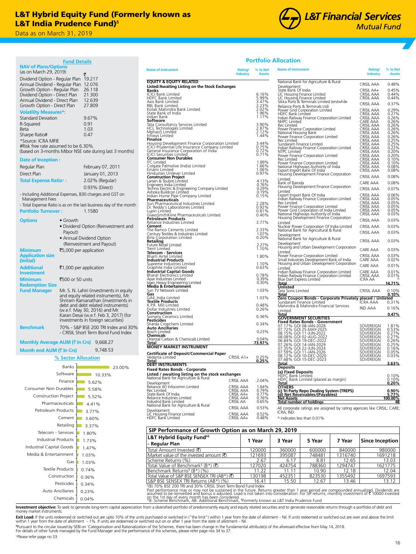## L&T Hybrid Equity Fund (Formerly known as L&T India Prudence Fund)<sup>6</sup>

Data as on March 31, 2019 Data as on March 31, 2019

**NAV of Plans/Options**

**Fund Details**



## **Portfolio Allocation**

|                                               | (as on March 29, 2019)                                          |                                                                     | <b>Name of Instrument</b>                                                                                                                                                                    | Rating/<br><b>Industry</b> |
|-----------------------------------------------|-----------------------------------------------------------------|---------------------------------------------------------------------|----------------------------------------------------------------------------------------------------------------------------------------------------------------------------------------------|----------------------------|
|                                               | Dividend Option - Regular Plan 19.217                           |                                                                     | <b>EQUITY &amp; EQUITY RELATED</b>                                                                                                                                                           |                            |
|                                               | Annual Dividend - Regular Plan 12.076                           |                                                                     | Listed/Awaiting Listing on the Stock Exchanges                                                                                                                                               |                            |
|                                               | Growth Option - Regular Plan<br>Dividend Option - Direct Plan   | 26.118<br>21.300                                                    | Banks<br><b>ICICI Bank Limited</b>                                                                                                                                                           |                            |
|                                               | Annual Dividend - Direct Plan                                   | 12.639                                                              | HDFC Bank Limited<br>Axis Bank Limited                                                                                                                                                       |                            |
|                                               | Growth Option - Direct Plan                                     | 27.809                                                              | RBL Bank Limited                                                                                                                                                                             |                            |
|                                               | <b>Volatility Measures*:</b>                                    |                                                                     | Kotak Mahindra Bank Limited<br>State Bank of India                                                                                                                                           |                            |
| <b>Standard Deviation</b>                     |                                                                 | 9.67%                                                               | Indian Bank<br>Software                                                                                                                                                                      |                            |
| R-Squared                                     |                                                                 | 0.91                                                                | Tata Consultancy Services Limited<br>HCL Technologies Limited                                                                                                                                |                            |
| <b>Beta</b>                                   |                                                                 | 1.03                                                                | MphasiS Limited                                                                                                                                                                              |                            |
| Sharpe Ratio#<br>*Source: ICRA MFIE           |                                                                 | 0.47                                                                | Infosys Limited<br>Finance                                                                                                                                                                   |                            |
|                                               | #Risk free rate assumed to be 6.30%                             |                                                                     | Housing Development Finance Corporation Limited<br>ICICI Prudential Life Insurance Company Limited                                                                                           |                            |
|                                               |                                                                 | (based on 3-months Mibor NSE rate during last 3 months)             | General Insurance Corporation of India <sup>1</sup><br>ICICI Securities Limited                                                                                                              |                            |
| Date of Inception :                           |                                                                 |                                                                     | <b>Consumer Non Durables</b><br>ITC Limited                                                                                                                                                  |                            |
| Regular Plan                                  |                                                                 |                                                                     | Colgate Palmolive (India) Limited                                                                                                                                                            |                            |
| Direct Plan                                   |                                                                 | February 07, 2011                                                   | Emami Limited<br>Hindustan Unilever Limited                                                                                                                                                  |                            |
|                                               |                                                                 | January 01, 2013                                                    | <b>Construction Project</b>                                                                                                                                                                  |                            |
|                                               | <b>Total Expense Ratio+:</b>                                    | 2.02% (Regular)                                                     | Larsen & Toubro Limited                                                                                                                                                                      |                            |
|                                               |                                                                 | 0.93% (Direct)                                                      | Engineers India Limited<br>Techno Electric & Engineering Company Limited<br>Ashoka Buildcon Limited                                                                                          |                            |
| Management Fees                               |                                                                 | - Including Additional Expenses, B30 charges and GST on             | Indian Hume Pipe Company Limited                                                                                                                                                             |                            |
|                                               |                                                                 | - Total Expense Ratio is as on the last business day of the month   | Pharmaceuticals<br>Sun Pharmaceutical Industries Limited                                                                                                                                     |                            |
| <b>Portfolio Turnover:</b>                    |                                                                 | 1.1580                                                              | Dr. Reddy's Laboratories Limited<br>Lupin Limited                                                                                                                                            |                            |
|                                               |                                                                 |                                                                     | GlaxoSmithKline Pharmaceuticals Limited<br>Petroleum Products                                                                                                                                |                            |
| <b>Options</b>                                | • Growth                                                        |                                                                     | Reliance Industries Limited                                                                                                                                                                  |                            |
|                                               |                                                                 | • Dividend Option (Reinvestment and                                 | Cement<br>The Ramco Cements Limited                                                                                                                                                          |                            |
|                                               | Payout)                                                         | • Annual Dividend Option                                            | Century Textiles & Industries Limited<br>Birla Corporation Limited                                                                                                                           |                            |
|                                               |                                                                 | (Reinvestment and Payout)                                           | Retailing                                                                                                                                                                                    |                            |
| <b>Minimum</b>                                |                                                                 | ₹5,000 per application                                              | Future Retail Limited<br>Trent Limited                                                                                                                                                       |                            |
| <b>Application size</b>                       |                                                                 |                                                                     | Telecom - Services<br>Bharti Airtel Limited                                                                                                                                                  |                            |
| (Initial)                                     |                                                                 |                                                                     | <b>Industrial Products</b><br>Supreme Industries Limited                                                                                                                                     |                            |
| <b>Additional</b>                             |                                                                 | ₹1,000 per application                                              | Graphite India Limited                                                                                                                                                                       |                            |
| <b>Investment</b>                             |                                                                 |                                                                     | <b>Industrial Capital Goods</b><br><b>Bharat Electronics Limited</b>                                                                                                                         |                            |
| <b>Minimum</b>                                | ₹500 or 50 units                                                |                                                                     | Apar Industries Limited                                                                                                                                                                      |                            |
| <b>Redemption Size</b><br><b>Fund Manager</b> |                                                                 | Mr. S. N. Lahiri (investments in equity                             | Isgec Heavy Engineering Limited<br><b>Media &amp; Entertainment</b><br>Sun TV Network Limited                                                                                                |                            |
|                                               |                                                                 | and equity related instruments), Mr.                                | Gas                                                                                                                                                                                          |                            |
|                                               |                                                                 | Shriram Ramanathan (investments in                                  | GAIL India Limited<br><b>Textile Products</b>                                                                                                                                                |                            |
|                                               |                                                                 | debt and debt related instruments)<br>(w.e.f. May 30, 2016) and Mr. | K.P.R. Mill Limited<br>Dollar Industries Limited                                                                                                                                             |                            |
|                                               |                                                                 | Karan Desai (w.e.f. Feb 3, 2017) (for                               | Construction<br>Somany Ceramics Limited                                                                                                                                                      |                            |
|                                               |                                                                 | investments in foreign securities)                                  | Pesticides                                                                                                                                                                                   |                            |
| <b>Benchmark</b>                              |                                                                 | 70% - S&P BSE 200 TRI Index and 30%                                 | Sharda Cropchem Limited<br><b>Auto Ancillaries</b>                                                                                                                                           |                            |
|                                               |                                                                 | - CRISIL Short Term Bond Fund Index                                 | <b>Bosch Limited</b><br>Chemicals                                                                                                                                                            |                            |
|                                               | Monthly Average AUM ( $\bar{\bar{\mathbf{x}}}$ In Crs) 9,668.27 |                                                                     | Oriental Carbon & Chemicals Limited<br><b>Total</b>                                                                                                                                          |                            |
|                                               | Month end AUM (₹ In Crs)                                        |                                                                     | <b>MONEY MARKET INSTRUMENT</b>                                                                                                                                                               |                            |
|                                               |                                                                 | 9,748.53                                                            | Certificate of Deposit/Commercial Paper<br>Vedanta Limited                                                                                                                                   |                            |
|                                               | % Sector Allocation                                             |                                                                     | Total                                                                                                                                                                                        | CRISIL A1+                 |
|                                               | <b>Banks</b>                                                    | 23.00%                                                              | <b>DEBT INSTRUMENTS</b><br><b>Fixed Rates Bonds - Corporate</b>                                                                                                                              |                            |
|                                               | Software                                                        | $10.33\%$                                                           | <b>Listed / awaiting listing on the stock exchanges</b><br>National Bank for Agriculture & Rural                                                                                             |                            |
|                                               | Finance                                                         | 5.62%                                                               |                                                                                                                                                                                              | <b>CRISIL AAA</b>          |
|                                               | Consumer Non Durables                                           | 5.58%                                                               | Development<br>Reliance JIO Infocomm Limited                                                                                                                                                 | CRISIL AAA                 |
|                                               | <b>Construction Project</b>                                     |                                                                     | Rec Limited<br>State Bank Of India                                                                                                                                                           | CRISIL AAA<br>CRISIL AA+   |
|                                               |                                                                 | 5.52%                                                               | Reliance Industries Limited<br>IndusInd Bank Limited                                                                                                                                         | CRISIL AAA<br>CRISIL AA    |
|                                               | Pharmaceuticals                                                 | 4.41%                                                               | National Bank for Agriculture & Rural                                                                                                                                                        | CRISIL AAA                 |
|                                               | Petroleum Products                                              | 3.77%                                                               | Development<br>LIC Housing Finance Limited                                                                                                                                                   | CRISIL AAA                 |
|                                               | Cement                                                          | 3.60%                                                               | HDFC Bank Limited                                                                                                                                                                            | CRISIL AA+                 |
|                                               | Retailing                                                       | 3.37%                                                               |                                                                                                                                                                                              |                            |
|                                               | Telecom - Services                                              | 1.80%                                                               | SIP Performance of Growth Option as                                                                                                                                                          |                            |
|                                               | <b>Industrial Products</b>                                      | 1.73%                                                               | L&T Hybrid Equity Fund <sup>#8</sup>                                                                                                                                                         |                            |
|                                               | Industrial Capital Goods                                        | 1.47%                                                               | - Regular Plan                                                                                                                                                                               |                            |
|                                               | Media & Entertainment                                           |                                                                     | Total Amount Invested (₹)                                                                                                                                                                    |                            |
|                                               | Gas                                                             | 1.03%                                                               | Market value of the invested amount $(\vec{\tau})$<br>Scheme Returns (%)                                                                                                                     |                            |
|                                               |                                                                 | 1.03%                                                               | Total Value of Benchmark <sup>§</sup> (B*) (そ)                                                                                                                                               |                            |
|                                               | <b>Textile Products</b>                                         | 0.74%                                                               | Benchmark Returns <sup>§</sup> (B*) (%)                                                                                                                                                      |                            |
|                                               | Construction                                                    | 0.36%                                                               | Total Value of S&P BSE SENSEX TRI (AB*) (₹)<br>S&P BSE SENSEX TRI Returns (AB*) (%)                                                                                                          |                            |
|                                               | Pesticides                                                      | 0.34%                                                               | <sup>\$</sup> (B) 70% BSE 200 TRI and 30% CRISIL Short Term Bond Fu                                                                                                                          |                            |
|                                               | Auto Ancillaries                                                | 0.23%                                                               |                                                                                                                                                                                              |                            |
|                                               | Chemicals                                                       | 0.04%                                                               | Past performance may or may not be sustained in the fundance may or may not be sustained in the fundance of the sustained in the fundance of the 1st day of every month has been considered. |                            |
|                                               |                                                                 |                                                                     |                                                                                                                                                                                              |                            |

|                                                                                                    |                                 | <b>Industry</b> | <b>Assets</b>           |
|----------------------------------------------------------------------------------------------------|---------------------------------|-----------------|-------------------------|
| <b>EQUITY &amp; EQUITY RELATED</b>                                                                 |                                 |                 |                         |
| Listed/Awaiting Listing on the Stock Exchanges<br>Banks                                            |                                 |                 |                         |
| ICICI Bank Limited<br><b>HDFC Bank Limited</b>                                                     |                                 |                 | 6.16%                   |
| Axis Bank Limited<br>RBL Bank Limited                                                              |                                 |                 | 5.99%<br>3.47%<br>2.23% |
|                                                                                                    |                                 |                 |                         |
| Kotak Mahindra Bank Limited<br>State Bank of India                                                 |                                 |                 | 2.02%<br>1.96%          |
| Indian Bank                                                                                        |                                 |                 | 1.17%                   |
| <b>Software</b><br>Tata Consultancy Services Limited<br>HCL Technologies Limited                   |                                 |                 | 3.90%<br>2.87%          |
| MphasiS Limited                                                                                    |                                 |                 | 2.12%                   |
| Infosys Limited<br>Finance                                                                         |                                 |                 | 1.44%                   |
| Housing Development Finance Corporation Limited<br>ICICI Prudential Life Insurance Company Limited |                                 |                 | 3.44%                   |
| General Insurance Corporation of India                                                             |                                 |                 | $0.75\%$<br>0.72%       |
| ICICI Securities Limited<br>Consumer Non Durables                                                  |                                 |                 | 0.71%                   |
| IТC<br>Limited                                                                                     |                                 |                 | 1.89%                   |
| Colgate Palmolive (India) Limited<br>Emami Limited                                                 |                                 |                 | 1.66%<br>1.06%          |
| Hindustan Unilever Limited                                                                         |                                 |                 | 0.97%                   |
| <b>Construction Project</b><br>Larsen & Toubro Limited                                             |                                 |                 | 4.13%                   |
| Engineers India Limited<br>Techno Electric & Engineering Company Limited                           |                                 |                 | 0.76%<br>0.29%          |
| Ashoka Buildcon Limited                                                                            |                                 |                 | 0.19%                   |
| Indian Hume Pipe Company Limited<br>Pharmaceuticals                                                |                                 |                 | 0.15%                   |
| Sun Pharmaceutical Industries Limited<br>Dr. Reddy's Laboratories Limited                          |                                 |                 | 2.28%<br>0.92%          |
|                                                                                                    |                                 |                 | 0.81%                   |
| Lupin Limited<br>GlaxoSmithKline Pharmaceuticals Limited<br><b>Petroleum Products</b>              |                                 |                 | 0.40%                   |
| Reliance Industries Limited                                                                        |                                 |                 | 3.77%                   |
| Cement<br>The Ramco Cements Limited                                                                |                                 |                 | 2.33%<br>1.07%          |
| Century Textiles & Industries Limited<br>Birla Corporation Limited                                 |                                 |                 | 0.20%                   |
| Retailing                                                                                          |                                 |                 |                         |
| Future Rētail Limited                                                                              |                                 |                 | 2.27%<br>1.10%          |
| Trent Limited<br><b>Telecom - Services</b><br>Bharti Airtel Limited                                |                                 |                 | 1.80%                   |
| <b>Industrial Products</b>                                                                         |                                 |                 |                         |
| Supreme Industries Limited<br>Graphite India Limited                                               |                                 |                 | 1.10%<br>0.63%          |
| <b>Industrial Capital Goods</b><br>Bharat Electronics Limited                                      |                                 |                 |                         |
| Apar Industries Limited                                                                            |                                 |                 | 0.78%<br>0.39%          |
| Isgec Heavy Engineering Limited                                                                    |                                 |                 | 0.30%                   |
| Media & Entertainment<br>Sun TV Network Limited                                                    |                                 |                 | 1.03%                   |
| Gas<br>GAIL India Limited                                                                          |                                 |                 | 1.03%                   |
| <b>Textile Products</b>                                                                            |                                 |                 | 0.48%                   |
| K.P.R. Mill Limited<br>Dollar Industries Limited                                                   |                                 |                 | 0.26%                   |
| <b>Construction</b><br>Somany Ceramics Limited<br><b>Pesticides</b>                                |                                 |                 | 0.36%                   |
|                                                                                                    |                                 |                 | 0.34%                   |
| Sharda Cropchem Limited<br><b>Auto Ancillaries</b>                                                 |                                 |                 |                         |
| <b>Bosch Limited</b><br>Chemicals                                                                  |                                 |                 | 0.23%                   |
| Oriental Carbon & Chemicals Limited                                                                |                                 |                 | 0.04%                   |
| Total<br><b>MONEY MARKET INSTRUMENT</b>                                                            |                                 |                 | <u>73.97%</u>           |
| <b>Certificate of Deposit/Commercial Paper</b><br>Vedanta Limited                                  |                                 |                 |                         |
| <b>Total</b>                                                                                       | CRISIL A1+                      |                 | 0.25%<br>0.25%          |
| <b>DEBT INSTRUMENTS</b>                                                                            |                                 |                 |                         |
| <b>Fixed Rates Bonds - Corporate</b>                                                               |                                 |                 |                         |
| <b>Listed / awaiting listing on the stock exchanges</b><br>National Bank for Agriculture & Rural   | CRISIL AAA                      |                 | 2.04%                   |
| Development                                                                                        |                                 |                 | 1.64%                   |
| Infocomm Limited<br>velidi ice<br>יי<br>Rec Limited                                                | <b>CRISIL AAA</b><br>CRISIL AAA |                 | 0.79%                   |
| State Bank Of India<br>Reliance Industries Limited                                                 | CRISIL AA+<br>CRISIL AAA        |                 | 0.77%<br>0.76%          |
| IndusInd Bank Limited                                                                              | CRISIL AA                       |                 | 0.65%                   |
| National Bank for Agriculture & Rural                                                              | CRISIL AAA                      |                 | 0.53%                   |
| Development<br>LIC Housing Finance Limited<br>HDFC Bank Limited                                    | CRISIL AAA                      |                 | 0.52%                   |
|                                                                                                    | CRISIL AA+                      |                 | 0.48%                   |
| SIP Performance of Growth Option as on March                                                       |                                 |                 |                         |
| L&T Hybrid Equity Fund <sup>+6</sup>                                                               |                                 |                 |                         |
| - Regular Plan                                                                                     |                                 |                 | 1 Year                  |
|                                                                                                    |                                 |                 |                         |

| % to Net<br><b>Assets</b>        | <b>Name of Instrument</b>                                                                                                                                                                                                              | Rating/<br><b>Industry</b>             | % to Net<br><b>Assets</b>                    |
|----------------------------------|----------------------------------------------------------------------------------------------------------------------------------------------------------------------------------------------------------------------------------------|----------------------------------------|----------------------------------------------|
|                                  | National Bank for Agriculture & Rural                                                                                                                                                                                                  | CRISIL AAA                             | 0.48%                                        |
|                                  | Development<br>State Bank Of India                                                                                                                                                                                                     | CRISIL AA+                             |                                              |
| 6.16%                            | LIC Housing Finance Limited<br>LIC Housing Finance Limited<br>Sikka Ports & Terminals Limited (erstwhile                                                                                                                               | <b>RISIL AAA</b><br>CRISIL AAA         | 0.45%<br>0.44%<br>0.44%                      |
| $\frac{5.99\%}{3.47\%}$          |                                                                                                                                                                                                                                        | CRISIL AAA                             | 0.37%                                        |
| 2.02%<br>1.96%                   | Reliance Ports & Terminals Ltd)<br>Power Grid Corporation Limited<br>HDFC Bank Limited                                                                                                                                                 | CRISIL AAA                             | 0.29%                                        |
| 1.17%                            |                                                                                                                                                                                                                                        | CRISIL AAA<br>CRISIL AAA               |                                              |
|                                  | Indian Railway Finance Corporation Limited<br>NHPC Limited<br>Rec Limited                                                                                                                                                              | CARE AAA                               | 0.26%<br>0.26%                               |
| 3.90%<br>2.87%<br>2.12%<br>1.44% | Power Finance Corporation Limited<br>National Housing Bank                                                                                                                                                                             | CRISIL AAA                             | $0.26\%$<br>0.26%<br>0.26%                   |
|                                  | Power Finance Corporation Limited                                                                                                                                                                                                      | CRISIL AAA<br>CRISIL AAA<br>CRISIL AAA |                                              |
|                                  | Rec Limited<br>Sundaram Finance Limited                                                                                                                                                                                                | CRISIL AAA                             | $0.26\%$<br>0.25%<br>0.25%                   |
| 3.44%<br>0.75%<br>0.72%<br>0.71% | Indian Railway Finance Corporation Limited<br>NTPC Limited                                                                                                                                                                             | CRISIL AAA<br>CRISIL AAA               | 0.22%<br>0.20%                               |
|                                  | Power Finance Corporation Limited                                                                                                                                                                                                      | CRISIL AAA<br>CRISIL AAA               | $0.20\%$<br>$0.10\%$                         |
| 1.89%<br>1.66%<br>1.06%<br>0.97% | Rec Limited<br>Power Finance Corporation Limited                                                                                                                                                                                       | CRISIL AAA                             | 0.10%                                        |
|                                  | National Highways Authority of India<br>Export Import Bank Of India                                                                                                                                                                    | RISIL AAA<br>CRISIL AAA                | 0.08%<br>0.08%                               |
|                                  | Housing Development Finance Corporation                                                                                                                                                                                                | CRISIL AAA                             | 0.08%                                        |
| 4.13%<br>0.76%                   | Limited<br>Bank of Baroda                                                                                                                                                                                                              | CARE AAA                               | 0.08%                                        |
| $0.29\%$<br>0.19%                | Housing Development Finance Corporation<br>Limited                                                                                                                                                                                     | CRISIL AAA                             | 0.07%                                        |
| 0.15%                            | Export Import Bank Of India                                                                                                                                                                                                            | CRISIL AAA                             | $0.06\%$<br>$0.05\%$<br>$0.05\%$<br>$0.05\%$ |
|                                  | Indian Railway Finance Corporation Limited<br>Rec Limited                                                                                                                                                                              | CRISIL AAA<br>RISIL AAA                |                                              |
| 2.28%<br>0.92%<br>0.81%          | Power Finance Corporation Limited<br>Power Grid Corporation of India Limited                                                                                                                                                           | CRISIL AAA<br>CRISIL AAA               | 0.05%                                        |
| 0.40%                            | National Highways Authority of India<br>Housing Development Finance Corporation                                                                                                                                                        | CRISIL AAA                             | 0.03%                                        |
| 3.77%                            | I imited                                                                                                                                                                                                                               | CRISIL AAA                             | 0.03%                                        |
|                                  | Nuclear Power Corporation Of India Limited<br>National Bank for Agricultural & Rural                                                                                                                                                   | CRISIL AAA                             | $0.03\%$                                     |
| 2.33%<br>1.07%<br>0.20%          | Development                                                                                                                                                                                                                            | CRISIL AAA                             | 0.03%                                        |
| 2.27%                            | National Bank for Agriculture & Rural<br>Development                                                                                                                                                                                   | CRISIL AAA                             | 0.03%                                        |
| 1.10%                            | Housing and Urban Development Corporation                                                                                                                                                                                              | CARE AAA                               | $0.03\%$                                     |
| 1.80%                            | Limited<br>Power Finance Corporation Limited                                                                                                                                                                                           | CRISIL AAA                             | 0.03%                                        |
| 1.10%                            | Small Industries Development Bank of India<br>Housing and Urban Development Corporation                                                                                                                                                | CARE AAA<br>CARE AAA                   | 0.02%<br>0.01%                               |
| 0.63%                            | Limited                                                                                                                                                                                                                                |                                        | 0.01%                                        |
| 0.78%<br>0.39%<br>0.30%          | Indian Railway Finance Corporation Limited<br>Indian Railway Finance Corporation Limited                                                                                                                                               | CARE AAA<br>CRISIL AAA                 | $0.01\%$                                     |
|                                  | Blue Dart Express Limited<br>Total                                                                                                                                                                                                     | ICRA AĀ                                | 14.71%                                       |
| 1.03%                            | <b>Unlisted</b><br>Tata Sons Limited                                                                                                                                                                                                   | CRISIL AAA                             | 0.10%                                        |
| 1.03%                            | <u>Total</u>                                                                                                                                                                                                                           |                                        | $0.10\%$                                     |
|                                  | Zero Coupon Bonds - Corporate Privately<br>Sundaram Finance Limited<br>Mahindra & Mahindra Financial Services                                                                                                                          | placed / Unlisted<br>ICRA AAA 0.3      | 0.31%                                        |
| 0.48%<br>0.26%                   | Limited                                                                                                                                                                                                                                | <b>IND AAA</b>                         | 0.16%                                        |
| 0.36%                            | Total<br>GOVERNMENT SECURITIES<br>GOVERNMENT SECURITIES                                                                                                                                                                                |                                        | 0.47%                                        |
| 0.34%                            |                                                                                                                                                                                                                                        | SOVEREIGN                              |                                              |
| 0.23%                            | <b>Fixed Rates Bonds - Government</b><br>07.17% GOI 08-JAN-2028<br>07.72% GOI 25-MAY-2025<br>08.15% GOI 11-JUN-2022                                                                                                                    | SOVEREIGN<br>SOVEREIGN                 | 1.81%<br>0.53%<br>0.27%                      |
| 0.04%                            |                                                                                                                                                                                                                                        |                                        |                                              |
| <u>73.97%</u>                    |                                                                                                                                                                                                                                        | SOVEREIGN<br>SOVEREIGN<br>SOVEREIGN    | 0.27%<br>0.26%<br>0.25%                      |
|                                  |                                                                                                                                                                                                                                        | SOVEREIGN<br>SOVEREIGN                 | $0.16\%$<br>0.05%<br>0.03%                   |
| 0.25%                            | 08.15% GOI 11-JUN-2022<br>08.08% GOI 12-AUG-2022<br>06.84% GOI 14-JAN-2022<br>07.26% GOI 14-JAN-2029<br>07.59% GOI 11-JAN-2024<br>08.12% GOI 11-JAN-2026<br>08.12% GOI 11-JAN-2026<br>07.68% GOI 11-DEC-2020<br>07.68% GOI 15-DEC-2020 | SOVEREIGN                              |                                              |
| 0.25%                            | <u>Total</u>                                                                                                                                                                                                                           |                                        | 3.63%                                        |
|                                  | <b>Deposits</b>                                                                                                                                                                                                                        |                                        |                                              |
|                                  | <b>(a) Fixed Deposits</b><br>HDFC Bank Limited<br>HDFC Bank Limited (placed as margin)                                                                                                                                                 |                                        | 0.10%<br>0.10%                               |
| 2.04%                            | <u>Total</u><br>OTHERS                                                                                                                                                                                                                 |                                        | $0.20\%$                                     |
| 1.64%                            | (c) Tri Party Repo Dealing System (TREPS)<br>(d) Net Receivables/(Payables)                                                                                                                                                            |                                        | $0.90\%$                                     |
| $0.79\%$<br>0.77%<br>0.76%       |                                                                                                                                                                                                                                        |                                        | <u>5.77%</u><br>100.00%                      |
| 0.65%                            | <u>Net Assets</u><br>Total number of holdings                                                                                                                                                                                          |                                        | 48                                           |
| 0.53%                            | All corporate ratings are assigned by rating agencies like CRISIL; CARE;<br>ICRA; IND.                                                                                                                                                 |                                        |                                              |
| 0.52%<br>0.48%                   | ^ indicates less than 0.01%                                                                                                                                                                                                            |                                        |                                              |

| SIP Performance of Growth Option as on March 29, 2019       |        |        |        |         |                        |  |  |  |
|-------------------------------------------------------------|--------|--------|--------|---------|------------------------|--|--|--|
| L&T Hybrid Equity Fund <sup>+6</sup><br>- Regular Plan      | 1 Year | 3 Year | 5 Year | 7 Year  | <b>Since Inception</b> |  |  |  |
| Total Amount Invested (そ)                                   | 120000 | 360000 | 600000 | 840000  | 980000                 |  |  |  |
| Market value of the invested amount $(\bar{\mathbf{\tau}})$ | 121693 | 395087 | 748481 | 1316740 | 1691218                |  |  |  |
| Scheme Returns (%)                                          | 2.67   | 6.17   | 8.81   | 12.65   | 13.03                  |  |  |  |
| Total Value of Benchmark <sup>§</sup> (B*) (₹)              | 127020 | 424754 | 788360 | 1294747 | 1621775                |  |  |  |
| Benchmark Returns <sup>s</sup> (B*) (%)                     | 11.22  | 11 11  | 10.90  | 12.18   | 12.04                  |  |  |  |
| Total Value of S&P BSE SENSEX TRI (AB*) (₹)                 | 130198 | 452351 | 823530 | 1355492 | 1697593                |  |  |  |
| S&P BSE SENSEX TRI Returns (AB*) (%)                        | 16.41  | 15.50  | 12.67  | 13.46   | 13.12                  |  |  |  |

Past performance may or may not be sustained in the future. Returns greater than 1 year period are compounded annualized. Dividends are<br>assumed to be reinvested and bonus is adjusted. Load is not taken into consideration. on the 1st day of every month has been considered. \*B: Scheme Benchmark, AB: Additional Benchmark, **‡** Formerly known as L&T India Prudence Fund

Investment objective: To seek to generate long-term capital appreciation from a diversified portfolio of predominantly equity and equity related securities and to generate reasonable returns through a portfolio of debt and money market instruments.

**Exit Load:** If the units redeemed or switched out are upto 10% of the units purchased or switched in ("the limit") within 1 year from the date of allotment – Nil. If units redeemed or switched out are over and above the l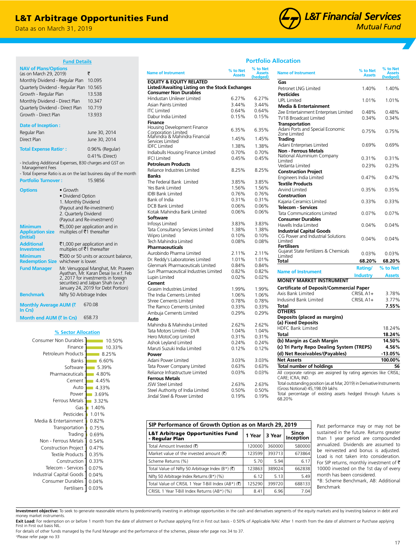## L&T Arbitrage Opportunities Fund

0.41% (Direct)

**Fund Details**

Regular Plan June 30, 2014 Direct Plan June 30, 2014 **Total Expense Ratio+ :** 0.96% (Regular)

- Including Additional Expenses, B30 charges and GST on

**Portfolio Turnover :** 15.9856

**Options** • Growth

- Total Expense Ratio is as on the last business day of the month

• Dividend Option 1. Monthly Dividend (Payout and Re-investment) 2. Quarterly Dividend (Payout and Re-investment)

whichever is lower. **Fund Manager** Mr. Venugopal Manghat, Mr. Praveen Ayathan, Mr. Karan Desai (w.e.f. Feb

**% Sector Allocation**

Finance

0.03% Fertilisers 0.04% 0.04% 0.07% 0.33% 0.35% 0.47% 0.54% 0.69% 0.75% 0.82% 1.01%  $1.40%$ 3.32% 3.69% 4.33%  $4.45%$ 4.80% 5.39% 6.60% 8.25% 10.33% 10.50%

Trading<sup>1</sup> **Transportation** Media & Entertainment

Pesticides Gas Ferrous Metals Power Auto Cement Pharmaceuticals Software Banks

Consumer Durables Industrial Capital Goods Telecom - Services Construction<sup>-</sup> Textile Products Construction Project Non - Ferrous Metals

**Benchmark** Nifty 50 Arbitrage Index

**Month end AUM (**` **In Crs)** 658.73

Consumer Non Durables

Petroleum Products

**Monthly Average AUM (**`

`5,000 per application and in multiples of  $\bar{z}$ 1 thereafter

₹1,000 per application and in<br>multiples of ₹1 thereafter

₹500 or 50 units or account balance,

2, 2017 for investments in foreign securities) and Jalpan Shah (w.e.f January 24, 2019 for Debt Portion)

670.08

Data as on March 31, 2019

(as on March 29, 2019)  $\bar{\tau}$ Monthly Dividend - Regular Plan 10.095 Quarterly Dividend - Regular Plan 10.565 Growth - Regular Plan 13.538 Monthly Dividend - Direct Plan 10.347 Quarterly Dividend - Direct Plan 10.719 Growth - Direct Plan 13.933

**NAV of Plans/Options** 

**Date of Inception :**

Management Fees

**Minimum Application size (Initial)**

**Additional Investment**

**Minimum Redemption Size**

**In Crs)**

# **L&T Financial Services Mutual Fund**

## **Portfolio Allocation**

| <b>Name of Instrument</b>                                                      | % to Net<br><b>Assets</b> | % to Net<br><b>Assets</b><br>(hedaed) | <b>Name of Instrument</b>                                              | % to Net<br><b>Assets</b> | % to Net<br><b>Assets</b><br>(hedged) |
|--------------------------------------------------------------------------------|---------------------------|---------------------------------------|------------------------------------------------------------------------|---------------------------|---------------------------------------|
| <b>EQUITY &amp; EQUITY RELATED</b>                                             |                           |                                       | Gas                                                                    |                           |                                       |
| Listed/Awaiting Listing on the Stock Exchanges<br><b>Consumer Non Durables</b> |                           |                                       | Petronet LNG Limited<br>Pesticides                                     | 1.40%                     | 1.40%                                 |
| Hindustan Unilever Limited                                                     | 6.27%                     | 6.27%                                 | <b>UPL Limited</b>                                                     | 1.01%                     | 1.01%                                 |
| Asian Paints Limited                                                           | 3.44%                     | 3.44%                                 | <b>Media &amp; Entertainment</b>                                       |                           |                                       |
| <b>ITC Limited</b>                                                             | 0.64%                     | 0.64%                                 | Zee Entertainment Enterprises Limited                                  | 0.48%                     | 0.48%                                 |
| Dabur India Limited                                                            | 0.15%                     | 0.15%                                 | TV18 Broadcast Limited                                                 | 0.34%                     | 0.34%                                 |
| Finance                                                                        |                           |                                       | <b>Transportation</b>                                                  |                           |                                       |
| Housing Development Finance<br>Corporation Limited                             | 6.35%                     | 6.35%                                 | Adani Ports and Special Economic<br>Zone Limited                       | 0.75%                     | 0.75%                                 |
| Mahindra & Mahindra Financial<br>Services Limited                              | 1.45%                     | 1.45%                                 | Trading                                                                |                           |                                       |
| <b>IDFC</b> Limited                                                            | 1.38%                     | 1.38%                                 | Adani Enterprises Limited                                              | 0.69%                     | 0.69%                                 |
| Indiabulls Housing Finance Limited                                             | 0.70%                     | 0.70%                                 | <b>Non - Ferrous Metals</b>                                            |                           |                                       |
| <b>IFCI Limited</b>                                                            | 0.45%                     | 0.45%                                 | National Aluminium Company                                             | 0.31%                     | 0.31%                                 |
| <b>Petroleum Products</b>                                                      |                           |                                       | Limited                                                                |                           |                                       |
| Reliance Industries Limited                                                    | 8.25%                     | 8.25%                                 | Vedanta Limited                                                        | 0.23%                     | 0.23%                                 |
| <b>Banks</b>                                                                   |                           |                                       | <b>Construction Project</b>                                            |                           |                                       |
| The Federal Bank Limited                                                       | 3.85%                     | 3.85%                                 | Engineers India Limited                                                | 0.47%                     | 0.47%                                 |
| Yes Bank Limited                                                               | 1.56%                     | 1.56%                                 | <b>Textile Products</b>                                                |                           |                                       |
| <b>IDBI Bank Limited</b>                                                       | 0.76%                     | 0.76%                                 | <b>Arvind Limited</b>                                                  | 0.35%                     | 0.35%                                 |
|                                                                                |                           |                                       | Construction                                                           |                           |                                       |
| Bank of India                                                                  | 0.31%                     | 0.31%                                 | Kajaria Ceramics Limited                                               | 0.33%                     | 0.33%                                 |
| <b>DCB Bank Limited</b>                                                        | 0.06%                     | 0.06%                                 | <b>Telecom - Services</b>                                              |                           |                                       |
| Kotak Mahindra Bank Limited                                                    | 0.06%                     | $0.06\%$                              | Tata Communications Limited                                            | 0.07%                     | 0.07%                                 |
| Software                                                                       |                           |                                       | <b>Consumer Durables</b>                                               |                           |                                       |
| Infosys Limited                                                                | 3.83%                     | 3.83%                                 | Havells India Limited                                                  | 0.04%                     | 0.04%                                 |
| Tata Consultancy Services Limited                                              | 1.38%                     | 1.38%                                 | <b>Industrial Capital Goods</b>                                        |                           |                                       |
| Wipro Limited                                                                  | 0.10%                     | 0.10%                                 | CG Power and Industrial Solutions                                      | 0.04%                     | 0.04%                                 |
| Tech Mahindra Limited                                                          | 0.08%                     | 0.08%                                 | Limited<br><b>Fertilisers</b>                                          |                           |                                       |
| <b>Pharmaceuticals</b>                                                         |                           |                                       | Gujarat State Fertilizers & Chemicals                                  |                           |                                       |
| Aurobindo Pharma Limited                                                       | 2.11%                     | 2.11%                                 | Limited                                                                | 0.03%                     | 0.03%                                 |
| Dr. Reddy's Laboratories Limited                                               | 1.01%                     | 1.01%                                 | Total                                                                  | 68.20%                    | 68.20%                                |
| Glenmark Pharmaceuticals Limited                                               | 0.84%                     | 0.84%                                 |                                                                        | Rating/                   | % to Net                              |
| Sun Pharmaceutical Industries Limited                                          | 0.82%                     | 0.82%                                 | <b>Name of Instrument</b>                                              |                           |                                       |
| Lupin Limited                                                                  | 0.02%                     | 0.02%                                 | <b>MONEY MARKET INSTRUMENT</b>                                         | Industry                  | <b>Assets</b>                         |
| Cement                                                                         |                           |                                       |                                                                        |                           |                                       |
| Grasim Industries Limited                                                      | 1.99%                     | 1.99%                                 | <b>Certificate of Deposit/Commercial Paper</b>                         |                           |                                       |
| The India Cements Limited                                                      | 1.06%                     | 1.06%                                 | Axis Bank Limited                                                      | CRISIL A1+                | 3.78%                                 |
| <b>Shree Cements Limited</b>                                                   | 0.78%                     | 0.78%                                 | Indusind Bank Limited                                                  | CRISIL A1+                | 3.77%                                 |
| The Ramco Cements Limited                                                      | 0.33%                     | 0.33%                                 | Total                                                                  |                           | 7.55%                                 |
| Ambuja Cements Limited                                                         | 0.29%                     | 0.29%                                 | <b>OTHERS</b>                                                          |                           |                                       |
| Auto                                                                           |                           |                                       | Deposits (placed as margins)                                           |                           |                                       |
| Mahindra & Mahindra Limited                                                    | 2.62%                     | 2.62%                                 | (a) Fixed Deposits                                                     |                           |                                       |
| Tata Motors Limited - DVR                                                      | 1.04%                     | 1.04%                                 | <b>HDFC Bank Limited</b>                                               |                           | 18.24%                                |
| Hero MotoCorp Limited                                                          | 0.31%                     | 0.31%                                 | Total                                                                  |                           | 18.24%                                |
| Ashok Leyland Limited                                                          | 0.24%                     | 0.24%                                 | (b) Margin as Cash Margin                                              |                           | 14.50%                                |
| Maruti Suzuki India Limited                                                    | 0.12%                     | 0.12%                                 | (c) Tri Party Repo Dealing System (TREPS)                              |                           | 4.56%                                 |
| Power                                                                          |                           |                                       | (d) Net Receivables/(Payables)                                         |                           | $-13.05%$                             |
| Adani Power Limited                                                            | 3.03%                     | 3.03%                                 | <b>Net Assets</b>                                                      |                           | 100.00%                               |
| Tata Power Company Limited                                                     | 0.63%                     | 0.63%                                 | <b>Total number of holdings</b>                                        |                           | 56                                    |
| Reliance Infrastructure Limited                                                | 0.03%                     | 0.03%                                 | All corporate ratings are assigned by rating agencies like CRISIL;     |                           |                                       |
| <b>Ferrous Metals</b>                                                          |                           |                                       | CARE; ICRA; IND.                                                       |                           |                                       |
| <b>JSW Steel Limited</b>                                                       | 2.63%                     | 2.63%                                 | Total outstanding position (as at Mar, 2019) in Derivative Instruments |                           |                                       |
| Steel Authority of India Limited                                               | 0.50%                     | 0.50%                                 | (Gross Notional) 45,198.09 lakhs                                       |                           |                                       |
| Jindal Steel & Power Limited                                                   | 0.19%                     | 0.19%                                 | Total percentage of existing assets hedged through futures is          |                           |                                       |
|                                                                                |                           |                                       | 68.20%                                                                 |                           |                                       |

| SIP Performance of Growth Option as on March 29, 2019   |        |        |                    |  |
|---------------------------------------------------------|--------|--------|--------------------|--|
| L&T Arbitrage Opportunities Fund<br>- Regular Plan      | 1 Year | 3 Year | Since<br>Inception |  |
| Total Amount Invested (そ)                               | 120000 | 360000 | 580000             |  |
| Market value of the invested amount $(\overline{\tau})$ | 123599 | 393713 | 673864             |  |
| Scheme Returns (%)                                      | 5.70   | 5.94   | 6.17               |  |
| Total Value of Nifty 50 Arbitrage Index (B*) (₹)        | 123863 | 389024 | 662838             |  |
| Nifty 50 Arbitrage Index Returns (B*) (%)               | 6.12   | 5.13   | 5.49               |  |
| Total Value of CRISIL 1 Year T-Bill Index (AB*) (₹)     | 125290 | 399720 | 688133             |  |
| CRISIL 1 Year T-Bill Index Returns (AB*) (%)            | 8.41   | 6.96   | 7.04               |  |

erformance may or may not be ed in the future. Returns greater year period are compounded ized. Dividends are assumed to he rested and bonus is adjusted. s not taken into consideration. returns, monthly investment of  $\bar{\tau}$ invested on the 1st day of every has been considered.

eme Benchmark, AB: Additional nark

Investment objective: To seek to generate reasonable returns by predominantly investing in arbitrage opportunities in the cash and derivatives segments of the equity markets and by investing balance in debt and money market instruments.

Exit Load: For redemption on or before 1 month from the date of allotment or Purchase applying First in First out basis - 0.50% of Applicable NAV. After 1 month from the date of allotment or Purchase applying First in First out basis NIL.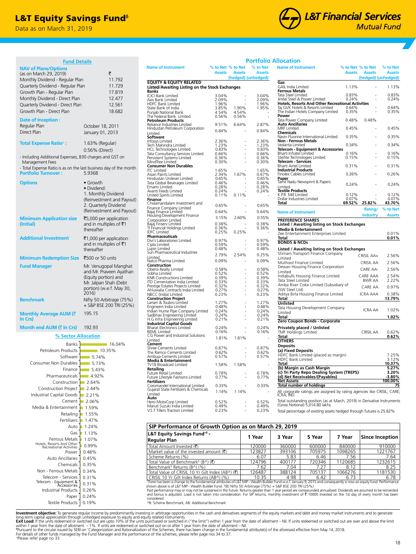## **L&T Equity Savings Fund**<sup>6</sup>

Data as on March 31, 2019



| <b>Fund Details</b>                                               |                                                    |                                                                                 |                |                          |                            | <b>Portfolio Allocation</b>                                                                                 |                |                      |                     |
|-------------------------------------------------------------------|----------------------------------------------------|---------------------------------------------------------------------------------|----------------|--------------------------|----------------------------|-------------------------------------------------------------------------------------------------------------|----------------|----------------------|---------------------|
| <b>NAV of Plans/Options</b>                                       |                                                    | <b>Name of Instrument</b>                                                       |                |                          | % to Net % to Net % to Net | <b>Name of Instrument</b>                                                                                   |                | % to Net % to Net    | % to Net            |
| (as on March 29, 2019)                                            | ₹                                                  |                                                                                 |                | <b>Assets Assets</b>     | <b>Assets</b>              |                                                                                                             |                | <b>Assets Assets</b> | <b>Assets</b>       |
| Monthly Dividend - Regular Plan                                   | 11.792                                             | <b>EQUITY &amp; EQUITY RELATED</b>                                              |                | (hedged) (unhedged)      |                            | Gas                                                                                                         |                | (hedged) (unhedged)  |                     |
| Quarterly Dividend - Regular Plan                                 | 11.729                                             | Listed/Awaiting Listing on the Stock Exchanges                                  |                |                          |                            | GAIL India Limited                                                                                          | 1.13%          |                      | 1.13%               |
| Growth Plan - Regular Plan                                        | 17.819                                             | <b>Banks</b><br><b>ICICI Bank Limited</b>                                       | 3.04%          |                          | 3.04%                      | <b>Ferrous Metals</b><br>Tata Steel Limited                                                                 | 0.83%          |                      | 0.83%               |
| Monthly Dividend - Direct Plan                                    | 12.477                                             | Axis Bank Limited                                                               | 2.09%          | $\sim$                   | 2.09%                      | Jindal Steel & Power Limited                                                                                | 0.24%          |                      | 0.24%               |
| Quarterly Dividend - Direct Plan                                  | 12.561                                             | HDFC Bank Limited                                                               | 1.96%          | 1.90%                    | 1.96%                      | <b>Hotels, Resorts And Other Recreational Activities</b><br>Taj GVK Hotels & Resorts Limited                | 0.64%          |                      | 0.64%               |
| Growth Plan - Direct Plan                                         | 18.682                                             | State Bank of India<br>Punjab National Bank                                     | 3.85%<br>4.54% | 4.54%                    | 1.95%                      | The Indian Hotels Company Limited                                                                           | 0.35%          |                      | 0.35%               |
| Date of Inception:                                                |                                                    | The Federal Bank Limited                                                        | 0.56%          | 0.56%                    |                            | Power<br>Tata Power Company Limited                                                                         | 0.48%          | 0.48%                |                     |
| Regular Plan                                                      | October 18, 2011                                   | <b>Petroleum Products</b><br>Reliance Industries Limited                        | 9.51%          | 6.64%                    | 2.87%                      | <b>Auto Ancillaries</b>                                                                                     |                |                      |                     |
| Direct Plan                                                       | January 01, 2013                                   | Hindustan Petroleum Corporation                                                 | 0.84%          |                          | 0.84%                      | <b>MRF</b> Limited<br><b>Chemicals</b>                                                                      | 0.45%          |                      | 0.45%               |
|                                                                   |                                                    | Limited<br>Software                                                             |                |                          |                            | Navin Fluorine International Limited                                                                        | 0.35%          |                      | 0.35%               |
| <b>Total Expense Ratio<sup>+</sup>:</b>                           | 1.63% (Regular)                                    | Infosys Limited<br>Tech Mahindra Limited                                        | 2.36%<br>1.23% |                          | 2.36%<br>1.23%             | <b>Non - Ferrous Metals</b><br>Vedanta Limited                                                              | 0.34%          |                      | 0.34%               |
|                                                                   | 0.56% (Direct)                                     | HCL Technologies Limited                                                        | 0.83%          |                          | 0.83%                      | <b>Telecom - Equipment &amp; Accessories</b>                                                                |                |                      |                     |
| - Including Additional Expenses, B30 charges and GST on           |                                                    | Tata Consultancy Services Limited                                               | 0.66%          | $\sim$                   | 0.66%                      | Bharti Infratel Limited<br>Sterlite Technologies Limited                                                    | 0.16%<br>0.15% |                      | 0.16%<br>0.15%      |
| Management Fees                                                   |                                                    | Persistent Systems Limited<br>MindTree Limited                                  | 0.36%<br>0.30% | ÷.                       | 0.36%<br>0.30%             | <b>Telecom - Services</b>                                                                                   |                |                      |                     |
| - Total Expense Ratio is as on the last business day of the month |                                                    | <b>Consumer Non Durables</b>                                                    |                |                          |                            | Bharti Airtel Limited                                                                                       | 0.31%          |                      | 0.31%               |
| <b>Portfolio Turnover:</b>                                        | 5.9368                                             | <b>ITC Limited</b><br>Asian Paints Limited                                      | 1.65%<br>2.34% | 1.67%                    | 1.65%<br>0.67%             | <b>Industrial Products</b><br>Finolex Cables Limited                                                        | 0.26%          |                      | 0.26%               |
|                                                                   |                                                    | Hindustan Unilever Limited                                                      | 0.65%          |                          | 0.65%                      | Paper                                                                                                       |                |                      |                     |
| <b>Options</b>                                                    | • Growth                                           | Tata Global Beverages Limited<br>Emami Limited                                  | 0.46%<br>0.28% |                          | 0.46%<br>0.28%             | Tamil Nadu Newsprint & Papers                                                                               | 0.24%          |                      | 0.24%               |
|                                                                   | · Dividend:                                        | Avanti Feeds Limited                                                            | 0.24%          |                          | 0.24%                      | Limited<br>Textile Products                                                                                 |                |                      |                     |
|                                                                   | 1. Monthly Dividend                                | United Spirits Limited<br>Finance                                               | 0.11%          | 0.11%                    |                            | K.P.R. Mill Limited<br>Dollar Industries Limited                                                            | 0.12%<br>0.07% |                      | 0.12%<br>0.07%      |
|                                                                   | (Reinvestment and Payout)<br>2. Quarterly Dividend | Cholamandalam Investment and                                                    | 0.65%          |                          | 0.65%                      | Total                                                                                                       |                | 69.52% 25.82%        | 43.70%              |
|                                                                   | (Reinvestment and Payout)                          | Finance Company Limited<br>Bajaj Finance Limited<br>Housing Development Finance | 0.64%          | $\sim$                   | 0.64%                      |                                                                                                             |                | Rating/              | % to Net            |
|                                                                   |                                                    |                                                                                 | 3.15%          | 2.60%                    | 0.55%                      | <b>Name of Instrument</b>                                                                                   |                | <b>Industry</b>      | <b>Assets</b>       |
| <b>Minimum Application size</b>                                   | ₹5,000 per application                             | Corporation Limited                                                             | 0.38%          |                          | 0.38%                      | <b>PREFERENCE SHARES</b>                                                                                    |                |                      |                     |
| (Initial)                                                         | and in multiples of ₹1<br>thereafter               | Bajaj Finserv Limited<br>TI Financial Holdings Limited                          | 0.36%          |                          | 0.36%                      | Listed / Awaiting listing on Stock Exchanges<br><b>Media &amp; Entertainment</b>                            |                |                      |                     |
|                                                                   |                                                    | <b>IDFC Limited</b>                                                             | 0.25%          | 0.25%                    |                            | Zee Entertainment Enterprises Limited                                                                       |                |                      | 0.01%               |
| <b>Additional Investment</b>                                      | ₹1,000 per application                             | Pharmaceuticals<br>Divi's Laboratories Limited                                  | 0.97%          | $\sim$                   | 0.97%                      | Total                                                                                                       |                |                      | 0.01%               |
|                                                                   | and in multiples of ₹1                             | Cipla Limited                                                                   | 0.59%          | $\sim$                   | 0.59%                      | <b>BONDS &amp; NCDs</b>                                                                                     |                |                      |                     |
|                                                                   | thereafter                                         | Lupin Limited<br>Sun Pharmaceutical Industries                                  | 0.48%          | $\sim$                   | 0.48%                      | <b>Listed / Awaiting listing on Stock Exchanges</b><br>Shriram Transport Finance Company                    |                |                      |                     |
| Minimum Redemption Size ₹500 or 50 units                          |                                                    | Limited                                                                         | 2.79%          | 2.54%                    | 0.25%                      | Limited                                                                                                     |                | CRISIL AA+           | 2.56%               |
|                                                                   |                                                    | Natco Pharma Limited<br>Construction                                            | 0.09%          |                          | 0.09%                      | Muthoot Finance Limited                                                                                     |                | CRISIL AA            | 2.56%               |
| <b>Fund Manager</b>                                               | Mr. Venugopal Manghat<br>and Mr. Praveen Ayathan   | Oberoi Realty Limited                                                           | 0.58%          |                          | 0.58%                      | Dewan Housing Finance Corporation<br>Limited                                                                |                | CARE AA-             | 2.56%               |
|                                                                   | (Equity portion) and                               | Sobha Limited<br><b>KNR Constructions Limited</b>                               | 0.52%<br>0.39% | $\sim$                   | 0.52%<br>0.39%             | Indiabulls Housing Finance Limited                                                                          |                | CARE AAA             | 2.54%               |
|                                                                   | Mr. Jalpan Shah (Debt                              | ITD Cementation India Limited                                                   | 0.33%          |                          | 0.33%                      | Tata Steel Limited                                                                                          |                | BWR AA               | 2.22%               |
|                                                                   | portion) (w.e.f. May 30,                           | Prestige Estates Projects Limited<br>Ahluwalia Contracts India Limited          | 0.32%<br>0.27% |                          | 0.32%<br>0.27%             | Amba River Coke Limited (Subsidiary of<br>JSW Steel Ltd)                                                    |                | CARE AA              | 0.97%               |
|                                                                   | 2016)                                              | NBCC (India) Limited                                                            | 0.23%          |                          | 0.23%                      | Aditya Birla Housing Finance Limited                                                                        |                | <b>ICRA AAA</b>      | 0.38%               |
| <b>Benchmark</b>                                                  | Nifty 50 Arbitrage (75%)                           | <b>Construction Project</b>                                                     | 1.27%          |                          | 1.27%                      | Total                                                                                                       |                |                      | 13.79%              |
|                                                                   | + S&P BSE 200 TRI (25%)                            | Larsen & Toubro Limited<br>Engineers India Limited                              | 0.48%          |                          | 0.48%                      | Unlisted<br>Tata Housing Development Company                                                                |                |                      |                     |
| Monthly Average AUM (₹                                            | 195.15                                             | Indian Hume Pipe Company Limited                                                | 0.24%          | $\sim$<br>$\sim$         | 0.24%                      | Limited                                                                                                     |                | <b>ICRA AA</b>       | 1.02%               |
| In Crs)                                                           |                                                    | Sadbhav Engineering Limited<br>H.G Infra Engineering Limited                    | 0.24%<br>0.21% | $\sim$                   | 0.24%<br>0.21%             | Total<br>Zero Coupon Bonds - Corporate                                                                      |                |                      | 1.02%               |
|                                                                   |                                                    | <b>Industrial Capital Goods</b>                                                 |                |                          |                            |                                                                                                             |                |                      |                     |
| Month end AUM $($ ₹ In Crs)                                       | 192.93                                             | <b>Bharat Electronics Limited</b><br><b>BEML Limited</b>                        | 0.24%<br>0.16% | $\sim$<br>$\sim$         | 0.24%<br>0.16%             | Privately placed / Unlisted<br>TMF Holdings Limited                                                         |                | CRISIL AA            | 0.62%               |
| % Sector Allocation                                               |                                                    | CG Power and Industrial Solutions                                               | 1.81%          | 1.81%                    |                            | <b>Total</b>                                                                                                |                |                      | 0.62%               |
| Banks                                                             | 16.04%                                             | Limited<br>Cement                                                               |                |                          |                            | <b>OTHERS</b><br><b>Deposits</b>                                                                            |                |                      |                     |
| Petroleum Products                                                | 10.35%                                             | Shree Cements Limited<br>The Ramco Cements Limited                              | 0.87%          | $\sim$                   | 0.87%                      |                                                                                                             |                |                      |                     |
| Software                                                          | $-5.74%$                                           | Ambuja Cements Limited                                                          | 0.62%<br>0.57% | ÷,                       | 0.62%<br>0.57%             | (a) Fixed Deposits<br>HDFC Bank Limited (placed as margin)                                                  |                |                      | 7.25%               |
| Consumer Non Durables                                             | $-5.73%$                                           | <b>Media &amp; Entertainment</b>                                                |                |                          |                            | HDFC Bank Limited<br>Total                                                                                  |                |                      | 3.12%<br>10.37%     |
| Finance                                                           | ■ 5.43%                                            | TV18 Broadcast Limited<br>Ketailing                                             | 1.58%          | 1.58%                    | $\overline{\phantom{a}}$   | (b) Margin as Cash Margin                                                                                   |                |                      | 5.27%               |
| Pharmaceuticals                                                   | $-4.92%$                                           | Future Retail Limited                                                           | 0.78%          | $\blacksquare$           | 0.78%                      | (c) Tri Party Repo Dealing System (TREPS)                                                                   |                |                      | 3.20%               |
| Construction                                                      | $\blacksquare$ 2.64%                               | Future Lifestyle Fashions Limited<br><b>Fertilisers</b>                         | 0.77%          | $\bar{a}$                | 0.77%                      | (d) Net Receivables/(Pavables)<br><b>Net Assets</b>                                                         |                |                      | $-3.80%$<br>100.00% |
|                                                                   |                                                    | Coromandel International Limited                                                | 0.33%          | ÷,                       | 0.33%                      | <b>Total number of holdings</b>                                                                             |                |                      | 75                  |
| Construction Project                                              | 2.44%                                              | Gujarat State Fertilizers & Chemicals<br>Limited                                | 1.14%          | 1.14%                    |                            | All corporate ratings are assigned by rating agencies like CRISIL; CARE;                                    |                |                      |                     |
| Industrial Capital Goods                                          | $\blacksquare$ 2.21%                               | Auto                                                                            |                |                          |                            | ICRA; IND.                                                                                                  |                |                      |                     |
| Cement                                                            | $-2.06\%$                                          | Hero MotoCorp Limited                                                           | 0.52%<br>0.49% |                          | 0.52%<br>0.49%             | Total outstanding position (as at March, 2019) in Derivative Instruments<br>(Gross Notional) 5,014.80 lakhs |                |                      |                     |
| Media & Entertainment                                             | ■ 1.59%                                            | Maruti Suzuki India Limited<br>V.S.T Tillers Tractors Limited                   | 0.23%          | $\overline{\phantom{a}}$ | 0.23%                      | Total percentage of existing assets hedged through futures is 25.82%                                        |                |                      |                     |
| Retailing 1.55%                                                   |                                                    |                                                                                 |                |                          |                            |                                                                                                             |                |                      |                     |
| Fertilisers 1.47%                                                 |                                                    |                                                                                 |                |                          |                            |                                                                                                             |                |                      |                     |

| SIP Performance of Growth Option as on March 29, 2019 |        |        |                                                                                                                                                                         |                 |  |  |  |
|-------------------------------------------------------|--------|--------|-------------------------------------------------------------------------------------------------------------------------------------------------------------------------|-----------------|--|--|--|
|                                                       |        |        |                                                                                                                                                                         | Since Inception |  |  |  |
|                                                       |        |        |                                                                                                                                                                         |                 |  |  |  |
| 120000                                                | 360000 | 600000 | 840000                                                                                                                                                                  | 910000          |  |  |  |
| 123827                                                | 393106 | 705975 | 1098265                                                                                                                                                                 | 1221767         |  |  |  |
| 6.07                                                  | 5.83   | 6.46   | 7.56                                                                                                                                                                    | 7.64            |  |  |  |
| 124796                                                | 400177 | 720346 | 1120685                                                                                                                                                                 | 1232615         |  |  |  |
| 7.62                                                  | 7.04   | 7.27   | 8.12                                                                                                                                                                    | 8.25            |  |  |  |
| 126487                                                | 388124 | 705137 | 1066276                                                                                                                                                                 | 1181530         |  |  |  |
| 10.35                                                 | 4.98   | 6.42   | 6.73                                                                                                                                                                    | 6.78            |  |  |  |
|                                                       | 1 Year | 3 Year | 5 Year<br>There been a change to the fundamental attributes of LRT MIP - Wealth Ruilder Fund w.e.f. January 9, 2015 and consequently is now an equity fund. Performance | 7 Year          |  |  |  |

"There has been a change to the fundamental attributes of L&T MIP - Wealth Builder Fund w.e.f. January 9, 2015 and consequently is now an equity fund. Performance<br>shown above is of L&T MIP - Wealth Builder Fund. <sup>s</sup>(B) Nif

Past performance may or may not be sustained in the future. Returns greater than 1 year period are compounded annualized. Dividends are assumed to be reinvested<br>and bonus is adjusted. Load is not taken into consideration.

considered. ^B: Scheme Benchmark, AB: Additional Benchmark

**Investment objective:** To generate regular income by predominantly investing in arbitrage opportunities in the cash and derivatives segments of the equity markets and debt and money market instruments and to generate Exit

+Please refer page no 33

Hotels, Resorts And Other<br>Recreational Activities 10.99%

Ferrous Metals

Telecom - Services<br>Telecom - Equipment &<br>Accessories Non - Ferrous Metals Chemicals Auto Ancillaries Power

0.19% Textile Products Paper 0.24% 0.26% Industrial Products

0.31% 0.31% 0.34% 0.35% 0.45% 0.48%  $1.07%$ Gas 1.13% Auto **1.24%**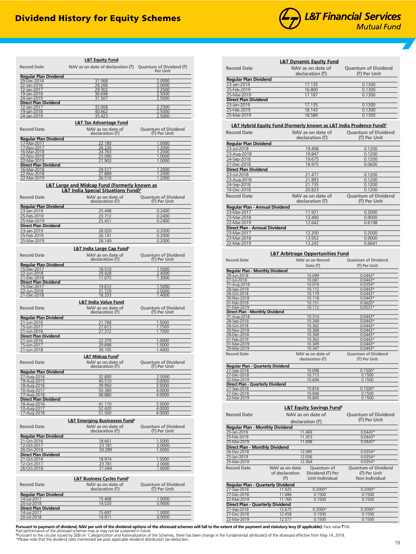

| <b>Record Date</b>                          | <b>L&amp;T Equity Fund</b><br>NAV as on date of declaration $(\vec{\tau})$ Quantum of Dividend $(\vec{\tau})$ |                                            |
|---------------------------------------------|---------------------------------------------------------------------------------------------------------------|--------------------------------------------|
|                                             |                                                                                                               | <b>Per Unit</b>                            |
| <b>Regular Plan Dividend</b><br>29-Dec-2014 | 31.568                                                                                                        | 2.0000                                     |
| 22-Jan-2016                                 | 28.206                                                                                                        | 2.0000                                     |
| 12-Jan-2017<br>19-Jan-2018                  | 29.302<br>36.698                                                                                              | 2.2500<br>2.5000                           |
| 24-Jan-2019                                 | 31.507                                                                                                        | 2.5000                                     |
| <b>Direct Plan Dividend</b><br>12-Jan-2017  | 32.008                                                                                                        | 2.2500                                     |
| 19-Jan-2018                                 | 40.662                                                                                                        | 2.5000                                     |
| 24-Jan-2019                                 | 35.423                                                                                                        | 2.5000                                     |
|                                             | L&T Tax Advantage Fund                                                                                        |                                            |
| <b>Record Date</b>                          | NAV as on date of<br>declaration $(\vec{z})$                                                                  | <b>Quantum of Dividend</b><br>(₹) Per Unit |
| <b>Regular Plan Dividend</b>                |                                                                                                               |                                            |
| 17-Mar-2017                                 | 22.180                                                                                                        | 1.0000                                     |
| 17-Nov-2017<br>16-Mar-2018                  | 26.226<br>24.763                                                                                              | 1.2000<br>1.2000                           |
| 22-Nov-2018                                 | 23.090                                                                                                        | 1.0000                                     |
| 22-Mar-2019<br><b>Direct Plan Dividend</b>  | 21.903                                                                                                        | 1.0000                                     |
| 16-Mar-2018                                 | 29.517                                                                                                        | 1.2000                                     |
| 22-Nov-2018<br>22-Mar-2019                  | 27.889<br>26.510                                                                                              | 1.2000<br>1.2000                           |
|                                             | <b>L&amp;T Large and Midcap Fund (Formerly known as</b>                                                       |                                            |
|                                             | <b>L&amp;T India Special Situations Fund)</b> <sup>6</sup>                                                    |                                            |
| <b>Record Date</b>                          | NAV as on date of<br>declaration $(\vec{z})$                                                                  | <b>Ouantum of Dividend</b><br>(₹) Per Unit |
| <b>Regular Plan Dividend</b>                |                                                                                                               |                                            |
| 23-Jan-2019                                 | 25.498                                                                                                        | 0.2400                                     |
| 25-Feb-2019<br>25-Mar-2019                  | 23.712<br>25.451                                                                                              | 0.2400<br>0.2400                           |
| <b>Direct Plan Dividend</b>                 |                                                                                                               |                                            |
| 23-Jan-2019                                 | 28.020                                                                                                        | 0.2000                                     |
| 25-Feb-2019<br>25-Mar-2019                  | 26.141                                                                                                        | 0.2000<br>0.2000                           |
|                                             | 28.149                                                                                                        |                                            |
|                                             | <b>L&amp;T India Large Cap Fund<sup>®</sup></b>                                                               |                                            |
| <b>Record Date</b>                          | NAV as on date of<br>declaration $(\vec{z})$                                                                  | <b>Quantum of Dividend</b><br>(₹) Per Unit |
| <b>Regular Plan Dividend</b>                |                                                                                                               |                                            |
| 15-Dec-2017<br>22-Jun-2018                  | 18.510<br>29.428                                                                                              | 1.5000<br>2.4000                           |
| 21-Dec-2018                                 | 17.075                                                                                                        | 1.3000                                     |
| <b>Direct Plan Dividend</b><br>15-Dec-2017  | 19.612                                                                                                        | 1.5000                                     |
| 22-Jun-2018                                 | 31.729                                                                                                        | 2.0000                                     |
| 21-Dec-2018                                 | 18.333                                                                                                        | 1.4000                                     |
|                                             | <b>L&amp;T India Value Fund</b>                                                                               |                                            |
| <b>Record Date</b>                          | NAV as on date of<br>declaration $(\vec{z})$                                                                  | <b>Quantum of Dividend</b><br>(₹) Per Unit |
| <b>Regular Plan Dividend</b>                |                                                                                                               |                                            |
| 21-Jun-2016                                 | 21.768                                                                                                        | 1.5000                                     |
| 15-Jun-2017<br>21-Jun-2018                  | 27.613<br>27.372                                                                                              | 1.7500<br>1.7500                           |
| <b>Direct Plan Dividend</b>                 |                                                                                                               |                                            |
| 21-Jun-2016                                 | 22.379                                                                                                        | 1.4000                                     |
| 15-Jun-2017<br>21-Jun-2018                  | 29.698<br>30.105                                                                                              | 1.5000<br>1.4000                           |
|                                             | L&T Midcap Fund <sup>6</sup>                                                                                  |                                            |
| <b>Record Date</b>                          | NAV as on date of                                                                                             | <b>Ouantum of Dividend</b>                 |
|                                             | declaration (₹)                                                                                               | (₹) Per Unit                               |
| <b>Regular Plan Dividend</b>                |                                                                                                               |                                            |
| 27-Aug-2014<br>19-Aug-2015                  | 32.800<br>40.510                                                                                              | 2.5000<br>3.0000                           |
| 18-Aug-2016                                 | 39.950                                                                                                        | 3.5000                                     |
| 10-Aug-2017                                 | 50.380                                                                                                        | 4.0000                                     |
| 17-Aug-2018<br><b>Direct Plan Dividend</b>  | 48.880                                                                                                        | 4.0000                                     |
| 18-Aug-2016                                 | 41.110                                                                                                        | 3.5000                                     |
| 10-Aug-2017<br>17-Aug-2018                  | 52.420<br>51.500                                                                                              | 4.0000<br>4.0000                           |
|                                             |                                                                                                               |                                            |
| <b>Record Date</b>                          | <u>L&amp;T Emerging Businesses Fund<sup>6</sup></u><br>NAV as on date of                                      | <b>Quantum of Dividend</b>                 |
|                                             | declaration (₹)                                                                                               | (₹) Per Unit                               |
| <b>Regular Plan Dividend</b><br>21-Oct-2016 | 18.661                                                                                                        | 1.5000                                     |
| 12-Oct-2017                                 | 23.181                                                                                                        | 2.0000                                     |
| 26-Oct-2018<br><b>Direct Plan Dividend</b>  | 20.289                                                                                                        | 1.5000                                     |
| 21-Oct-2016                                 | 18.974                                                                                                        | 1.5000                                     |
| 12-Oct-2017                                 | 23.781                                                                                                        | 2.0000                                     |
| 26-Oct-2018                                 | 21.044                                                                                                        | 1.6000                                     |
|                                             | <b>L&amp;T Business Cycles Fund<sup>6</sup></b>                                                               |                                            |
| <b>Record Date</b>                          | NAV as on date of                                                                                             | <b>Quantum of Dividend</b>                 |
|                                             | declaration (₹)                                                                                               | (₹) Per Unit                               |
| <b>Regular Plan Dividend</b>                |                                                                                                               |                                            |
| 14-Jul-2017<br>20-Jul-2018                  | 15.408<br>14.520                                                                                              | 1.0000<br>0.9000                           |
| <b>Direct Plan Dividend</b>                 |                                                                                                               |                                            |
| 14-Jul-2017                                 | 15.697                                                                                                        | 1.0000                                     |
| 20-Jul-2018                                 | 14.911                                                                                                        | 0.9000                                     |

|                                                                                                                                                                                                                                                                                                                                                                                                                                                                     | <b>L&amp;T Dynamic Equity Fund</b>                                                             |                            |
|---------------------------------------------------------------------------------------------------------------------------------------------------------------------------------------------------------------------------------------------------------------------------------------------------------------------------------------------------------------------------------------------------------------------------------------------------------------------|------------------------------------------------------------------------------------------------|----------------------------|
| <b>Record Date</b>                                                                                                                                                                                                                                                                                                                                                                                                                                                  | NAV as on date of                                                                              | <b>Ouantum of Dividend</b> |
|                                                                                                                                                                                                                                                                                                                                                                                                                                                                     | declaration (₹)                                                                                | (₹) Per Unit               |
| <b>Regular Plan Dividend</b>                                                                                                                                                                                                                                                                                                                                                                                                                                        |                                                                                                |                            |
| 23-Jan-2019                                                                                                                                                                                                                                                                                                                                                                                                                                                         | 17.135                                                                                         | 0.1300                     |
| 25-Feb-2019                                                                                                                                                                                                                                                                                                                                                                                                                                                         | 16.800                                                                                         | 0.1300                     |
| 25-Mar-2019                                                                                                                                                                                                                                                                                                                                                                                                                                                         | 17.187                                                                                         | 0.1300                     |
| <b>Direct Plan Dividend</b>                                                                                                                                                                                                                                                                                                                                                                                                                                         |                                                                                                |                            |
| 23-Jan-2019                                                                                                                                                                                                                                                                                                                                                                                                                                                         | 17.135                                                                                         | 0.1300                     |
| 25-Feb-2019                                                                                                                                                                                                                                                                                                                                                                                                                                                         | 18.143                                                                                         | 0.1300                     |
| 25-Mar-2019                                                                                                                                                                                                                                                                                                                                                                                                                                                         | 18.589                                                                                         | 0.1300                     |
|                                                                                                                                                                                                                                                                                                                                                                                                                                                                     | <b>L&amp;T Hybrid Equity Fund (Formerly known as L&amp;T India Prudence Fund)</b> <sup>6</sup> |                            |
| <b>Record Date</b>                                                                                                                                                                                                                                                                                                                                                                                                                                                  | NAV as on date of                                                                              | <b>Quantum of Dividend</b> |
|                                                                                                                                                                                                                                                                                                                                                                                                                                                                     | declaration $(\vec{\tau})$                                                                     | (₹) Per Unit               |
|                                                                                                                                                                                                                                                                                                                                                                                                                                                                     |                                                                                                |                            |
| <b>Regular Plan Dividend</b><br>23-Jul-2018                                                                                                                                                                                                                                                                                                                                                                                                                         | 19.498                                                                                         | 0.1200                     |
| 23-Aug-2018                                                                                                                                                                                                                                                                                                                                                                                                                                                         | 19.847                                                                                         | 0.1200                     |
| 24-Sep-2018                                                                                                                                                                                                                                                                                                                                                                                                                                                         | 19.675                                                                                         | 0.1200                     |
| 27-Dec-2018                                                                                                                                                                                                                                                                                                                                                                                                                                                         | 18.975                                                                                         | 0.0600                     |
| <b>Direct Plan Dividend</b>                                                                                                                                                                                                                                                                                                                                                                                                                                         |                                                                                                |                            |
| 23-Jul-2018                                                                                                                                                                                                                                                                                                                                                                                                                                                         | 21.477                                                                                         | 0.1200                     |
| 23-Aug-2018                                                                                                                                                                                                                                                                                                                                                                                                                                                         | 21.893                                                                                         | 0.1200                     |
| 24-Sep-2018                                                                                                                                                                                                                                                                                                                                                                                                                                                         | 21.735                                                                                         | 0.1200                     |
| 10-Dec-2018                                                                                                                                                                                                                                                                                                                                                                                                                                                         | 20.823                                                                                         | 0.1200                     |
| <b>Record Date</b>                                                                                                                                                                                                                                                                                                                                                                                                                                                  | NAV as on date of                                                                              | <b>Ouantum of Dividend</b> |
|                                                                                                                                                                                                                                                                                                                                                                                                                                                                     | declaration $(3)$                                                                              | (₹) Per Unit               |
|                                                                                                                                                                                                                                                                                                                                                                                                                                                                     |                                                                                                |                            |
| Regular Plan - Annual Dividend                                                                                                                                                                                                                                                                                                                                                                                                                                      |                                                                                                |                            |
| 23-Mar-2017<br>23-Mar-2018                                                                                                                                                                                                                                                                                                                                                                                                                                          | 11.921                                                                                         | 0.2000                     |
| 22-Mar-2019                                                                                                                                                                                                                                                                                                                                                                                                                                                         | 13.490<br>12.642                                                                               | 0.9000                     |
|                                                                                                                                                                                                                                                                                                                                                                                                                                                                     |                                                                                                | 0.6198                     |
| Direct Plan - Annual Dividend<br>23-Mar-2017                                                                                                                                                                                                                                                                                                                                                                                                                        | 12.200                                                                                         | 0.2000                     |
| 23-Mar-2018                                                                                                                                                                                                                                                                                                                                                                                                                                                         | 13.952                                                                                         | 0.9000                     |
| 22-Mar-2019                                                                                                                                                                                                                                                                                                                                                                                                                                                         | 13.242                                                                                         | 0.6641                     |
|                                                                                                                                                                                                                                                                                                                                                                                                                                                                     |                                                                                                |                            |
|                                                                                                                                                                                                                                                                                                                                                                                                                                                                     | <b>L&amp;T Arbitrage Opportunities Fund</b>                                                    |                            |
| <b>Record Date</b>                                                                                                                                                                                                                                                                                                                                                                                                                                                  | NAV as on Record                                                                               | <b>Quantum of Dividend</b> |
|                                                                                                                                                                                                                                                                                                                                                                                                                                                                     | Date $(\overline{\mathbf{x}})$                                                                 | (₹) Per Unit               |
| <b>Regular Plan - Monthly Dividend</b>                                                                                                                                                                                                                                                                                                                                                                                                                              |                                                                                                |                            |
| 29-Jun-2018                                                                                                                                                                                                                                                                                                                                                                                                                                                         | 10.099                                                                                         | $0.0443*$                  |
| 27-Jul-2018                                                                                                                                                                                                                                                                                                                                                                                                                                                         | 10.087                                                                                         | $0.0443*$                  |
| 31-Aug-2018                                                                                                                                                                                                                                                                                                                                                                                                                                                         | 10.074                                                                                         | $0.0354*$                  |
| 28-Sep-2018                                                                                                                                                                                                                                                                                                                                                                                                                                                         | 10.112                                                                                         | $0.0443*$                  |
| 26-Oct-2018<br>30-Nov-2018                                                                                                                                                                                                                                                                                                                                                                                                                                          | 10.119                                                                                         |                            |
| 01-Feb-2019                                                                                                                                                                                                                                                                                                                                                                                                                                                         |                                                                                                | $0.0443*$                  |
|                                                                                                                                                                                                                                                                                                                                                                                                                                                                     | 10.118                                                                                         | $0.0443*$                  |
|                                                                                                                                                                                                                                                                                                                                                                                                                                                                     | 10.151                                                                                         | $0.0620*$                  |
|                                                                                                                                                                                                                                                                                                                                                                                                                                                                     | 10.112                                                                                         | $0.0531*$                  |
|                                                                                                                                                                                                                                                                                                                                                                                                                                                                     | 10.314                                                                                         | $0.0443*$                  |
|                                                                                                                                                                                                                                                                                                                                                                                                                                                                     | 10.349                                                                                         | $0.0443*$                  |
|                                                                                                                                                                                                                                                                                                                                                                                                                                                                     | 10.362                                                                                         | $0.0443*$                  |
|                                                                                                                                                                                                                                                                                                                                                                                                                                                                     | 10.368                                                                                         | $0.0443*$                  |
|                                                                                                                                                                                                                                                                                                                                                                                                                                                                     | 10.349                                                                                         | $0.0443*$<br>$0.0443*$     |
|                                                                                                                                                                                                                                                                                                                                                                                                                                                                     | 10.363<br>10.349                                                                               | $0.0443*$                  |
|                                                                                                                                                                                                                                                                                                                                                                                                                                                                     | 10.347                                                                                         | $0.0443*$                  |
|                                                                                                                                                                                                                                                                                                                                                                                                                                                                     | NAV as on date of                                                                              | <b>Quantum of Dividend</b> |
|                                                                                                                                                                                                                                                                                                                                                                                                                                                                     | declaration (₹)                                                                                | (₹) Per Unit               |
|                                                                                                                                                                                                                                                                                                                                                                                                                                                                     |                                                                                                |                            |
|                                                                                                                                                                                                                                                                                                                                                                                                                                                                     | 10.698                                                                                         | $0.1500*$                  |
|                                                                                                                                                                                                                                                                                                                                                                                                                                                                     | 10.713                                                                                         | 0.1500                     |
|                                                                                                                                                                                                                                                                                                                                                                                                                                                                     | 10.694                                                                                         | 0.1500                     |
|                                                                                                                                                                                                                                                                                                                                                                                                                                                                     |                                                                                                |                            |
|                                                                                                                                                                                                                                                                                                                                                                                                                                                                     | 10.816                                                                                         | $0.1500*$                  |
|                                                                                                                                                                                                                                                                                                                                                                                                                                                                     | 10.848<br>10.845                                                                               | 0.1500<br>0.1500           |
|                                                                                                                                                                                                                                                                                                                                                                                                                                                                     |                                                                                                |                            |
|                                                                                                                                                                                                                                                                                                                                                                                                                                                                     | <b>L&amp;T Equity Savings Fund<sup>6</sup></b>                                                 |                            |
|                                                                                                                                                                                                                                                                                                                                                                                                                                                                     |                                                                                                |                            |
|                                                                                                                                                                                                                                                                                                                                                                                                                                                                     | NAV as on date of                                                                              | <b>Quantum of Dividend</b> |
|                                                                                                                                                                                                                                                                                                                                                                                                                                                                     | declaration (₹)                                                                                | (₹) Per Unit               |
|                                                                                                                                                                                                                                                                                                                                                                                                                                                                     |                                                                                                |                            |
| 01-Mar-2019<br>Direct Plan - Monthly Dividend<br>31-Aug-2018<br>28-Sep-2018<br>26-Oct-2018<br>30-Nov-2018<br>28-Dec-2018<br>01-Feb-2019<br>01-Mar-2019<br>29-Mar-2019<br><b>Record Date</b><br>Regular Plan - Quarterly Dividend<br>27-Sep-2018<br>27-Dec-2018<br>22-Mar-2019<br><b>Direct Plan - Quarterly Dividend</b><br>27-Sep-2018<br>27-Dec-2018<br>22-Mar-2019<br><b>Record Date</b><br><b>Regular Plan - Monthly Dividend</b><br>25-Jan-2019<br>25-Feb-2019 | 11.469<br>11.453                                                                               | $0.0443*$<br>$0.0443*$     |

| 25-Feb-2019                              |                | 11.453           | $0.0443*$                  |
|------------------------------------------|----------------|------------------|----------------------------|
| 25-Mar-2019                              |                | 11.698           | $0.0443*$                  |
| Direct Plan - Monthly Dividend           |                |                  |                            |
| 26-Dec-2018                              |                | 12.095           | $0.0354*$                  |
| 25-Jan-2019                              |                | 12.036           | $0.0354*$                  |
| 25-Mar-2019                              |                | 12.364           | $0.0354*$                  |
| <b>Record Date</b>                       | NAV as on date | Ouantum of       | <b>Quantum of Dividend</b> |
|                                          | of declaration | Dividend (₹) Per | (₹) Per Unit               |
|                                          | (₹)            | Unit Individual  | Non Individual             |
| <b>Regular Plan - Quarterly Dividend</b> |                |                  |                            |
| 27-Sep-2018                              | 11.925         | $0.2000*$        | $0.2000*$                  |
| 27-Dec-2018                              | 11.686         | 0.1500           | 0.1500                     |
| 22-Mar-2019                              | 11.760         | 0.1500           | 0.1500                     |
| Direct Plan - Quarterly Dividend         |                |                  |                            |
| 27-Sep-2018                              | 12.675         | $0.2000*$        | $0.2000*$                  |
| 27-Dec-2018                              | 12.458         | 0.1500           | 0.1500                     |
| 22-Mar-2019                              | 12.577         | 0.1500           | 0.1500                     |

**Pursuant to payment of dividend, NAV per unit of the dividend options of the aforesaid schemes will fall to the extent of the payment and statutory levy (if applicable).** Face value ₹10⁄-.<br>Past performance of the afores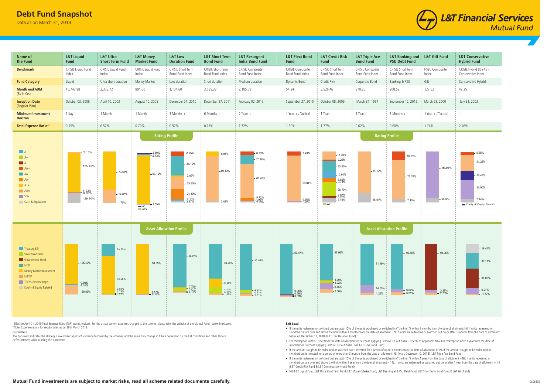**Mutual Fund investments are subject to market risks, read all scheme related documents carefully.**

Data as on March 31, 2019



+Effective April 01, 2019 Total Expense Ratio (TER) stands revised. For the actual current expenses charged to the scheme, please refer the website of the Mutual Fund - www.lntmf.com.^Note: Expense ratio is for regular plan as on 29th March 2019.

#### Disclaimers

 The document indicates the strategy / investment approach currently followed by the schemes and the same may change in future depending on market conditions and other factors. Refer factsheet while reading this document.

## **Exit Load**



- If the units redeemed or switched out are upto 10% of the units purchased or switched in ("the limit") within 3 months from the date of allotment: Nil. If units redeemed or switched out are over and above the limit within 3 months from the date of allotment: 1%. If units are redeemed or switched out on or after 3 months from the date of allotment: Nil (w.e.f. December 12, 2018) (L&T Low Duration Fund)
- For redemption within 1 year from the date of allotment or Purchase applying First in First out basis 0.50% of Applicable NAV. For redemption After 1 year from the date of allotment or Purchase applying First in First out basis - Nil (L&T Flexi Bond Fund)
- If the amount sought to be redeemed or switched out is invested for a period of up to 3 months from the date of allotment: 0.5%.If the amount sought to be redeemed or switched out is invested for a period of more than 3 months from the date of allotment: Nil (w.e.f. December 12, 2018) (L&T Triple Ace Bond Fund)
- If the units redeemed or switched out are upto 10% of the units purchased or switched in ("the limit") within 1 year from the date of allotment Nil. If units redeemed or switched out are over and above the limit within 1 year from the date of allotment – 1%. If units are redeemed or switched out on or after 1 year from the date of allotment – Nil. (L&T Credit Risk Fund & L&T Conservative Hybrid Fund)
- Nil (L&T Liquid Fund, L&T Ultra Short Term Fund, L&T Money Market Fund, L&T Banking and PSU Debt Fund, L&T Short Term Bond Fund & L&T Gilt Fund)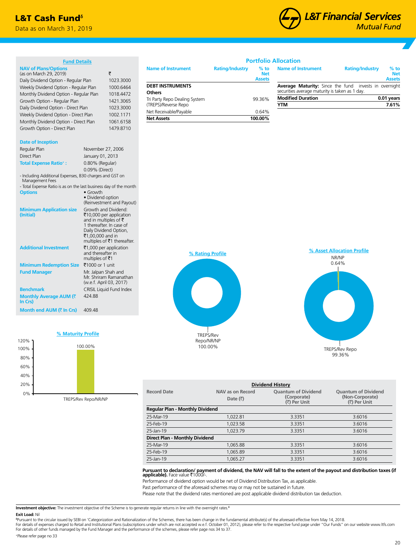## **L&T Cash Fund**<sup>6</sup>

Data as on March 31, 2019



| <b>Fund Details</b>                                                                                                                             |                                                                                                                                    |                                                        |                                          |                        |                                       | <b>Portfolio Allocation</b>                                                        |                                     |                                       |
|-------------------------------------------------------------------------------------------------------------------------------------------------|------------------------------------------------------------------------------------------------------------------------------------|--------------------------------------------------------|------------------------------------------|------------------------|---------------------------------------|------------------------------------------------------------------------------------|-------------------------------------|---------------------------------------|
| <b>NAV of Plans/Options</b><br>(as on March 29, 2019)<br>Daily Dividend Option - Regular Plan                                                   |                                                                                                                                    | ₹<br>1023.3000                                         | <b>Name of Instrument</b>                | <b>Rating/Industry</b> | $%$ to<br><b>Net</b><br><b>Assets</b> | <b>Name of Instrument</b>                                                          | <b>Rating/Industry</b>              | $%$ to<br><b>Net</b><br><b>Assets</b> |
| Weekly Dividend Option - Regular Plan                                                                                                           |                                                                                                                                    | 1000.6464                                              | <b>DEBT INSTRUMENTS</b><br><b>Others</b> |                        |                                       | Average Maturity: Since the fund<br>securities average maturity is taken as 1 day. |                                     | invests in overnight                  |
| Monthly Dividend Option - Regular Plan<br>Growth Option - Regular Plan                                                                          |                                                                                                                                    | 1018.4472<br>1421.3065                                 | Tri Party Repo Dealing System            |                        | 99.36%                                | <b>Modified Duration</b>                                                           |                                     | 0.01 years                            |
| Daily Dividend Option - Direct Plan                                                                                                             |                                                                                                                                    | 1023.3000                                              | (TREPS)/Reverse Repo                     |                        |                                       | <b>YTM</b>                                                                         |                                     | 7.61%                                 |
| Weekly Dividend Option - Direct Plan                                                                                                            |                                                                                                                                    | 1002.1171                                              | Net Receivable/Payable                   |                        | 0.64%                                 |                                                                                    |                                     |                                       |
| Monthly Dividend Option - Direct Plan                                                                                                           |                                                                                                                                    | 1061.6158                                              | <b>Net Assets</b>                        |                        | 100.00%                               |                                                                                    |                                     |                                       |
| Growth Option - Direct Plan                                                                                                                     |                                                                                                                                    | 1479.8710                                              |                                          |                        |                                       |                                                                                    |                                     |                                       |
| <b>Date of Inception</b>                                                                                                                        |                                                                                                                                    |                                                        |                                          |                        |                                       |                                                                                    |                                     |                                       |
| Regular Plan                                                                                                                                    | November 27, 2006                                                                                                                  |                                                        |                                          |                        |                                       |                                                                                    |                                     |                                       |
| Direct Plan                                                                                                                                     | January 01, 2013                                                                                                                   |                                                        |                                          |                        |                                       |                                                                                    |                                     |                                       |
| <b>Total Expense Ratio*:</b>                                                                                                                    | 0.80% (Regular)                                                                                                                    |                                                        |                                          |                        |                                       |                                                                                    |                                     |                                       |
| - Including Additional Expenses, B30 charges and GST on<br>Management Fees<br>- Total Expense Ratio is as on the last business day of the month | 0.09% (Direct)                                                                                                                     |                                                        |                                          |                        |                                       |                                                                                    |                                     |                                       |
| <b>Options</b>                                                                                                                                  | $\bullet$ Growth<br>· Dividend option                                                                                              | (Reinvestment and Payout)                              |                                          |                        |                                       |                                                                                    |                                     |                                       |
| <b>Minimum Application size</b><br>(Initial)                                                                                                    | Growth and Dividend:<br>and in multiples of $\bar{\tau}$<br>1 thereafter. In case of<br>Daily Dividend Option,<br>₹1,00,000 and in | ₹10,000 per application<br>multiples of ₹1 thereafter. |                                          |                        |                                       |                                                                                    |                                     |                                       |
| <b>Additional Investment</b>                                                                                                                    | ₹1,000 per application<br>and thereafter in<br>multiples of ₹1                                                                     |                                                        |                                          | % Rating Profile       |                                       |                                                                                    | % Asset Allocation Profile<br>NR/NP |                                       |
| Minimum Redemption Size ₹1000 or 1 unit                                                                                                         |                                                                                                                                    |                                                        |                                          |                        |                                       |                                                                                    | 0.64%                               |                                       |
| <b>Fund Manager</b>                                                                                                                             | Mr. Jalpan Shah and<br>(w.e.f. April 03, 2017)                                                                                     | Mr. Shriram Ramanathan                                 |                                          |                        |                                       |                                                                                    |                                     |                                       |
| <b>Benchmark</b>                                                                                                                                |                                                                                                                                    | CRISIL Liquid Fund Index                               |                                          |                        |                                       |                                                                                    |                                     |                                       |
| <b>Monthly Average AUM (₹</b><br>In Crs)                                                                                                        | 424.88                                                                                                                             |                                                        |                                          |                        |                                       |                                                                                    |                                     |                                       |
| <b>Month end AUM (₹ In Crs)</b>                                                                                                                 | 409.48                                                                                                                             |                                                        |                                          |                        |                                       |                                                                                    |                                     |                                       |



TREPS/Rev Repo/NR/NP

TREPS/Rev Repo/NR/NP 100.00%



| <b>Dividend History</b>         |                                         |                                                           |                                                               |  |  |  |
|---------------------------------|-----------------------------------------|-----------------------------------------------------------|---------------------------------------------------------------|--|--|--|
| <b>Record Date</b>              | NAV as on Record<br>Date $(\bar{\tau})$ | <b>Quantum of Dividend</b><br>(Corporate)<br>(₹) Per Unit | <b>Quantum of Dividend</b><br>(Non-Corporate)<br>(₹) Per Unit |  |  |  |
| Regular Plan - Monthly Dividend |                                         |                                                           |                                                               |  |  |  |
| 25-Mar-19                       | 1.022.81                                | 3.3351                                                    | 3.6016                                                        |  |  |  |
| 25-Feb-19                       | 1.023.58                                | 3.3351                                                    | 3.6016                                                        |  |  |  |
| 25-Jan-19                       | 1.023.79                                | 3.3351                                                    | 3.6016                                                        |  |  |  |
| Direct Plan - Monthly Dividend  |                                         |                                                           |                                                               |  |  |  |
| 25-Mar-19                       | 1.065.88                                | 3.3351                                                    | 3.6016                                                        |  |  |  |
| 25-Feb-19                       | 1.065.89                                | 3.3351                                                    | 3.6016                                                        |  |  |  |
| 25-Jan-19                       | 1.065.27                                | 3.3351                                                    | 3.6016                                                        |  |  |  |

**Pursuant to declaration/ payment of dividend, the NAV will fall to the extent of the payout and distribution taxes (if<br><b>applicable).** Face value ₹1000/-.

Performance of dividend option would be net of Dividend Distribution Tax, as applicable.

Past performance of the aforesaid schemes may or may not be sustained in future.

Please note that the dividend rates mentioned are post applicable dividend distribution tax deduction.

**Investment objective:** The investment objective of the Scheme is to generate regular returns in line with the overnight rates.<sup>6</sup>

**Exit Load:** Nil<br><sup>sp</sup>usuant to the circular issued by SEBI on 'Categorization and Rationalization of the Schemes, there has been change in the fundamental attribute(s) of the aforesaid effective from May 14, 2018.<br>For deta For details of other funds managed by the Fund Manager and the performance of the schemes, please refer page nos 34 to 37.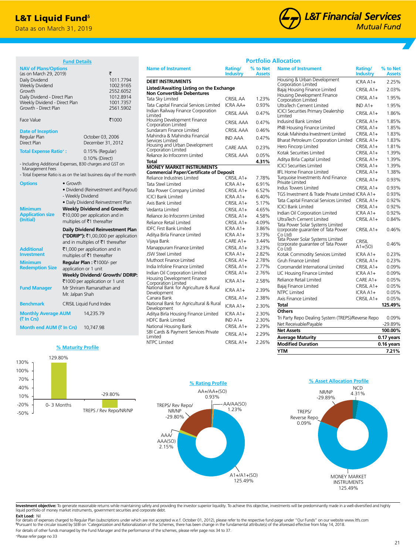## **L&T Liquid Fund**<sup>6</sup>

Data as on March 31, 2019



**% to Net**

**Name of Instrument Rating/** 

**Portfolio Allocation**

|                                                                                                                                                                                                                                         | <u>runu Detans</u>                                                                                                                                                                                                                                                                                                                                       |                                   |                                                                                          |  |
|-----------------------------------------------------------------------------------------------------------------------------------------------------------------------------------------------------------------------------------------|----------------------------------------------------------------------------------------------------------------------------------------------------------------------------------------------------------------------------------------------------------------------------------------------------------------------------------------------------------|-----------------------------------|------------------------------------------------------------------------------------------|--|
| <b>NAV of Plans/Options</b><br>(as on March 29, 2019)<br>Daily Dividend<br>Weekly Dividend<br>Growth<br>Daily Dividend - Direct Plan<br>Weekly Dividend - Direct Plan<br>Growth - Direct Plan<br>Face Value<br><b>Date of Inception</b> |                                                                                                                                                                                                                                                                                                                                                          | October 03, 2006                  | ₹<br>1011.7794<br>1002.9165<br>2552.6052<br>1012.8914<br>1001.7357<br>2561.5902<br>₹1000 |  |
| Regular Plan<br>Direct Plan                                                                                                                                                                                                             |                                                                                                                                                                                                                                                                                                                                                          | December 31, 2012                 |                                                                                          |  |
| <b>Total Expense Ratio<sup>+</sup>:</b><br>- Including Additional Expenses, B30 charges and GST on<br>Management Fees<br>- Total Expense Ratio is as on the last business day of the month                                              |                                                                                                                                                                                                                                                                                                                                                          | 0.15% (Regular)<br>0.10% (Direct) |                                                                                          |  |
| <b>Options</b><br><b>Minimum</b><br><b>Application size</b><br>(Initial)                                                                                                                                                                | $\bullet$ Growth<br>· Dividend (Reinvestment and Payout)<br>- Weekly Dividend<br>· Daily Dividend Reinvestment Plan<br><b>Weekly Dividend and Growth:</b><br>₹10,000 per application and in<br>multiples of ₹1 thereafter                                                                                                                                |                                   |                                                                                          |  |
| <b>Additional</b><br><b>Investment</b><br><b>Minimum</b><br><b>Redemption Size</b><br><b>Fund Manager</b>                                                                                                                               | Daily Dividend Reinvestment Plan<br>("DDRIP"): ₹1,00,000 per application<br>and in multiples of ₹1 thereafter<br>₹1,000 per application and in<br>multiples of ₹1 thereafter<br>Regular Plan: ₹1000/- per<br>application or 1 unit<br>Weekly Dividend/ Growth/ DDRIP:<br>₹1000 per application or 1 unit<br>Mr Shriram Ramanathan and<br>Mr. Jalpan Shah |                                   |                                                                                          |  |
| <b>Benchmark</b>                                                                                                                                                                                                                        |                                                                                                                                                                                                                                                                                                                                                          | CRISIL Liquid Fund Index          |                                                                                          |  |
| <b>Monthly Average AUM</b><br>(₹ In Crs)                                                                                                                                                                                                |                                                                                                                                                                                                                                                                                                                                                          | 14,235.79                         |                                                                                          |  |
| Month end AUM (₹ In Crs)                                                                                                                                                                                                                |                                                                                                                                                                                                                                                                                                                                                          | 10,747.98                         |                                                                                          |  |

**Fund Details**

| <b>Name of Instrument</b>                                                         | Rating/<br><b>Industry</b> | % to Net<br><b>Assets</b> |
|-----------------------------------------------------------------------------------|----------------------------|---------------------------|
| <b>DEBT INSTRUMENTS</b>                                                           |                            |                           |
| Listed/Awaiting Listing on the Exchange                                           |                            |                           |
| <b>Non Convertible Debentures</b>                                                 |                            |                           |
| Tata Sky Limited                                                                  | CRISIL AA                  | 1.23%                     |
| Tata Capital Financial Services Limited                                           | ICRA AA+                   | 0.93%                     |
| Indian Railway Finance Corporation<br>Limited                                     | <b>CRISIL AAA</b>          | 0.47%                     |
| Housing Development Finance<br>Corporation Limited                                | <b>CRISIL AAA</b>          | 0.47%                     |
| Sundaram Finance Limited                                                          | <b>CRISIL AAA</b>          | 0.46%                     |
| Mahindra & Mahindra Financial<br>Services Limited                                 | <b>IND AAA</b>             | 0.47%                     |
| Housing and Urban Development                                                     | CARE AAA                   | 0.23%                     |
| Corporation Limited                                                               |                            |                           |
| Reliance Jio Infocomm Limited                                                     | <b>CRISIL AAA</b>          | 0.05%                     |
| Total                                                                             |                            | 4.31%                     |
| <b>MONEY MARKET INSTRUMENTS</b><br><b>Commercial Paper/Certificate of Deposit</b> |                            |                           |
| Reliance Industries Limited                                                       | CRISIL A1+                 | 7.78%                     |
| Tata Steel Limited                                                                | ICRA A1+                   | 6.91%                     |
| Tata Power Company Limited                                                        | CRISIL A1+                 | 6.52%                     |
| <b>ICICI Bank Limited</b>                                                         | ICRA A1+                   | 6.40%                     |
| Axis Bank Limited                                                                 | CRISIL A1+                 | 5.17%                     |
| Vedanta Limited                                                                   | CRISIL A1+                 | 4.65%                     |
| Reliance Jio Infocomm Limited                                                     | CRISIL A1+                 | 4.58%                     |
| Reliance Retail Limited                                                           | CRISIL A1+                 | 4.09%                     |
| <b>IDFC First Bank Limited</b>                                                    | ICRA A1+                   | 3.86%                     |
| Aditya Birla Finance Limited                                                      | ICRA A1+                   | 3.73%                     |
| Vijaya Bank                                                                       | $CARE A1+$                 | 3.44%                     |
| Manappuram Finance Limited                                                        | CRISIL A1+                 | 3.23%                     |
| <b>JSW Steel Limited</b>                                                          | ICRA A1+                   | 2.82%                     |
| Muthoot Finance Limited                                                           | CRISIL A1+                 | 2.78%                     |
| India Infoline Finance Limited                                                    | CRISIL A1+                 | 2.77%                     |
| Indian Oil Corporation Limited                                                    | CRISIL A1+                 | 2.76%                     |
| Housing Development Finance<br>Corporation Limited                                | ICRA A1+                   | 2.58%                     |
| National Bank for Agriculture & Rural<br>Development                              | $ICRAA1+$                  | 2.39%                     |
| Canara Bank                                                                       | $CRISILA1+$                | 2.38%                     |
| National Bank for Agricultural & Rural<br>Development                             | ICRA A1+                   | 2.30%                     |
| Aditya Birla Housing Finance Limited                                              | ICRA A1+                   | 2.30%                     |
| <b>HDFC Bank Limited</b>                                                          | $INDA1+$                   | 2.30%                     |
| National Housing Bank                                                             | CRISIL A1+                 | 2.29%                     |
| SBI Cards & Payment Services Private<br>Limited                                   | CRISIL A1+                 | 2.29%                     |
| NTPC Limited                                                                      | CRISIL A1+                 | 2.26%                     |

|                                                                                                   | <b>Industry</b>            | <b>Assets</b> |
|---------------------------------------------------------------------------------------------------|----------------------------|---------------|
| Housing & Urban Development<br>Corporation Limited                                                | ICRA A1+                   | 2.25%         |
| Bajaj Housing Finance Limited                                                                     | $CRISILA1+$                | 2.03%         |
| Housing Development Finance<br>Corporation Limited                                                | $CRISILA1+$                | 1.95%         |
| UltraTech Cement Limited                                                                          | $INDA1+$                   | 1.95%         |
| <b>ICICI Securities Primary Dealership</b><br>Limited                                             | CRISIL A1+                 | 1.86%         |
| Indusind Bank Limited                                                                             | CRISIL A1+                 | 1.85%         |
| PNB Housing Finance Limited                                                                       | CRISIL A1+                 | 1.85%         |
| Kotak Mahindra Investment Limited                                                                 | CRISIL A1+                 | 1.83%         |
| Bharat Petroleum Corporation Limited                                                              | CRISIL A1+                 | 1.83%         |
| Hero Fincorp Limited                                                                              | CRISIL A1+                 | 1.81%         |
| Kotak Securities Limited                                                                          | CRISIL A1+                 | 1.39%         |
| Aditya Birla Capital Limited                                                                      | CRISIL A1+                 | 1.39%         |
| <b>ICICI Securities Limited</b>                                                                   | CRISIL A1+                 | 1.39%         |
| <b>IIFL Home Finance Limited</b>                                                                  | CRISIL A1+                 | 1.38%         |
| Turquoise Investments And Finance<br>Private Limited                                              | CRISIL A1+                 | 0.93%         |
| Indus Towers Limited                                                                              | $CRISILA1+$                | 0.93%         |
| TGS Investment & Trade Private Limited ICRA A1+                                                   |                            | 0.93%         |
| Tata Capital Financial Services Limited                                                           | CRISIL A1+                 | 0.92%         |
| <b>ICICI Bank Limited</b>                                                                         | CRISIL A1+                 | 0.92%         |
| Indian Oil Corporation Limited                                                                    | ICRA A1+                   | 0.92%         |
| UltraTech Cement Limited                                                                          | CRISIL A1+                 | 0.84%         |
| Tata Power Solar Systems Limited<br>(corporate guarantee of Tata Power)                           | CRISIL A1+                 | 0.46%         |
| $Co$ $Itd)$<br>Tata Power Solar Systems Limited<br>(corporate guarantee of Tata Power)<br>Co Ltd) | <b>CRISIL</b><br>$A1+(SO)$ | 0.46%         |
| Kotak Commodity Services Limited                                                                  | ICRA A1+                   | 0.23%         |
| Gruh Finance Limited                                                                              | CRISIL A1+                 | 0.23%         |
| Coromandel International Limited                                                                  | CRISIL A1+                 | 0.09%         |
| LIC Housing Finance Limited                                                                       | ICRA A1+                   | 0.09%         |
| Reliance Retail Limited                                                                           | $CAREA1+$                  | 0.05%         |
| Bajaj Finance Limited                                                                             | CRISIL A1+                 | 0.05%         |
| <b>NTPC Limited</b>                                                                               | ICRA A1+                   | 0.05%         |
| Axis Finance Limited                                                                              | CRISIL A1+                 | 0.05%         |
| Total                                                                                             |                            | 125.49%       |
| <b>Others</b>                                                                                     |                            |               |
| Tri Party Repo Dealing System (TREPS)/Reverse Repo                                                |                            | 0.09%         |
| Net Receivable/Payable                                                                            |                            | -29.89%       |
| <b>Net Assets</b>                                                                                 |                            | 100.00%       |
| Average Maturity                                                                                  |                            | 0.17 years    |
| <b>Modified Duration</b>                                                                          |                            | 0.16 years    |

**YTM 7.21%**



**% Maturity Profile**

129.80%



**Investment objective:** To generate reasonable returns while maintaining safety and providing the investor superior liquidity. To achieve this objective, investments will be predominantly made in a well-diversified and hig

**Exit Load:** Nil<br>For details of expenses charged to Regular Plan (subscriptions under which are not accepted w.e.f. October 01, 2012), please refer to the respective fund page under "Our Funds" on our website www.ltfs.com<br> For details of other funds managed by the Fund Manager and the performance of the schemes, please refer page nos 34 to 37.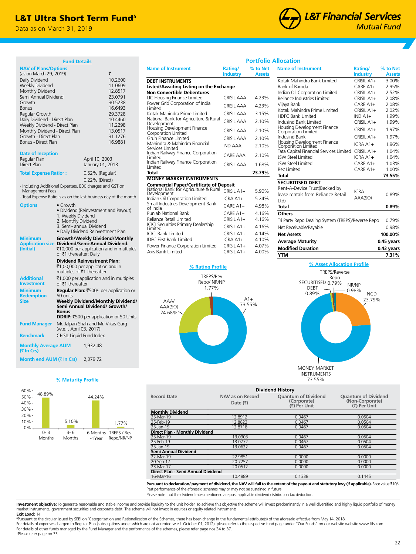## L&T Ultra Short Term Fund<sup>®</sup>

Data as on March 31, 2019

# **L&T Financial Services Mutual Fund**

|                                                                                                                                                                                                                                                                                                                                      | <b>Fund Details</b>                                                                                                                                                                         |                                                                                                       |                                                                                                                                       |  |
|--------------------------------------------------------------------------------------------------------------------------------------------------------------------------------------------------------------------------------------------------------------------------------------------------------------------------------------|---------------------------------------------------------------------------------------------------------------------------------------------------------------------------------------------|-------------------------------------------------------------------------------------------------------|---------------------------------------------------------------------------------------------------------------------------------------|--|
| <b>NAV of Plans/Options</b><br>(as on March 29, 2019)<br>Daily Dividend<br>Weekly Dividend<br>Monthly Dividend<br>Semi Annual Dividend<br>Growth<br><b>Bonus</b><br>Regular Growth<br>Daily Dividend - Direct Plan<br>Weekly Dividend - Direct Plan<br>Monthly Dividend - Direct Plan<br>Growth - Direct Plan<br>Bonus - Direct Plan |                                                                                                                                                                                             |                                                                                                       | ₹<br>10.2600<br>11.0609<br>12.8517<br>23.0791<br>30.5238<br>16.6493<br>29.3728<br>10.4460<br>11.2298<br>13.0517<br>31.1276<br>16.9881 |  |
| <b>Date of Inception</b><br>Regular Plan<br><b>Direct Plan</b>                                                                                                                                                                                                                                                                       |                                                                                                                                                                                             | April 10, 2003<br>January 01, 2013                                                                    |                                                                                                                                       |  |
| <b>Total Expense Ratio*:</b>                                                                                                                                                                                                                                                                                                         |                                                                                                                                                                                             | 0.52% (Regular)                                                                                       |                                                                                                                                       |  |
|                                                                                                                                                                                                                                                                                                                                      | 0.22% (Direct)<br>- Including Additional Expenses, B30 charges and GST on<br>Management Fees<br>- Total Expense Ratio is as on the last business day of the month                           |                                                                                                       |                                                                                                                                       |  |
| <b>Options</b>                                                                                                                                                                                                                                                                                                                       | $\bullet$ Growth<br>1. Weekly Dividend<br>2. Monthly Dividend<br>3. Semi- annual Dividend                                                                                                   | · Dividend (Reinvestment and Payout)<br>· Daily Dividend Reinvestment Plan                            |                                                                                                                                       |  |
| <b>Minimum</b><br><b>Application size</b><br>(Initial)                                                                                                                                                                                                                                                                               | Growth/Weekly Dividend/Monthly<br>Dividend/Semi-Annual Dividend:<br>₹10,000 per application and in multiples<br>of ₹1 thereafter; Daily                                                     |                                                                                                       |                                                                                                                                       |  |
|                                                                                                                                                                                                                                                                                                                                      |                                                                                                                                                                                             | <b>Dividend Reinvestment Plan:</b><br>₹1,00,000 per application and in<br>multiples of ₹1 thereafter. |                                                                                                                                       |  |
| <b>Additional</b><br><b>Investment</b>                                                                                                                                                                                                                                                                                               | of ₹1 thereafter                                                                                                                                                                            |                                                                                                       | ₹1,000 per application and in multiples                                                                                               |  |
| <b>Minimum</b><br><b>Redemption</b><br><b>Size</b>                                                                                                                                                                                                                                                                                   | Regular Plan: ₹500/- per application or<br>50 units<br><b>Weekly Dividend/Monthly Dividend/</b><br>Semi Annual Dividend/ Growth/<br><b>Bonus</b><br>DDRIP: ₹500 per application or 50 Units |                                                                                                       |                                                                                                                                       |  |
| <b>Fund Manager</b>                                                                                                                                                                                                                                                                                                                  | (w.e.f. April 03, 2017)                                                                                                                                                                     | Mr. Jalpan Shah and Mr. Vikas Garg                                                                    |                                                                                                                                       |  |
| <b>Benchmark</b>                                                                                                                                                                                                                                                                                                                     | <b>CRISIL Liquid Fund Index</b>                                                                                                                                                             |                                                                                                       |                                                                                                                                       |  |
| <b>Monthly Average AUM</b><br>(₹ In Crs)                                                                                                                                                                                                                                                                                             |                                                                                                                                                                                             | 1,932.48                                                                                              |                                                                                                                                       |  |

## **% Maturity Profile**

**Month end AUM (₹ In Crs)** 2,379.72



|                                                      |                            | <u>vitiviiv</u>           |
|------------------------------------------------------|----------------------------|---------------------------|
| <b>Name of Instrument</b>                            | Rating/<br><b>Industry</b> | % to Net<br><b>Assets</b> |
| <b>DEBT INSTRUMENTS</b>                              |                            |                           |
| Listed/Awaiting Listing on the Exchange              |                            |                           |
| <b>Non Convertible Debentures</b>                    |                            |                           |
| LIC Housing Finance Limited                          | CRISIL AAA                 | 4.23%                     |
| Power Grid Corporation of India<br>Limited           | CRISIL AAA                 | 4.23%                     |
| Kotak Mahindra Prime Limited                         | <b>CRISIL AAA</b>          | 3.15%                     |
| National Bank for Agriculture & Rural<br>Development | <b>CRISIL AAA</b>          | 2.10%                     |
| Housing Development Finance<br>Corporation Limited   | <b>CRISIL AAA</b>          | 2.10%                     |
| Gruh Finance Limited                                 | <b>CRISIL AAA</b>          | 2.10%                     |
| Mahindra & Mahindra Financial<br>Services Limited    | <b>IND AAA</b>             | 2.10%                     |
| Indian Railway Finance Corporation<br>Limited        | <b>CARE AAA</b>            | 2.10%                     |
| Indian Railway Finance Corporation<br>Limited        | <b>CRISIL AAA</b>          | 1.68%                     |
| Total                                                |                            | 23.79%                    |
| <b>MONEY MARKET INSTRUMENTS</b>                      |                            |                           |
| <b>Commercial Paper/Certificate of Deposit</b>       |                            |                           |
| National Bank for Agriculture & Rural<br>Development | CRISIL A1+                 | 5.90%                     |
| Indian Oil Corporation Limited                       | $ICRAA1+$                  | 5.24%                     |
| Small Industries Development Bank<br>of India        | $CAREA1+$                  | 4.98%                     |
| Punjab National Bank                                 | $CAREA1+$                  | 4.16%                     |
| Reliance Retail Limited                              | $CRISILA1+$                | 4.16%                     |
| ICICI Securities Primary Dealership<br>Limited       | $CRISILA1+$                | 4.16%                     |
| <b>ICICI Bank Limited</b>                            | $CRISILA1+$                | 4.14%                     |
| <b>IDFC First Bank Limited</b>                       | ICRA A1+                   | 4.10%                     |
| Power Finance Corporation Limited                    | $CRISILA1+$                | 4.07%                     |
| Axis Bank Limited                                    | CRISIL A1+                 | 4.00%                     |



| % to Net<br><b>Assets</b> | <b>Name of Instrument</b>                                                                                           | Rating/<br><b>Industry</b>                                                                                                                                                                                                   | % to Net<br><b>Assets</b>                                                                                                              |
|---------------------------|---------------------------------------------------------------------------------------------------------------------|------------------------------------------------------------------------------------------------------------------------------------------------------------------------------------------------------------------------------|----------------------------------------------------------------------------------------------------------------------------------------|
|                           | Kotak Mahindra Bank Limited                                                                                         | $CRISILA1+$                                                                                                                                                                                                                  | 3.00%                                                                                                                                  |
|                           | <b>Bank of Baroda</b>                                                                                               | $CAREA1+$                                                                                                                                                                                                                    | 2.95%                                                                                                                                  |
|                           | Indian Oil Corporation Limited                                                                                      | $CRISILA1+$                                                                                                                                                                                                                  | 2.52%                                                                                                                                  |
|                           | Reliance Industries Limited                                                                                         | $CRISILA1+$                                                                                                                                                                                                                  | 2.08%                                                                                                                                  |
| 4.23%                     | Vijaya Bank                                                                                                         | $CAREA1+$                                                                                                                                                                                                                    | 2.08%                                                                                                                                  |
|                           |                                                                                                                     |                                                                                                                                                                                                                              | 2.02%                                                                                                                                  |
|                           |                                                                                                                     |                                                                                                                                                                                                                              | 1.99%                                                                                                                                  |
|                           |                                                                                                                     |                                                                                                                                                                                                                              | 1.99%                                                                                                                                  |
| 2.10%                     |                                                                                                                     | $CRISIL A1+$                                                                                                                                                                                                                 | 1.97%                                                                                                                                  |
|                           | Indusind Bank                                                                                                       | $CRISIL A1+$                                                                                                                                                                                                                 | 1.97%                                                                                                                                  |
|                           |                                                                                                                     | $ICRAA1+$                                                                                                                                                                                                                    | 1.96%                                                                                                                                  |
|                           | Tata Capital Financial Services Limited                                                                             |                                                                                                                                                                                                                              | 1.04%                                                                                                                                  |
|                           | <b>ISW Steel Limited</b>                                                                                            | $ICRAA1+$                                                                                                                                                                                                                    | 1.04%                                                                                                                                  |
|                           | <b>ISW Steel Limited</b>                                                                                            | $CAREA1+$                                                                                                                                                                                                                    | 1.03%                                                                                                                                  |
|                           | Rec Limited                                                                                                         | $CAREA1+$                                                                                                                                                                                                                    | 1.00%                                                                                                                                  |
|                           | <b>Total</b>                                                                                                        |                                                                                                                                                                                                                              | 73.55%                                                                                                                                 |
|                           | <b>SECURITISED DEBT</b>                                                                                             |                                                                                                                                                                                                                              |                                                                                                                                        |
|                           | Rent-A-Device Trust(Backed by                                                                                       |                                                                                                                                                                                                                              |                                                                                                                                        |
|                           | lease rentals from Reliance Retail                                                                                  |                                                                                                                                                                                                                              | 0.89%                                                                                                                                  |
|                           | Ltd)                                                                                                                |                                                                                                                                                                                                                              |                                                                                                                                        |
|                           | <b>Total</b>                                                                                                        |                                                                                                                                                                                                                              | 0.89%                                                                                                                                  |
| 4.16%                     | Others                                                                                                              |                                                                                                                                                                                                                              |                                                                                                                                        |
| 4.16%                     |                                                                                                                     |                                                                                                                                                                                                                              | 0.79%                                                                                                                                  |
| 4.16%                     | Net Receivable/Payable                                                                                              |                                                                                                                                                                                                                              | 0.98%                                                                                                                                  |
| 4.14%                     | <b>Net Assets</b>                                                                                                   |                                                                                                                                                                                                                              | 100.00%                                                                                                                                |
| 4.10%                     | <b>Average Maturity</b>                                                                                             |                                                                                                                                                                                                                              | 0.45 years                                                                                                                             |
|                           | <b>Modified Duration</b>                                                                                            |                                                                                                                                                                                                                              | 0.43 years                                                                                                                             |
|                           | <b>YTM</b>                                                                                                          |                                                                                                                                                                                                                              | 7.31%                                                                                                                                  |
|                           | 4.23%<br>3.15%<br>2.10%<br>2.10%<br>2.10%<br>2.10%<br>1.68%<br>23.79%<br>5.90%<br>5 2 4%<br>4.98%<br>4.07%<br>4.00% | <b>Portfolio Allocation</b><br>Kotak Mahindra Prime Limited<br><b>HDFC Bank Limited</b><br>Indusind Bank Limited<br>Housing Development Finance<br>Corporation Limited<br>Housing Development Finance<br>Corporation Limited | $CRISILA1+$<br>$INDA1+$<br>$CRISILA1+$<br>$CRISIL A1+$<br><b>ICRA</b><br>AAA(SO)<br>Tri Party Repo Dealing System (TREPS)/Reverse Repo |



| <b>Dividend History</b>                                                                                                                                         |                                      |                                                           |                                                               |  |  |  |
|-----------------------------------------------------------------------------------------------------------------------------------------------------------------|--------------------------------------|-----------------------------------------------------------|---------------------------------------------------------------|--|--|--|
| <b>Record Date</b>                                                                                                                                              | NAV as on Record<br>Date $(\bar{x})$ | <b>Ouantum of Dividend</b><br>(Corporate)<br>(₹) Per Unit | <b>Ouantum of Dividend</b><br>(Non-Corporate)<br>(₹) Per Unit |  |  |  |
| <b>Monthly Dividend</b>                                                                                                                                         |                                      |                                                           |                                                               |  |  |  |
| 25-Mar-19                                                                                                                                                       | 12.8912                              | 0.0467                                                    | 0.0504                                                        |  |  |  |
| 25-Feb-19                                                                                                                                                       | 12.8823                              | 0.0467                                                    | 0.0504                                                        |  |  |  |
| 25-Jan-19                                                                                                                                                       | 12.8718                              | 0.0467                                                    | 0.0504                                                        |  |  |  |
| Direct Plan - Monthly Dividend                                                                                                                                  |                                      |                                                           |                                                               |  |  |  |
| 25-Mar-19                                                                                                                                                       | 13.0903                              | 0.0467                                                    | 0.0504                                                        |  |  |  |
| 25-Feb-19                                                                                                                                                       | 13.0772                              | 0.0467                                                    | 0.0504                                                        |  |  |  |
| 25-Jan-19                                                                                                                                                       | 13.0622                              | 0.0467                                                    | 0.0504                                                        |  |  |  |
| <b>Semi Annual Dividend</b>                                                                                                                                     |                                      |                                                           |                                                               |  |  |  |
| 22-Mar-19                                                                                                                                                       | 22.9851                              | 0.0000                                                    | 0.0000                                                        |  |  |  |
| 20-Sep-17                                                                                                                                                       | 20.7257                              | 0.0000                                                    | 0.0000                                                        |  |  |  |
| 23-Mar-17                                                                                                                                                       | 20.0512                              | 0.0000                                                    | 0.0000                                                        |  |  |  |
|                                                                                                                                                                 | Direct Plan - Semi Annual Dividend   |                                                           |                                                               |  |  |  |
| 16-Mar-16                                                                                                                                                       | 10.4889                              | 0.1338                                                    | 0.1445                                                        |  |  |  |
| ursuant to declaration/ payment of dividend, the NAV will fall to the extent of the payout and statutory levy (if applicable). Eace value $\bar{\epsilon}$ 10/- |                                      |                                                           |                                                               |  |  |  |

**Pursuant to declaration/ payment of dividend, the NAV will fall to the extent of the payout and statutory levy (if applicable).** Face value₹10/-.<br>Past performance of the aforesaid schemes may or may not be sustained in f Please note that the dividend rates mentioned are post applicable dividend distribution tax deduction.

Investment objective: To generate reasonable and stable income and provide liquidity to the unit holder. To achieve this objective the scheme will invest predominantly in a well diversified and highly liquid portfolio of m

market instruments, government securities and corporate debt. The scheme will not invest in equities or equity related instruments **Exit Load:** Nil ᵟPursuant to the circular issued by SEBI on 'Categorization and Rationalization of the Schemes, there has been change in the fundamental attribute(s) of the aforesaid effective from May 14, 2018.

For details of expenses charged to Regular Plan (subscriptions under which are not accepted w.e.f. October 01, 2012), please refer to the respective fund page under "Our Funds" on our website website www.ltfs.com<br>For detai +Please refer page no 33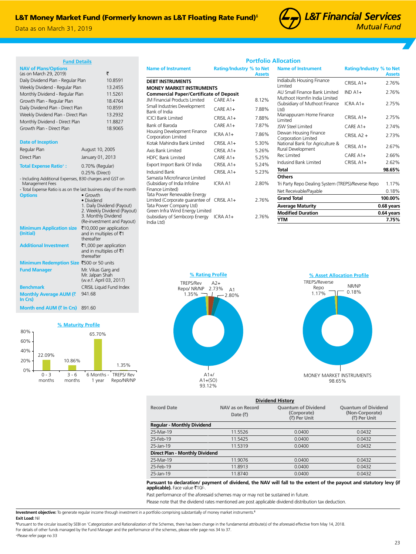India Ltd)

Data as on March 31, 2019



**Portfolio Allocation**

| <b>Fund Details</b> |  |
|---------------------|--|
|                     |  |

| <b>NAV of Plans/Options</b><br>(as on March 29, 2019) |                 | ₹       |
|-------------------------------------------------------|-----------------|---------|
| Daily Dividend Plan - Regular Plan                    |                 | 10.8591 |
| Weekly Dividend - Regular Plan                        |                 | 13.2455 |
| Monthly Dividend - Regular Plan                       |                 | 11.5261 |
| Growth Plan - Regular Plan                            |                 | 18.4764 |
| Daily Dividend Plan - Direct Plan                     |                 | 10.8591 |
| Weekly Dividend Plan - Direct Plan                    |                 | 13.2932 |
| Monthly Dividend - Direct Plan                        |                 | 11.8827 |
| Growth Plan - Direct Plan                             |                 | 18.9065 |
|                                                       |                 |         |
| <b>Date of Inception</b>                              |                 |         |
| Regular Plan                                          | August 10, 2005 |         |

| Regular Plan                                 | August 10, 2005                                                                  |
|----------------------------------------------|----------------------------------------------------------------------------------|
| Direct Plan                                  | January 01, 2013                                                                 |
| <b>Total Expense Ratio+:</b>                 | 0.70% (Regular)                                                                  |
|                                              | 0.25% (Direct)                                                                   |
| Management Fees                              | - Including Additional Expenses, B30 charges and GST on                          |
|                                              | - Total Expense Ratio is as on the last business day of the month                |
| <b>Options</b>                               | $\bullet$ Growth                                                                 |
|                                              | • Dividend                                                                       |
|                                              | 1. Daily Dividend (Payout)<br>2. Weekly Dividend (Payout)<br>3. Monthly Dividend |
|                                              | (Re-investment and Payout)                                                       |
| <b>Minimum Application size</b><br>(Initial) | ₹10,000 per application<br>and in multiples of ₹1<br>thereafter                  |
| <b>Additional Investment</b>                 | ₹1,000 per application<br>and in multiples of $\bar{z}$ 1<br>thereafter          |
| Minimum Redemption Size ₹500 or 50 units     |                                                                                  |
| <b>Fund Manager</b>                          | Mr. Vikas Garg and<br>Mr. Jalpan Shah<br>(w.e.f. April 03, 2017)                 |
| <b>Benchmark</b>                             | <b>CRISIL Liquid Fund Index</b>                                                  |
| Monthly Average AUM (₹<br>In Crs)            | 941.68                                                                           |
| Month end AUM (₹ In Crs)                     | 891.60                                                                           |
|                                              |                                                                                  |

**% Maturity Profile**

65.70%

1.35%

Repo/NR/NP

6 Months - TREPS/ Rev 1 year

10.86%

3 - 6 months

22.09%

0 - 3 months

 $0%$ 20% 40% 60% 80%

| <b>Name of Instrument</b>                                                                 | <b>Rating/Industry % to Net</b> | <b>Assets</b> |
|-------------------------------------------------------------------------------------------|---------------------------------|---------------|
| <b>DEBT INSTRUMENTS</b>                                                                   |                                 |               |
| <b>MONEY MARKET INSTRUMENTS</b>                                                           |                                 |               |
| <b>Commercial Paper/Certificate of Deposit</b>                                            |                                 |               |
| <b>JM Financial Products Limited</b>                                                      | $CAREA1+$                       | 8.12%         |
| Small Industries Development<br>Bank of India                                             | $CAREA1+$                       | 7.88%         |
| <b>ICICI Bank Limited</b>                                                                 | $CRISIL A1+$                    | 7.88%         |
| Bank of Baroda                                                                            | $CAREA1+$                       | 7.87%         |
| Housing Development Finance<br>Corporation Limited                                        | $ICRAA1+$                       | 7.86%         |
| Kotak Mahindra Bank Limited                                                               | $CRISILA1+$                     | 5.30%         |
| Axis Bank Limited                                                                         | $CRISILA1+$                     | 5.26%         |
| <b>HDFC Bank Limited</b>                                                                  | $CAREA1+$                       | 5.25%         |
| Export Import Bank Of India                                                               | $CRISILA1+$                     | 5.24%         |
| Indusind Bank                                                                             | $CRISILA1+$                     | 5.23%         |
| Samasta Microfinance Limited<br>(Subsidiary of India Infoline<br>Finance Limited)         | ICRA A1                         | 2.80%         |
| Tata Power Renewable Energy<br>Limited (Corporate guarantee of<br>Tata Power Company Ltd) | CRISIL A1+                      | 2.76%         |
| Green Infra Wind Energy Limited<br>(subsidiary of Sembcorp Energy                         | ICRA A1+                        | 2.76%         |

| <b>Name of Instrument</b>                                      | <b>Rating/Industry % to Net</b> | <b>Assets</b> |
|----------------------------------------------------------------|---------------------------------|---------------|
| Indiabulls Housing Finance<br>I imited                         | $CRISII A1+$                    | 2.76%         |
| ALL Small Finance Bank Limited<br>Muthoot Homfin India Limited | $INDA1+$                        | 2.76%         |
| (Subsidiary of Muthoot Finance<br>Ltd)                         | ICRA A1+                        | 2.75%         |
| Manappuram Home Finance<br>I imited                            | $CRISII A1+$                    | 2.75%         |
| <b>ISW Steel Limited</b>                                       | $C$ ARF A1+                     | 2.74%         |
| Dewan Housing Finance<br>Corporation Limited                   | $CRISIL A2 +$                   | 2.73%         |
| National Bank for Agriculture &<br>Rural Development           | $CRISII A1+$                    | 2.67%         |
| Rec Limited                                                    | $C$ ARF A1+                     | 2.66%         |
| Indusind Bank Limited                                          | $CRISII A1+$                    | 2.62%         |
| Total                                                          |                                 | 98.65%        |
| Others                                                         |                                 |               |
| Tri Party Repo Dealing System (TREPS)/Reverse Repo             |                                 | 1.17%         |
| Net Receivable/Payable                                         |                                 | 0.18%         |
| <b>Grand Total</b>                                             |                                 | 100.00%       |
| <b>Average Maturity</b>                                        |                                 | 0.68 years    |
| <b>Modified Duration</b>                                       |                                 | 0.64 years    |
| YTM                                                            |                                 | 7.75%         |





| <b>Dividend History</b>           |                                      |                                                           |                                                               |  |  |  |
|-----------------------------------|--------------------------------------|-----------------------------------------------------------|---------------------------------------------------------------|--|--|--|
| <b>Record Date</b>                | NAV as on Record<br>Date $(\bar{x})$ | <b>Ouantum of Dividend</b><br>(Corporate)<br>(₹) Per Unit | <b>Ouantum of Dividend</b><br>(Non-Corporate)<br>( ) Per Unit |  |  |  |
| <b>Regular - Monthly Dividend</b> |                                      |                                                           |                                                               |  |  |  |
| 25-Mar-19                         | 11.5526                              | 0.0400                                                    | 0.0432                                                        |  |  |  |
| 25-Feb-19                         | 11.5425                              | 0.0400                                                    | 0.0432                                                        |  |  |  |
| 25-Jan-19                         | 11.5319                              | 0.0400                                                    | 0.0432                                                        |  |  |  |
| Direct Plan - Monthly Dividend    |                                      |                                                           |                                                               |  |  |  |
| 25-Mar-19                         | 11.9076                              | 0.0400                                                    | 0.0432                                                        |  |  |  |
| 25-Feb-19                         | 11.8913                              | 0.0400                                                    | 0.0432                                                        |  |  |  |
| 25-Jan-19                         | 11.8740                              | 0.0400                                                    | 0.0432                                                        |  |  |  |

## **Pursuant to declaration/ payment of dividend, the NAV will fall to the extent of the payout and statutory levy (if applicable).** Face value ₹10/-.

Past performance of the aforesaid schemes may or may not be sustained in future.

Please note that the dividend rates mentioned are post applicable dividend distribution tax deduction.

**Investment objective:** To generate regular income through investment in a portfolio comprising substantially of money market instruments.ᵟ **Exit Load:** Nil

ᵟPursuant to the circular issued by SEBI on 'Categorization and Rationalization of the Schemes, there has been change in the fundamental attribute(s) of the aforesaid effective from May 14, 2018. For details of other funds managed by the Fund Manager and the performance of the schemes, please refer page nos 34 to 37.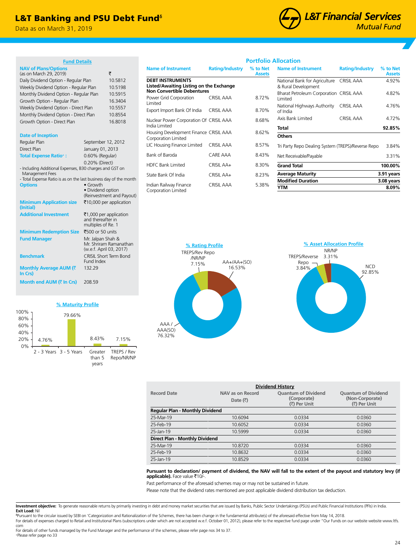## L&T Banking and PSU Debt Fund<sup>®</sup>

Data as on March 31, 2019



| <b>Fund Details</b>                                                                                                                                                                    |                                         |                                                     |                                                                                                |
|----------------------------------------------------------------------------------------------------------------------------------------------------------------------------------------|-----------------------------------------|-----------------------------------------------------|------------------------------------------------------------------------------------------------|
| <b>NAV of Plans/Options</b><br>(as on March 29, 2019)                                                                                                                                  |                                         | ₹                                                   | <b>Name of Instrumer</b>                                                                       |
| Daily Dividend Option - Regular Plan<br>Weekly Dividend Option - Regular Plan                                                                                                          |                                         | 10.5812<br>10.5198                                  | <b>DEBT INSTRUMENT</b><br><b>Listed/Awaiting Lis</b><br>Non Convertible D                      |
| Monthly Dividend Option - Regular Plan<br>Growth Option - Regular Plan<br>Weekly Dividend Option - Direct Plan<br>Monthly Dividend Option - Direct Plan<br>Growth Option - Direct Plan |                                         | 10.5915<br>16.3404<br>10.5557<br>10.8554<br>16.8018 | Power Grid Corporat<br>Limited<br>Export Import Bank O<br>Nuclear Power Corpo<br>India Limited |
| <b>Date of Inception</b><br>Regular Plan<br>Direct Plan                                                                                                                                | September 12, 2012<br>January 01, 2013  |                                                     | Housing Developmer<br>Corporation Limited<br>LIC Housing Finance                               |
| <b>Total Expense Ratio+:</b>                                                                                                                                                           | 0.60% (Regular)                         |                                                     | Bank of Baroda                                                                                 |
| - Including Additional Expenses, B30 charges and GST on<br>Management Fees                                                                                                             | 0.20% (Direct)                          |                                                     | <b>HDFC Bank Limited</b>                                                                       |
| - Total Expense Ratio is as on the last business day of the month                                                                                                                      |                                         |                                                     | State Bank Of India                                                                            |
| <b>Options</b>                                                                                                                                                                         | $\bullet$ Growth<br>· Dividend option   | (Reinvestment and Payout)                           | Indian Railway Finano<br>Corporation Limited                                                   |
| <b>Minimum Application size</b><br>(Initial)                                                                                                                                           |                                         | ₹10,000 per application                             |                                                                                                |
| <b>Additional Investment</b>                                                                                                                                                           | and thereafter in<br>multiples of Re. 1 | ₹1,000 per application                              |                                                                                                |
| <b>Minimum Redemption Size</b>                                                                                                                                                         | ₹500 or 50 units                        |                                                     |                                                                                                |
| <b>Fund Manager</b>                                                                                                                                                                    | Mr. Jalpan Shah &                       | Mr. Shriram Ramanathan<br>(w.e.f. April 03, 2017)   | ٩<br><b>TRI</b>                                                                                |
| <b>Benchmark</b>                                                                                                                                                                       | Fund Index                              | CRISIL Short Term Bond                              |                                                                                                |
| Monthly Average AUM (₹<br>In Crs)                                                                                                                                                      | 132.29                                  |                                                     |                                                                                                |

## **% Maturity Profile**

**Month end AUM (₹ In Crs)** 208.59



|                                                                    |                        | <b>Portfolio Allocation</b> |                                |
|--------------------------------------------------------------------|------------------------|-----------------------------|--------------------------------|
| <b>Name of Instrument</b>                                          | <b>Rating/Industry</b> | % to Net<br><b>Assets</b>   | <b>Name of Ir</b>              |
| <b>DEBT INSTRUMENTS</b><br>Listed/Awaiting Listing on the Exchange |                        |                             | National Ba<br>& Rural Dev     |
| <b>Non Convertible Debentures</b><br>Power Grid Corporation        | CRISIL AAA             | 8.72%                       | <b>Bharat Petro</b><br>Limited |
| Limited<br>Export Import Bank Of India                             | CRISIL AAA             | 8.70%                       | National Hio<br>of India       |
| Nuclear Power Corporation Of CRISIL AAA                            |                        | 8.68%                       | Axis Bank Li                   |
| India Limited<br>Housing Development Finance CRISIL AAA            |                        | 8.62%                       | Total                          |
| Corporation Limited                                                |                        |                             | <b>Others</b>                  |
| LIC Housing Finance Limited                                        | CRISIL AAA             | 8.57%                       | Tri Party Rep                  |
| Bank of Baroda                                                     | CARE AAA               | 8.43%                       | Net Receiva                    |
| <b>HDFC Bank Limited</b>                                           | CRISIL AA+             | 8.30%                       | <b>Grand Tota</b>              |
| State Bank Of India                                                | CRISIL AA+             | 8.23%                       | Average M                      |
| Indian Railway Finance<br>Cornoration Limited                      | <b>CRISIL AAA</b>      | 5.38%                       | <b>Modified L</b><br>YTM       |

| <b>Rating/Industry</b>                             | % to Net<br><b>Assets</b> |
|----------------------------------------------------|---------------------------|
| National Bank for Agriculture CRISIL AAA           | 4.92%                     |
| Bharat Petroleum Corporation CRISIL AAA            | 4.82%                     |
| CRISIL AAA                                         | 4.76%                     |
| CRISIL AAA                                         | 4.72%                     |
|                                                    | 92.85%                    |
|                                                    |                           |
| Tri Party Repo Dealing System (TREPS)/Reverse Repo | 3.84%                     |
|                                                    | 3.31%                     |
|                                                    | 100.00%                   |
|                                                    | 3.91 years                |
|                                                    | 3.08 years                |
|                                                    | 8.09%                     |
|                                                    |                           |





| <b>Dividend History</b> |                                        |                             |                                 |  |  |
|-------------------------|----------------------------------------|-----------------------------|---------------------------------|--|--|
| <b>Record Date</b>      | NAV as on Record                       | <b>Quantum of Dividend</b>  | <b>Quantum of Dividend</b>      |  |  |
|                         | Date $(\bar{\bar{z}})$                 | (Corporate)<br>(₹) Per Unit | (Non-Corporate)<br>( ) Per Unit |  |  |
|                         | <b>Regular Plan - Monthly Dividend</b> |                             |                                 |  |  |
| 25-Mar-19               | 10.6094                                | 0.0334                      | 0.0360                          |  |  |
| 25-Feb-19               | 10.6052                                | 0.0334                      | 0.0360                          |  |  |
| 25-Jan-19               | 10.5999                                | 0.0334                      | 0.0360                          |  |  |
|                         | Direct Plan - Monthly Dividend         |                             |                                 |  |  |
| 25-Mar-19               | 10.8720                                | 0.0334                      | 0.0360                          |  |  |
| 25-Feb-19               | 10.8632                                | 0.0334                      | 0.0360                          |  |  |
| 25-Jan-19               | 10.8529                                | 0.0334                      | 0.0360                          |  |  |
|                         |                                        |                             |                                 |  |  |

## **Pursuant to declaration/ payment of dividend, the NAV will fall to the extent of the payout and statutory levy (if**  applicable). Face value ₹10/-

Past performance of the aforesaid schemes may or may not be sustained in future.

Please note that the dividend rates mentioned are post applicable dividend distribution tax deduction.

Investment objective: To generate reasonable returns by primarily investing in debt and money market securities that are issued by Banks, Public Sector Undertakings (PSUs) and Public Financial Institutions (PFIs) in India.

**Exit Load:** Nil<br><sup>s</sup>Pursuant to the circular issued by SEBI on 'Categorization and Rationalization of the Schemes, there has been change in the fundamental attribute(s) of the aforesaid effective from May 14, 2018. For details of expenses charged to Retail and Institutional Plans (subscriptions under which are not accepted w.e.f. October 01, 2012), please refer to the respective fund page under "Our Funds on our website website www.l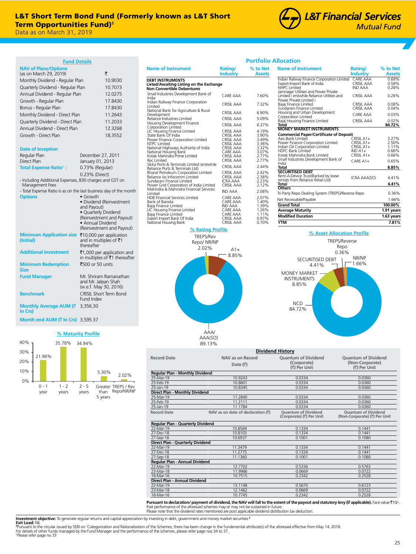## L&T Short Term Bond Fund (Formerly known as L&T Short Term Opportunities Fund)<sup>®</sup>

Data as on March 31, 2019 Data as on March 31, 2019

| <b>Fund Details</b><br><b>NAV of Plans/Options</b>                         |                                                   |                               |
|----------------------------------------------------------------------------|---------------------------------------------------|-------------------------------|
| (as on March 29, 2019)                                                     |                                                   | ₹                             |
| Monthly Dividend - Regular Plan                                            |                                                   | 10.9030                       |
| Quarterly Dividend - Regular Plan                                          |                                                   | 10.7073                       |
| Annual Dividend - Regular Plan                                             |                                                   | 12.0275                       |
| Growth - Regular Plan                                                      |                                                   | 17.8430                       |
| Bonus - Regular Plan                                                       |                                                   | 17.8430                       |
| Monthly Dividend - Direct Plan                                             |                                                   | 11.2643                       |
| Quarterly Dividend - Direct Plan                                           |                                                   | 11.2033                       |
| Annual Dividend - Direct Plan                                              |                                                   | 12.3268                       |
| Growth - Direct Plan                                                       |                                                   | 18.3552                       |
|                                                                            |                                                   |                               |
| <b>Date of Inception</b>                                                   |                                                   |                               |
| Regular Plan                                                               | December 27, 2011                                 |                               |
| Direct Plan                                                                | January 01, 2013                                  |                               |
| <b>Total Expense Ratio<sup>+</sup>:</b>                                    | 0.73% (Regular)                                   |                               |
|                                                                            | 0.23% (Direct)                                    |                               |
| - Including Additional Expenses, B30 charges and GST on<br>Management Fees |                                                   |                               |
| - Total Expense Ratio is as on the last business day of the month          |                                                   |                               |
| <b>Options</b>                                                             | • Growth                                          |                               |
|                                                                            | and Payout)                                       | · Dividend (Reinvestment      |
|                                                                            | · Quarterly Dividend                              |                               |
|                                                                            |                                                   | (Reinvestment and Payout)     |
|                                                                            | • Annual Dividend                                 |                               |
| <b>Minimum Application size</b>                                            |                                                   | (Reinvestment and Payout)     |
| (Initial)                                                                  | ₹10,000 per application<br>and in multiples of ₹1 |                               |
|                                                                            | thereafter                                        |                               |
| <b>Additional Investment</b>                                               |                                                   | ₹1,000 per application and    |
|                                                                            |                                                   | in multiples of ₹1 thereafter |
| <b>Minimum Redemption</b><br>Size                                          | ₹500 or 50 units                                  |                               |
| <b>Fund Manager</b>                                                        | Mr. Shriram Ramanathan                            |                               |
|                                                                            | and Mr. Jalpan Shah                               |                               |
|                                                                            | (w.e.f. May 30, 2016)                             |                               |
| <b>Benchmark</b>                                                           | <b>CRISIL Short Term Bond</b><br>Fund Index       |                               |
| Monthly Average AUM (₹                                                     | 3,356.30                                          |                               |
|                                                                            |                                                   |                               |

**In Crs) Month end AUM (**` **In Crs)** 3,595.37

## **% Maturity Profile** 21.96% 35.78% 34.94% 5.30% 2.02% 10% 20% 30% 40%



| <b>Name of Instrument</b>                                                                                                                                                                                                                                                                                                                                                                                                                                                                     | Rating/<br><b>Industry</b>                                                                                                                                                            | % to Net<br><b>Assets</b>                                                                                         |
|-----------------------------------------------------------------------------------------------------------------------------------------------------------------------------------------------------------------------------------------------------------------------------------------------------------------------------------------------------------------------------------------------------------------------------------------------------------------------------------------------|---------------------------------------------------------------------------------------------------------------------------------------------------------------------------------------|-------------------------------------------------------------------------------------------------------------------|
| <b>DEBT INSTRUMENTS</b><br>Listed/Awaiting Listing on the Exchange<br>Non Convertible Debentures                                                                                                                                                                                                                                                                                                                                                                                              |                                                                                                                                                                                       |                                                                                                                   |
| Small Industries Development Bank of<br>India                                                                                                                                                                                                                                                                                                                                                                                                                                                 | CARF AAA                                                                                                                                                                              | 7.60%                                                                                                             |
| Indian Railway Finance Corporation<br>I imited                                                                                                                                                                                                                                                                                                                                                                                                                                                | CRISII AAA                                                                                                                                                                            | 7.32%                                                                                                             |
| National Bank for Agriculture & Rural<br>Development                                                                                                                                                                                                                                                                                                                                                                                                                                          | CRISII AAA                                                                                                                                                                            | 6.90%                                                                                                             |
| Reliance Industries Limited                                                                                                                                                                                                                                                                                                                                                                                                                                                                   | CRISII AAA                                                                                                                                                                            | 5.09%                                                                                                             |
| Housing Development Finance                                                                                                                                                                                                                                                                                                                                                                                                                                                                   | CRISII AAA                                                                                                                                                                            | 6.37%                                                                                                             |
| Corporation Limited<br>LIC Housing Finance Limited<br>State Bank Of India<br>Power Finance Corporation Limited<br><b>NTPC Limited</b><br>National Highways Authority of India<br>National Housing Bank<br>Kotak Mahindra Prime Limited<br><b>Rec Limited</b><br>Sikka Ports & Terminals Limited (erstwhile<br>Reliance Ports & Terminals Ltd)<br>Bharat Petroleum Corporation Limited<br>Reliance Jio Infocomm Limited<br>Sundaram Finance Limited<br>Power Grid Corporation of India Limited | CRISIL AAA<br>CRISIL AAA<br>CRISIL AAA<br>CRISIL AAA<br>CRISIL AAA<br>CARE AAA<br>CRISIL AAA<br>CRISIL AAA<br>CRISIL AAA<br>CRISIL AAA<br>CRISIL AAA<br><b>ICRA AAA</b><br>CRISII AAA | 4.19%<br>3.90%<br>3.49%<br>3.36%<br>3.32%<br>3.07%<br>2.77%<br>2.77%<br>2.44%<br>2.42%<br>2.38%<br>2.23%<br>2.12% |
| Mahindra & Mahindra Financial Services<br>I imited                                                                                                                                                                                                                                                                                                                                                                                                                                            | IND AAA                                                                                                                                                                               | 2.08%                                                                                                             |
| <b>HDB Financial Services Limited</b><br>Bank of Baroda<br>Bajaj Finance Limited<br>LIC Housing Finance Limited<br>Bajaj Finance Limited<br>Export Import Bank Of India<br>National Housing Bank                                                                                                                                                                                                                                                                                              | CARE AAA<br>CARE AAA<br><b>IND AAA</b><br>CARE AAA<br>CARE AAA<br>CRISIL AAA<br>CRISIL AAA                                                                                            | 2.07%<br>1.40%<br>1.39%<br>1.26%<br>1.11%<br>0.97%<br>0.70%                                                       |





## **Portfolio Allocation**

| <b>Name of Instrument</b>                                           | Rating/                      | % to Net       |
|---------------------------------------------------------------------|------------------------------|----------------|
|                                                                     | Industry                     | <b>Assets</b>  |
| Indian Railway Finance Corporation Limited                          | <b>CARF AAA</b>              | 0.69%          |
| Export-Import Bank of India<br>NHPC I imited                        | CRISII AAA<br><b>IND AAA</b> | 0.58%          |
| Jamnagar Utilities and Power Private                                |                              | 0.28%          |
| Limited (erstwhile Reliance Utilities and                           | CRISII AAA                   | 0.28%          |
| Power Private Limited )                                             |                              |                |
| Bajaj Finance Limited                                               | CRISII AAA                   | 0.08%          |
| Sundaram Finance Limited<br>Housing and Urban Development           | CRISII AAA                   | 0.04%          |
| Corporation Limited                                                 | CARF AAA                     | 0.03%          |
| Bajaj Housing Finance Limited                                       | CRISII AAA                   | 0.02%          |
| Total                                                               |                              | 84.72%         |
| <b>MONEY MARKET INSTRUMENTS</b>                                     |                              |                |
| <b>Commercial Paper/Certificate of Deposit</b><br>Axis Bank Limited |                              |                |
| Power Finance Corporation Limited                                   | $CRISII$ $A1+$<br>CRISIL A1+ | 3.27%<br>2.50% |
| Indian Oil Corporation Limited                                      | CRISIL A1+                   | 1.11%          |
| <b>HDFC Bank Limited</b>                                            | $INDA1+$                     | 0.66%          |
| Kotak Mahindra Bank Limited                                         | $CRISII A1+$                 | 0.66%          |
| Small Industries Development Bank of<br>India                       | $CARF A1+$                   | 0.65%          |
| <b>Total</b>                                                        |                              | 8.85%          |
| <b>SECURITISED DEBT</b>                                             |                              |                |
| Rent-A-Device Trust(Backed by lease                                 | <b>ICRA AAA(SO)</b>          | 4.41%          |
| rentals from Reliance Retail Ltd)<br><b>Total</b>                   |                              | 4.41%          |
| <b>Others</b>                                                       |                              |                |
| Tri Party Repo Dealing System (TREPS)/Reverse Repo                  |                              | 0.36%          |
| Net Receivable/Payable                                              |                              | 1.66%          |
| <b>Grand Total</b>                                                  |                              | 100.00%        |
| <b>Average Maturity</b>                                             |                              | 1.91 years     |
| <b>Modified Duration</b>                                            |                              | 1.63 years     |
| <b>YTM</b>                                                          |                              | 7.81%          |



| <b>Dividend History</b>                  |                                   |                                                        |                                                            |  |  |
|------------------------------------------|-----------------------------------|--------------------------------------------------------|------------------------------------------------------------|--|--|
| <b>Record Date</b>                       | NAV as on Record                  | <b>Ouantum of Dividend</b>                             | <b>Ouantum of Dividend</b>                                 |  |  |
|                                          | Date $(\bar{\tau})$               | (Corporate)<br>(₹) Per Unit                            | (Non-Corporate)<br>(₹) Per Unit                            |  |  |
| Regular Plan - Monthly Dividend          |                                   |                                                        |                                                            |  |  |
| 25-Mar-19                                | 10.9243                           | 0.0334                                                 | 0.0360                                                     |  |  |
| 25-Feb-19                                | 10.8601                           | 0.0334                                                 | 0.0360                                                     |  |  |
| 25-Jan-19                                | 10.8345                           | 0.0334                                                 | 0.0360                                                     |  |  |
| Direct Plan - Monthly Dividend           |                                   |                                                        |                                                            |  |  |
| 25-Mar-19                                | 11.2840                           | 0.0334                                                 | 0.0360                                                     |  |  |
| 25-Feb-19                                | 11.2111                           | 0.0334                                                 | 0.0360                                                     |  |  |
| 25-Jan-19                                | 11.1784                           | 0.0334                                                 | 0.0360                                                     |  |  |
| <b>Record Date</b>                       | NAV as on date of declaration (₹) | <b>Ouantum of Dividend</b><br>(Corporate) (₹) Per Unit | <b>Ouantum of Dividend</b><br>(Non-Corporate) (₹) Per Unit |  |  |
| <b>Regular Plan - Quarterly Dividend</b> |                                   |                                                        |                                                            |  |  |
| 22-Mar-19                                | 10.8569                           | 0.1334                                                 | 0.1441                                                     |  |  |
| 27-Dec-18                                | 10.8103                           | 0.1334                                                 | 0.1441                                                     |  |  |
| 27-Sep-18                                | 10.6937                           | 0.1001                                                 | 0.1080                                                     |  |  |
| Direct Plan - Quarterly Dividend         |                                   |                                                        |                                                            |  |  |
| 22-Mar-19                                | 11.3479                           | 0.1334                                                 | 0.1441                                                     |  |  |
| 27-Dec-18                                | 11.2775                           | 0.1334                                                 | 0.1441                                                     |  |  |
| 27-Sep-18                                | 11.1360                           | 0.1001                                                 | 0.1080                                                     |  |  |
| Regular Plan - Annual Dividend           |                                   |                                                        |                                                            |  |  |
| 22-Mar-19                                | 12.7702                           | 0.5336                                                 | 0.5763                                                     |  |  |
| 23-Mar-18                                | 11.9986                           | 0.0669                                                 | 0.0722                                                     |  |  |
| 16-Mar-16                                | 10.7515                           | 0.2342                                                 | 0.2528                                                     |  |  |
| Direct Plan - Annual Dividend            |                                   |                                                        |                                                            |  |  |
| 22-Mar-19                                | 13.1148                           | 0.5670                                                 | 0.6123                                                     |  |  |
| 23-Mar-18                                | 12.1462                           | 0.0669                                                 | 0.0722                                                     |  |  |
| 16-Mar-16                                | 10.7745                           | 0.2342                                                 | 0.2528                                                     |  |  |

Pursuant to declaration/ payment of dividend, the NAV will fall to the extent of the payout and statutory levy (if applicable). Face value ₹10/-Past performance of the aforesaid schemes may or may not be sustained in future. Please note that the dividend rates mentioned are post applicable dividend distribution tax deduction.

**Investment objective:** To generate regular returns and capital appreciation by investing in debt, government and money market securities.<sup>6</sup><br>**Exit Load:** NIL<br><sup>s</sup>Pursuant to the circular issued by SEBI on 'Categorization a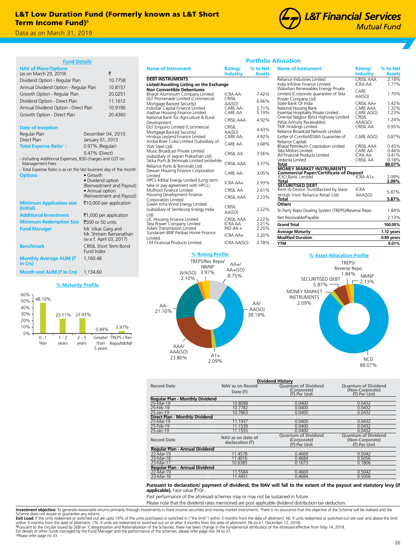

**Month end AUM (₹ In Crs)** 1,134.60

1 - 2 years

48.10%

 $0 - 1$ Yea

0% 10% 20% 30% 40% 50% 60% **% Maturity Profile**

23.11% 23.93%

2 - 5 years 0.89% 3.97%

Greater TREPS / Rev Repo/NR/NP

than 5 years



| <b>Fund Details</b>                                               |                                                   |                                                                                    |                                     | Portfolic                 |
|-------------------------------------------------------------------|---------------------------------------------------|------------------------------------------------------------------------------------|-------------------------------------|---------------------------|
| <b>NAV of Plans/Options</b><br>(as on March 29, 2019)             | ₹                                                 | <b>Name of Instrument</b>                                                          | Rating/<br>Industry                 | % to Net<br><b>Assets</b> |
| Dividend Option - Regular Plan                                    | 10.7758                                           | <b>DEBT INSTRUMENTS</b>                                                            |                                     |                           |
| Annual Dividend Option - Regular Plan                             | 10.8157                                           | Listed/Awaiting Listing on the Exchange<br><b>Non Convertible Debentures</b>       |                                     |                           |
| Growth Option - Regular Plan                                      | 20.0251                                           | Bharat Aluminium Company Limited                                                   | <b>ICRA AA-</b>                     | 7.42%                     |
| Dividend Option - Direct Plan                                     | 11.1612                                           | DLF Promenade Limited (Commercial                                                  | CRISIL                              | 6.66%                     |
| Annual Dividend Option - Direct Plan                              | 10.9190                                           | Mortgage Backed Security)<br>Indostar Capital Finance Limited                      | AA(SO)<br>CARE AA-                  | 5.71%                     |
| Growth Option - Direct Plan                                       | 20.4360                                           | Aadhar Housing Finance Limited                                                     | CARE AA                             | 5.19%                     |
|                                                                   |                                                   | National Bank for Agriculture & Rural<br>Development                               | CRISIL AAA                          | 4.92%                     |
| <b>Date of Inception</b>                                          |                                                   | DLF Emporio Limited (Commercial                                                    | CRISIL                              |                           |
| Regular Plan                                                      | December 04, 2010                                 | Mortgage Backed Security)                                                          | AA(SO)                              | 4.43%                     |
| Direct Plan                                                       | January 01, 2013                                  | Hinduja Leyland Finance Limited<br>Amba River Coke Limited (Subsidiary of          | CARE AA-                            | 4.92%                     |
| <b>Total Expense Ratio+:</b>                                      | 0.97% (Regular)                                   | ISW Steel Ltd)                                                                     | CARE AA                             | 3.68%                     |
|                                                                   | 0.47% (Direct)                                    | Music Broadcast Private Limited                                                    | <b>CRISIL AA</b>                    | 3.56%                     |
| - Including Additional Expenses, B30 charges and GST on           |                                                   | (subsidiary of Jagran Prakashan Ltd)<br>Sikka Ports & Terminals Limited (erstwhile |                                     |                           |
| Management Fees                                                   |                                                   | Reliance Ports & Terminals Ltd)                                                    | <b>CRISIL AAA</b>                   | 3.37%                     |
| - Total Expense Ratio is as on the last business day of the month |                                                   | Dewan Housing Finance Corporation                                                  | CARE AA-                            | 3.05%                     |
| <b>Options</b>                                                    | $\bullet$ Growth<br>• Dividend option             | Limited<br>HPCL-Mittal Energy Limited (Long term                                   |                                     |                           |
|                                                                   | (Reinvestment and Payout)                         | take or pay agreement with HPCL)                                                   | ICRA AA+                            | 2.93%                     |
|                                                                   | • Annual option                                   | Muthoot Finance Limited                                                            | <b>CRISIL AA</b>                    | 2.61%                     |
|                                                                   | (Reinvestment and Payout)                         | Housing Development Finance<br>Corporation Limited                                 | <b>CRISIL AAA</b>                   | 2.23%                     |
| <b>Minimum Application size</b><br>(Initial)                      | ₹10,000 per application                           | Green Infra Wind Energy Limited<br>(subsidiary of Sembcorp Energy India            | CRISIL<br>AA(SO)                    | 2.22%                     |
| <b>Additional Investment</b>                                      | ₹1,000 per application                            | $ td\rangle$                                                                       |                                     |                           |
| <b>Minimum Redemption Size</b>                                    | ₹500 or 50 units                                  | LIC Housing Finance Limited<br>Tata Power Company Limited                          | <b>CRISIL AAA</b><br><b>ICRA AA</b> | 2.22%<br>2.21%            |
| <b>Fund Manager</b>                                               | Mr. Vikas Garg and                                | Adani Transmission Limited                                                         | $INDAA +$                           | 2.20%                     |
|                                                                   | Mr. Shriram Ramanathan<br>(w.e.f. April 03, 2017) | Sundaram BNP Paribas Home Finance<br>Limited                                       | ICRA AA+                            | 2.20%                     |
| <b>Benchmark</b>                                                  | CRISIL Short Term Bond                            | J M Financial Products Limited                                                     | ICRA AA(SO)                         | 2.18%                     |
|                                                                   | Fund Index                                        |                                                                                    |                                     |                           |
| Monthly Average AUM (₹                                            | 1.160.48                                          | % Rating Profile                                                                   |                                     |                           |
| In Crs)                                                           |                                                   | TREPS/Rev Repo/<br>AID AID                                                         | $AA+$ /                             |                           |







|                                        | <b>Dividend History</b>              |                                                           |                                                               |
|----------------------------------------|--------------------------------------|-----------------------------------------------------------|---------------------------------------------------------------|
| <b>Record Date</b>                     | NAV as on Record                     | <b>Ouantum of Dividend</b>                                | <b>Ouantum of Dividend</b>                                    |
|                                        | Date $(\bar{\zeta})$                 | (Corporate)<br>(र) Per Unit                               | (Non-Corporate)<br>(₹) Per Unit                               |
| <b>Regular Plan - Monthly Dividend</b> |                                      |                                                           |                                                               |
| 25-Mar-19                              | 10.8098                              | 0.0400                                                    | 0.0432                                                        |
| 25-Feb-19                              | 10.7782                              | 0.0400                                                    | 0.0432                                                        |
| 25-Jan-19                              | 10.7863                              | 0.0400                                                    | 0.0432                                                        |
| Direct Plan - Monthly Dividend         |                                      |                                                           |                                                               |
| 25-Mar-19                              | 11.1937                              | 0.0400                                                    | 0.0432                                                        |
| 25-Feb-19                              | 11.1539                              | 0.0400                                                    | 0.0432                                                        |
| 25-Jan-19                              | 11.1555                              | 0.0400                                                    | 0.0432                                                        |
| <b>Record Date</b>                     | NAV as on date of<br>declaration (₹) | <b>Ouantum of Dividend</b><br>(Corporate)<br>( ) Per Unit | <b>Ouantum of Dividend</b><br>(Non-Corporate)<br>(₹) Per Unit |
| Regular Plan - Annual Dividend         |                                      |                                                           |                                                               |
| 22-Mar-19                              | 11.4578                              | 0.4669                                                    | 0.5042                                                        |
| 23-Mar-18                              | 11.4016                              | 0.4684                                                    | 0.5056                                                        |
| 23-Mar-17                              | 10.6385                              | 0.1673                                                    | 0.1806                                                        |
| Regular Plan - Annual Dividend         |                                      |                                                           |                                                               |
| 22-Mar-19                              | 11.5584                              | 0.4669                                                    | 0.5042                                                        |
| 23-Mar-18                              | 11.4451                              | 0.4684                                                    | 0.5056                                                        |

#### **Pursuant to declaration/ payment of dividend, the NAV will fall to the extent of the payout and statutory levy (if applicable).** Face value ₹10/-

Past performance of the aforesaid schemes may or may not be sustained in future.

Please note that the dividend rates mentioned are post applicable dividend distribution tax deduction.

Scheme does not assure or guarantee any returns.<br>**Exit Load: i**f the units redeemed or switched out are upto 10% of the units purchased or switched in ("the limit") within 3 months from the date of allotment: Nil. If units

Investment objective: To generate reasonable returns primarily through investments in fixed income securities and money market instruments. There is no assurance that the objective of the Scheme will be realised and the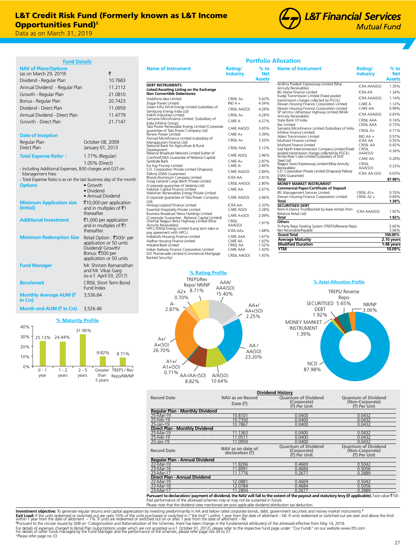

**Portfolio Allocation**

| <b>Fund Details</b>                                                        |                                                       |
|----------------------------------------------------------------------------|-------------------------------------------------------|
| <b>NAV of Plans/Options</b>                                                |                                                       |
| (as on March 29, 2019)                                                     | ₹                                                     |
| Dividend - Regular Plan                                                    | 10.7683                                               |
| Annual Dividend - Regular Plan                                             | 11.2112                                               |
| Growth - Regular Plan                                                      | 21.0810                                               |
| Bonus - Regular Plan                                                       | 20.7423                                               |
| Dividend - Direct Plan                                                     | 11.0959                                               |
| Annual Dividend - Direct Plan                                              | 11.4779                                               |
| Growth - Direct Plan                                                       | 21.7147                                               |
| <b>Date of Inception</b>                                                   |                                                       |
| Regular Plan                                                               | October 08, 2009                                      |
| Direct Plan                                                                | January 01, 2013                                      |
| <b>Total Expense Ratio+:</b>                                               | 1.77% (Regular)                                       |
|                                                                            | 1.05% (Direct)                                        |
| - Including Additional Expenses, B30 charges and GST on<br>Management Fees |                                                       |
| - Total Expense Ratio is as on the last business day of the month          |                                                       |
| <b>Options</b>                                                             | $\bullet$ Growth                                      |
|                                                                            | · Dividend<br>· Annual Dividend                       |
| <b>Minimum Application size</b>                                            | ₹10,000 per application                               |
| (Initial)                                                                  | and in multiples of ₹1                                |
|                                                                            | thereafter.                                           |
| <b>Additional Investment</b>                                               | ₹1,000 per application                                |
|                                                                            | and in multiples of ₹1                                |
|                                                                            | thereafter.                                           |
| <b>Minimum Redemption Size</b>                                             | Retail Option : ₹500/- per<br>application or 50 units |
|                                                                            | Dividend/ Growth/                                     |
|                                                                            | Bonus: ₹500 per                                       |
|                                                                            | application or 50 units                               |
| <b>Fund Manager</b>                                                        | Mr. Shriram Ramanathan                                |
|                                                                            | and Mr. Vikas Garg<br>(w.e.f. April 03, 2017)         |
| <b>Benchmark</b>                                                           | <b>CRISIL Short Term Bond</b>                         |
|                                                                            | Fund Index                                            |
| Monthly Average AUM (₹                                                     | 3,536,64                                              |
| In Crs)                                                                    |                                                       |
| Month end AUM (₹ In Crs)                                                   | 3,526.46                                              |

## **% Maturity Profile**



| <b>Name of Instrument</b>                                                                               | Rating/<br>Industry     | % to<br>Net<br><b>Assets</b> |
|---------------------------------------------------------------------------------------------------------|-------------------------|------------------------------|
| <b>DEBT INSTRUMENTS</b><br>Listed/Awaiting Listing on the Exchange<br><b>Non Convertible Debentures</b> |                         |                              |
| Vodafone Idea Limited<br>Jhajjar Power Limited                                                          | $CRISII A+$<br>$INDA +$ | 5.62%<br>4.54%               |
| Green Infra Wind Energy Limited (subsidiary of                                                          | CRISIL AA(SO)           | 4.29%                        |
| Sembcorp Energy India Ltd)<br>Indofil Industries Limited                                                | $CRISII A+$             | 4.28%                        |
| Samasta Microfinance Limited (Subsidiary of                                                             |                         |                              |
| India Infoline Group)<br>Tata Power Renewable Energy Limited (Corporate                                 | CARF A                  | 4.27%                        |
| quarantee of Tata Power Company Ltd)                                                                    | CARE AA(SO)             | 3.45%                        |
| Renew Power Limited                                                                                     | $C$ ARFA+               | 3.39%                        |
| Asirvad Microfinance Limited (subsidiary of<br>Manappuram Finance Ltd)                                  | $CRISII A+$             | 3.20%                        |
| National Bank for Agriculture & Rural                                                                   | <b>CRISIL AAA</b>       | 3.12%                        |
| Development<br>Reliance Broadcast Network Limited (Letter of                                            | CARE A(SO)              | 2.96%                        |
| Comfort/DSRA Guarantee of Reliance Capital)<br>Syndicate Bank                                           | $C$ ARFA+               | 2.87%                        |
| Ess Kay Fincorp Limited                                                                                 | CARF A-                 | 2.85%                        |
| S.D. Corporation Private Limited (Shapoorji                                                             | CARE AA(SO)             | 2.84%                        |
| Pallonji DSRA Guarantee)<br>Bharat Aluminium Company Limited                                            | ICRA AA-                | 2.81%                        |
| Vizag General Cargo Berth Private Limited                                                               | CRISIL AA(SO)           | 2.80%                        |
| (Corporate quarantee of Vedanta Ltd)<br>Indostar Capital Finance Limited                                | CARF AA-                | 2.67%                        |
| Walwhan Renewables Energy Private Limited                                                               |                         |                              |
| (Corporate quarantee of Tata Power Company<br>Ltd)                                                      | CARE AA(SO)             | 2.66%                        |
| Hinduja Leyland Finance Limited                                                                         | ICRA AA-                | 2.33%                        |
| Essential Hospitality Private Limited                                                                   | CARE A(SO)              | 2.28%                        |
| Business Broadcast News Holdings Limited<br>(Corporate Guarantee - Reliance Capital Limited)            | CARE A+(SO)             | 2.09%                        |
| Oriental Nagpur Betul Highway Limited (Nhai                                                             | CRISIL                  | 1.91%                        |
| Annuity Receivables)<br>HPCL-Mittal Energy Limited (Long term take or                                   | AAA(SO)                 |                              |
| pay agreement with HPCL)<br>Indiabulls Housing Finance Limited                                          | ICRA AA+                | 1.68%                        |
|                                                                                                         | CARF AAA<br>CARF AA     | 1.67%<br>1.63%               |
| Aadhar Housing Finance Limited<br>IndusInd Bank Limited                                                 | CRISII AA               | 1.52%                        |
| Indian Railway Finance Corporation Limited                                                              | <b>CARF AAA</b>         | 1.43%                        |
| DLF Promenade Limited (Commercial Mortgage<br>Backed Security)-                                         | CRISIL AA(SO)           | 1.43%                        |

| <b>Name of Instrument</b>                                                            | Rating/<br><b>Industry</b> | $%$ to<br><b>Net</b> |
|--------------------------------------------------------------------------------------|----------------------------|----------------------|
|                                                                                      |                            | <b>Assets</b>        |
| Andhra Pradesh Expressway Limited (Nhai                                              | ICRA AAA(SO)               | 1.35%                |
| <b>Annuity Receivables)</b>                                                          |                            |                      |
| <b>IIFL Home Finance Limited</b>                                                     | ICRA AA                    | 1.34%                |
| Kudgi Transmission Limited (Fixed pooled<br>transmission charges collected by PGCIL) | ICRA AAA(SO)               | 1.14%                |
| Dewan Housing Finance Corporation Limited                                            | CARF A                     | 1.12%                |
| Dewan Housing Finance Corporation Limited                                            | CARF AA-                   | 0.99%                |
| SP Jammu Udhampur Highway Limited (NHAI                                              | ICRA AAA(SO)               | 0.83%                |
| Annuity Receivables)                                                                 |                            |                      |
| State Bank Of India                                                                  | CRISII AAA                 | 0.74%                |
| Rec Limited<br>Samasta Microfinance Limited (Subsidiary of India                     | CRISII AAA                 | 0.73%                |
| Infoline Finance Limited)                                                            | CRISII A+                  | 0.71%                |
| Adani Transmission Limited                                                           | $INDAA +$                  | 0.57%                |
| Muthoot Finance Limited                                                              | ICRA AA                    | 0.55%                |
| Muthoot Finance Limited                                                              | CRISII AA                  | 0.42%                |
| East North Interconnection Company Limited (Fixed                                    | <b>CRISII</b>              | 0.36%                |
| pooled transmission charges collected by PGCIL)                                      | AAA(SO)                    |                      |
| Amba River Coke Limited (Subsidiary of JSW<br>Steel Ltd)                             | CARF AA                    | 0.28%                |
| Nagpur Seoni Expressway Limited (Nhai Annuity                                        | CRISIL                     |                      |
| Receivables)                                                                         | AAA(SO)                    | 0.23%                |
| S.D. Corporation Private Limited (Shapoorji Pallonji                                 | ICRA AA-(SO)               | 0.03%                |
| <b>DSRA Guarantee)</b><br>Total                                                      |                            | 87.98%               |
| <b>MONEY MARKET INSTRUMENT</b>                                                       |                            |                      |
| <b>Commercial Paper/Certificate of Deposit</b>                                       |                            |                      |
| IIFL Management Services Limited                                                     | $CRISII$ $A1+$             | 0.70%                |
| Dewan Housing Finance Corporation Limited                                            | $CRISII$ A <sub>2+</sub>   | 0.69%                |
| Total                                                                                |                            | 1.39%                |
| <b>SECURITISED DEBT</b>                                                              |                            |                      |
| Rent-A-Device Trust(Backed by lease rentals from                                     | ICRA AAA(SO)               | 1.92%                |
| Reliance Retail Ltd)<br>Total                                                        |                            | 1.92%                |
| <b>Others</b>                                                                        |                            |                      |
| Tri Party Repo Dealing System (TREPS)/Reverse Repo                                   |                            | 5.65%                |
| Net Receivable/Pavable                                                               |                            | 3.06%                |
| <b>Grand Total</b>                                                                   |                            | 100.00%              |
| <b>Average Maturity</b>                                                              |                            | 2.10 years           |
| <b>Modified Duration</b>                                                             |                            | 1.48 years           |
| <b>YTM</b>                                                                           |                            | 10.09%               |





|                                                                                                                                           | <b>Dividend History</b>                        |                                                           |                                                               |  |  |  |
|-------------------------------------------------------------------------------------------------------------------------------------------|------------------------------------------------|-----------------------------------------------------------|---------------------------------------------------------------|--|--|--|
| <b>Record Date</b>                                                                                                                        | <b>NAV as on Record</b><br>Date $(\bar{\tau})$ | <b>Ouantum of Dividend</b><br>(Corporate)<br>(₹) Per Unit | <b>Quantum of Dividend</b><br>(Non-Corporate)<br>(₹) Per Unit |  |  |  |
| <b>Regular Plan - Monthly Dividend</b>                                                                                                    |                                                |                                                           |                                                               |  |  |  |
| 25-Mar-19                                                                                                                                 | 10.8101                                        | 0.0400                                                    | 0.0432                                                        |  |  |  |
| 25-Feb-19                                                                                                                                 | 10.7350                                        | 0.0400                                                    | 0.0432                                                        |  |  |  |
| 25-Jan-19                                                                                                                                 | 10.7867                                        | 0.0400                                                    | 0.0432                                                        |  |  |  |
| Direct Plan - Monthly Dividend                                                                                                            |                                                |                                                           |                                                               |  |  |  |
| 25-Mar-19                                                                                                                                 | 11.1363                                        | 0.0400                                                    | 0.0432                                                        |  |  |  |
| 25-Feb-19                                                                                                                                 | 11.0511                                        | 0.0400                                                    | 0.0432                                                        |  |  |  |
| 25-Jan-19                                                                                                                                 | 11.0959                                        | 0.0400                                                    | 0.0432                                                        |  |  |  |
| <b>Record Date</b>                                                                                                                        | NAV as on date of<br>declaration (₹)           | <b>Quantum of Dividend</b><br>(Corporate)<br>(₹) Per Unit | <b>Quantum of Dividend</b><br>(Non-Corporate)<br>(₹) Per Unit |  |  |  |
| Regular Plan - Annual Dividend                                                                                                            |                                                |                                                           |                                                               |  |  |  |
| 22-Mar-19                                                                                                                                 | 11.8266                                        | 0.4669                                                    | 0.5042                                                        |  |  |  |
| 23-Mar-18                                                                                                                                 | 11.8991                                        | 0.4684                                                    | 0.5056                                                        |  |  |  |
| 23-Mar-17                                                                                                                                 | 11.1776                                        | 0.2677                                                    | 0.2889                                                        |  |  |  |
| Direct Plan - Annual Dividend                                                                                                             |                                                |                                                           |                                                               |  |  |  |
| 22-Mar-19                                                                                                                                 | 12.0881                                        | 0.4669                                                    | 0.5042                                                        |  |  |  |
| 23-Mar-18                                                                                                                                 | 12.0784                                        | 0.4684                                                    | 0.5056                                                        |  |  |  |
| 23-Mar-17                                                                                                                                 | 11.2804                                        | 0.2677                                                    | 0.2889                                                        |  |  |  |
| www.ntto declaration/ normant of dividend the NAV will fell to the ovtent of the noveut and statutes love (if annliceble). Easy vius 710/ |                                                |                                                           |                                                               |  |  |  |

**Pursuant to declaration/ payment of dividend, the NAV will fall to the extent of the payout and statutory levy (if applicable).** Face value₹10/-.<br>Past performance of the aforesaid schemes may or may not be sustained in f Please note that the dividend rates mentioned are post applicable dividend distribution tax deduction

Investment objective: To generate regular returns and capital appreciation by investing predominantly in AA and below rated corporate bonds, debt, government securities and money market instruments.<sup>6</sup> **Exit Load: i**f the units redeemed or switched out are upto 10% of the units purchased or switched in ("the limit") within 1 year from the date of allotment – Nil. If units redeemed or switched out are over and above the l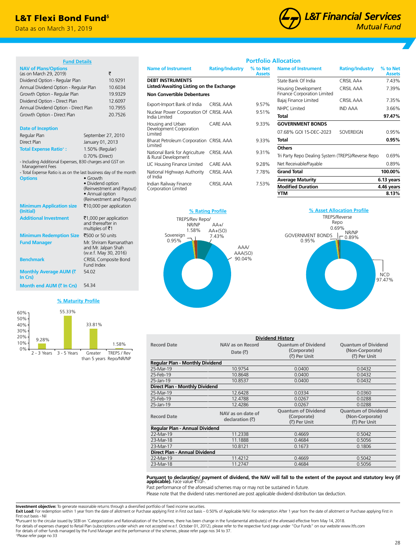## L&T Flexi Bond Fund<sup>6</sup>

Data as on March 31, 2019



**Allocation** 

#### **Fund Details NAV of Plans/Options**  $(\text{as on March 29}, 2019)$ Dividend Option - Regular Plan 10.9291 Annual Dividend Option - Regular Plan 10.6034 Growth Option - Regular Plan 19.9329 Dividend Option - Direct Plan 12.6097 Annual Dividend Option - Direct Plan 10.7955<br>Growth Option - Direct Plan 20.7526 Growth Option - Direct Plan **Date of Inception** Regular Plan September 27, 2010 Direct Plan January 01, 2013 **Total Expense Ratio+ :** 1.50% (Regular) 0.70% (Direct) - Including Additional Expenses, B30 charges and GST on Management Fees - Total Expense Ratio is as on the last business day of the month **Options** • Growth • Dividend option (Reinvestment and Payout) • Annual option (Reinvestment and Payout) **Minimum Application size (Initial)** ₹10,000 per application **Additional Investment** ₹1,000 per application and thereafter in multiples of  $\bar{z}$ 1 **Minimum Redemption Size** ₹500 or 50 units **Fund Manager** Mr. Shriram Ramanathan and Mr. Jalpan Shah (w.e.f. May 30, 2016) **Benchmark** CRISIL Composite Bond Fund Index **Monthly Average AUM (**` **In Crs)** 54.02 **Month end AUM (₹ In Crs)** 54.34

## **% Maturity Profile**



|                                                                    |                        | Portfolio                 |
|--------------------------------------------------------------------|------------------------|---------------------------|
| <b>Name of Instrument</b>                                          | <b>Rating/Industry</b> | % to Net<br><b>Assets</b> |
| <b>DEBT INSTRUMENTS</b><br>Listed/Awaiting Listing on the Exchange |                        |                           |
| <b>Non Convertible Debentures</b>                                  |                        |                           |
| Export-Import Bank of India                                        | CRISIL AAA             | 9.57%                     |
| Nuclear Power Corporation Of CRISIL AAA<br>India Limited           |                        | 9.51%                     |
| Housing and Urban<br>Development Corporation<br>Limited            | CARE AAA               | 9.33%                     |
| Bharat Petroleum Corporation CRISIL AAA<br>Limited                 |                        | 9.33%                     |
| National Bank for Agriculture<br>& Rural Development               | <b>CRISIL AAA</b>      | 9.31%                     |
| LIC Housing Finance Limited                                        | <b>CARE AAA</b>        | 9.28%                     |
| National Highways Authority<br>of India                            | CRISIL AAA             | 7.78%                     |
| Indian Railway Finance<br>Corporation Limited                      | CRISII AAA             | 7.53%                     |



| <b>Name of Instrument</b>                          | <b>Rating/Industry</b> | % to Net<br><b>Assets</b> |
|----------------------------------------------------|------------------------|---------------------------|
| State Bank Of India                                | CRISIL AA+             | 7.43%                     |
| Housing Development<br>Finance Corporation Limited | CRISIL AAA             | 7.39%                     |
| Bajaj Finance Limited                              | <b>CRISIL AAA</b>      | 7.35%                     |
| NHPC Limited                                       | IND AAA                | 3.66%                     |
| Total                                              |                        | 97.47%                    |
| <b>GOVERNMENT BONDS</b>                            |                        |                           |
| 07.68% GOI 15-DEC-2023                             | <b>SOVEREIGN</b>       | 0.95%                     |
| Total                                              |                        | $0.95\%$                  |
| <b>Others</b>                                      |                        |                           |
| Tri Party Repo Dealing System (TREPS)/Reverse Repo |                        | 0.69%                     |
| Net Receivable/Payable                             |                        | 0.89%                     |
| <b>Grand Total</b>                                 |                        | 100.00%                   |
| <b>Average Maturity</b>                            |                        | 6.13 years                |
| <b>Modified Duration</b>                           |                        | 4.46 years                |
| YTM                                                |                        | 8.13%                     |



| <b>Dividend History</b>         |                                      |                                                           |                                                               |  |
|---------------------------------|--------------------------------------|-----------------------------------------------------------|---------------------------------------------------------------|--|
| <b>Record Date</b>              | NAV as on Record                     | <b>Ouantum of Dividend</b>                                | <b>Ouantum of Dividend</b>                                    |  |
|                                 | Date $(\bar{\bar{\mathbf{x}}})$      | (Corporate)                                               | (Non-Corporate)                                               |  |
|                                 |                                      | (₹) Per Unit                                              | (₹) Per Unit                                                  |  |
| Regular Plan - Monthly Dividend |                                      |                                                           |                                                               |  |
| 25-Mar-19                       | 10.9754                              | 0.0400                                                    | 0.0432                                                        |  |
| 25-Feb-19                       | 10.8648                              | 0.0400                                                    | 0.0432                                                        |  |
| 25-Jan-19                       | 10.8537                              | 0.0400                                                    | 0.0432                                                        |  |
| Direct Plan - Monthly Dividend  |                                      |                                                           |                                                               |  |
| 25-Mar-19                       | 12.6428                              | 0.0334                                                    | 0.0360                                                        |  |
| 25-Feb-19                       | 12.4788                              | 0.0267                                                    | 0.0288                                                        |  |
| 25-Jan-19                       | 12.4286                              | 0.0267                                                    | 0.0288                                                        |  |
| <b>Record Date</b>              | NAV as on date of<br>declaration (₹) | <b>Ouantum of Dividend</b><br>(Corporate)<br>(₹) Per Unit | <b>Ouantum of Dividend</b><br>(Non-Corporate)<br>(₹) Per Unit |  |
| Regular Plan - Annual Dividend  |                                      |                                                           |                                                               |  |
| 22-Mar-19                       | 11.2338                              | 0.4669                                                    | 0.5042                                                        |  |
| 23-Mar-18                       | 11.1888                              | 0.4684                                                    | 0.5056                                                        |  |
| 23-Mar-17                       | 10.8121                              | 0.1673                                                    | 0.1806                                                        |  |
| Direct Plan - Annual Dividend   |                                      |                                                           |                                                               |  |
| 22-Mar-19                       | 11.4212                              | 0.4669                                                    | 0.5042                                                        |  |
| 23-Mar-18                       | 11.2747                              | 0.4684                                                    | 0.5056                                                        |  |

# **Pursuant to declaration/ payment of dividend, the NAV will fall to the extent of the payout and statutory levy (if<br><b>applicable).** Face value रै10/-.

Past performance of the aforesaid schemes may or may not be sustained in future.

Please note that the dividend rates mentioned are post applicable dividend distribution tax deduction.

**Investment objective:** To generate reasonable returns through a diversified portfolio of fixed income securities.

Exit Load: For redemption within 1 year from the date of allotment or Purchase applying First in First out basis - 0.50% of Applicable NAV. For redemption After 1 year from the date of allotment or Purchase applying First First out basis - Nil

ᵟPursuant to the circular issued by SEBI on 'Categorization and Rationalization of the Schemes, there has been change in the fundamental attribute(s) of the aforesaid effective from May 14, 2018. For details of expenses charged to Retail Plan (subscriptions under which are not accepted w.e.f. October 01, 2012), please refer to the respective fund page under "Our Funds" on our website www.ltfs.com For details of other funds managed by the Fund Manager and the performance of the schemes, please refer page nos 34 to 37.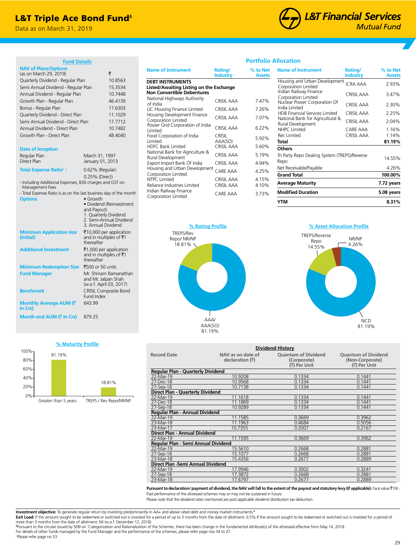## **L&T Triple Ace Bond Fund**<sup>6</sup>

Data as on March 31, 2019



**Industry**

**% to Net Assets**

**Name of Instrument Rating** 

#### **Fund Details**

| <u>runa Detaiis</u>                                                        |                                                |
|----------------------------------------------------------------------------|------------------------------------------------|
| <b>NAV of Plans/Options</b><br>(as on March 29, 2019)                      | ₹                                              |
|                                                                            |                                                |
| Quarterly Dividend - Regular Plan                                          | 10.8563                                        |
| Semi Annual Dividend - Regular Plan                                        | 15.3534                                        |
| Annual Dividend - Regular Plan                                             | 10.7448                                        |
| Growth Plan - Regular Plan                                                 | 46.4139                                        |
| Bonus - Regular Plan                                                       | 17.6303                                        |
| Quarterly Dividend - Direct Plan                                           | 11.1029                                        |
| Semi Annual Dividend - Direct Plan                                         | 17.7712                                        |
| Annual Dividend - Direct Plan                                              | 10.7482                                        |
| Growth Plan - Direct Plan                                                  | 48.4040                                        |
| <b>Date of Inception</b>                                                   |                                                |
| Regular Plan                                                               | March 31, 1997                                 |
| Direct Plan                                                                | January 01, 2013                               |
| <b>Total Expense Ratio*:</b>                                               | 0.62% (Regular)                                |
|                                                                            | 0.25% (Direct)                                 |
| - Including Additional Expenses, B30 charges and GST on<br>Management Fees |                                                |
| - Total Expense Ratio is as on the last business day of the month          |                                                |
| <b>Options</b>                                                             | $\bullet$ Growth                               |
|                                                                            | · Dividend (Reinvestment<br>and Payout)        |
|                                                                            | 1. Quarterly Dividend                          |
|                                                                            | 2. Semi-Annual Dividend                        |
|                                                                            | 3. Annual Dividend                             |
| <b>Minimum Application size</b><br>(Initial)                               | ₹10,000 per application                        |
|                                                                            | and in multiples of ₹1<br>thereafter           |
| <b>Additional Investment</b>                                               | ₹1,000 per application                         |
|                                                                            | and in multiples of ₹1                         |
|                                                                            | thereafter                                     |
| <b>Minimum Redemption Size</b>                                             | ₹500 or 50 units                               |
| <b>Fund Manager</b>                                                        | Mr. Shriram Ramanathan                         |
|                                                                            | and Mr. Jalpan Shah<br>(w.e.f. April 03, 2017) |
| <b>Benchmark</b>                                                           | <b>CRISIL Composite Bond</b>                   |
|                                                                            | Fund Index                                     |
| Monthly Average AUM (₹                                                     | 643.99                                         |
| In Crs)                                                                    |                                                |
| Month end AUM (₹ In Crs)                                                   | 879.25                                         |

| <b>Name of Instrument</b>                                                                               | Rating/<br>Industry | % to Net<br>Assets |
|---------------------------------------------------------------------------------------------------------|---------------------|--------------------|
| <b>DEBT INSTRUMENTS</b><br>Listed/Awaiting Listing on the Exchange<br><b>Non Convertible Debentures</b> |                     |                    |
| National Highways Authority<br>of India                                                                 | CRISIL AAA          | 7.47%              |
| LIC Housing Finance Limited                                                                             | CRISIL AAA          | 7.26%              |
| Housing Development Finance<br>Corporation Limited                                                      | CRISIL AAA          | 7.07%              |
| Power Grid Corporation of India<br>Limited                                                              | CRISIL AAA          | 6.22%              |
| Food Corporation of India<br>Limited                                                                    | Crisil<br>AAA(SO)   | 5.92%              |
| <b>HDFC Bank Limited</b>                                                                                | CRISIL AAA          | 5.60%              |
| National Bank for Agriculture &<br>Rural Development                                                    | CRISIL AAA          | 5.19%              |
| Export Import Bank Of India                                                                             | <b>CRISIL AAA</b>   | 4.94%              |
| Housing and Urban Development<br>Corporation Limited                                                    | CARE AAA            | 4.25%              |
| NTPC Limited                                                                                            | CRISIL AAA          | 4.15%              |
| Reliance Industries Limited                                                                             | CRISIL AAA          | 4.10%              |
| Indian Railway Finance<br>Corporation Limited                                                           | CARE AAA            | 3.73%              |

# **Assets**

**Portfolio Allocation**

| YTM                                                   |                   | 8.31%      |
|-------------------------------------------------------|-------------------|------------|
| <b>Modified Duration</b>                              |                   | 5.08 years |
| Average Maturity                                      |                   | 7.72 years |
| <b>Grand Total</b>                                    |                   | 100.00%    |
| Net Receivable/Payable                                |                   | 4.26%      |
| Tri Party Repo Dealing System (TREPS)/Reverse<br>Repo |                   | 14.55%     |
| Others                                                |                   |            |
| Total                                                 |                   | 81.19%     |
| Rec Limited                                           | <b>CRISIL AAA</b> | 1.14%      |
| Rural Development<br>NHPC Limited                     | CARE AAA          | 1.16%      |
| National Bank for Agricultural &                      | <b>CRISIL AAA</b> | 2.04%      |
| <b>HDB Financial Services Limited</b>                 | <b>CRISIL AAA</b> | 2.25%      |
| Nuclear Power Corporation Of<br>India Limited         | CRISIL AAA        | 2.30%      |
| Indian Railway Finance<br>Corporation Limited         | <b>CRISIL AAA</b> | 3.47%      |
| Housing and Urban Development<br>Corporation Limited  | <b>ICRA AAA</b>   | 2.93%      |



## **% Asset Allocation Profile**





| <b>Dividend History</b>                  |                                      |                                                           |                                                               |  |
|------------------------------------------|--------------------------------------|-----------------------------------------------------------|---------------------------------------------------------------|--|
| <b>Record Date</b>                       | NAV as on date of<br>declaration (₹) | <b>Quantum of Dividend</b><br>(Corporate)<br>(₹) Per Unit | <b>Ouantum of Dividend</b><br>(Non-Corporate)<br>(₹) Per Unit |  |
| <b>Regular Plan - Quarterly Dividend</b> |                                      |                                                           |                                                               |  |
| 22-Mar-19                                | 10.9208                              | 0.1334                                                    | 0.1441                                                        |  |
| 27-Dec-18                                | 10.9568                              | 0.1334                                                    | 0.1441                                                        |  |
| 27-Sep-18                                | 10.7138                              | 0.1334                                                    | 0.1441                                                        |  |
| Direct Plan - Quarterly Dividend         |                                      |                                                           |                                                               |  |
| 22-Mar-19                                | 11.1618                              | 0.1334                                                    | 0.1441                                                        |  |
| 27-Dec-18                                | 11.1869                              | 0.1334                                                    | 0.1441                                                        |  |
| 27-Sep-18                                | 10.9289                              | 0.1334                                                    | 0.1441                                                        |  |
| Regular Plan - Annual Dividend           |                                      |                                                           |                                                               |  |
| 22-Mar-19                                | 11.1585                              | 0.3669                                                    | 0.3962                                                        |  |
| 23-Mar-18                                | 11.1963                              | 0.4684                                                    | 0.5056                                                        |  |
| 23-Mar-17                                | 10.7355                              | 0.2007                                                    | 0.2167                                                        |  |
| Direct Plan - Annual Dividend            |                                      |                                                           |                                                               |  |
| 22-Mar-19                                | 11.1595                              | 0.3669                                                    | 0.3962                                                        |  |
| Regular Plan - Semi Annual Dividend      |                                      |                                                           |                                                               |  |
| 22-Mar-19                                | 15.5610                              | 0.2668                                                    | 0.2881                                                        |  |
| 27-Sep-18                                | 15.1077                              | 0.2668                                                    | 0.2881                                                        |  |
| 23-Mar-18                                | 15.4356                              | 0.2677                                                    | 0.2889                                                        |  |
| Direct Plan - Semi Annual Dividend       |                                      |                                                           |                                                               |  |
| 22-Mar-19                                | 17.9946                              | 0.3002                                                    | 0.3241                                                        |  |
| 27-Sep-18                                | 17.3872                              | 0.2668                                                    | 0.2881                                                        |  |
| 23-Mar-18                                | 17.6797                              | 0.2677                                                    | 0.2889                                                        |  |

**Pursuant to declaration/ payment of dividend, the NAV will fall to the extent of the payout and statutory levy (if applicable).** Face value ₹10/-. Past performance of the aforesaid schemes may or may not be sustained in future.

Please note that the dividend rates mentioned are post applicable dividend distribution tax deduction.

**Investment objective:** To generate regular return by investing predominantly in AA+ and above rated debt and money market instruments.<sup>6</sup><br>**Exit Load:** If the amount sought to be redeemed or switched out is invested for a

more than 3 months from the date of allotment: Nil (w.e.f. December 12, 2018)<br><sup>sp</sup>ursuant to the circular issued by SEBI on 'Categorization and Rationalization of the Schemes, there has been change in the fundamental attri For details of other funds managed by the Fund Manager and the performance of the schemes, please refer page nos 34 to 37.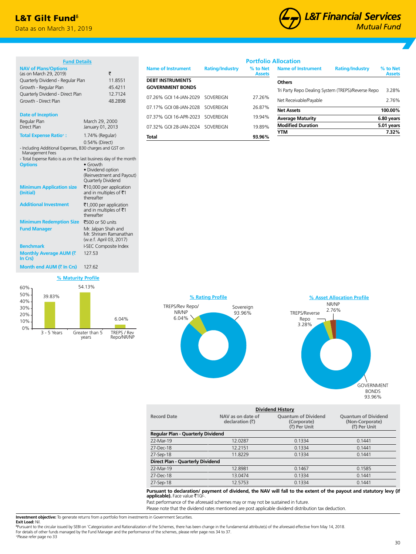## L&T Gilt Fund<sup>®</sup>

Data as on March 31, 2019



| <b>Fund Details</b>                                               |                                                           |   |
|-------------------------------------------------------------------|-----------------------------------------------------------|---|
| <b>NAV of Plans/Options</b><br>(as on March 29, 2019)             | ₹                                                         | N |
| Quarterly Dividend - Regular Plan                                 | 11.8551                                                   | D |
|                                                                   | 45.4211                                                   | Ó |
| Growth - Regular Plan                                             | 12.7124                                                   |   |
| Quarterly Dividend - Direct Plan<br>Growth - Direct Plan          | 48.2898                                                   | C |
|                                                                   |                                                           | C |
| <b>Date of Inception</b>                                          |                                                           |   |
| Regular Plan                                                      | March 29, 2000                                            | C |
| Direct Plan                                                       | January 01, 2013                                          | C |
| <b>Total Expense Ratio+:</b>                                      | 1.74% (Regular)                                           |   |
|                                                                   |                                                           | ı |
| - Including Additional Expenses, B30 charges and GST on           | 0.54% (Direct)                                            |   |
| Management Fees                                                   |                                                           |   |
| - Total Expense Ratio is as on the last business day of the month |                                                           |   |
| <b>Options</b>                                                    | $\bullet$ Growth                                          |   |
|                                                                   | • Dividend option<br>(Reinvestment and Payout)            |   |
|                                                                   | Quarterly Dividend                                        |   |
| <b>Minimum Application size</b>                                   | ₹10,000 per application                                   |   |
| (Initial)                                                         | and in multiples of ₹1                                    |   |
|                                                                   | thereafter                                                |   |
| <b>Additional Investment</b>                                      | ₹1,000 per application<br>and in multiples of $\bar{z}$ 1 |   |
|                                                                   | thereafter                                                |   |
| <b>Minimum Redemption Size</b>                                    | ₹500 or 50 units                                          |   |
| <b>Fund Manager</b>                                               | Mr. Jalpan Shah and                                       |   |
|                                                                   | Mr. Shriram Ramanathan                                    |   |
|                                                                   | (w.e.f. April 03, 2017)                                   |   |
| <b>Benchmark</b>                                                  | I-SEC Composite Index                                     |   |
| Monthly Average AUM (₹<br>In Crs)                                 | 127.53                                                    |   |
|                                                                   |                                                           |   |
| <b>Month end AUM (₹ In Crs)</b>                                   | 127.62                                                    |   |

## **% Maturity Profile** 54.13%



| <b>Name of Instrument</b>                          | <b>Rating/Industry</b> | % to Net<br><b>Assets</b> |
|----------------------------------------------------|------------------------|---------------------------|
| <b>DEBT INSTRUMENTS</b><br><b>GOVERNMENT BONDS</b> |                        |                           |
| 07.26% GOI 14-JAN-2029 SOVEREIGN                   |                        | 27.26%                    |
| 07.17% GOI 08-JAN-2028 SOVEREIGN                   |                        | 26.87%                    |
| 07.37% GOI 16-APR-2023 SOVEREIGN                   |                        | 19.94%                    |
| 07.32% GOI 28-JAN-2024 SOVEREIGN                   |                        | 19.89%                    |
| Total                                              |                        | 93.96%                    |

|                           | <b>Portfolio Allocation</b>                         |                           |
|---------------------------|-----------------------------------------------------|---------------------------|
| % to Net<br><b>Assets</b> | <b>Name of Instrument</b><br><b>Rating/Industry</b> | % to Net<br><b>Assets</b> |
|                           | <b>Others</b>                                       |                           |
|                           | Tri Party Repo Dealing System (TREPS)/Reverse Repo  | 3.28%                     |
| 27.26%                    | Net Receivable/Payable                              | 2.76%                     |
| 26.87%                    | <b>Net Assets</b>                                   | 100.00%                   |
| 19.94%                    | <b>Average Maturity</b>                             | 6.80 years                |
| 19.89%                    | <b>Modified Duration</b>                            | 5.01 years                |
|                           | YTM                                                 | 7.32%                     |
| 93.96%                    |                                                     |                           |





| <b>Dividend History</b>                  |                                                                                                   |        |                                                               |  |  |  |
|------------------------------------------|---------------------------------------------------------------------------------------------------|--------|---------------------------------------------------------------|--|--|--|
| <b>Record Date</b>                       | <b>Quantum of Dividend</b><br>NAV as on date of<br>declaration (₹)<br>(Corporate)<br>(₹) Per Unit |        | <b>Quantum of Dividend</b><br>(Non-Corporate)<br>(₹) Per Unit |  |  |  |
| <b>Regular Plan - Quarterly Dividend</b> |                                                                                                   |        |                                                               |  |  |  |
| 22-Mar-19                                | 12.0287                                                                                           | 0.1334 | 0.1441                                                        |  |  |  |
| 27-Dec-18                                | 12.2151                                                                                           | 0.1334 | 0.1441                                                        |  |  |  |
| 27-Sep-18                                | 11.8229                                                                                           | 0.1334 | 0.1441                                                        |  |  |  |
| Direct Plan - Quarterly Dividend         |                                                                                                   |        |                                                               |  |  |  |
| 22-Mar-19                                | 12.8981                                                                                           | 0.1467 | 0.1585                                                        |  |  |  |
| 27-Dec-18                                | 13.0474                                                                                           | 0.1334 | 0.1441                                                        |  |  |  |
| 27-Sep-18                                | 12.5753                                                                                           | 0.1334 | 0.1441                                                        |  |  |  |

# **Pursuant to declaration/ payment of dividend, the NAV will fall to the extent of the payout and statutory levy (if<br><b>applicable).** Face value रै10/-.

Past performance of the aforesaid schemes may or may not be sustained in future. Please note that the dividend rates mentioned are post applicable dividend distribution tax deduction.

**Investment objective:** To generate returns from a portfolio from investments in Government Securities.

**Exit Load:** Nil.<br><sup>8</sup>Pursuant to the circular issued by SEBI on 'Categorization and Rationalization of the Schemes, there has been change in the fundamental attribute(s) of the aforesaid effective from May 14, 2018. For details of other funds managed by the Fund Manager and the performance of the schemes, please refer page nos 34 to 37. +Please refer page no 33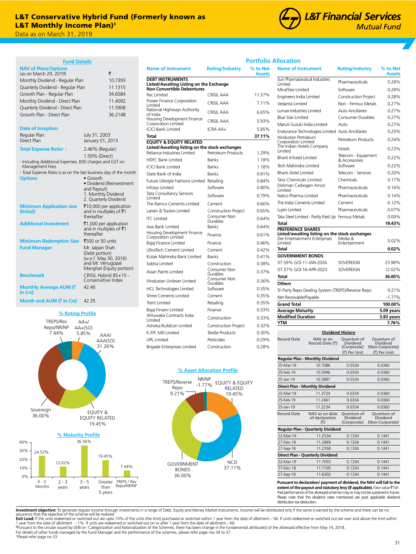## L&T Monthly Income Plan)。<br>\_ L&T Conservative Hybrid Fund (Formerly known as

Data as on March 31, 2019

## **Fund Details**

| <b>NAV of Plans/Options</b>                                                          |                                                   |  |
|--------------------------------------------------------------------------------------|---------------------------------------------------|--|
| (as on March 29, 2019)                                                               | ₹                                                 |  |
| Monthly Dividend - Regular Plan                                                      | 10.7393                                           |  |
| Quarterly Dividend - Regular Plan                                                    | 11.1315                                           |  |
| Growth Plan - Regular Plan                                                           | 34.6584                                           |  |
| Monthly Dividend - Direct Plan                                                       | 11.4092                                           |  |
| Quarterly Dividend - Direct Plan                                                     | 11.5908                                           |  |
| Growth Plan - Direct Plan                                                            | 36.2148                                           |  |
|                                                                                      |                                                   |  |
| <b>Date of Inception</b>                                                             |                                                   |  |
| Regular Plan                                                                         | July 31, 2003                                     |  |
| Direct Plan                                                                          | January 01, 2013                                  |  |
| <b>Total Expense Ratio<sup>+</sup>:</b>                                              | 2.46% (Regular)                                   |  |
|                                                                                      | 1.59% (Direct)                                    |  |
| - Including Additional Expenses, B30 charges and GST on                              |                                                   |  |
| Management Fees<br>- Total Expense Ratio is as on the last business day of the month |                                                   |  |
| <b>Options</b>                                                                       | $\bullet$ Growth                                  |  |
|                                                                                      | · Dividend (Reinvestment                          |  |
|                                                                                      | and Payout)                                       |  |
|                                                                                      | 1. Monthly Dividend<br>2. Quarterly Dividend      |  |
| <b>Minimum Application size</b>                                                      |                                                   |  |
| (Initial)                                                                            | ₹10,000 per application<br>and in multiples of ₹1 |  |
|                                                                                      | thereafter                                        |  |
| <b>Additional Investment</b>                                                         | ₹1,000 per application                            |  |
|                                                                                      | and in multiples of ₹1                            |  |
|                                                                                      | thereafter                                        |  |
| <b>Minimum Redemption Size</b>                                                       | ₹500 or 50 units                                  |  |
| <b>Fund Manager</b>                                                                  | Mr. Jalpan Shah                                   |  |
|                                                                                      | (Debt portion)<br>(w.e.f. May 30, 2016)           |  |
|                                                                                      | and Mr. Venugopal                                 |  |
|                                                                                      | Manghat (Equity portion)                          |  |
| <b>Benchmark</b>                                                                     | CRISIL Hybrid 85+15 -                             |  |
|                                                                                      | Conservative Index                                |  |
| Monthly Average AUM (そ<br>In Crs)                                                    | 42.46                                             |  |
|                                                                                      |                                                   |  |
| <b>Month end AUM (₹ In Crs)</b>                                                      | 42.35                                             |  |

## **% Rating Profile**



0%

0 - 3 Months

2 - 3 years

3 - 5 years

| Total                                                                         |                                       | 37.11% |
|-------------------------------------------------------------------------------|---------------------------------------|--------|
| <b>EQUITY &amp; EQUITY RELATED</b>                                            |                                       |        |
| Listed/Awaiting listing on the stock exchanges<br>Reliance Industries Limited | Petroleum Products                    | 1.29%  |
| <b>HDFC Bank Limited</b>                                                      | <b>Banks</b>                          | 1.18%  |
| ICICI Bank Limited                                                            | <b>Banks</b>                          | 1.18%  |
| State Bank of India                                                           | <b>Banks</b>                          | 0.91%  |
| Future Lifestyle Fashions Limited Retailing                                   |                                       | 0.84%  |
| Infosys Limited                                                               | Software                              | 0.80%  |
| Tata Consultancy Services<br>Limited                                          | Software                              | 0.79%  |
| The Ramco Cements Limited                                                     | Cement                                | 0.66%  |
| Larsen & Toubro Limited                                                       | <b>Construction Project</b>           | 0.65%  |
| <b>ITC</b> Limited                                                            | Consumer Non<br>Durables              | 0.64%  |
| Axis Bank Limited                                                             | <b>Banks</b>                          | 0.64%  |
| Housing Development Finance<br>Corporation Limited                            | Finance                               | 0.61%  |
| Bajaj Finance Limited                                                         | Finance                               | 0.46%  |
| UltraTech Cement Limited                                                      | Cement                                | 0.42%  |
| Kotak Mahindra Bank Limited                                                   | Banks                                 | 0.41%  |
| Sobha Limited                                                                 | Construction                          | 0.38%  |
| Asian Paints Limited                                                          | Consumer Non<br>Durables              | 0.37%  |
| Hindustan Unilever Limited                                                    | Consumer Non<br>Durables              | 0.36%  |
| <b>HCL Technologies Limited</b>                                               | Software                              | 0.35%  |
| <b>Shree Cements Limited</b>                                                  | Cement                                | 0.35%  |
| Trent Limited                                                                 | Retailing                             | 0.35%  |
| Bajaj Finserv Limited                                                         | Finance                               | 0.33%  |
| Ahluwalia Contracts India<br>Limited                                          | Construction                          | 0.33%  |
| Ashoka Buildcon Limited                                                       | Construction Project                  | 0.32%  |
| K.P.R. Mill Limited                                                           | <b>Textile Products</b>               | 0.30%  |
| UPL Limited                                                                   | Pesticides                            | 0.29%  |
| Brigade Enterprises Limited                                                   | Construction                          | 0.28%  |
| NR/NP<br>TREPS/Reverse                                                        | % Asset Allocation Profile            |        |
| $-1.77%$<br>Repo                                                              | <b>EQUITY &amp; EQUITY</b><br>RELATED |        |
| 9.21%                                                                         | 19.45%                                |        |
|                                                                               | a Li                                  |        |

**Name of Instrument Rating/Industry % to Net**

Rec Limited CRISIL AAA 11.57% Power Finance Corporation Limited CRISIL AAA 7.11% National Highways Authority of India CRISIL AAA 6.65% Housing Development Finance Corporation Limited CRISIL AAA 5.93% ICICI Bank Limited ICRA AA+ 5.85%

**DEBT INSTRUMENTS**

**Listed/Awaiting Listing on the Exchange Non Convertible Debentures**



**L&T Financial Services Mutual Fund** 

## **Portfolio Allocation**

**Assets**

| <b>Name of Instrument</b>                                                  | <b>Rating/Industry</b>                                       | % to Net<br><b>Assets</b>                                        |
|----------------------------------------------------------------------------|--------------------------------------------------------------|------------------------------------------------------------------|
| Sun Pharmaceutical Industries<br>Limited                                   | Pharmaceuticals                                              | 0.28%                                                            |
| MindTree Limited                                                           | Software                                                     | 0.28%                                                            |
| Engineers India Limited                                                    | Construction Project                                         | 0.28%                                                            |
| Vedanta Limited                                                            | Non - Ferrous Metals                                         | 0.27%                                                            |
| Lumax Industries Limited                                                   | <b>Auto Ancillaries</b>                                      | 0.27%                                                            |
| <b>Blue Star Limited</b>                                                   | Consumer Durables                                            | 0.27%                                                            |
| Maruti Suzuki India Limited                                                | Auto                                                         | 0.27%                                                            |
| Endurance Technologies Limited Auto Ancillaries                            |                                                              | 0.25%                                                            |
| Hindustan Petroleum<br>Corporation Limited                                 | Petroleum Products                                           | 0.24%                                                            |
| The Indian Hotels Company<br>Limited                                       | Hotels                                                       | 0.23%                                                            |
| <b>Bharti Infratel Limited</b>                                             | Telecom - Equipment<br>& Accessories                         | 0.22%                                                            |
| Tech Mahindra Limited                                                      | Software                                                     | 0.22%                                                            |
| <b>Bharti Airtel Limited</b>                                               | Telecom - Services                                           | 0.20%                                                            |
| <b>Tata Chemicals Limited</b>                                              | Chemicals                                                    | 0.17%                                                            |
| Dishman Carbogen Amcis<br>Limited                                          | Pharmaceuticals                                              | 0.16%                                                            |
| Natco Pharma Limited                                                       | Pharmaceuticals                                              | 0.14%                                                            |
| The India Cements Limited                                                  | Cement                                                       | 0.12%                                                            |
| Lupin Limited                                                              | Pharmaceuticals                                              | 0.07%                                                            |
| Tata Steel Limited - Partly Paid Up Ferrous Metals                         |                                                              | $0.00\%$                                                         |
| Total                                                                      |                                                              | 19.43%                                                           |
| <b>PREFERENCE SHARES</b><br>Listed/awaiting listing on the stock exchanges |                                                              |                                                                  |
| Zee Entertainment Enterprises<br>Limited                                   | Media &<br>Entertainment                                     | 0.02%                                                            |
| Total                                                                      |                                                              | 0.02%                                                            |
| <b>GOVERNMENT BONDS</b>                                                    |                                                              |                                                                  |
| 07.59% GOI 11-JAN-2026                                                     | SOVEREIGN                                                    | 23.98%                                                           |
| 07.37% GOI 16-APR-2023                                                     | SOVEREIGN                                                    | 12.02%                                                           |
| <b>Total</b>                                                               |                                                              | 36.00%                                                           |
| <b>Others</b>                                                              |                                                              |                                                                  |
| Tri Party Repo Dealing System (TREPS)/Reverse Repo                         |                                                              | 9.21%                                                            |
| Net Receivable/Payable                                                     |                                                              | $-1.77%$                                                         |
| <b>Grand Total</b>                                                         |                                                              | 100.00%                                                          |
| <b>Average Maturity</b>                                                    |                                                              | 5.09 years                                                       |
| <b>Modified Duration</b>                                                   |                                                              | 3.83 years                                                       |
| <b>YTM</b>                                                                 |                                                              | 7.76%                                                            |
|                                                                            | <b>Dividend History</b>                                      |                                                                  |
| <b>Record Date</b><br>NAV as on<br>Record Date (₹)                         | Ouantum of<br><b>Dividend</b><br>(Corporate)<br>(₹) Per Unit | Quantum of<br><b>Dividend</b><br>(Non-Corporate)<br>(₹) Per Unit |

|                                        | $112214$ Putcher                                                      | (Corporate)                                         | (Non-Corporate)                                  |  |
|----------------------------------------|-----------------------------------------------------------------------|-----------------------------------------------------|--------------------------------------------------|--|
|                                        |                                                                       | (₹) Per Unit                                        | (₹) Per Unit                                     |  |
| <b>Regular Plan - Monthly Dividend</b> |                                                                       |                                                     |                                                  |  |
| 25-Mar-19                              | 10.7086                                                               | 0.0334                                              | 0.0360                                           |  |
| 25-Feb-19                              | 10.5996                                                               | 0.0334                                              | 0.0360                                           |  |
| 25-Jan-19                              | 10.5887                                                               | 0.0334                                              | 0.0360                                           |  |
|                                        | Direct Plan - Monthly Dividend                                        |                                                     |                                                  |  |
| 25-Mar-19                              | 11.3724                                                               | 0.0334                                              | 0.0360                                           |  |
| 25-Feb-19                              | 11.2461                                                               | 0.0334                                              | 0.0360                                           |  |
| 25-Jan-19                              | 11.2234                                                               | 0.0334                                              | 0.0360                                           |  |
| <b>Record Date</b>                     | NAV as on date<br>of declaration<br>(3)                               | <b>Ouantum of</b><br><b>Dividend</b><br>(Corporate) | Quantum of<br><b>Dividend</b><br>(Non-Corporate) |  |
| Regular Plan - Quarterly Dividend      |                                                                       |                                                     |                                                  |  |
| 22-Mar-19                              | 11.2534                                                               | 0.1334                                              | 0.1441                                           |  |
| 27-Dec-18                              | 11.2869                                                               | 0.1334                                              | 0.1441                                           |  |
| 27-Sep-18                              | 11.2358                                                               | 0.1334                                              | 0.1441                                           |  |
|                                        | Direct Plan - Quarterly Dividend                                      |                                                     |                                                  |  |
| 22-Mar-19                              | 11.7055                                                               | 0.1334                                              | 0.1441                                           |  |
| 27-Dec-18                              | 11.7105                                                               | 0.1334                                              | 0.1441                                           |  |
| 27-Sep-18                              | 11.6302                                                               | 0.1334                                              | 0.1441                                           |  |
|                                        | Pursuant to declaration/payment of dividend, the NAV will fall to the |                                                     |                                                  |  |

**Pursuant to declaration/ payment of dividend, the NAV will fall to the extent of the payout and statutory levy (if applicable).** Face value `10/-. Past performance of the aforesaid schemes may or may not be sustained in future. Please note that the dividend rates mentioned are post applicable dividend distribution tax deduction.

Investment objective: To generate regular income through investments in a range of Debt, Equity and Money Market Instruments. Income will be distributed only if the same is earned by the scheme and there can be no

assurance that the objective of the scheme will be realized."<br>**Exit Load:** If the units redeemed or switched out are upto 10% of the units (the limit) purchased or switched within 1 year from the date of allotment – Nil. I +Please refer page no 33

TREPS / Rev Repo/NR/NP

Greater than 5 years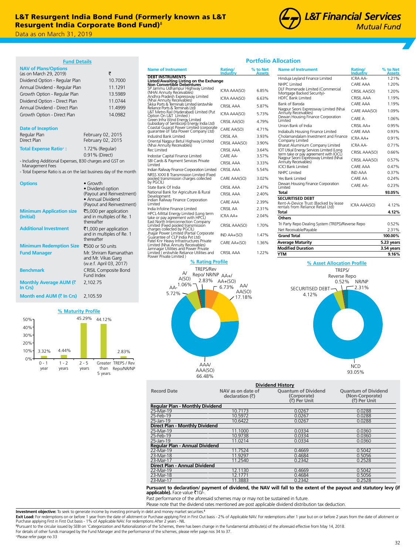

**Portfolio Allocation**

## **Fund Details**

| rung Details                                                               |                                                                                                                      |
|----------------------------------------------------------------------------|----------------------------------------------------------------------------------------------------------------------|
| <b>NAV of Plans/Options</b><br>(as on March 29, 2019)                      | ₹                                                                                                                    |
| Dividend Option - Regular Plan                                             | 10.7000                                                                                                              |
| Annual Dividend - Regular Plan                                             | 11.1291                                                                                                              |
| Growth Option - Regular Plan                                               | 13.5989                                                                                                              |
| Dividend Option - Direct Plan                                              | 11.0744                                                                                                              |
| Annual Dividend - Direct Plan                                              | 11.4999                                                                                                              |
| Growth Option - Direct Plan                                                | 14.0982                                                                                                              |
| <b>Date of Inception</b>                                                   |                                                                                                                      |
| Regular Plan                                                               | February 02, 2015                                                                                                    |
| Direct Plan                                                                | February 02, 2015                                                                                                    |
| <b>Total Expense Ratio<sup>+</sup>:</b>                                    | 1.72% (Regular)<br>0.91% (Direct)                                                                                    |
| - Including Additional Expenses, B30 charges and GST on<br>Management Fees |                                                                                                                      |
| - Total Expense Ratio is as on the last business day of the month          |                                                                                                                      |
| <b>Options</b>                                                             | $\bullet$ Growth<br>• Dividend option<br>(Payout and Reinvestment)<br>• Annual Dividend<br>(Payout and Reinvestment) |

|                                              | (Payout and Reinvestment)                                               |
|----------------------------------------------|-------------------------------------------------------------------------|
| <b>Minimum Application size</b><br>(Initial) | ₹5,000 per application<br>and in multiples of Re. 1<br>thereafter       |
| <b>Additional Investment</b>                 | ₹1,000 per application<br>and in multiples of Re. 1<br>thereafter       |
| <b>Minimum Redemption Size</b>               | ₹500 or 50 units                                                        |
| <b>Fund Manager</b>                          | Mr. Shriram Ramanathan<br>and Mr. Vikas Garg<br>(w.e.f. April 03, 2017) |
| <b>Benchmark</b>                             | <b>CRISIL Composite Bond</b><br>Fund Index                              |
| Monthly Average AUM (₹<br>In Crs)            | 2,102.75                                                                |
|                                              |                                                                         |
| Month end AUM (₹ In Crs)                     | 2.105.59                                                                |

## **% Maturity Profile**



| <b>Name of Instrument</b>                                                                                             | Rating/<br>Industrv | % to Net<br>Assets |
|-----------------------------------------------------------------------------------------------------------------------|---------------------|--------------------|
| <b>DEBT INSTRUMENTS</b>                                                                                               |                     |                    |
| Listed/Awaiting Listing on the Exchange<br>Non Convertible Debentures                                                 |                     |                    |
| SP Jammu Udhampur Highway Limited<br>(NHAI Annuity Receivables)                                                       | ICRA AAA(SO)        | 6.85%              |
| Andhra Pradesh Expressway Limited<br>(Nhai Annuity Receivables)                                                       | ICRA AAA(SO)        | 6.63%              |
| Sikka Ports & Terminals Limited (erstwhile<br>Reliance Ports & Terminals Ltd)                                         | CRISII AAA          | 5.87%              |
| L&T Metro Rail (Hyderabad) Limited (Put<br>Option On L&T Limited )                                                    | ICRA AAA(SO)        | 5.73%              |
| Green Infra Wind Energy Limited<br>(subsidiary of Sembcorp Energy India Ltd)                                          | CRISIL AA(SO)       | 4.79%              |
| Coastal Gujarat Power Limited (corporate<br>quarantee of Tata Power Company Ltd)                                      | CARE AA(SO)         | 4.71%              |
| IndusInd Bank Limited                                                                                                 | CRISII AA           | 3.93%              |
| Oriental Nagpur Betul Highway Limited<br>(Nhai Annuity Receivables)                                                   | CRISIL AAA(SO)      | 3.90%              |
| Rec Limited                                                                                                           | CRISII AAA          | 3.64%              |
| Indostar Capital Finance Limited                                                                                      | CARF AA-            | 3.57%              |
| SBI Cards & Payment Services Private<br>I imited                                                                      | CRISII AAA          | 3.33%              |
| Indian Railway Finance Corporation Limited                                                                            | CRISII AAA          | 5.54%              |
| NRSS XXXI B Transmission Limited (Fixed<br>pooled transmission charges collected<br>by PGCIL)                         | CARE AAA(SO)        | 3.02%              |
| State Bank Of India                                                                                                   | CRISII AAA          | 2.47%              |
| National Bank for Agriculture & Rural<br>Development                                                                  | CRISII AAA          | 2.40%              |
| Indian Railway Finance Corporation<br>Limited                                                                         | CARF AAA            | 2.39%              |
| India Infoline Finance Limited                                                                                        | CRISII AA           | 2.31%              |
| HPCL-Mittal Energy Limited (Long term<br>take or pay agreement with HPCL)                                             | ICRA AA+            | 2.04%              |
| East North Interconnection Company<br>Limited (Fixed pooled transmission<br>charges collected by PGCIL)               | CRISIL AAA(SO)      | 1.70%              |
| Jhajjär Power Limited (Partial Corporate<br>Guarantee of CLP India Pvt Ltd)                                           | IND AA+(SO)         | 1.47%              |
| Patel Knr Heavy Infrastructures Private<br>Limited (Nhai Annuity Receivables)<br>Jamnagar Utilities and Power Private | CARE AA+(SO)        | 1.36%              |
| Limited (erstwhile Reliance Utilities and<br>Power Private Limited)                                                   | CRISII AAA          | 1.22%              |



## **Name of Instrument Rating Industry % to Net Assets** Hinduia Leyland Finance Limited ICRA AA-NHPC Limited CARE AAA 1.20% DLF Promenade Limited (Commercial Mortgage Backed Security)- CRISIL AA(SO) 1.20% HDFC Bank Limited CRISIL AAA 1.19%<br>Bank of Baroda **1.19%** CARE AAA 1.19% Bank of Baroda CARE AAA 1.19% Nagpur Seoni Expressway Limited (Nhai Annuity Receivables) CARE AAA(SO) 1.09% Dewan Housing Finance Corporation Limited CARE A 1.06% Union Bank of India CRISIL AA+ 0.95% Indiabulls Housing Finance Limited CARE AAA 0.93% Cholamandalam Investment and Finance Company Limited ICRA AA+ 0.91% Bharat Aluminium Company Limited ICRA AA- 0.71% IOT Utkal Energy Services Limited (Long of or pay arrives unitied (COM)<br>term take or pay agreement with IOCL) CRISIL AAA(SO) 0.66%<br>Nagpur Seoni Expressway Limited (Nhai CRISIL AAA(SO) 0.57% ICICI Bank Limited CARE AAA 0.47% NHPC Limited IND AAA 0.37% Yes Bank Limited CARE AA 0.24% Dewan Housing Finance Corporation Limited CARE AA- 0.23% **Total 93.05% SECURITISED DEBT** Rent-A-Device Trust (Backed by lease ICRA AAA(SO) 4.12%<br>rentals from Reliance Retail Ltd) **Total 4.12% Others** Tri Party Repo Dealing System (TREPS)/Reverse Repo 0.52% Net Receivable/Payable 2.31% **Grand Total 100.00% Average Maturity 5.23 years Modified Duration 3.54 years**



| <b>Dividend History</b>                |                                      |                                                           |                                                               |  |  |  |
|----------------------------------------|--------------------------------------|-----------------------------------------------------------|---------------------------------------------------------------|--|--|--|
| <b>Record Date</b>                     | NAV as on date of<br>declaration (₹) | <b>Quantum of Dividend</b><br>(Corporate)<br>(₹) Per Unit | <b>Ouantum of Dividend</b><br>(Non-Corporate)<br>(₹) Per Unit |  |  |  |
| <b>Regular Plan - Monthly Dividend</b> |                                      |                                                           |                                                               |  |  |  |
| 25-Mar-19                              | 10.7173                              | 0.0267                                                    | 0.0288                                                        |  |  |  |
| 25-Feb-19                              | 10.5972                              | 0.0267                                                    | 0.0288                                                        |  |  |  |
| 25-Jan-19                              | 10.6422                              | 0.0267                                                    | 0.0288                                                        |  |  |  |
| <b>Direct Plan - Monthly Dividend</b>  |                                      |                                                           |                                                               |  |  |  |
| 25-Mar-19                              | 11.1000                              | 0.0334                                                    | 0.0360                                                        |  |  |  |
| 25-Feb-19                              | 10.9738                              | 0.0334                                                    | 0.0360                                                        |  |  |  |
| 25-Jan-19                              | 11.0214                              | 0.0334                                                    | 0.0360                                                        |  |  |  |
| Regular Plan - Annual Dividend         |                                      |                                                           |                                                               |  |  |  |
| 22-Mar-19                              | 11.7524                              | 0.4669                                                    | 0.5042                                                        |  |  |  |
| 23-Mar-18                              | 11.9297                              | 0.4684                                                    | 0.5056                                                        |  |  |  |
| 23-Mar-17                              | 11.2540                              | 0.2342                                                    | 0.2528                                                        |  |  |  |
| Direct Plan - Annual Dividend          |                                      |                                                           |                                                               |  |  |  |
| 22-Mar-19                              | 12.1130                              | 0.4669                                                    | 0.5042                                                        |  |  |  |
| 23-Mar-18                              | 12.1771                              | 0.4684                                                    | 0.5056                                                        |  |  |  |
| 23-Mar-17<br>.                         | 11.3883                              | 0.2342<br>$\sim$ $\sim$                                   | 0.2528                                                        |  |  |  |

## **Pursuant to declaration/ payment of dividend, the NAV will fall to the extent of the payout and statutory levy (if<br><b>applicable).** Face value ₹10/-.

Past performance of the aforesaid schemes may or may not be sustained in future.

Please note that the dividend rates mentioned are post applicable dividend distribution tax deduction.

**Investment objective:** To seek to generate income by investing primarily in debt and money market securities.<sup>6</sup>

ᵟPursuant to the circular issued by SEBI on 'Categorization and Rationalization of the Schemes, there has been change in the fundamental attribute(s) of the aforesaid effective from May 14, 2018.

**Exit Load:** For redemptions on or before 1 year from the date of allotment or Purchase applying First in First Out basis - 2% of Applicable NAV. For redemptions after 1 year but on or before 2 years from the date of allot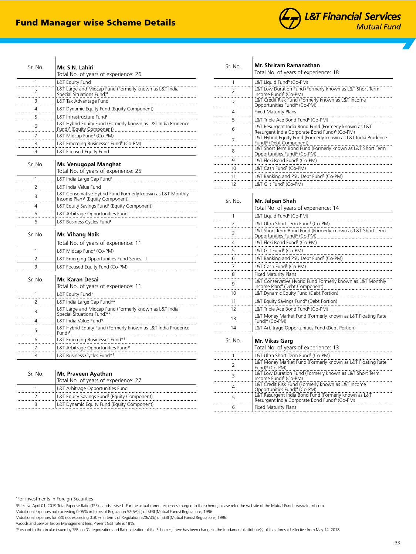# Fund Manager wise Scheme Details



| 1       | Total No. of years of experience: 26<br>L&T Equity Fund                                                    |
|---------|------------------------------------------------------------------------------------------------------------|
| 2       | L&T Large and Midcap Fund (Formerly known as L&T India<br>Special Situations Fund) <sup>8</sup>            |
| 3       | L&T Tax Advantage Fund                                                                                     |
| 4       | L&T Dynamic Equity Fund (Equity Component)                                                                 |
| 5       | L&T Infrastructure Fund <sup>6</sup>                                                                       |
| 6       | L&T Hybrid Equity Fund (Formerly known as L&T India Prudence<br>Fund) <sup>6</sup> (Equity Component)      |
| 7       | L&T Midcap Fund <sup>6</sup> (Co-PM)                                                                       |
| 8       | L&T Emerging Businesses Fund <sup>6</sup> (Co-PM)                                                          |
| 9       | L&T Focused Equity Fund                                                                                    |
| Sr. No. | Mr. Venugopal Manghat<br>Total No. of years of experience: 25                                              |
| 1       | L&T India Large Cap Fund <sup>6</sup>                                                                      |
| 2       | L&T India Value Fund                                                                                       |
| 3       | L&T Conservative Hybrid Fund Formerly known as L&T Monthly<br>Income Plan) <sup>6</sup> (Equity Component) |
| 4       | L&T Equity Savings Fund <sup>6</sup> (Equity Component)                                                    |
| 5       | L&T Arbitrage Opportunities Fund                                                                           |
| 6       | L&T Business Cycles Fund <sup>6</sup>                                                                      |
| Sr. No. | Mr. Vihang Naik                                                                                            |
|         | Total No. of years of experience: 11                                                                       |
| 1       | L&T Midcap Fund <sup>8</sup> (Co-PM)                                                                       |
| 2       | L&T Emerging Opportunities Fund Series - I                                                                 |
| 3       | L&T Focused Equity Fund (Co-PM)                                                                            |
| Sr No   | Mr. Karan Desai                                                                                            |
|         | Total No. of years of experience: 11                                                                       |
| 1       | L&T Equity Fund*                                                                                           |
| 2       | L&T India Large Cap Fund* <sup>6</sup>                                                                     |
| 3       | L&T Large and Midcap Fund (Formerly known as L&T India<br>Special Situations Fund) <sup>6*</sup>           |
| 4       | L&T India Value Fund*                                                                                      |
| 5       | L&T Hybrid Equity Fund (Formerly known as L&T India Prudence<br>Fund) <sup>o</sup>                         |
| 6       | L&T Emerging Businesses Fund* <sup>6</sup>                                                                 |
| 7       | L&T Arbitrage Opportunities Fund*                                                                          |
| 8       | L&T Business Cycles Fund* <sup>6</sup>                                                                     |

| L&T Low Duration Fund (Formerly known as L&T Short Term<br>L&T Hybrid Equity Fund (Formerly known as L&T India Prudence<br>L&T Short Term Bond Fund (Formerly known as L&T Short Term |
|---------------------------------------------------------------------------------------------------------------------------------------------------------------------------------------|
|                                                                                                                                                                                       |
|                                                                                                                                                                                       |
|                                                                                                                                                                                       |
|                                                                                                                                                                                       |
|                                                                                                                                                                                       |
|                                                                                                                                                                                       |
|                                                                                                                                                                                       |
|                                                                                                                                                                                       |
|                                                                                                                                                                                       |
|                                                                                                                                                                                       |
|                                                                                                                                                                                       |
|                                                                                                                                                                                       |
|                                                                                                                                                                                       |
|                                                                                                                                                                                       |
|                                                                                                                                                                                       |
|                                                                                                                                                                                       |
| L&T Short Term Bond Fund (Formerly known as L&T Short Term                                                                                                                            |
|                                                                                                                                                                                       |
|                                                                                                                                                                                       |
|                                                                                                                                                                                       |
|                                                                                                                                                                                       |
|                                                                                                                                                                                       |
|                                                                                                                                                                                       |
| L&T Conservative Hybrid Fund Formerly known as L&T Monthly                                                                                                                            |
|                                                                                                                                                                                       |
|                                                                                                                                                                                       |
|                                                                                                                                                                                       |
| L&T Money Market Fund (Formerly known as L&T Floating Rate                                                                                                                            |
|                                                                                                                                                                                       |
|                                                                                                                                                                                       |
|                                                                                                                                                                                       |
| L&T Money Market Fund (Formerly known as L&T Floating Rate                                                                                                                            |
| L&T Low Duration Fund (Formerly known as L&T Short Term                                                                                                                               |
|                                                                                                                                                                                       |
|                                                                                                                                                                                       |
|                                                                                                                                                                                       |
|                                                                                                                                                                                       |

\* For investments in Foreign Securities

+ Effective April 01, 2019 Total Expense Ratio (TER) stands revised. For the actual current expenses charged to the scheme, please refer the website of the Mutual Fund - www.lntmf.com.

+ Additional Expenses not exceeding 0.05% in terms of Regulation 52(6A)(c) of SEBI (Mutual Funds) Regulations, 1996.

+ Additional Expenses for B30 not exceeding 0.30% in terms of Regulation 52(6A)(b) of SEBI (Mutual Funds) Regulations, 1996.

2 2 LAT Equity Savings Fund<sup>8</sup> (Equity Component)<br>2 LAT Equity Savings Fund<sup>8</sup> (Equity Component) 3 L&T Dynamic Equity Fund (Equity Component)

+ Goods and Service Tax on Management fees. Present GST rate is 18%.

1 L&T Arbitrage Opportunities Fund

ᵟ Pursuant to the circular issued by SEBI on 'Categorization and Rationalization of the Schemes, there has been change in the fundamental attribute(s) of the aforesaid effective from May 14, 2018.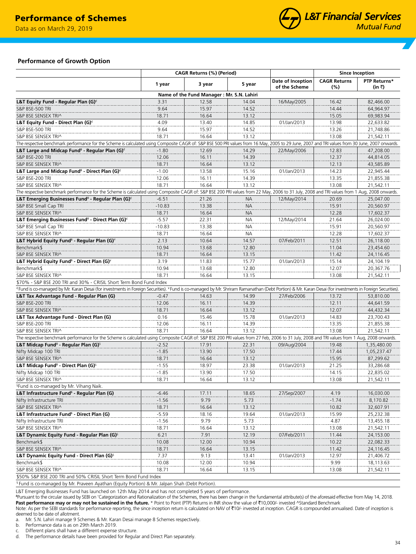Data as on March 29, 2019



## **Performance of Growth Option**

|                                                                                                                                                                                                                                 | CAGR Returns (%) (Period) |                                           |           | <b>Since Inception</b>             |                            |                        |
|---------------------------------------------------------------------------------------------------------------------------------------------------------------------------------------------------------------------------------|---------------------------|-------------------------------------------|-----------|------------------------------------|----------------------------|------------------------|
|                                                                                                                                                                                                                                 | 1 year                    | 3 year                                    | 5 year    | Date of Inception<br>of the Scheme | <b>CAGR Returns</b><br>(%) | PTP Returns*<br>(in ₹) |
|                                                                                                                                                                                                                                 |                           | Name of the Fund Manager: Mr. S.N. Lahiri |           |                                    |                            |                        |
| L&T Equity Fund - Regular Plan (G) $\epsilon$                                                                                                                                                                                   | 3.31                      | 12.58                                     | 14.04     | 16/May/2005                        | 16.42                      | 82,466.00              |
| S&P BSE-500 TRI                                                                                                                                                                                                                 | 9.64                      | 15.97                                     | 14.52     |                                    | 14.44                      | 64,964.97              |
| S&P BSE SENSEX TRI^                                                                                                                                                                                                             | 18.71                     | 16.64                                     | 13.12     |                                    | 15.05                      | 69,983.94              |
| L&T Equity Fund - Direct Plan (G) $\epsilon$                                                                                                                                                                                    | 4.09                      | 13.40                                     | 14.85     | 01/Jan/2013                        | 13.98                      | 22,633.82              |
| S&P BSE-500 TRI                                                                                                                                                                                                                 | 9.64                      | 15.97                                     | 14.52     |                                    | 13.26                      | 21,748.86              |
| S&P BSE SENSEX TRI^                                                                                                                                                                                                             | 18.71                     | 16.64                                     | 13.12     |                                    | 13.08                      | 21,542.11              |
| The respective benchmark performance for the Scheme is calculated using Composite CAGR of: S&P BSE 500 PRI values from 16 May, 2005 to 29 June, 2007 and TRI values from 30 June, 2007 on 30 June, 2007 onwards.                |                           |                                           |           |                                    |                            |                        |
| L&T Large and Midcap Fund <sup>6</sup> - Regular Plan (G) <sup><math>\epsilon</math></sup>                                                                                                                                      | $-1.80$                   | 12.69                                     | 14.29     | 22/May/2006                        | 12.83                      | 47,208.00              |
| S&P BSE-200 TRI                                                                                                                                                                                                                 | 12.06                     | 16.11                                     | 14.39     |                                    | 12.37                      | 44,814.05              |
| S&P BSE SENSEX TRI^                                                                                                                                                                                                             | 18.71                     | 16.64                                     | 13.12     |                                    | 12.13                      | 43,585.89              |
| L&T Large and Midcap Fund $^6$ - Direct Plan (G) $^6$                                                                                                                                                                           | $-1.00$                   | 13.58                                     | 15.16     | 01/Jan/2013                        | 14.23                      | 22,945.44              |
| S&P BSE-200 TRI                                                                                                                                                                                                                 | 12.06                     | 16.11                                     | 14.39     |                                    | 13.35                      | 21,855.38              |
| S&P BSE SENSEX TRI^                                                                                                                                                                                                             | 18.71                     | 16.64                                     | 13.12     |                                    | 13.08                      | 21,542.11              |
| The respective benchmark performance for the Scheme is calculated using Composite CAGR of: S&P BSE 200 PRI values from 22 May, 2006 to 31 July, 2008 and TRI values from 1 Aug, 2008 onwards.                                   |                           |                                           |           |                                    |                            |                        |
| L&T Emerging Businesses Fund <sup>6</sup> - Regular Plan (G) <sup><math>\epsilon</math></sup>                                                                                                                                   | $-6.51$                   | 21.26                                     | <b>NA</b> | 12/May/2014                        | 20.69                      | 25,047.00              |
| S&P BSE Small Cap TRI                                                                                                                                                                                                           | $-10.83$                  | 13.38                                     | <b>NA</b> |                                    | 15.91                      | 20,560.97              |
| S&P BSE SENSEX TRI^                                                                                                                                                                                                             | 18.71                     | 16.64                                     | <b>NA</b> |                                    | 12.28                      | 17,602.37              |
|                                                                                                                                                                                                                                 | $-5.57$                   | 22.31                                     | <b>NA</b> | 12/May/2014                        | 21.64                      | 26,024.00              |
| L&T Emerging Businesses Fund <sup>6</sup> - Direct Plan (G) <sup>€</sup>                                                                                                                                                        | $-10.83$                  | 13.38                                     | <b>NA</b> |                                    | 15.91                      | 20,560.97              |
| S&P BSE Small Cap TRI                                                                                                                                                                                                           |                           |                                           |           |                                    |                            |                        |
| S&P BSE SENSEX TRI^                                                                                                                                                                                                             | 18.71                     | 16.64                                     | NA        |                                    | 12.28                      | 17,602.37              |
| L&T Hybrid Equity Fund $\delta$ - Regular Plan (G) $\check{}$                                                                                                                                                                   | 2.13                      | 10.64                                     | 14.57     | 07/Feb/2011                        | 12.51<br>11.04             | 26,118.00              |
| Benchmark\$                                                                                                                                                                                                                     | 10.94                     | 13.68                                     | 12.80     |                                    |                            | 23,454.60              |
| S&P BSE SENSEX TRI^                                                                                                                                                                                                             | 18.71                     | 16.64                                     | 13.15     |                                    | 11.42                      | 24,116.45              |
| L&T Hybrid Equity Fund <sup>6</sup> - Direct Plan (G) <sup>*</sup>                                                                                                                                                              | 3.19                      | 11.83                                     | 15.77     | 01/Jan/2013                        | 15.14                      | 24,104.19              |
| Benchmark\$                                                                                                                                                                                                                     | 10.94                     | 13.68                                     | 12.80     |                                    | 12.07                      | 20,367.76              |
| S&P BSE SENSEX TRI^                                                                                                                                                                                                             | 18.71                     | 16.64                                     | 13.15     |                                    | 13.08                      | 21,542.11              |
| \$70% - S&P BSE 200 TRI and 30% - CRISIL Short Term Bond Fund Index                                                                                                                                                             |                           |                                           |           |                                    |                            |                        |
| <sup>e</sup> Fund is co-managed by Mr. Karan Desai (for investments in Foreign Securities). <sup>¥</sup> Fund is co-managed by Mr. Shriram Ramanathan (Debt Portion) & Mr. Karan Desai (for investments in Foreign Securities). |                           |                                           |           |                                    |                            |                        |
| L&T Tax Advantage Fund - Regular Plan (G)                                                                                                                                                                                       | $-0.47$                   | 14.63                                     | 14.99     | 27/Feb/2006                        | 13.72                      | 53,810.00              |
| S&P BSE-200 TRI                                                                                                                                                                                                                 | 12.06                     | 16.11                                     | 14.39     |                                    | 12.11                      | 44,641.59              |
| S&P BSE SENSEX TRI^                                                                                                                                                                                                             | 18.71                     | 16.64                                     | 13.12     |                                    | 12.07                      | 44,432.34              |
| L&T Tax Advantage Fund - Direct Plan (G)                                                                                                                                                                                        | 0.16                      | 15.46                                     | 15.78     | 01/Jan/2013                        | 14.83                      | 23,700.43              |
| S&P BSE-200 TRI                                                                                                                                                                                                                 | 12.06                     | 16.11                                     | 14.39     |                                    | 13.35                      | 21,855.38              |
| S&P BSE SENSEX TRI^                                                                                                                                                                                                             | 18.71                     | 16.64                                     | 13.12     |                                    | 13.08                      | 21,542.11              |
| The respective benchmark performance for the Scheme is calculated using Composite CAGR of: S&P BSE 200 PRI values from 27 Feb, 2006 to 31 July, 2008 and TRI values from 1 Aug, 2008 onwards.                                   |                           |                                           |           |                                    |                            |                        |
| L&T Midcap Fund <sup>6</sup> - Regular Plan (G) <sup>§</sup>                                                                                                                                                                    | $-2.52$                   | 17.91                                     | 22.31     | 09/Aug/2004                        | 19.48                      | 1,35,480.00            |
| Nifty Midcap 100 TRI                                                                                                                                                                                                            | $-1.85$                   | 13.90                                     | 17.50     |                                    | 17.44                      | 1,05,237.47            |
| S&P BSE SENSEX TRI^                                                                                                                                                                                                             | 18.71                     | 16.64                                     | 13.12     |                                    | 15.95                      | 87,299.62              |
| L&T Midcap Fund <sup>s</sup> - Direct Plan (G)§                                                                                                                                                                                 | $-1.55$                   | 18.97                                     | 23.38     | 01/Jan/2013                        | 21.25                      | 33,286.68              |
| Nifty Midcap 100 TRI                                                                                                                                                                                                            | $-1.85$                   | 13.90                                     | 17.50     |                                    | 14.15                      | 22,835.02              |
| S&P BSE SENSEX TRI^                                                                                                                                                                                                             | 18.71                     | 16.64                                     | 13.12     |                                    | 13.08                      | 21,542.11              |
| <sup>§</sup> Fund is co-managed by Mr. Vihang Naik.                                                                                                                                                                             |                           |                                           |           |                                    |                            |                        |
| L&T Infrastructure Fund <sup>6</sup> - Regular Plan (G)                                                                                                                                                                         | $-6.46$                   | 17.11                                     | 18.65     | 27/Sep/2007                        | 4.19                       | 16,030.00              |
| Nifty Infrastructure TRI                                                                                                                                                                                                        | $-1.56$                   | 9.79                                      | 5.73      |                                    | $-1.74$                    | 8,170.82               |
| S&P BSE SENSEX TRI^                                                                                                                                                                                                             | 18.71                     | 16.64                                     | 13.12     |                                    | 10.82                      | 32,607.91              |
| L&T Infrastructure Fund <sup>6</sup> - Direct Plan (G)                                                                                                                                                                          | $-5.59$                   | 18.16                                     | 19.64     | 01/Jan/2013                        | 15.99                      | 25,232.38              |
| Nifty Infrastructure TRI                                                                                                                                                                                                        | $-1.56$                   | 9.79                                      | 5.73      |                                    | 4.87                       | 13,455.18              |
| S&P BSE SENSEX TRI^                                                                                                                                                                                                             | 18.71                     | 16.64                                     | 13.12     |                                    | 13.08                      | 21,542.11              |
| L&T Dynamic Equity Fund - Regular Plan (G) <sup>§</sup>                                                                                                                                                                         | 6.21                      | 7.91                                      | 12.19     | 07/Feb/2011                        | 11.44                      | 24,153.00              |
| Benchmark\$                                                                                                                                                                                                                     | 10.08                     | 12.00                                     | 10.94     |                                    | 10.22                      | 22,082.33              |
| S&P BSE SENSEX TRI^                                                                                                                                                                                                             | 18.71                     | 16.64                                     | 13.15     |                                    | 11.42                      | 24,116.45              |
| <b>L&amp;T Dynamic Equity Fund - Direct Plan (G)</b> <sup>§</sup>                                                                                                                                                               | 7.37                      | 9.13                                      | 13.41     | 01/Jan/2013                        | 12.97                      | 21,406.72              |
| Benchmark\$                                                                                                                                                                                                                     | 10.08                     | 12.00                                     | 10.94     |                                    | 9.99                       | 18,113.63              |
| S&P BSE SENSEX TRI^                                                                                                                                                                                                             | 18.71                     | 16.64                                     | 13.15     |                                    | 13.08                      | 21,542.11              |
| \$50% S&P BSE 200 TRI and 50% CRISIL Short Term Bond Fund Index                                                                                                                                                                 |                           |                                           |           |                                    |                            |                        |

§ Fund is co-managed by Mr. Praveen Ayathan (Equity Portion) & Mr. Jalpan Shah (Debt Portion).

L&T Emerging Businesses Fund has launched on 12th May 2014 and has not completed 5 years of performance.

ᵟPursuant to the circular issued by SEBI on 'Categorization and Rationalization of the Schemes, there has been change in the fundamental attribute(s) of the aforesaid effective from May 14, 2018. Past performance may or may not be sustained in the future. \* Point to Point (PTP) Returns in INR show the value of ₹10,000/- invested ^Standard Benchmark

Note: As per the SEBI standards for performance reporting, the since inception return is calculated on NAV of ₹10/- invested at inception. CAGR is compounded annualised. Date of inception is deemed to be date of allotment.

a. Mr. S.N. Lahiri manage 9 Schemes & Mr. Karan Desai manage 8 Schemes respectively.

b. Performance data is as on 29th March 2019.

c. Different plans shall have a different expense structure.

d. The performance details have been provided for Regular and Direct Plan separately.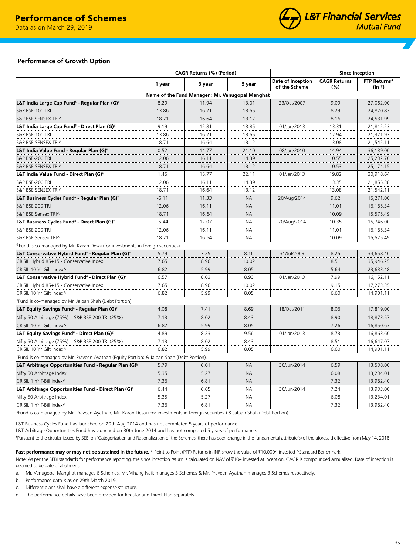Data as on March 31, 2019 Data as on March 29, 2019



## **Performance of Growth Option**

|                                                                                                                                                | CAGR Returns (%) (Period) |                                                 |           | <b>Since Inception</b>             |                            |                        |
|------------------------------------------------------------------------------------------------------------------------------------------------|---------------------------|-------------------------------------------------|-----------|------------------------------------|----------------------------|------------------------|
|                                                                                                                                                | 1 year                    | 3 year                                          | 5 year    | Date of Inception<br>of the Scheme | <b>CAGR Returns</b><br>(%) | PTP Returns*<br>(in ₹) |
|                                                                                                                                                |                           | Name of the Fund Manager: Mr. Venugopal Manghat |           |                                    |                            |                        |
| L&T India Large Cap Fund <sup>6</sup> - Regular Plan (G) <sup><math>\epsilon</math></sup>                                                      | 8.29                      | 11.94                                           | 13.01     | 23/Oct/2007                        | 9.09                       | 27,062.00              |
| S&P BSE-100 TRI                                                                                                                                | 13.86                     | 16.21                                           | 13.55     |                                    | 8.29                       | 24,870.83              |
| S&P BSE SENSEX TRI^                                                                                                                            | 18.71                     | 16.64                                           | 13.12     |                                    | 8.16                       | 24,531.99              |
| L&T India Large Cap Fund <sup>8</sup> - Direct Plan (G) <sup><math>\epsilon</math></sup>                                                       | 9.19                      | 12.81                                           | 13.85     | 01/Jan/2013                        | 13.31                      | 21,812.23              |
| S&P BSE-100 TRI                                                                                                                                | 13.86                     | 16.21                                           | 13.55     |                                    | 12.94                      | 21,371.93              |
| S&P BSE SENSEX TRI^                                                                                                                            | 18.71                     | 16.64                                           | 13.12     |                                    | 13.08                      | 21,542.11              |
| L&T India Value Fund - Regular Plan (G) $\epsilon$                                                                                             | 0.52                      | 14.77                                           | 21.10     | 08/Jan/2010                        | 14.94                      | 36,139.00              |
| S&P BSE-200 TRI                                                                                                                                | 12.06                     | 16.11                                           | 14.39     |                                    | 10.55                      | 25,232.70              |
| S&P BSE SENSEX TRI^                                                                                                                            | 18.71                     | 16.64                                           | 13.12     |                                    | 10.53                      | 25,174.15              |
| L&T India Value Fund - Direct Plan (G) <sup>€</sup>                                                                                            | 1.45                      | 15.77                                           | 22.11     | 01/Jan/2013                        | 19.82                      | 30,918.64              |
| S&P BSE-200 TRI                                                                                                                                | 12.06                     | 16.11                                           | 14.39     |                                    | 13.35                      | 21,855.38              |
| S&P BSE SENSEX TRI^                                                                                                                            | 18.71                     | 16.64                                           | 13.12     |                                    | 13.08                      | 21,542.11              |
| L&T Business Cycles Fund <sup>6</sup> - Regular Plan (G) <sup><math>\epsilon</math></sup>                                                      | $-6.11$                   | 11.33                                           | <b>NA</b> | 20/Aug/2014                        | 9.62                       | 15,271.00              |
| S&P BSE 200 TRI                                                                                                                                | 12.06                     | 16.11                                           | <b>NA</b> |                                    | 11.01                      | 16,185.34              |
| S&P BSE Sensex TRI^                                                                                                                            | 18.71                     | 16.64                                           | <b>NA</b> |                                    | 10.09                      | 15,575.49              |
| L&T Business Cycles Fund <sup>s</sup> - Direct Plan (G) <sup>€</sup>                                                                           | $-5.44$                   | 12.07                                           | <b>NA</b> | 20/Aug/2014                        | 10.35                      | 15,746.00              |
| S&P BSE 200 TRI                                                                                                                                | 12.06                     | 16.11                                           | <b>NA</b> |                                    | 11.01                      | 16,185.34              |
| S&P BSE Sensex TRI^                                                                                                                            | 18.71                     | 16.64                                           | NА        |                                    | 10.09                      | 15,575.49              |
| Eund is co-managed by Mr. Karan Desai (for investments in foreign securities).                                                                 |                           |                                                 |           |                                    |                            |                        |
| L&T Conservative Hybrid Fund <sup><math>\delta</math></sup> - Regular Plan (G) <sup><math>\check{ }</math></sup>                               | 5.79                      | 7.25                                            | 8.16      | 31/Jul/2003                        | 8.25                       | 34,658.40              |
| CRISIL Hybrid 85+15 - Conservative Index                                                                                                       | 7.65                      | 8.96                                            | 10.02     |                                    | 8.51                       | 35,946.25              |
| CRISIL 10 Yr Gilt Index^                                                                                                                       | 6.82                      | 5.99                                            | 8.05      |                                    | 5.64                       | 23,633.48              |
| L&T Conservative Hybrid Fund <sup>6</sup> - Direct Plan (G) <sup><math>\check{ }</math></sup>                                                  | 6.57                      | 8.03                                            | 8.93      | 01/Jan/2013                        | 7.99                       | 16,152.11              |
| CRISIL Hybrid 85+15 - Conservative Index                                                                                                       | 7.65                      | 8.96                                            | 10.02     |                                    | 9.15                       | 17,273.35              |
| CRISIL 10 Yr Gilt Index^                                                                                                                       | 6.82                      | 5.99                                            | 8.05      |                                    | 6.60                       | 14,901.11              |
| *Fund is co-managed by Mr. Jalpan Shah (Debt Portion).                                                                                         |                           |                                                 |           |                                    |                            |                        |
| L&T Equity Savings Fund <sup>6</sup> - Regular Plan (G) <sup>£</sup>                                                                           | 4.08                      | 7.41                                            | 8.69      | 18/Oct/2011                        | 8.06                       | 17,819.00              |
| Nifty 50 Arbitrage (75%) + S&P BSE 200 TRI (25%)                                                                                               | 7.13                      | 8.02                                            | 8.43      |                                    | 8.90                       | 18,873.57              |
| CRISIL 10 Yr Gilt Index^                                                                                                                       | 6.82                      | 5.99                                            | 8.05      |                                    | 7.26                       | 16,850.63              |
| L&T Equity Savings Fund $^{\delta}$ - Direct Plan (G) $^{\epsilon}$                                                                            | 4.89                      | 8.23                                            | 9.56      | 01/Jan/2013                        | 8.73                       | 16,863.60              |
| Nifty 50 Arbitrage (75%) + S&P BSE 200 TRI (25%)                                                                                               | 7.13                      | 8.02                                            | 8.43      |                                    | 8.51                       | 16,647.07              |
| CRISIL 10 Yr Gilt Index^                                                                                                                       | 6.82                      | 5.99                                            | 8.05      |                                    | 6.60                       | 14,901.11              |
| frund is co-managed by Mr. Praveen Ayathan (Equity Portion) & Jalpan Shah (Debt Portion).                                                      |                           |                                                 |           |                                    |                            |                        |
| L&T Arbitrage Opportunities Fund - Regular Plan $(G)$ <sup>§</sup>                                                                             | 5.79                      | 6.01                                            | <b>NA</b> | 30/Jun/2014                        | 6.59                       | 13,538.00              |
| Nifty 50 Arbitrage Index                                                                                                                       | 5.35                      | 5.27                                            | <b>NA</b> |                                    | 6.08                       | 13,234.01              |
| CRISIL 1 Yr T-Bill Index^                                                                                                                      | 7.36                      | 6.81                                            | <b>NA</b> |                                    | 7.32                       | 13,982.40              |
| L&T Arbitrage Opportunities Fund - Direct Plan (G) <sup>§</sup>                                                                                | 6.44                      | 6.65                                            | NА        | 30/Jun/2014                        | 7.24                       | 13,933.00              |
| Nifty 50 Arbitrage Index                                                                                                                       | 5.35                      | 5.27                                            | NА        |                                    | 6.08                       | 13,234.01              |
| CRISIL 1 Yr T-Bill Index^                                                                                                                      | 7.36                      | 6.81                                            | <b>NA</b> |                                    | 7.32                       | 13,982.40              |
| <sup>§</sup> Fund is co-managed by Mr. Praveen Ayathan, Mr. Karan Desai (For investments in foreign securities.) & Jalpan Shah (Debt Portion). |                           |                                                 |           |                                    |                            |                        |

L&T Business Cycles Fund has launched on 20th Aug 2014 and has not completed 5 years of performance.

L&T Arbitrage Opportunities Fund has launched on 30th June 2014 and has not completed 5 years of performance.

ᵟPursuant to the circular issued by SEBI on 'Categorization and Rationalization of the Schemes, there has been change in the fundamental attribute(s) of the aforesaid effective from May 14, 2018.

Past performance may or may not be sustained in the future. \* Point to Point (PTP) Returns in INR show the value of ₹10,000/- invested ^Standard Benchmark

Note: As per the SEBI standards for performance reporting, the since inception return is calculated on NAV of ₹10/- invested at inception. CAGR is compounded annualised. Date of inception is deemed to be date of allotment.

a. Mr. Venugopal Manghat manages 6 Schemes, Mr. Vihang Naik manages 3 Schemes & Mr. Praveen Ayathan manages 3 Schemes respectively.

b. Performance data is as on 29th March 2019.

c. Different plans shall have a different expense structure.

d. The performance details have been provided for Regular and Direct Plan separately.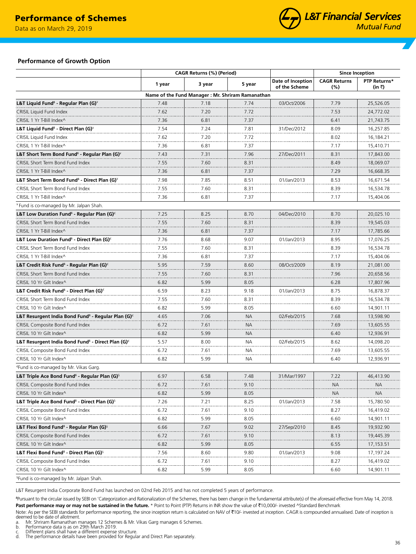Data as on March 29, 2019



## **Performance of Growth Option**

| <b>CAGR Returns</b><br>Date of Inception<br>3 year<br>5 year<br>1 year<br>of the Scheme<br>(%)<br>Name of the Fund Manager : Mr. Shriram Ramanathan<br>L&T Liquid Fund <sup><math>\delta</math></sup> - Regular Plan (G) <sup><math>\angle</math></sup><br>7.48<br>7.18<br>7.74<br>03/Oct/2006<br>7.79<br>CRISIL Liquid Fund Index<br>7.62<br>7.20<br>7.72<br>7.53<br>CRISIL 1 Yr T-Bill Index^<br>7.36<br>6.81<br>7.37<br>6.41<br>L&T Liquid Fund <sup>6</sup> - Direct Plan (G) <sup>¥</sup><br>7.54<br>7.81<br>8.09<br>7.24<br>31/Dec/2012<br>7.72<br>8.02<br>CRISIL Liquid Fund Index<br>7.62<br>7.20<br>CRISIL 1 Yr T-Bill Index^<br>7.36<br>7.37<br>7.17<br>6.81<br>L&T Short Term Bond Fund <sup>6</sup> - Regular Plan (G) <sup>*</sup><br>7.43<br>7.96<br>8.31<br>7.31<br>27/Dec/2011<br>CRISIL Short Term Bond Fund Index<br>8.49<br>7.55<br>7.60<br>8.31<br>CRISIL 1 Yr T-Bill Index^<br>7.37<br>7.29<br>7.36<br>6.81<br>7.98<br>8.51<br>8.53<br>L&T Short Term Bond Fund <sup>6</sup> - Direct Plan (G) <sup>*</sup><br>7.85<br>01/Jan/2013<br>CRISIL Short Term Bond Fund Index<br>7.60<br>8.39<br>7.55<br>8.31<br>CRISIL 1 Yr T-Bill Index^<br>7.36<br>6.81<br>7.37<br>7.17 | <b>Since Inception</b> |  |
|-------------------------------------------------------------------------------------------------------------------------------------------------------------------------------------------------------------------------------------------------------------------------------------------------------------------------------------------------------------------------------------------------------------------------------------------------------------------------------------------------------------------------------------------------------------------------------------------------------------------------------------------------------------------------------------------------------------------------------------------------------------------------------------------------------------------------------------------------------------------------------------------------------------------------------------------------------------------------------------------------------------------------------------------------------------------------------------------------------------------------------------------------------------------------------------------|------------------------|--|
|                                                                                                                                                                                                                                                                                                                                                                                                                                                                                                                                                                                                                                                                                                                                                                                                                                                                                                                                                                                                                                                                                                                                                                                           | PTP Returns*<br>(in ₹) |  |
|                                                                                                                                                                                                                                                                                                                                                                                                                                                                                                                                                                                                                                                                                                                                                                                                                                                                                                                                                                                                                                                                                                                                                                                           |                        |  |
|                                                                                                                                                                                                                                                                                                                                                                                                                                                                                                                                                                                                                                                                                                                                                                                                                                                                                                                                                                                                                                                                                                                                                                                           | 25,526.05              |  |
|                                                                                                                                                                                                                                                                                                                                                                                                                                                                                                                                                                                                                                                                                                                                                                                                                                                                                                                                                                                                                                                                                                                                                                                           | 24,772.02              |  |
|                                                                                                                                                                                                                                                                                                                                                                                                                                                                                                                                                                                                                                                                                                                                                                                                                                                                                                                                                                                                                                                                                                                                                                                           | 21,743.75              |  |
|                                                                                                                                                                                                                                                                                                                                                                                                                                                                                                                                                                                                                                                                                                                                                                                                                                                                                                                                                                                                                                                                                                                                                                                           | 16,257.85              |  |
|                                                                                                                                                                                                                                                                                                                                                                                                                                                                                                                                                                                                                                                                                                                                                                                                                                                                                                                                                                                                                                                                                                                                                                                           | 16,184.21              |  |
|                                                                                                                                                                                                                                                                                                                                                                                                                                                                                                                                                                                                                                                                                                                                                                                                                                                                                                                                                                                                                                                                                                                                                                                           | 15,410.71              |  |
|                                                                                                                                                                                                                                                                                                                                                                                                                                                                                                                                                                                                                                                                                                                                                                                                                                                                                                                                                                                                                                                                                                                                                                                           | 17,843.00              |  |
|                                                                                                                                                                                                                                                                                                                                                                                                                                                                                                                                                                                                                                                                                                                                                                                                                                                                                                                                                                                                                                                                                                                                                                                           | 18,069.07              |  |
|                                                                                                                                                                                                                                                                                                                                                                                                                                                                                                                                                                                                                                                                                                                                                                                                                                                                                                                                                                                                                                                                                                                                                                                           | 16,668.35              |  |
|                                                                                                                                                                                                                                                                                                                                                                                                                                                                                                                                                                                                                                                                                                                                                                                                                                                                                                                                                                                                                                                                                                                                                                                           | 16,671.54              |  |
|                                                                                                                                                                                                                                                                                                                                                                                                                                                                                                                                                                                                                                                                                                                                                                                                                                                                                                                                                                                                                                                                                                                                                                                           | 16,534.78              |  |
|                                                                                                                                                                                                                                                                                                                                                                                                                                                                                                                                                                                                                                                                                                                                                                                                                                                                                                                                                                                                                                                                                                                                                                                           | 15,404.06              |  |
| <sup>¥</sup> Fund is co-managed by Mr. Jalpan Shah.                                                                                                                                                                                                                                                                                                                                                                                                                                                                                                                                                                                                                                                                                                                                                                                                                                                                                                                                                                                                                                                                                                                                       |                        |  |
| L&T Low Duration Fund <sup>6</sup> - Regular Plan (G) <sup><math>\epsilon</math></sup><br>7.25<br>8.25<br>8.70<br>04/Dec/2010<br>8.70                                                                                                                                                                                                                                                                                                                                                                                                                                                                                                                                                                                                                                                                                                                                                                                                                                                                                                                                                                                                                                                     | 20,025.10              |  |
| CRISIL Short Term Bond Fund Index<br>7.55<br>7.60<br>8.31<br>8.39                                                                                                                                                                                                                                                                                                                                                                                                                                                                                                                                                                                                                                                                                                                                                                                                                                                                                                                                                                                                                                                                                                                         | 19,545.03              |  |
| 7.37<br>CRISIL 1 Yr T-Bill Index^<br>7.36<br>6.81<br>7.17                                                                                                                                                                                                                                                                                                                                                                                                                                                                                                                                                                                                                                                                                                                                                                                                                                                                                                                                                                                                                                                                                                                                 | 17,785.66              |  |
| L&T Low Duration Fund <sup>6</sup> - Direct Plan (G) <sup><math>\epsilon</math></sup><br>7.76<br>8.68<br>9.07<br>01/Jan/2013<br>8.95                                                                                                                                                                                                                                                                                                                                                                                                                                                                                                                                                                                                                                                                                                                                                                                                                                                                                                                                                                                                                                                      | 17,076.25              |  |
| 7.55<br>7.60<br>8.31<br>8.39<br>CRISIL Short Term Bond Fund Index                                                                                                                                                                                                                                                                                                                                                                                                                                                                                                                                                                                                                                                                                                                                                                                                                                                                                                                                                                                                                                                                                                                         | 16,534.78              |  |
| 7.36<br>6.81<br>7.37<br>7.17<br>CRISIL 1 Yr T-Bill Index^                                                                                                                                                                                                                                                                                                                                                                                                                                                                                                                                                                                                                                                                                                                                                                                                                                                                                                                                                                                                                                                                                                                                 | 15,404.06              |  |
| 5.95<br>L&T Credit Risk Fund <sup>§</sup> - Regular Plan (G) <sup>∈</sup><br>7.59<br>8.60<br>8.19<br>08/Oct/2009                                                                                                                                                                                                                                                                                                                                                                                                                                                                                                                                                                                                                                                                                                                                                                                                                                                                                                                                                                                                                                                                          | 21,081.00              |  |
| 7.96<br>CRISIL Short Term Bond Fund Index<br>7.55<br>7.60<br>8.31                                                                                                                                                                                                                                                                                                                                                                                                                                                                                                                                                                                                                                                                                                                                                                                                                                                                                                                                                                                                                                                                                                                         | 20,658.56              |  |
| 5.99<br>6.82<br>8.05<br>6.28<br>CRISIL 10 Yr Gilt Index^                                                                                                                                                                                                                                                                                                                                                                                                                                                                                                                                                                                                                                                                                                                                                                                                                                                                                                                                                                                                                                                                                                                                  | 17,807.96              |  |
| 8.75<br>L&T Credit Risk Fund <sup>§</sup> - Direct Plan (G) <sup>∈</sup><br>6.59<br>8.23<br>9.18<br>01/Jan/2013                                                                                                                                                                                                                                                                                                                                                                                                                                                                                                                                                                                                                                                                                                                                                                                                                                                                                                                                                                                                                                                                           | 16,878.37              |  |
| 7.60<br>8.31<br>8.39<br>7.55<br>CRISIL Short Term Bond Fund Index                                                                                                                                                                                                                                                                                                                                                                                                                                                                                                                                                                                                                                                                                                                                                                                                                                                                                                                                                                                                                                                                                                                         | 16,534.78              |  |
| 5.99<br>8.05<br>6.60<br>6.82<br>CRISIL 10 Yr Gilt Index^                                                                                                                                                                                                                                                                                                                                                                                                                                                                                                                                                                                                                                                                                                                                                                                                                                                                                                                                                                                                                                                                                                                                  | 14,901.11              |  |
| L&T Resurgent India Bond Fund <sup>6</sup> - Regular Plan (G) $\epsilon$<br>4.65<br>7.06<br><b>NA</b><br>7.68<br>02/Feb/2015                                                                                                                                                                                                                                                                                                                                                                                                                                                                                                                                                                                                                                                                                                                                                                                                                                                                                                                                                                                                                                                              | 13,598.90              |  |
| 6.72<br>7.61<br><b>NA</b><br>7.69<br>CRISIL Composite Bond Fund Index                                                                                                                                                                                                                                                                                                                                                                                                                                                                                                                                                                                                                                                                                                                                                                                                                                                                                                                                                                                                                                                                                                                     | 13,605.55              |  |
| CRISIL 10 Yr Gilt Index^<br>6.82<br>5.99<br><b>NA</b><br>6.40                                                                                                                                                                                                                                                                                                                                                                                                                                                                                                                                                                                                                                                                                                                                                                                                                                                                                                                                                                                                                                                                                                                             | 12,936.91              |  |
| L&T Resurgent India Bond Fund <sup>6</sup> - Direct Plan (G) <sup><math>\epsilon</math></sup><br>5.57<br>8.00<br>NА<br>8.62<br>02/Feb/2015                                                                                                                                                                                                                                                                                                                                                                                                                                                                                                                                                                                                                                                                                                                                                                                                                                                                                                                                                                                                                                                | 14,098.20              |  |
| 7.69<br>CRISIL Composite Bond Fund Index<br>6.72<br>7.61<br>NА                                                                                                                                                                                                                                                                                                                                                                                                                                                                                                                                                                                                                                                                                                                                                                                                                                                                                                                                                                                                                                                                                                                            | 13,605.55              |  |
| CRISIL 10 Yr Gilt Index^<br>6.82<br>5.99<br>NА<br>6.40                                                                                                                                                                                                                                                                                                                                                                                                                                                                                                                                                                                                                                                                                                                                                                                                                                                                                                                                                                                                                                                                                                                                    | 12,936.91              |  |
| <sup>e</sup> Fund is co-managed by Mr. Vikas Garg.                                                                                                                                                                                                                                                                                                                                                                                                                                                                                                                                                                                                                                                                                                                                                                                                                                                                                                                                                                                                                                                                                                                                        |                        |  |
| L&T Triple Ace Bond Fund $\delta$ - Regular Plan (G) $\delta$<br>6.97<br>6.58<br>7.48<br>7.22<br>31/Mar/1997                                                                                                                                                                                                                                                                                                                                                                                                                                                                                                                                                                                                                                                                                                                                                                                                                                                                                                                                                                                                                                                                              | 46,413.90              |  |
| CRISIL Composite Bond Fund Index<br>6.72<br>7.61<br>9.10<br><b>NA</b>                                                                                                                                                                                                                                                                                                                                                                                                                                                                                                                                                                                                                                                                                                                                                                                                                                                                                                                                                                                                                                                                                                                     | NA.                    |  |
| CRISIL 10 Yr Gilt Index^<br>6.82<br>5.99<br>8.05<br><b>NA</b>                                                                                                                                                                                                                                                                                                                                                                                                                                                                                                                                                                                                                                                                                                                                                                                                                                                                                                                                                                                                                                                                                                                             | NA.                    |  |
| L&T Triple Ace Bond Fund <sup>6</sup> - Direct Plan (G) <sup>§</sup><br>7.26<br>8.25<br>7.21<br>7.58<br>01/Jan/2013                                                                                                                                                                                                                                                                                                                                                                                                                                                                                                                                                                                                                                                                                                                                                                                                                                                                                                                                                                                                                                                                       | 15,780.50              |  |
| CRISIL Composite Bond Fund Index<br>6.72<br>7.61<br>9.10<br>8.27                                                                                                                                                                                                                                                                                                                                                                                                                                                                                                                                                                                                                                                                                                                                                                                                                                                                                                                                                                                                                                                                                                                          | 16,419.02              |  |
| CRISIL 10 Yr Gilt Index^<br>5.99<br>8.05<br>6.82<br>6.60                                                                                                                                                                                                                                                                                                                                                                                                                                                                                                                                                                                                                                                                                                                                                                                                                                                                                                                                                                                                                                                                                                                                  | 14,901.11              |  |
| L&T Flexi Bond Fund <sup><math>\delta</math></sup> - Regular Plan (G) <sup>§</sup><br>9.02<br>6.66<br>7.67<br>27/Sep/2010<br>8.45                                                                                                                                                                                                                                                                                                                                                                                                                                                                                                                                                                                                                                                                                                                                                                                                                                                                                                                                                                                                                                                         | 19,932.90              |  |
| CRISIL Composite Bond Fund Index<br>7.61<br>9.10<br>8.13<br>6.72                                                                                                                                                                                                                                                                                                                                                                                                                                                                                                                                                                                                                                                                                                                                                                                                                                                                                                                                                                                                                                                                                                                          | 19,445.39              |  |
| CRISIL 10 Yr Gilt Index^<br>6.82<br>5.99<br>8.05<br>6.55                                                                                                                                                                                                                                                                                                                                                                                                                                                                                                                                                                                                                                                                                                                                                                                                                                                                                                                                                                                                                                                                                                                                  | 17,153.51              |  |
| L&T Flexi Bond Fund <sup>6</sup> - Direct Plan (G) <sup>§</sup><br>9.80<br>9.08<br>7.56<br>8.60                                                                                                                                                                                                                                                                                                                                                                                                                                                                                                                                                                                                                                                                                                                                                                                                                                                                                                                                                                                                                                                                                           | 17,197.24              |  |
| 01/Jan/2013<br>CRISIL Composite Bond Fund Index<br>6.72<br>7.61<br>9.10<br>8.27                                                                                                                                                                                                                                                                                                                                                                                                                                                                                                                                                                                                                                                                                                                                                                                                                                                                                                                                                                                                                                                                                                           | 16,419.02              |  |
| CRISIL 10 Yr Gilt Index^                                                                                                                                                                                                                                                                                                                                                                                                                                                                                                                                                                                                                                                                                                                                                                                                                                                                                                                                                                                                                                                                                                                                                                  |                        |  |
| 6.82<br>5.99<br>8.05<br>6.60<br><sup>§</sup> Fund is co-managed by Mr. Jalpan Shah.                                                                                                                                                                                                                                                                                                                                                                                                                                                                                                                                                                                                                                                                                                                                                                                                                                                                                                                                                                                                                                                                                                       | 14,901.11              |  |

L&T Resurgent India Corporate Bond Fund has launched on 02nd Feb 2015 and has not completed 5 years of performance.

ᵟPursuant to the circular issued by SEBI on 'Categorization and Rationalization of the Schemes, there has been change in the fundamental attribute(s) of the aforesaid effective from May 14, 2018. Past performance may or may not be sustained in the future. \* Point to Point (PTP) Returns in INR show the value of ₹10,000/- invested ^Standard Benchmark

Note: As per the SEBI standards for performance reporting, the since inception return is calculated on NAV of ₹10/- invested at inception. CAGR is compounded annualised. Date of inception is<br>deemed to be date of allotment

- a. Mr. Shriram Ramanathan manages 12 Schemes & Mr. Vikas Garg manages 6 Schemes.<br>b. Performance data is as on 29th March 2019.<br>c. Different plans shall have a different expense structure.<br>d. The performance detail
- 

36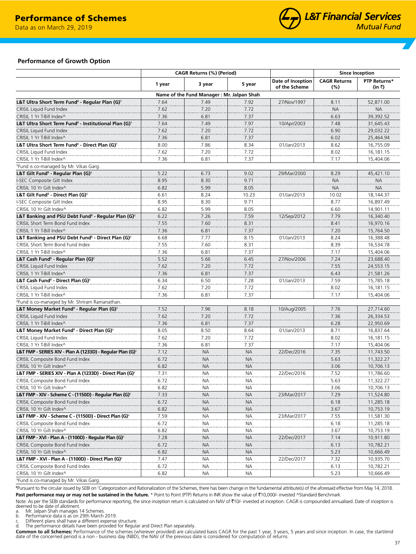Data as on March 31, 2019 Data as on March 29, 2019



## **Performance of Growth Option**

| Date of Inception<br>3 year<br>1 year<br>5 year<br>of the Scheme<br>Name of the Fund Manager : Mr. Jalpan Shah<br>7.49<br>7.92<br>L&T Ultra Short Term Fund $^{\delta}$ - Regular Plan (G) $^{\circ}$<br>7.64<br>27/Nov/1997<br>CRISIL Liquid Fund Index<br>7.62<br>7.20<br>7.72<br>7.37<br>CRISIL 1 Yr T-Bill Index^<br>7.36<br>6.81<br>7.64<br>7.97<br>L&T Ultra Short Term Fund $^{\delta}$ - Institutional Plan (G) $^{\circ}$<br>7.49<br>10/Apr/2003<br>CRISIL Liquid Fund Index<br>7.62<br>7.20<br>7.72<br>7.37<br>CRISIL 1 Yr T-Bill Index^<br>7.36<br>6.81<br>8.00<br>7.86<br>8.34<br>L&T Ultra Short Term Fund <sup>6</sup> - Direct Plan (G) <sup>¥</sup><br>01/Jan/2013<br>CRISIL Liquid Fund Index<br>7.20<br>7.72<br>7.62<br>CRISIL 1 Yr T-Bill Index^<br>7.36<br>7.37<br>6.81 | <b>Since Inception</b><br><b>CAGR Returns</b><br>(%)<br>8.11<br><b>NA</b><br>6.63 | PTP Returns*<br>(in ₹) |
|---------------------------------------------------------------------------------------------------------------------------------------------------------------------------------------------------------------------------------------------------------------------------------------------------------------------------------------------------------------------------------------------------------------------------------------------------------------------------------------------------------------------------------------------------------------------------------------------------------------------------------------------------------------------------------------------------------------------------------------------------------------------------------------------|-----------------------------------------------------------------------------------|------------------------|
|                                                                                                                                                                                                                                                                                                                                                                                                                                                                                                                                                                                                                                                                                                                                                                                             |                                                                                   |                        |
|                                                                                                                                                                                                                                                                                                                                                                                                                                                                                                                                                                                                                                                                                                                                                                                             |                                                                                   |                        |
|                                                                                                                                                                                                                                                                                                                                                                                                                                                                                                                                                                                                                                                                                                                                                                                             |                                                                                   | 52,871.00              |
|                                                                                                                                                                                                                                                                                                                                                                                                                                                                                                                                                                                                                                                                                                                                                                                             |                                                                                   | <b>NA</b>              |
|                                                                                                                                                                                                                                                                                                                                                                                                                                                                                                                                                                                                                                                                                                                                                                                             |                                                                                   | 39,392.52              |
|                                                                                                                                                                                                                                                                                                                                                                                                                                                                                                                                                                                                                                                                                                                                                                                             | 7.48                                                                              | 31,645.43              |
|                                                                                                                                                                                                                                                                                                                                                                                                                                                                                                                                                                                                                                                                                                                                                                                             | 6.90                                                                              | 29,032.22              |
|                                                                                                                                                                                                                                                                                                                                                                                                                                                                                                                                                                                                                                                                                                                                                                                             | 6.02                                                                              | 25,464.94              |
|                                                                                                                                                                                                                                                                                                                                                                                                                                                                                                                                                                                                                                                                                                                                                                                             | 8.62                                                                              | 16,755.09              |
|                                                                                                                                                                                                                                                                                                                                                                                                                                                                                                                                                                                                                                                                                                                                                                                             | 8.02                                                                              | 16,181.15              |
|                                                                                                                                                                                                                                                                                                                                                                                                                                                                                                                                                                                                                                                                                                                                                                                             | 7.17                                                                              | 15,404.06              |
| <sup>¥</sup> Fund is co-managed by Mr. Vikas Garg.                                                                                                                                                                                                                                                                                                                                                                                                                                                                                                                                                                                                                                                                                                                                          |                                                                                   |                        |
| L&T Gilt Fund $^{\delta}$ - Regular Plan (G) $^{\epsilon}$<br>5.22<br>6.73<br>9.02<br>29/Mar/2000                                                                                                                                                                                                                                                                                                                                                                                                                                                                                                                                                                                                                                                                                           | 8.29                                                                              | 45,421.10              |
| 8.30<br>9.71<br>I-SEC Composite Gilt Index<br>8.95                                                                                                                                                                                                                                                                                                                                                                                                                                                                                                                                                                                                                                                                                                                                          | <b>NA</b>                                                                         | <b>NA</b>              |
| 8.05                                                                                                                                                                                                                                                                                                                                                                                                                                                                                                                                                                                                                                                                                                                                                                                        |                                                                                   |                        |
| CRISIL 10 Yr Gilt Index^<br>6.82<br>5.99<br>8.24                                                                                                                                                                                                                                                                                                                                                                                                                                                                                                                                                                                                                                                                                                                                            | <b>NA</b><br>10.02                                                                | <b>NA</b><br>18,144.37 |
| L&T Gilt Fund <sup>6</sup> - Direct Plan (G) <sup>€</sup><br>10.23<br>6.61<br>01/Jan/2013                                                                                                                                                                                                                                                                                                                                                                                                                                                                                                                                                                                                                                                                                                   |                                                                                   |                        |
| 8.95<br>8.30<br>9.71<br>I-SEC Composite Gilt Index                                                                                                                                                                                                                                                                                                                                                                                                                                                                                                                                                                                                                                                                                                                                          | 8.77                                                                              | 16,897.49              |
| 5.99<br>8.05<br>CRISIL 10 Yr Gilt Index^<br>6.82                                                                                                                                                                                                                                                                                                                                                                                                                                                                                                                                                                                                                                                                                                                                            | 6.60                                                                              | 14,901.11              |
| 7.59<br>L&T Banking and PSU Debt Fund <sup>6</sup> - Regular Plan (G) <sup>€</sup><br>6.22<br>7.26<br>12/Sep/2012                                                                                                                                                                                                                                                                                                                                                                                                                                                                                                                                                                                                                                                                           | 7.79                                                                              | 16,340.40              |
| 8.31<br>CRISIL Short Term Bond Fund Index<br>7.55<br>7.60                                                                                                                                                                                                                                                                                                                                                                                                                                                                                                                                                                                                                                                                                                                                   | 8.41                                                                              | 16,970.16              |
| CRISIL 1 Yr T-Bill Index^<br>7.36<br>7.37<br>6.81                                                                                                                                                                                                                                                                                                                                                                                                                                                                                                                                                                                                                                                                                                                                           | 7.20                                                                              | 15,764.50              |
| 8.15<br>L&T Banking and PSU Debt Fund <sup>6</sup> - Direct Plan (G) <sup>€</sup><br>6.68<br>7.77<br>01/Jan/2013                                                                                                                                                                                                                                                                                                                                                                                                                                                                                                                                                                                                                                                                            | 8.24                                                                              | 16,388.48              |
| 7.60<br>8.31<br>CRISIL Short Term Bond Fund Index<br>7.55                                                                                                                                                                                                                                                                                                                                                                                                                                                                                                                                                                                                                                                                                                                                   | 8.39                                                                              | 16,534.78              |
| CRISIL 1 Yr T-Bill Index^<br>7.36<br>7.37<br>6.81                                                                                                                                                                                                                                                                                                                                                                                                                                                                                                                                                                                                                                                                                                                                           | 7.17                                                                              | 15,404.06              |
| 5.52<br>5.66<br>6.45<br>L&T Cash Fund <sup>8</sup> - Regular Plan (G) <sup><math>\epsilon</math></sup><br>27/Nov/2006                                                                                                                                                                                                                                                                                                                                                                                                                                                                                                                                                                                                                                                                       | 7.24                                                                              | 23.688.40              |
| CRISIL Liquid Fund Index<br>7.62<br>7.20<br>7.72                                                                                                                                                                                                                                                                                                                                                                                                                                                                                                                                                                                                                                                                                                                                            | 7.55                                                                              | 24,553.15              |
| CRISIL 1 Yr T-Bill Index^<br>7.36<br>6.81<br>7.37                                                                                                                                                                                                                                                                                                                                                                                                                                                                                                                                                                                                                                                                                                                                           | 6.43                                                                              | 21,581.26              |
| 7.28<br>6.34<br>6.50<br>L&T Cash Fund <sup>§</sup> - Direct Plan (G) <sup>∈</sup><br>01/Jan/2013                                                                                                                                                                                                                                                                                                                                                                                                                                                                                                                                                                                                                                                                                            | 7.59                                                                              | 15,785.18              |
| CRISIL Liquid Fund Index<br>7.62<br>7.20<br>7.72                                                                                                                                                                                                                                                                                                                                                                                                                                                                                                                                                                                                                                                                                                                                            | 8.02                                                                              | 16,181.15              |
| CRISIL 1 Yr T-Bill Index^<br>7.36<br>6.81<br>7.37                                                                                                                                                                                                                                                                                                                                                                                                                                                                                                                                                                                                                                                                                                                                           | 7.17                                                                              | 15,404.06              |
| Eund is co-managed by Mr. Shriram Ramanathan.                                                                                                                                                                                                                                                                                                                                                                                                                                                                                                                                                                                                                                                                                                                                               |                                                                                   |                        |
| 7.52<br>7.96<br>8.18<br>L&T Money Market Fund <sup>6</sup> - Regular Plan (G) <sup>¥</sup><br>10/Aug/2005                                                                                                                                                                                                                                                                                                                                                                                                                                                                                                                                                                                                                                                                                   | 7.76                                                                              | 27,714.60              |
| CRISIL Liquid Fund Index<br>7.62<br>7.20<br>7.72                                                                                                                                                                                                                                                                                                                                                                                                                                                                                                                                                                                                                                                                                                                                            | 7.36                                                                              | 26,334.53              |
| CRISIL 1 Yr T-Bill Index^<br>7.36<br>6.81<br>7.37                                                                                                                                                                                                                                                                                                                                                                                                                                                                                                                                                                                                                                                                                                                                           | 6.28                                                                              | 22,950.69              |
| 8.64<br>8.05<br>8.50<br>L&T Money Market Fund $\delta$ - Direct Plan (G) $\check{ }$<br>01/Jan/2013                                                                                                                                                                                                                                                                                                                                                                                                                                                                                                                                                                                                                                                                                         | 8.71                                                                              | 16,837.64              |
| 7.62<br>CRISIL Liquid Fund Index<br>7.20<br>7.72                                                                                                                                                                                                                                                                                                                                                                                                                                                                                                                                                                                                                                                                                                                                            | 8.02                                                                              | 16,181.15              |
| 7.37<br>CRISIL 1 Yr T-Bill Index^<br>7.36<br>6.81                                                                                                                                                                                                                                                                                                                                                                                                                                                                                                                                                                                                                                                                                                                                           | 7.17                                                                              | 15,404.06              |
| 7.12<br><b>NA</b><br>L&T FMP - SERIES XIV - Plan A (1233D) - Regular Plan (G) <sup>Y</sup><br><b>NA</b><br>22/Dec/2016                                                                                                                                                                                                                                                                                                                                                                                                                                                                                                                                                                                                                                                                      | 7.35                                                                              | 11,743.50              |
| CRISIL Composite Bond Fund Index<br>6.72<br><b>NA</b><br><b>NA</b>                                                                                                                                                                                                                                                                                                                                                                                                                                                                                                                                                                                                                                                                                                                          | 5.63                                                                              | 11,322.27              |
| CRISIL 10 Yr Gilt Index^<br>6.82<br>NA<br>NA                                                                                                                                                                                                                                                                                                                                                                                                                                                                                                                                                                                                                                                                                                                                                | 3.06                                                                              | 10,706.13              |
| L&T FMP - SERIES XIV - Plan A (1233D) - Direct Plan (G) <sup>*</sup><br>7.31<br><b>NA</b><br><b>NA</b><br>22/Dec/2016                                                                                                                                                                                                                                                                                                                                                                                                                                                                                                                                                                                                                                                                       | 7.52                                                                              | 11,786.60              |
| 6.72<br>CRISIL Composite Bond Fund Index<br><b>NA</b><br><b>NA</b>                                                                                                                                                                                                                                                                                                                                                                                                                                                                                                                                                                                                                                                                                                                          | 5.63                                                                              | 11.322.27              |
| CRISIL 10 Yr Gilt Index^<br>6.82<br>NА<br>NА                                                                                                                                                                                                                                                                                                                                                                                                                                                                                                                                                                                                                                                                                                                                                | 3.06                                                                              | 10,706.13              |
| L&T FMP - XIV - Scheme C - (1150D) - Regular Plan (G) <sup>«</sup><br>7.33<br><b>NA</b><br><b>NA</b><br>23/Mar/2017                                                                                                                                                                                                                                                                                                                                                                                                                                                                                                                                                                                                                                                                         | 7.29                                                                              | 11,524.80              |
| CRISIL Composite Bond Fund Index<br><b>NA</b><br>6.72<br>NA                                                                                                                                                                                                                                                                                                                                                                                                                                                                                                                                                                                                                                                                                                                                 | 6.18                                                                              | 11,285.18              |
| CRISIL 10 Yr Gilt Index^<br>6.82<br><b>NA</b><br><b>NA</b>                                                                                                                                                                                                                                                                                                                                                                                                                                                                                                                                                                                                                                                                                                                                  | 3.67                                                                              | 10,753.19              |
|                                                                                                                                                                                                                                                                                                                                                                                                                                                                                                                                                                                                                                                                                                                                                                                             |                                                                                   |                        |
| L&T FMP - XIV - Scheme C - (1150D) - Direct Plan (G) <sup>*</sup><br>7.59<br>ΝA<br>NA<br>23/Mar/2017                                                                                                                                                                                                                                                                                                                                                                                                                                                                                                                                                                                                                                                                                        | 7.55                                                                              | 11,581.30              |
| CRISIL Composite Bond Fund Index<br>6.72<br>ΝA<br><b>NA</b>                                                                                                                                                                                                                                                                                                                                                                                                                                                                                                                                                                                                                                                                                                                                 | 6.18                                                                              | 11,285.18              |
| CRISIL 10 Yr Gilt Index^<br>6.82<br>ΝA<br>NА                                                                                                                                                                                                                                                                                                                                                                                                                                                                                                                                                                                                                                                                                                                                                | 3.67                                                                              | 10,753.19              |
| L&T FMP - XVI - Plan A - (1100D) - Regular Plan (G) <sup>*</sup><br>7.28<br><b>NA</b><br>22/Dec/2017<br>NA.                                                                                                                                                                                                                                                                                                                                                                                                                                                                                                                                                                                                                                                                                 | 7.14                                                                              | 10,911.80              |
| CRISIL Composite Bond Fund Index<br>6.72<br><b>NA</b><br><b>NA</b>                                                                                                                                                                                                                                                                                                                                                                                                                                                                                                                                                                                                                                                                                                                          | 6.13                                                                              | 10,782.21              |
| CRISIL 10 Yr Gilt Index^<br>6.82<br>NA<br>NA.                                                                                                                                                                                                                                                                                                                                                                                                                                                                                                                                                                                                                                                                                                                                               | 5.23                                                                              | 10,666.49              |
| L&T FMP - XVI - Plan A - (1100D) - Direct Plan (G) <sup>*</sup><br>7.47<br><b>NA</b><br>NА<br>22/Dec/2017                                                                                                                                                                                                                                                                                                                                                                                                                                                                                                                                                                                                                                                                                   | 7.32                                                                              | 10,935.70              |
| CRISIL Composite Bond Fund Index<br>6.72<br>ΝA<br>NА                                                                                                                                                                                                                                                                                                                                                                                                                                                                                                                                                                                                                                                                                                                                        | 6.13                                                                              | 10,782.21              |
| CRISIL 10 Yr Gilt Index^<br>6.82<br>NА<br>NА<br>*Fund is co-managed by Mr. Vikas Garg                                                                                                                                                                                                                                                                                                                                                                                                                                                                                                                                                                                                                                                                                                       | 5.23                                                                              | 10,666.49              |

Fund is co-managed by Mr. Vikas Garg.

ᵟPursuant to the circular issued by SEBI on 'Categorization and Rationalization of the Schemes, there has been change in the fundamental attribute(s) of the aforesaid effective from May 14, 2018. Past performance may or may not be sustained in the future. \* Point to Point (PTP) Returns in INR show the value of ₹10,000/- invested ^Standard Benchmark

Note: As per the SEBI standards for performance reporting, the since inception return is calculated on NAV of ₹10/- invested at inception. CAGR is compounded annualised. Date of inception is<br>deemed to be date of allotment

a. Mr. Jalpan Shah manages 14 Schemes.<br>b. Performance data is as on 29th March 2019.<br>c. Different plans shall have a different expense structure.

d. The performance details have been provided for Regular and Direct Plan separately.

**Common to all Schemes:** Performance of the schemes (wherever provided) are calculated basis CAGR for the past 1 year, 3 years, 5 years and since inception. In case, the start/end<br>date of the concerned period is a non - bu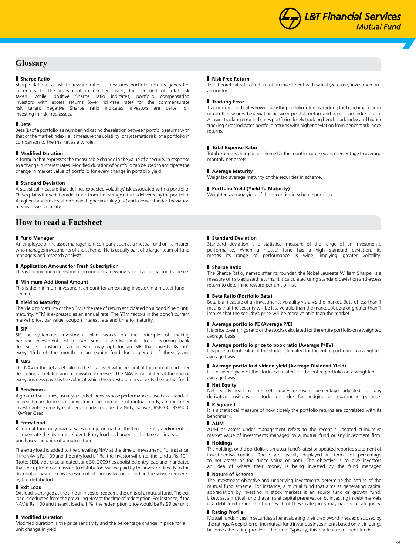## **Glossary**

## **Sharpe Ratio**

Sharpe Ratio is a risk to reward ratio, it measures portfolio returns generated in excess to the investment in risk-free asset, for per unit of total risk taken. While, positive Sharpe ratio indicates, portfolio compensating investors with excess returns (over risk-free rate) for the commensurate risk taken; negative Sharpe ratio indicates, investors are better off investing in risk-free assets.

## **Beta**

Beta (B) of a portfolio is a number indicating the relation between portfolio returns with that of the market index i.e. it measure the volatility, or systematic risk, of a portfolio in comparison to the market as a whole.

## **Modified Duration**

A formula that expresses the measurable change in the value of a security in response to a change in interest rates. Modified duration of portfolio can be used to anticipate the change in market value of portfolio for every change in portfolio yield.

#### **Standard Deviation**

A statistical measure that defines expected volatility/risk associated with a portfolio. This explains the variation/deviation from the average returns delivered by the portfolio. A higher standard deviation means higher volatility (risk) and a lower standard deviation means lower volatility.

## **How to read a Factsheet**

#### **Fund Manager**

An employee of the asset management company such as a mutual fund or life insurer, who manages investments of the scheme. He is usually part of a larger team of fund managers and research analysts.

## **Application Amount for Fresh Subscription**

This is the minimum investment amount for a new investor in a mutual fund scheme.

## **Minimum Additional Amount**

This is the minimum investment amount for an existing investor in a mutual fund scheme.

#### **Yield to Maturity**

The Yield to Maturity or the YTM is the rate of return anticipated on a bond if held until maturity. YTM is expressed as an annual rate. The YTM factors in the bond's current market price, par value, coupon interest rate and time to maturity.

#### **B** SIP

SIP or systematic investment plan works on the principle of making periodic investments of a fixed sum. It works similar to a recurring bank deposit. For instance, an investor may opt for an SIP that invests Rs 500 every 15th of the month in an equity fund for a period of three years.

## **NAV**

The NAV or the net asset value is the total asset value per unit of the mutual fund after deducting all related and permissible expenses. The NAV is calculated at the end of every business day. It is the value at which the investor enters or exits the mutual fund.

#### **Benchmark**

A group of securities, usually a market index, whose performance is used as a standard or benchmark to measure investment performance of mutual funds, among other investments. Some typical benchmarks include the Nifty, Sensex, BSE200, BSE500, 10-Year Gsec.

## **Entry Load**

A mutual fund may have a sales charge or load at the time of entry and/or exit to compensate the distributor/agent. Entry load is charged at the time an investor purchases the units of a mutual fund.

The entry load is added to the prevailing NAV at the time of investment. For instance, if the NAV is Rs. 100 and the entry load is 1 %, the investor will enter the fund at Rs. 101. (Note: SEBI, vide circular dated June 30, 2009 has abolished entry load and mandated that the upfront commission to distributors will be paid by the investor directly to the distributor, based on his assessment of various factors including the service rendered by the distributor).

#### **Exit Load**

Exit load is charged at the time an investor redeems the units of a mutual fund. The exit load is deducted from the prevailing NAV at the time of redemption. For instance, if the NAV is Rs. 100 and the exit load is 1 %, the redemption price would be Rs.99 per unit.

#### **Modified Duration**

Modified duration is the price sensitivity and the percentage change in price for a unit change in yield.

#### **Risk Free Return**

The theoretical rate of return of an investment with safest (zero risk) investment in a country.

### **Tracking Error**

Tracking error indicates how closely the portfolio return is tracking the benchmark Index return. It measures the deviation between portfolio return and benchmark index return. A lower tracking error indicates portfolio closely tracking benchmark index and higher tracking error indicates portfolio returns with higher deviation from benchmark index returns.

#### **Total Expense Ratio**

Total expenses charged to scheme for the month expressed as a percentage to average monthly net assets.

#### **Average Maturity**

Weighted average maturity of the securities in scheme.

#### **Portfolio Yield (Yield To Maturity)**

Weighted average yield of the securities in scheme portfolio.

#### **Standard Deviation**

Standard deviation is a statistical measure of the range of an investment's performance. When a mutual fund has a high standard deviation, its means its range of performance is wide, implying greater volatility.

#### **Sharpe Ratio**

The Sharpe Ratio, named after its founder, the Nobel Laureate William Sharpe, is a measure of risk-adjusted returns. It is calculated using standard deviation and excess return to determine reward per unit of risk.

#### **Beta Ratio (Portfolio Beta)**

Beta is a measure of an investment's volatility vis-a-vis the market. Beta of less than 1 means that the security will be less volatile than the market. A beta of greater than 1 implies that the security's price will be more volatile than the market.

## **Average portfolio PE (Average P/E)**

It is price to earnings ratio of the stocks calculated for the entire portfolio on a weighted average basis.

## **Average portfolio price to book ratio (Average P/BV)**

It is price to book value of the stocks calculated for the entire portfolio on a weighted average basis.

## **Average portfolio dividend yield (Average Dividend Yield)**

It is dividend yield of the stocks calculated for the entire portfolio on a weighted average basis.

## **Net Equity**

Net equity level is the net equity exposure percentage adjusted for any derivative positions in stocks or index for hedging or rebalancing purpose.

## **R Squared**

It is a statistical measure of how closely the portfolio returns are correlated with its benchmark.

## **AUM**

AUM or assets under management refers to the recent / updated cumulative market value of investments managed by a mutual fund or any investment firm.

## **Holdings**

The holdings or the portfolio is a mutual fund's latest or updated reported statement of investments/securities. These are usually displayed in terms of percentage to net assets or the rupee value or both. The objective is to give investors an idea of where their money is being invested by the fund manager.

#### **Nature of Scheme**

The investment objective and underlying investments determine the nature of the mutual fund scheme. For instance, a mutual fund that aims at generating capital appreciation by investing in stock markets is an equity fund or growth fund. Likewise, a mutual fund that aims at capital preservation by investing in debt markets is a debt fund or income fund. Each of these categories may have sub-categories.

## **Rating Profile**

Mutual funds invest in securities after evaluating their creditworthiness as disclosed by the ratings. A depiction of the mutual fund in various investments based on their ratings becomes the rating profile of the fund. Typically, this is a feature of debt funds.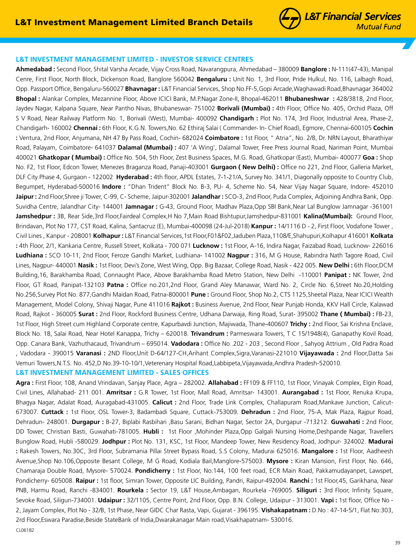## **L&T Investment Management Limited - Investor Service Centres**

**Ahmedabad :** Second Floor, Shital Varsha Arcade, Vijay Cross Road, Navarangpura, Ahmedabad – 380009 **Banglore :** N-111(47-43), Manipal Cenre, First Floor, North Block, Dickenson Road, Banglore 560042 **Bengaluru :** Unit No. 1, 3rd Floor, Pride Hulkul, No. 116, Lalbagh Road, Opp. Passport Office, Bengaluru-560027 **Bhavnagar :** L&T Financial Services, Shop No.FF-5,Gopi Arcade,Waghawadi Road,Bhavnagar 364002 **Bhopal :** Alankar Complex, Mezannine Floor, Above ICICI Bank, M.P.Nagar Zone-II, Bhopal-462011 **Bhubaneshwar :** 428/3818, 2nd Floor, Jaydev Nagar, Kalpana Square, Near Pantho Nivas, Bhubaneswar- 751002 **Borivali (Mumbai) :** 4th Floor, Office No. 405, Orchid Plaza, Off S V Road, Near Railway Platform No. 1, Borivali (West), Mumbai- 400092 **Chandigarh :** Plot No. 174, 3rd Floor, Industrial Area, Phase-2, Chandigarh- 160002 **Chennai :** 6th Floor, K.G.N. Towers,No. 62 Ethiraj Salai ( Commander- In- Chief Road), Egmore, Chennai-600105 **Cochin :** Ventura, 2nd Floor, Anjumana, NH 47 By Pass Road, Cochin- 682024 **Coimbatore :** 1st Floor, " Atria", No. 2/8, Dr. NRN Layout, Bharathiyar Road, Palayam, Coimbatore- 641037 **Dalamal (Mumbai) :** 407 'A Wing', Dalamal Tower, Free Press Journal Road, Nariman Point, Mumbai 400021 **Ghatkopar ( Mumbai) :** Office No. 504, 5th Floor, Zest Business Spaces, M.G. Road, Ghatkopar (East), Mumbai- 400077 **Goa :** Shop No. F2, 1st Floor, Edcon Tower, Menezes Braganza Road, Panaji-403001 **Gurgaon ( New Delhi) :** Office no 221, 2nd Floor, Galleria Market, DLF City Phase 4, Gurgaon - 122002 **Hyderabad :** 4th floor, APDL Estates, 7-1-21/A, Survey No. 341/1, Diagonally opposite to Country Club, Begumpet, Hyderabad-500016 **Indore :** "Dhan Trident" Block No. B-3, PU- 4, Scheme No. 54, Near Vijay Nagar Square, Indore- 452010 **Jaipur :** 2nd Floor,Shree ji Tower, C-99, C- Scheme, Jaipur-302001 **Jalandhar :** SCO-3, 2nd Floor, Puda Complex, Adjoining Andhra Bank, Opp. Suvidha Centre, Jalandhar City- 144001 **Jamnagar :** G-43, Ground Floor, Madhav Plaza,Opp SBI Bank,Near Lal Bunglow Jamnagar -361001 **Jamshedpur :** 3B, Rear Side,3rd Floor,Fairdeal Complex,H No 7,Main Road Bishtupur,Jamshedpur-831001 **Kalina(Mumbai):** Ground Floor, Brindavan, Plot No 177, CST Road, Kalina, Santacruz (E), Mumbai-400098 (24-Jul-2018) **Kanpur :** 14/1116 D - 2, First Floor, Vodafone Tower , Civil Lines , Kanpur - 208001 **Kolhapur :** L&T Financial Services,1st Floor,F01&F02,Jaduben Plaza,1108/E,Shahupuri,Kolhapur 416001 **Kolkata :** 4th Floor, 2/1, Kankaria Centre, Russell Street, Kolkata - 700 071 **Lucknow :** 1st Floor, A-16, Indira Nagar, Faizabad Road, Lucknow- 226016 **Ludhiana :** SCO 10-11, 2nd Floor, Feroze Gandhi Market, Ludhiana- 141002 **Nagpur :** 316, M G House, Rabindra Nath Tagore Road, Civil Lines, Nagpur- 440001 **Nasik :** 1st Floor, Devi's Zone, West Wing, Opp. Big Bazaar, College Road, Nasik - 422 005. **New Delhi :** 6th Floor,DCM Building,16, Barakhamba Road, Connaught Place, Above Barakhamba Road Metro Station, New Delhi -110001 **Panipat :** NK Tower, 2nd Floor, GT Road, Panipat-132103 **Patna :** Office no.201,2nd Floor, Grand Aley Manawar, Ward No. 2, Circle No. 6,Street No.20,Holding No.256,Survey Plot No. 877,Gandhi Maidan Road, Patna-800001 **Pune :** Ground Floor, Shop No.2, CTS 1125,Sheetal Plaza, Near ICICI Wealth Management, Model Colony, Shivaji Nagar, Pune 411016 **Rajkot :** Business Avenue, 2nd Floor, Near Punjab Honda, KKV Hall Circle, Kalawad Road, Rajkot - 360005 **Surat :** 2nd Floor, Rockford Business Centre, Udhana Darwaja, Ring Road, Surat- 395002 **Thane ( Mumbai) :** FB-23, 1st Floor, High Street cum Highland Corporate centre, Kapurbavdi Junction, Majiwada, Thane-400607 **Trichy :** 2nd Floor, Sai Krishna Enclave, Block No. 18, Salai Road, Near Hotel Kanappa, Trichy – 620018. **Trivandrum :** Parmeswara Towers, T C 15/1948(4), Ganapathy Kovil Road, Opp. Canara Bank, Vazhuthacaud, Trivandrum – 695014. **Vadodara :** Office No .202 - 203 , Second Floor , Sahyog Attrium , Old Padra Road , Vadodara - 390015 **Varanasi :** 2ND Floor,Unit D-64/127-CH,Arihant Complex,Sigra,Varanasi-221010 **Vijayawada :** 2nd Floor,Datta Sai Vemuri Towers,N.T.S. No. 452,D.No.39-10-10/1,Veterenary Hospital Road,Labbipeta,Vijayawada,Andhra Pradesh-520010. **L&T Investment Management Limited - Sales Offices**

**Agra :** First Floor, 108, Anand Vrindavan, Sanjay Place, Agra – 282002. **Allahabad :** FF109 & FF110, 1st Floor, Vinayak Complex, Elgin Road, Civil Lines, Allahabad- 211 001. **Amritsar :** G.R Tower, 1st Floor, Mall Road, Amritsar- 143001. **Aurangabad :** 1st Floor, Renuka Krupa, Bhagya Nagar, Adalat Road, Auragabad-431005. **Calicut :** 2nd Floor, Trade Link Complex, Challapuram Road,Mankave Junction, Calicut-673007. **Cuttack :** 1st Floor, OSL Tower-3, Badambadi Square, Cuttack-753009. **Dehradun :** 2nd Floor, 75-A, Mak Plaza, Rajpur Road, Dehradun- 248001. **Durgapur :** B-27, Biplabi Rasbihari ,Basu Sarani, Bidhan Nagar, Sector 2A, Durgapur -713212. **Guwahati :** 2nd Floor, DD Tower, Christian Basti, Guwahati-781005. **Hubli :** 1st Floor ,Mohinder Plaza,Opp Galgali Nursing Home,Deshpande Nagar, Travellers Bunglow Road, Hubli -580029. **Jodhpur :** Plot No. 131, KSC, 1st Floor, Mandeep Tower, New Residency Road, Jodhpur- 324002. **Madurai :** Rakesh Towers, No.30C, 3rd Floor, Subramania Pillai Street Bypass Road, S.S Colony, Madurai 625016. **Mangalore :** 1st Floor, Aadheesh Avenue,Shop No.106,Opposite Besant College, M G Road, Kodiala Bail,Manglore-575003. **Mysore :** Kiran Mansion, First Floor, No. 646, Chamaraja Double Road, Mysore- 570024. **Pondicherry :** 1st Floor, No:144, 100 feet road, ECR Main Road, Pakkamudayanpet, Lawspet, Pondicherry- 605008. **Raipur :** 1st floor, Simran Tower, Opposite LIC Building, Pandri, Raipur-492004. **Ranchi :** 1st Floor,45, Garikhana, Near PNB, Harmu Road, Ranchi -834001. **Rourkela :** Sector 19, L&T House,Ambagan, Rourkela -769005. **Siliguri :** 3rd Floor, Infinity Square, Sevoke Road, Siliguri-734001. **Udaipur :** 32/1105, Centre Point, 2nd Floor, Opp. B.N. College, Udaipur - 313001. **Vapi :** 1st floor, Office No - 2, Jayam Complex, Plot No - 32/B, 1st Phase, Near GIDC Char Rasta, Vapi, Gujarat - 396195. **Vishakapatnam :** D.No : 47-14-5/1, Flat No:303, 2rd Floor,Eswara Paradise,Beside StateBank of India,Dwarakanagar Main road,Visakhapatnam- 530016. CL06182